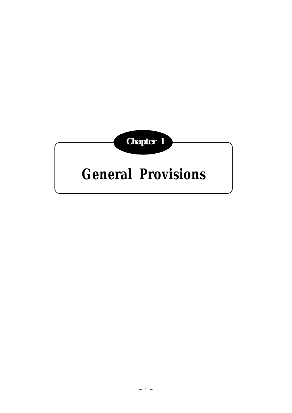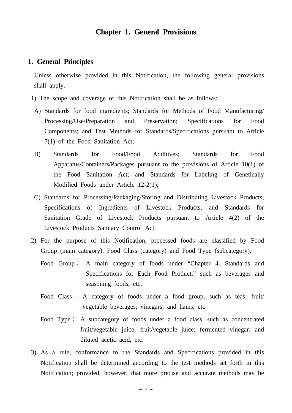# **Chapter 1. General Provisions**

### **1. General Principles**

 Unless otherwise provided in this Notification, the following general provisions shall apply.

- 1) The scope and coverage of this Notification shall be as follows:
- A) Standards for food ingredients; Standards for Methods of Food Manufacturing/ Processing/Use/Preparation and Preservation; Specifications for Food Components; and Test Methods for Standards/Specifications pursuant to Article 7(1) of the Food Sanitation Act;
- B) Standards for Food/Food Additives; Standards for Food Apparatus/Containers/Packages pursuant to the provisions of Article 10(1) of the Food Sanitation Act; and Standards for Labeling of Genetically Modified Foods under Article 12-2(1);
	- C) Standards for Processing/Packaging/Storing and Distributing Livestock Products; Specifications of Ingredients of Livestock Products; and Standards for Sanitation Grade of Livestock Products pursuant to Article 4(2) of the Livestock Products Sanitary Control Act.
- 2) For the purpose of this Notification, processed foods are classified by Food Group (main category), Food Class (category) and Food Type (subcategory).
	- Food Group∶ A main category of foods under "Chapter 4. Standards and Specifications for Each Food Product," such as beverages and seasoning foods, etc.
	- Food Class∶ A category of foods under a food group, such as teas; fruit/ vegetable beverages; vinegars; and hams, etc.
	- Food Type∶ A subcategory of foods under a food class, such as concentrated fruit/vegetable juice; fruit/vegetable juice; fermented vinegar; and diluted acetic acid, etc.
- 3) As a rule, conformance to the Standards and Specifications provided in this Notification shall be determined according to the test methods set forth in this Notification; provided, however, that more precise and accurate methods may be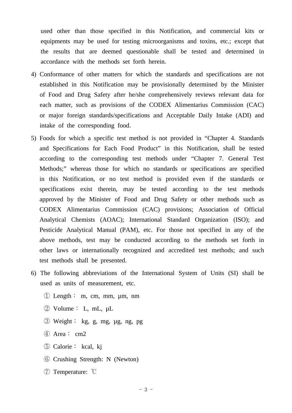used other than those specified in this Notification, and commercial kits or equipments may be used for testing microorganisms and toxins, etc.; except that the results that are deemed questionable shall be tested and determined in accordance with the methods set forth herein.

- 4) Conformance of other matters for which the standards and specifications are not established in this Notification may be provisionally determined by the Minister of Food and Drug Safety after he/she comprehensively reviews relevant data for each matter, such as provisions of the CODEX Alimentarius Commission (CAC) or major foreign standards/specifications and Acceptable Daily Intake (ADI) and intake of the corresponding food.
- 5) Foods for which a specific test method is not provided in "Chapter 4. Standards and Specifications for Each Food Product" in this Notification, shall be tested according to the corresponding test methods under "Chapter 7. General Test Methods;" whereas those for which no standards or specifications are specified in this Notification, or no test method is provided even if the standards or specifications exist therein, may be tested according to the test methods approved by the Minister of Food and Drug Safety or other methods such as CODEX Alimentarius Commission (CAC) provisions; Association of Official Analytical Chemists (AOAC); International Standard Organization (ISO); and Pesticide Analytical Manual (PAM), etc. For those not specified in any of the above methods, test may be conducted according to the methods set forth in other laws or internationally recognized and accredited test methods; and such test methods shall be presented.
- 6) The following abbreviations of the International System of Units (SI) shall be used as units of measurement, etc.
	- ① Length∶ m, cm, mm, µm, nm
	- ② Volume∶ L, mL, µL
	- ③ Weight∶ kg, g, mg, µg, ng, pg
	- ④ Area∶ cm2
	- ⑤ Calorie∶ kcal, kj
	- ⑥ Crushing Strength: N (Newton)
	- ⑦ Temperature: ℃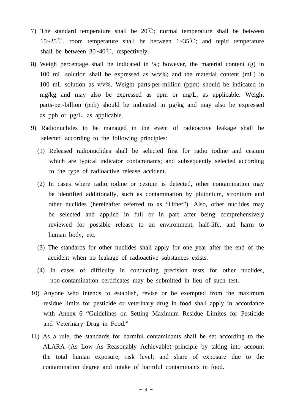- 7) The standard temperature shall be 20℃; normal temperature shall be between 15~25℃, room temperature shall be between 1~35℃; and tepid temperature shall be between 30~40℃, respectively.
- 8) Weigh percentage shall be indicated in %; however, the material content (g) in 100 mL solution shall be expressed as w/v%; and the material content (mL) in 100 mL solution as v/v%. Weight parts-per-million (ppm) should be indicated in mg/kg and may also be expressed as ppm or mg/L, as applicable. Weight parts-per-billion (ppb) should be indicated in µg/kg and may also be expressed as ppb or µg/L, as applicable.
- 9) Radionuclides to be managed in the event of radioactive leakage shall be selected according to the following principles:
	- (1) Released radionuclides shall be selected first for radio iodine and cesium which are typical indicator contaminants; and subsequently selected according to the type of radioactive release accident.
	- (2) In cases where radio iodine or cesium is detected, other contamination may be identified additionally, such as contamination by plutonium, strontium and other nuclides (hereinafter referred to as "Other"). Also, other nuclides may be selected and applied in full or in part after being comprehensively reviewed for possible release to an environment, half-life, and harm to human body, etc.
	- (3) The standards for other nuclides shall apply for one year after the end of the accident when no leakage of radioactive substances exists.
	- (4) In cases of difficulty in conducting precision tests for other nuclides, non-contamination certificates may be submitted in lieu of such test.
- 10) Anyone who intends to establish, revise or be exempted from the maximum residue limits for pesticide or veterinary drug in food shall apply in accordance with Annex 6 "Guidelines on Setting Maximum Residue Limites for Pesticide and Veterinary Drug in Food."
- 11) As a rule, the standards for harmful contaminants shall be set according to the ALARA (As Low As Reasonably Achievable) principle by taking into account the total human exposure; risk level; and share of exposure due to the contamination degree and intake of harmful contaminants in food.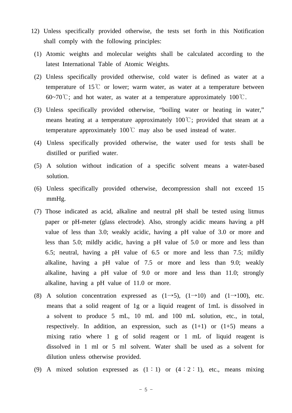- 12) Unless specifically provided otherwise, the tests set forth in this Notification shall comply with the following principles:
- (1) Atomic weights and molecular weights shall be calculated according to the latest International Table of Atomic Weights.
- (2) Unless specifically provided otherwise, cold water is defined as water at a temperature of  $15^{\circ}$  or lower; warm water, as water at a temperature between 60~70°C; and hot water, as water at a temperature approximately  $100^{\circ}$ C.
- (3) Unless specifically provided otherwise, "boiling water or heating in water," means heating at a temperature approximately 100℃; provided that steam at a temperature approximately 100℃ may also be used instead of water.
- (4) Unless specifically provided otherwise, the water used for tests shall be distilled or purified water.
- (5) A solution without indication of a specific solvent means a water-based solution.
- (6) Unless specifically provided otherwise, decompression shall not exceed 15 mmHg.
- (7) Those indicated as acid, alkaline and neutral pH shall be tested using litmus paper or pH-meter (glass electrode). Also, strongly acidic means having a pH value of less than 3.0; weakly acidic, having a pH value of 3.0 or more and less than 5.0; mildly acidic, having a pH value of 5.0 or more and less than 6.5; neutral, having a pH value of 6.5 or more and less than 7.5; mildly alkaline, having a pH value of 7.5 or more and less than 9.0; weakly alkaline, having a pH value of 9.0 or more and less than 11.0; strongly alkaline, having a pH value of 11.0 or more.
- (8) A solution concentration expressed as  $(1\rightarrow 5)$ ,  $(1\rightarrow 10)$  and  $(1\rightarrow 100)$ , etc. means that a solid reagent of 1g or a liquid reagent of 1mL is dissolved in a solvent to produce 5 mL, 10 mL and 100 mL solution, etc., in total, respectively. In addition, an expression, such as  $(1+1)$  or  $(1+5)$  means a mixing ratio where 1 g of solid reagent or 1 mL of liquid reagent is dissolved in 1 ml or 5 ml solvent. Water shall be used as a solvent for dilution unless otherwise provided.
- (9) A mixed solution expressed as  $(1:1)$  or  $(4:2:1)$ , etc., means mixing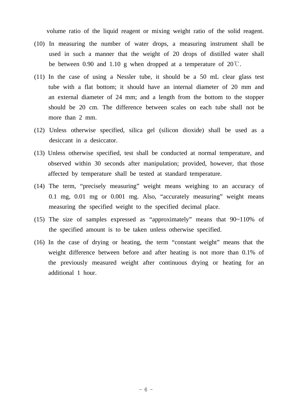volume ratio of the liquid reagent or mixing weight ratio of the solid reagent.

- (10) In measuring the number of water drops, a measuring instrument shall be used in such a manner that the weight of 20 drops of distilled water shall be between 0.90 and 1.10 g when dropped at a temperature of  $20^{\circ}$ C.
- (11) In the case of using a Nessler tube, it should be a 50 mL clear glass test tube with a flat bottom; it should have an internal diameter of 20 mm and an external diameter of 24 mm; and a length from the bottom to the stopper should be 20 cm. The difference between scales on each tube shall not be more than 2 mm.
- (12) Unless otherwise specified, silica gel (silicon dioxide) shall be used as a desiccant in a desiccator.
- (13) Unless otherwise specified, test shall be conducted at normal temperature, and observed within 30 seconds after manipulation; provided, however, that those affected by temperature shall be tested at standard temperature.
- (14) The term, "precisely measuring" weight means weighing to an accuracy of 0.1 mg, 0.01 mg or 0.001 mg. Also, "accurately measuring" weight means measuring the specified weight to the specified decimal place.
- (15) The size of samples expressed as "approximately" means that 90~110% of the specified amount is to be taken unless otherwise specified.
- (16) In the case of drying or heating, the term "constant weight" means that the weight difference between before and after heating is not more than 0.1% of the previously measured weight after continuous drying or heating for an additional 1 hour.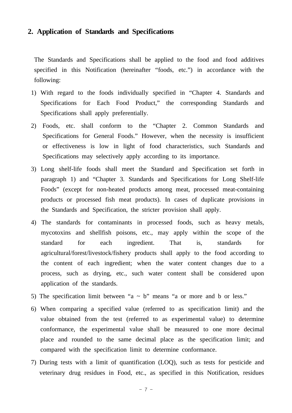### **2. Application of Standards and Specifications**

 The Standards and Specifications shall be applied to the food and food additives specified in this Notification (hereinafter "foods, etc.") in accordance with the following:

- 1) With regard to the foods individually specified in "Chapter 4. Standards and Specifications for Each Food Product," the corresponding Standards and Specifications shall apply preferentially.
- 2) Foods, etc. shall conform to the "Chapter 2. Common Standards and Specifications for General Foods." However, when the necessity is insufficient or effectiveness is low in light of food characteristics, such Standards and Specifications may selectively apply according to its importance.
- 3) Long shelf-life foods shall meet the Standard and Specification set forth in paragraph 1) and "Chapter 3. Standards and Specifications for Long Shelf-life Foods" (except for non-heated products among meat, processed meat-containing products or processed fish meat products). In cases of duplicate provisions in the Standards and Specification, the stricter provision shall apply.
- 4) The standards for contaminants in processed foods, such as heavy metals, mycotoxins and shellfish poisons, etc., may apply within the scope of the standard for each ingredient. That is, standards for agricultural/forest/livestock/fishery products shall apply to the food according to the content of each ingredient; when the water content changes due to a process, such as drying, etc., such water content shall be considered upon application of the standards.
- 5) The specification limit between "a  $\sim$  b" means "a or more and b or less."
- 6) When comparing a specified value (referred to as specification limit) and the value obtained from the test (referred to as experimental value) to determine conformance, the experimental value shall be measured to one more decimal place and rounded to the same decimal place as the specification limit; and compared with the specification limit to determine conformance.
- 7) During tests with a limit of quantification (LOQ), such as tests for pesticide and veterinary drug residues in Food, etc., as specified in this Notification, residues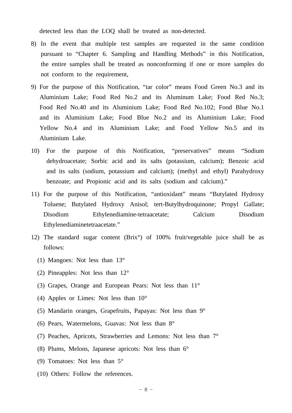detected less than the LOQ shall be treated as non-detected.

- 8) In the event that multiple test samples are requested in the same condition pursuant to "Chapter 6. Sampling and Handling Methods" in this Notification, the entire samples shall be treated as nonconforming if one or more samples do not conform to the requirement,
- 9) For the purpose of this Notification, "tar color" means Food Green No.3 and its Aluminium Lake; Food Red No.2 and its Aluminum Lake; Food Red No.3; Food Red No.40 and its Aluminium Lake; Food Red No.102; Food Blue No.1 and its Aluminium Lake; Food Blue No.2 and its Aluminium Lake; Food Yellow No.4 and its Aluminium Lake; and Food Yellow No.5 and its Aluminium Lake.
- 10) For the purpose of this Notification, "preservatives" means "Sodium dehydroacetate; Sorbic acid and its salts (potassium, calcium); Benzoic acid and its salts (sodium, potassium and calcium); (methyl and ethyl) Parahydroxy benzoate; and Propionic acid and its salts (sodium and calcium)."
- 11) For the purpose of this Notification, "antioxidant" means "Butylated Hydroxy Toluene; Butylated Hydroxy Anisol; tert-Butylhydroquinone; Propyl Gallate; Disodium Ethylenediamine-tetraacetate; Calcium Disodium Ethylenediaminetetraacetate."
- 12) The standard sugar content (Brix°) of 100% fruit/vegetable juice shall be as follows:
	- (1) Mangoes: Not less than 13°
	- (2) Pineapples: Not less than 12°
	- (3) Grapes, Orange and European Pears: Not less than 11°
	- (4) Apples or Limes: Not less than 10°
	- (5) Mandarin oranges, Grapefruits, Papayas: Not less than 9°
	- (6) Pears, Watermelons, Guavas: Not less than 8°
	- (7) Peaches, Apricots, Strawberries and Lemons: Not less than 7°
	- (8) Plums, Melons, Japanese apricots: Not less than 6°
	- (9) Tomatoes: Not less than 5°
	- (10) Others: Follow the references.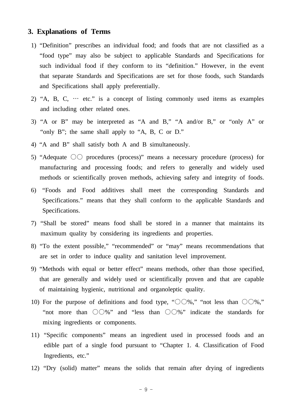### **3. Explanations of Terms**

- 1) "Definition" prescribes an individual food; and foods that are not classified as a "food type" may also be subject to applicable Standards and Specifications for such individual food if they conform to its "definition." However, in the event that separate Standards and Specifications are set for those foods, such Standards and Specifications shall apply preferentially.
- 2) "A, B, C,  $\cdots$  etc." is a concept of listing commonly used items as examples and including other related ones.
- 3) "A or B" may be interpreted as "A and B," "A and/or B," or "only A" or "only B"; the same shall apply to "A, B, C or D."
- 4) "A and B" shall satisfy both A and B simultaneously.
- 5) "Adequate ○○ procedures (process)" means a necessary procedure (process) for manufacturing and processing foods; and refers to generally and widely used methods or scientifically proven methods, achieving safety and integrity of foods.
- 6) "Foods and Food additives shall meet the corresponding Standards and Specifications." means that they shall conform to the applicable Standards and Specifications.
- 7) "Shall be stored" means food shall be stored in a manner that maintains its maximum quality by considering its ingredients and properties.
- 8) "To the extent possible," "recommended" or "may" means recommendations that are set in order to induce quality and sanitation level improvement.
- 9) "Methods with equal or better effect" means methods, other than those specified, that are generally and widely used or scientifically proven and that are capable of maintaining hygienic, nutritional and organoleptic quality.
- 10) For the purpose of definitions and food type, " $\bigcirc \bigcirc \%$ ," "not less than  $\bigcirc \bigcirc \%$ ,""not more than ○○%" and "less than ○○%" indicate the standards for mixing ingredients or components.
- 11) "Specific components" means an ingredient used in processed foods and an edible part of a single food pursuant to "Chapter 1. 4. Classification of Food Ingredients, etc."
- 12) "Dry (solid) matter" means the solids that remain after drying of ingredients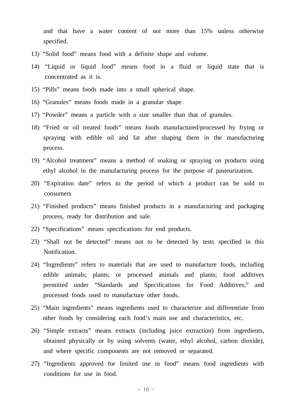and that have a water content of not more than 15% unless otherwise specified.

- 13) "Solid food" means food with a definite shape and volume.
- 14) "Liquid or liquid food" means food in a fluid or liquid state that is concentrated as it is.
- 15) "Pills" means foods made into a small spherical shape.
- 16) "Granules" means foods made in a granular shape.
- 17) "Powder" means a particle with a size smaller than that of granules.
- 18) "Fried or oil treated foods" means foods manufactured/processed by frying or spraying with edible oil and fat after shaping them in the manufacturing process.
- 19) "Alcohol treatment" means a method of soaking or spraying on products using ethyl alcohol in the manufacturing process for the purpose of pasteurization.
- 20) "Expiration date" refers to the period of which a product can be sold to consumers
- 21) "Finished products" means finished products in a manufacturing and packaging process, ready for distribution and sale.
- 22) "Specifications" means specifications for end products.
- 23) "Shall not be detected" means not to be detected by tests specified in this Notification.
- 24) "Ingredients" refers to materials that are used to manufacture foods, including edible animals; plants; or processed animals and plants; food additives permitted under "Standards and Specifications for Food Additives;" and processed foods used to manufacture other foods.
- 25) "Main ingredients" means ingredients used to characterize and differentiate from other foods by considering each food's main use and characteristics, etc.
- 26) "Simple extracts" means extracts (including juice extraction) from ingredients, obtained physically or by using solvents (water, ethyl alcohol, carbon dioxide), and where specific components are not removed or separated.
- 27) "Ingredients approved for limited use in food" means food ingredients with conditions for use in food.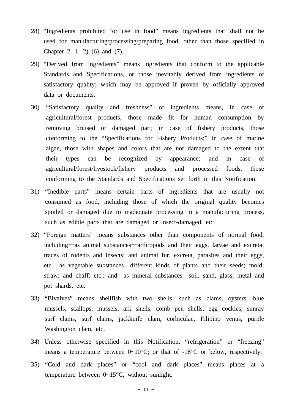- 28) "Ingredients prohibited for use in food" means ingredients that shall not be used for manufacturing/processing/preparing food, other than those specified in Chapter 2. 1. 2) (6) and (7).
- 29) "Derived from ingredients" means ingredients that conform to the applicable Standards and Specifications, or those inevitably derived from ingredients of satisfactory quality; which may be approved if proven by officially approved data or documents.
- 30) "Satisfactory quality and freshness" of ingredients means, in case of agricultural/forest products, those made fit for human consumption by removing bruised or damaged part; in case of fishery products, those conforming to the "Specifications for Fishery Products;" in case of marine algae, those with shapes and colors that are not damaged to the extent that their types can be recognized by appearance; and in case of agricultural/forest/livestock/fishery products and processed foods, those conforming to the Standards and Specifications set forth in this Notification.
- 31) "Inedible parts" means certain parts of ingredients that are usually not consumed as food, including those of which the original quality becomes spoiled or damaged due to inadequate processing in a manufacturing process, such as edible parts that are damaged or insect-damaged, etc.
- 32) "Foreign matters" means substances other than components of normal food, including—as animal substances—arthropods and their eggs, larvae and excreta; traces of rodents and insects; and animal fur, excreta, parasites and their eggs, etc.—as vegetable substances—different kinds of plants and their seeds; mold; straw; and chaff; etc.; and—as mineral substances—soil, sand, glass, metal and pot shards, etc.
- 33) "Bivalves" means shellfish with two shells, such as clams, oysters, blue mussels, scallops, mussels, ark shells, comb pen shells, egg cockles, sunray surf clams, surf clams, jackknife clam, corbiculae, Filipino venus, purple Washington clam, etc.
- 34) Unless otherwise specified in this Notification, "refrigeration" or "freezing" means a temperature between 0~10°C; or that of -18°C or below, respectively.
- 35) "Cold and dark places" or "cool and dark places" means places at a temperature between 0~15°C, without sunlight.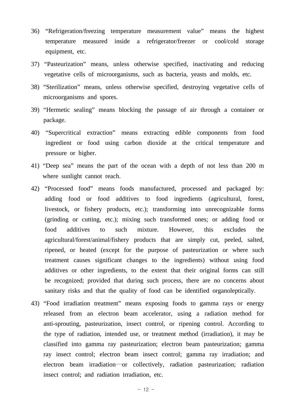- 36) "Refrigeration/freezing temperature measurement value" means the highest temperature measured inside a refrigerator/freezer or cool/cold storage equipment, etc.
- 37) "Pasteurization" means, unless otherwise specified, inactivating and reducing vegetative cells of microorganisms, such as bacteria, yeasts and molds, etc.
- 38) "Sterilization" means, unless otherwise specified, destroying vegetative cells of microorganisms and spores.
- 39) "Hermetic sealing" means blocking the passage of air through a container or package.
- 40) "Supercritical extraction" means extracting edible components from food ingredient or food using carbon dioxide at the critical temperature and pressure or higher.
- 41) "Deep sea" means the part of the ocean with a depth of not less than 200 m where sunlight cannot reach.
- 42) "Processed food" means foods manufactured, processed and packaged by: adding food or food additives to food ingredients (agricultural, forest, livestock, or fishery products, etc.); transforming into unrecognizable forms (grinding or cutting, etc.); mixing such transformed ones; or adding food or food additives to such mixture. However, this excludes the agricultural/forest/animal/fishery products that are simply cut, peeled, salted, ripened, or heated (except for the purpose of pasteurization or where such treatment causes significant changes to the ingredients) without using food additives or other ingredients, to the extent that their original forms can still be recognized; provided that during such process, there are no concerns about sanitary risks and that the quality of food can be identified organoleptically.
- 43) "Food irradiation treatment" means exposing foods to gamma rays or energy released from an electron beam accelerator, using a radiation method for anti-sprouting, pasteurization, insect control, or ripening control. According to the type of radiation, intended use, or treatment method (irradiation), it may be classified into gamma ray pasteurization; electron beam pasteurization; gamma ray insect control; electron beam insect control; gamma ray irradiation; and electron beam irradiation—or collectively, radiation pasteurization; radiation insect control; and radiation irradiation, etc.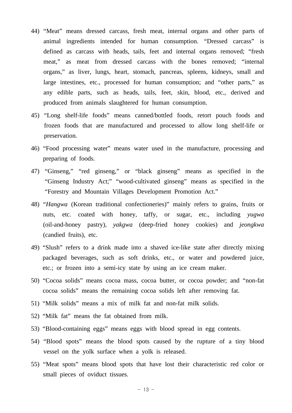- 44) "Meat" means dressed carcass, fresh meat, internal organs and other parts of animal ingredients intended for human consumption. "Dressed carcass" is defined as carcass with heads, tails, feet and internal organs removed; "fresh meat," as meat from dressed carcass with the bones removed; "internal organs," as liver, lungs, heart, stomach, pancreas, spleens, kidneys, small and large intestines, etc., processed for human consumption; and "other parts," as any edible parts, such as heads, tails, feet, skin, blood, etc., derived and produced from animals slaughtered for human consumption.
- 45) "Long shelf-life foods" means canned/bottled foods, retort pouch foods and frozen foods that are manufactured and processed to allow long shelf-life or preservation.
- 46) "Food processing water" means water used in the manufacture, processing and preparing of foods.
- 47) "Ginseng," "red ginseng," or "black ginseng" means as specified in the "Ginseng Industry Act;" "wood-cultivated ginseng" means as specified in the "Forestry and Mountain Villages Development Promotion Act."
- 48) "*Hangwa* (Korean traditional confectioneries)" mainly refers to grains, fruits or nuts, etc. coated with honey, taffy, or sugar, etc., including *yugwa*  (oil-and-honey pastry), *yakgwa* (deep-fried honey cookies) and *jeongkwa*  (candied fruits), etc.
- 49) "Slush" refers to a drink made into a shaved ice-like state after directly mixing packaged beverages, such as soft drinks, etc., or water and powdered juice, etc.; or frozen into a semi-icy state by using an ice cream maker.
- 50) "Cocoa solids" means cocoa mass, cocoa butter, or cocoa powder; and "non-fat cocoa solids" means the remaining cocoa solids left after removing fat.
- 51) "Milk solids" means a mix of milk fat and non-fat milk solids.
- 52) "Milk fat" means the fat obtained from milk.
- 53) "Blood-containing eggs" means eggs with blood spread in egg contents.
- 54) "Blood spots" means the blood spots caused by the rupture of a tiny blood vessel on the yolk surface when a yolk is released.
- 55) "Meat spots" means blood spots that have lost their characteristic red color or small pieces of oviduct tissues.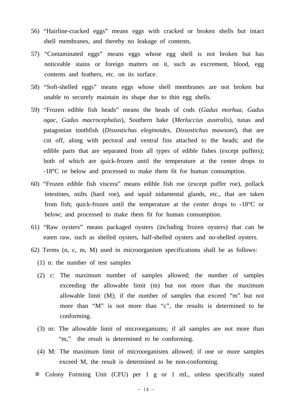- 56) "Hairline-cracked eggs" means eggs with cracked or broken shells but intact shell membranes, and thereby no leakage of contents.
- 57) "Contaminated eggs" means eggs whose egg shell is not broken but has noticeable stains or foreign matters on it, such as excrement, blood, egg contents and feathers, etc. on its surface.
- 58) "Soft-shelled eggs" means eggs whose shell membranes are not broken but unable to securely maintain its shape due to thin egg shells.
- 59) "Frozen edible fish heads" means the heads of cods (*Gadus morhua*, *Gadus ogac*, *Gadus macrocephalus*), Southern hake (*Merluccius australis*), tunas and patagonian toothfish (*Dissostichus eleginoides*, *Dissostichus mawsoni*), that are cut off, along with pectoral and ventral fins attached to the heads; and the edible parts that are separated from all types of edible fishes (except puffers); both of which are quick-frozen until the temperature at the center drops to -18°C or below and processed to make them fit for human consumption.
- 60) "Frozen edible fish viscera" means edible fish roe (except puffer roe), pollack intestines, milts (hard roe), and squid nidamental glands, etc., that are taken from fish; quick-frozen until the temperature at the center drops to -18°C or below; and processed to make them fit for human consumption.
- 61) "Raw oysters" means packaged oysters (including frozen oysters) that can be eaten raw, such as shelled oysters, half-shelled oysters and no-shelled oysters.
- 62) Terms (n, c, m, M) used in microorganism specifications shall be as follows:
	- (1) n: the number of test samples
	- (2) c: The maximum number of samples allowed; the number of samples exceeding the allowable limit (m) but not more than the maximum allowable limit (M); if the number of samples that exceed "m" but not more than "M" is not more than "c", the results is determined to be conforming.
	- (3) m: The allowable limit of microorganisms; if all samples are not more than "m," the result is determined to be conforming.
	- (4) M: The maximum limit of microorganisms allowed; if one or more samples exceed M, the result is determined to be non-conforming.
	- ※ Colony Forming Unit (CFU) per 1 g or 1 mL, unless specifically stated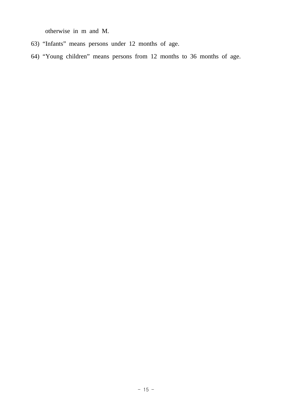otherwise in m and M.

- 63) "Infants" means persons under 12 months of age.
- 64) "Young children" means persons from 12 months to 36 months of age.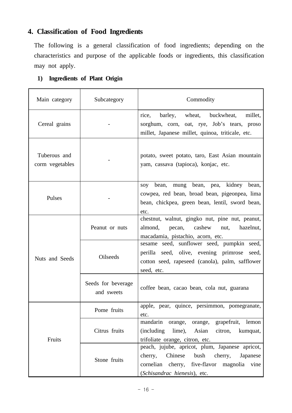# **4. Classification of Food Ingredients**

 The following is a general classification of food ingredients; depending on the characteristics and purpose of the applicable foods or ingredients, this classification may not apply.

# **1) Ingredients of Plant Origin**

| Main category                                                                                                                                                | Subcategory                      | Commodity                                                                                                                                                                        |  |  |  |  |  |
|--------------------------------------------------------------------------------------------------------------------------------------------------------------|----------------------------------|----------------------------------------------------------------------------------------------------------------------------------------------------------------------------------|--|--|--|--|--|
| Cereal grains                                                                                                                                                |                                  | barley, wheat, buckwheat,<br>rice,<br>millet,<br>sorghum, corn, oat, rye, Job's tears, proso<br>millet, Japanese millet, quinoa, triticale, etc.                                 |  |  |  |  |  |
| Tuberous and<br>corm vegetables                                                                                                                              |                                  | potato, sweet potato, taro, East Asian mountain<br>yam, cassava (tapioca), konjac, etc.                                                                                          |  |  |  |  |  |
| soy bean, mung bean, pea, kidney bean,<br>cowpea, red bean, broad bean, pigeonpea, lima<br>Pulses<br>bean, chickpea, green bean, lentil, sword bean,<br>etc. |                                  |                                                                                                                                                                                  |  |  |  |  |  |
| Nuts and Seeds                                                                                                                                               | Peanut or nuts                   | chestnut, walnut, gingko nut, pine nut, peanut,<br>almond,<br>pecan, cashew<br>hazelnut,<br>nut,<br>macadamia, pistachio, acorn, etc.                                            |  |  |  |  |  |
|                                                                                                                                                              | Oilseeds                         | sesame seed, sunflower seed, pumpkin seed,<br>perilla seed, olive, evening primrose seed,<br>cotton seed, rapeseed (canola), palm, safflower<br>seed, etc.                       |  |  |  |  |  |
|                                                                                                                                                              | Seeds for beverage<br>and sweets | coffee bean, cacao bean, cola nut, guarana                                                                                                                                       |  |  |  |  |  |
|                                                                                                                                                              | Pome fruits                      | apple, pear, quince, persimmon, pomegranate,<br>etc.                                                                                                                             |  |  |  |  |  |
| Fruits                                                                                                                                                       | Citrus fruits                    | mandarin orange, orange, grapefruit, lemon<br>(including lime), Asian citron, kumquat,<br>trifoliate orange, citron, etc.                                                        |  |  |  |  |  |
|                                                                                                                                                              | Stone fruits                     | peach, jujube, apricot, plum, Japanese apricot,<br>cherry,<br>Chinese<br>bush cherry,<br>Japanese<br>cornelian cherry, five-flavor magnolia vine<br>(Schisandrac hienesis), etc. |  |  |  |  |  |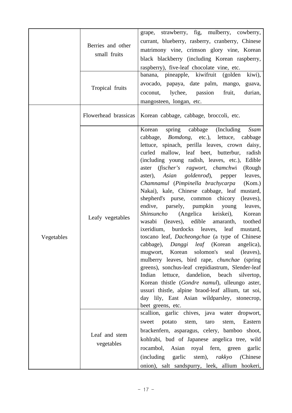|            |                                   | grape, strawberry, fig, mulberry, cowberry,                                                                                                                                                                                                                                                                                                                                                                                                                                                                                                                                                                                                                                                                                                                                                                                                                                                                                                                                                                                                                                                                                                                                           |
|------------|-----------------------------------|---------------------------------------------------------------------------------------------------------------------------------------------------------------------------------------------------------------------------------------------------------------------------------------------------------------------------------------------------------------------------------------------------------------------------------------------------------------------------------------------------------------------------------------------------------------------------------------------------------------------------------------------------------------------------------------------------------------------------------------------------------------------------------------------------------------------------------------------------------------------------------------------------------------------------------------------------------------------------------------------------------------------------------------------------------------------------------------------------------------------------------------------------------------------------------------|
|            | Berries and other<br>small fruits | currant, blueberry, rasberry, cranberry, Chinese<br>matrimony vine, crimson glory vine, Korean<br>black blackberry (including Korean raspberry,<br>raspberry), five-leaf chocolate vine, etc.                                                                                                                                                                                                                                                                                                                                                                                                                                                                                                                                                                                                                                                                                                                                                                                                                                                                                                                                                                                         |
|            | Tropical fruits                   | banana, pineapple, kiwifruit (golden kiwi),<br>avocado, papaya, date palm, mango,<br>guava,<br>coconut, lychee, passion<br>fruit,<br>durian,<br>mangosteen, longan, etc.                                                                                                                                                                                                                                                                                                                                                                                                                                                                                                                                                                                                                                                                                                                                                                                                                                                                                                                                                                                                              |
|            | Flowerhead brassicas              | Korean cabbage, cabbage, broccoli, etc.                                                                                                                                                                                                                                                                                                                                                                                                                                                                                                                                                                                                                                                                                                                                                                                                                                                                                                                                                                                                                                                                                                                                               |
| Vegetables | Leafy vegetables                  | Korean<br>spring cabbage (Including<br>Ssam<br>cabbage, <i>Bomdong</i> , etc.), lettuce, cabbage<br>lettuce, spinach, perilla leaves, crown daisy,<br>curled mallow, leaf beet, butterbur,<br>radish<br>(including young radish, leaves, etc.), Edible<br>aster (fischer's ragwort, chamchwi<br>(Rough<br>aster), Asian goldenrod), pepper<br>leaves,<br>Chamnamul (Pimpinella brachycarpa<br>(Kom.)<br>Nakai), kale, Chinese cabbage, leaf<br>mustard,<br>shepherd's purse, common chicory<br>(leaves),<br>endive, parsely, pumpkin young<br>leaves,<br>Shinsuncho (Angelica keiskei),<br>Korean<br>(leaves), edible amaranth,<br>wasabi<br>toothed<br>ixeridium, burdocks leaves, leaf mustard,<br>toscano leaf, Dacheongchae (a type of Chinese<br>cabbage), Danggi leaf (Korean<br>angelica),<br>mugwort, Korean solomon's seal (leaves),<br>mulberry leaves, bird rape, <i>chunchae</i> (spring<br>greens), sonchus-leaf crepidiastrum, Slender-leaf<br>Indian lettuce, dandelion, beach silvertop,<br>Korean thistle (Gondre namul), ulleungo aster,<br>ussuri thistle, alpine braod-leaf allium, tat soi,<br>day lily, East Asian wildparsley, stonecrop,<br>beet greens, etc. |
|            | Leaf and stem<br>vegetables       | scallion, garlic chives, java water dropwort,<br>Eastern<br>sweet potato<br>stem,<br>taro<br>stem,<br>brackenfern, asparagus, celery, bamboo shoot,<br>kohlrabi, bud of Japanese angelica tree, wild<br>rocambol, Asian royal fern, green<br>garlic<br>(including garlic stem), rakkyo<br>(Chinese)<br>onion), salt sandspurry, leek, allium hookeri,                                                                                                                                                                                                                                                                                                                                                                                                                                                                                                                                                                                                                                                                                                                                                                                                                                 |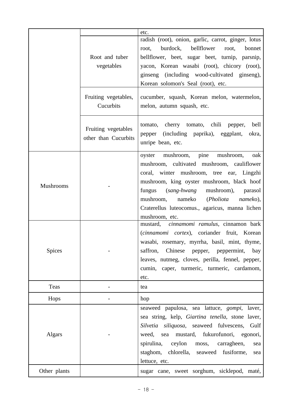|               |                      | etc.                                                 |  |  |  |  |
|---------------|----------------------|------------------------------------------------------|--|--|--|--|
|               |                      | radish (root), onion, garlic, carrot, ginger, lotus  |  |  |  |  |
|               |                      | burdock,<br>bellflower<br>root,<br>root,<br>bonnet   |  |  |  |  |
|               | Root and tuber       | bellflower, beet, sugar beet, turnip, parsnip,       |  |  |  |  |
|               | vegetables           | yacon, Korean wasabi (root), chicory (root),         |  |  |  |  |
|               |                      | ginseng (including wood-cultivated ginseng),         |  |  |  |  |
|               |                      | Korean solomon's Seal (root), etc.                   |  |  |  |  |
|               | Fruiting vegetables, | cucumber, squash, Korean melon, watermelon,          |  |  |  |  |
|               | Cucurbits            | melon, autumn squash, etc.                           |  |  |  |  |
|               |                      |                                                      |  |  |  |  |
|               |                      | tomato, cherry tomato, chili pepper,<br>bell         |  |  |  |  |
|               | Fruiting vegetables  | pepper (including paprika), eggplant,<br>okra,       |  |  |  |  |
|               | other than Cucurbits | unripe bean, etc.                                    |  |  |  |  |
|               |                      |                                                      |  |  |  |  |
|               |                      | mushroom, pine<br>mushroom,<br>oyster<br>oak         |  |  |  |  |
|               |                      | mushroom, cultivated mushroom, cauliflower           |  |  |  |  |
|               |                      | coral, winter mushroom, tree ear, Lingzhi            |  |  |  |  |
| Mushrooms     |                      | mushroom, king oyster mushroom, black hoof           |  |  |  |  |
|               |                      | fungus (sang-hwang<br>mushroom),<br>parasol          |  |  |  |  |
|               |                      | mushroom, nameko (Pholiota<br>nameko),               |  |  |  |  |
|               |                      | Craterellus luteocomus., agaricus, manna lichen      |  |  |  |  |
|               |                      | mushroom, etc.                                       |  |  |  |  |
|               |                      | mustard, cinnamomi ramulus, cinnamon bark            |  |  |  |  |
|               |                      | (cinnamomi cortex), coriander fruit, Korean          |  |  |  |  |
|               |                      | wasabi, rosemary, myrrha, basil, mint, thyme,        |  |  |  |  |
| <b>Spices</b> |                      | saffron,<br>Chinese<br>bay<br>pepper,<br>peppermint, |  |  |  |  |
|               |                      | leaves, nutmeg, cloves, perilla, fennel, pepper,     |  |  |  |  |
|               |                      | cumin, caper, turmeric, turmeric, cardamom,          |  |  |  |  |
|               |                      | etc.                                                 |  |  |  |  |
| Teas          |                      | tea                                                  |  |  |  |  |
| Hops          |                      | hop                                                  |  |  |  |  |
|               |                      | seaweed papulosa, sea lattuce, <i>gompi</i> , laver, |  |  |  |  |
|               |                      | sea string, kelp, Giartina tenella, stone laver,     |  |  |  |  |
|               |                      | Silvetia siliquosa, seaweed fulvescens,<br>Gulf      |  |  |  |  |
| Algars        |                      | weed,<br>sea mustard, fukurofunori,<br>egonori,      |  |  |  |  |
|               |                      | spirulina,<br>ceylon<br>carragheen,<br>moss,<br>sea  |  |  |  |  |
|               |                      | staghom, chlorella, seaweed fusiforme,<br>sea        |  |  |  |  |
|               |                      | lettuce, etc.                                        |  |  |  |  |
| Other plants  |                      | sugar cane, sweet sorghum, sicklepod, maté,          |  |  |  |  |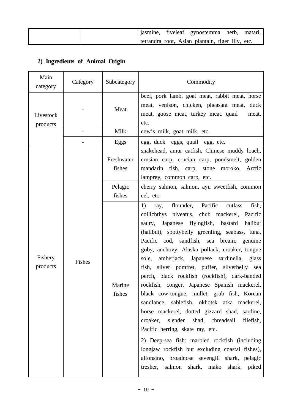|  | jasmine, fiveleaf gynostemma herb, matari,       |  |  |  |
|--|--------------------------------------------------|--|--|--|
|  | tetrandra root, Asian plantain, tiger lily, etc. |  |  |  |

# **2) Ingredients of Animal Origin**

| Main<br>category      | Category | Subcategory                     | Commodity                                                                                                                                                                                                                                                                                                                                                                                                                                                                                                                                                                                                                                                                                                                                                                                                                                                                                                                                              |  |  |  |  |
|-----------------------|----------|---------------------------------|--------------------------------------------------------------------------------------------------------------------------------------------------------------------------------------------------------------------------------------------------------------------------------------------------------------------------------------------------------------------------------------------------------------------------------------------------------------------------------------------------------------------------------------------------------------------------------------------------------------------------------------------------------------------------------------------------------------------------------------------------------------------------------------------------------------------------------------------------------------------------------------------------------------------------------------------------------|--|--|--|--|
| Livestock<br>products |          | Meat                            | beef, pork lamb, goat meat, rabbit meat, horse<br>meat, venison, chicken, pheasant meat, duck<br>meat, goose meat, turkey meat. quail<br>meat,<br>etc.                                                                                                                                                                                                                                                                                                                                                                                                                                                                                                                                                                                                                                                                                                                                                                                                 |  |  |  |  |
|                       |          | Milk                            | cow's milk, goat milk, etc.                                                                                                                                                                                                                                                                                                                                                                                                                                                                                                                                                                                                                                                                                                                                                                                                                                                                                                                            |  |  |  |  |
|                       |          | Eggs                            | egg, duck eggs, quail egg, etc.                                                                                                                                                                                                                                                                                                                                                                                                                                                                                                                                                                                                                                                                                                                                                                                                                                                                                                                        |  |  |  |  |
|                       |          | Freshwater<br>fishes<br>Pelagic | snakehead, amur catfish, Chinese muddy loach,<br>crusian carp, crucian carp, pondsmelt, golden<br>mandarin fish, carp, stone moroko, Arctic<br>lamprey, common carp, etc.<br>cherry salmon, salmon, ayu sweetfish, common                                                                                                                                                                                                                                                                                                                                                                                                                                                                                                                                                                                                                                                                                                                              |  |  |  |  |
|                       |          | fishes                          | eel, etc.                                                                                                                                                                                                                                                                                                                                                                                                                                                                                                                                                                                                                                                                                                                                                                                                                                                                                                                                              |  |  |  |  |
| Fishery<br>products   | Fishes   | Marine<br>fishes                | flounder, Pacific<br>cutlass<br>fish,<br>1)<br>ray,<br>collichthys niveatus, chub mackerel, Pacific<br>saury, Japanese flyingfish, bastard halibut<br>(halibut), spottybelly greenling, seabass, tuna,<br>Pacific cod, sandfish, sea bream, genuine<br>goby, anchovy, Alaska pollack, croaker, tongue<br>amberjack, Japanese sardinella, glass<br>sole,<br>fish, silver pomfret, puffer, silverbelly sea<br>perch, black rockfish (rockfish), dark-banded<br>rockfish, conger, Japanese Spanish mackerel,<br>black cow-tongue, mullet, grub fish, Korean<br>sandlance, sablefish, okhotsk atka mackerel,<br>horse mackerel, dotted gizzard shad, sardine,<br>croaker,<br>slender<br>shad, threadsail<br>filefish,<br>Pacific herring, skate ray, etc.<br>2) Deep-sea fish: marbled rockfish (including<br>longjaw rockfish but excluding coastal fishes),<br>alfonsino, broadnose sevengill shark, pelagic<br>tresher, salmon shark, mako shark, piked |  |  |  |  |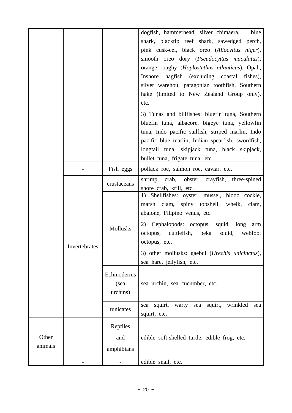|         |               |             | dogfish, hammerhead, silver chimaera,<br>blue            |
|---------|---------------|-------------|----------------------------------------------------------|
|         |               |             |                                                          |
|         |               |             | shark, blacktip reef shark, sawedged perch,              |
|         |               |             | pink cusk-eel, black oreo (Allocyttus niger),            |
|         |               |             | smooth oreo dory (Pseudocyttus maculatus),               |
|         |               |             | orange roughy (Hoplostethus atlanticus), Opah,           |
|         |               |             | Inshore hagfish (excluding coastal fishes),              |
|         |               |             | silver warehou, patagonian toothfish, Southern           |
|         |               |             | hake (limited to New Zealand Group only),                |
|         |               |             | etc.                                                     |
|         |               |             | 3) Tunas and billfishes: bluefin tuna, Southern          |
|         |               |             | bluefin tuna, albacore, bigeye tuna, yellowfin           |
|         |               |             | tuna, Indo pacific sailfish, striped marlin, Indo        |
|         |               |             | pacific blue marlin, Indian spearfish, swordfish,        |
|         |               |             | longtail tuna, skipjack tuna, black skipjack,            |
|         |               |             | bullet tuna, frigate tuna, etc.                          |
|         |               | Fish eggs   | pollack roe, salmon roe, caviar, etc.                    |
|         |               | crustaceans | shrimp, crab, lobster, crayfish, three-spined            |
|         |               |             | shore crab, krill, etc.                                  |
|         |               |             | 1) Shellfishes: oyster, mussel, blood cockle,            |
|         |               |             | marsh clam, spiny topshell, whelk,<br>clam,              |
|         |               |             | abalone, Filipino venus, etc.                            |
|         |               | Mollusks    | 2) Cephalopods: octopus, squid, long<br>arm              |
|         |               |             | octopus, cuttlefish,<br>beka<br>squid,<br>webfoot        |
|         | Invertebrates |             | octopus, etc.                                            |
|         |               |             | 3) other mollusks: gaebul ( <i>Urechis unicinctus</i> ), |
|         |               |             | sea hare, jellyfish, etc.                                |
|         |               | Echinoderms |                                                          |
|         |               | (sea        | sea urchin, sea cucumber, etc.                           |
|         |               |             |                                                          |
|         |               | urchins)    |                                                          |
|         |               | tunicates   | warty sea squirt, wrinkled<br>squirt,<br>sea<br>sea      |
|         |               |             | squirt, etc.                                             |
|         |               | Reptiles    |                                                          |
| Other   |               | and         | edible soft-shelled turtle, edible frog, etc.            |
| animals |               | amphibians  |                                                          |
|         |               |             | edible snail, etc.                                       |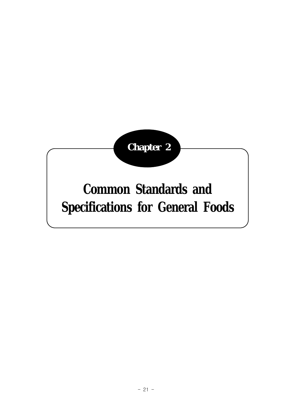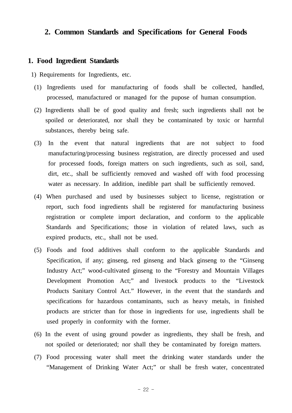# **2. Common Standards and Specifications for General Foods**

#### **1. Food Ingredient Standards**

- 1) Requirements for Ingredients, etc.
- (1) Ingredients used for manufacturing of foods shall be collected, handled, processed, manufactured or managed for the pupose of human consumption.
- (2) Ingredients shall be of good quality and fresh; such ingredients shall not be spoiled or deteriorated, nor shall they be contaminated by toxic or harmful substances, thereby being safe.
- (3) In the event that natural ingredients that are not subject to food manufacturing/processing business registration, are directly processed and used for processed foods, foreign matters on such ingredients, such as soil, sand, dirt, etc., shall be sufficiently removed and washed off with food processing water as necessary. In addition, inedible part shall be sufficiently removed.
- (4) When purchased and used by businesses subject to license, registration or report, such food ingredients shall be registered for manufacturing business registration or complete import declaration, and conform to the applicable Standards and Specifications; those in violation of related laws, such as expired products, etc., shall not be used.
- (5) Foods and food additives shall conform to the applicable Standards and Specification, if any; ginseng, red ginseng and black ginseng to the "Ginseng Industry Act;" wood-cultivated ginseng to the "Forestry and Mountain Villages Development Promotion Act;" and livestock products to the "Livestock Products Sanitary Control Act." However, in the event that the standards and specifications for hazardous contaminants, such as heavy metals, in finished products are stricter than for those in ingredients for use, ingredients shall be used properly in conformity with the former.
- (6) In the event of using ground powder as ingredients, they shall be fresh, and not spoiled or deteriorated; nor shall they be contaminated by foreign matters.
- (7) Food processing water shall meet the drinking water standards under the "Management of Drinking Water Act;" or shall be fresh water, concentrated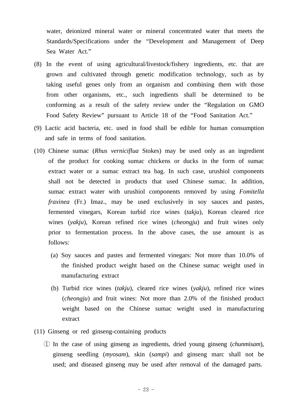water, deionized mineral water or mineral concentrated water that meets the Standards/Specifications under the "Development and Management of Deep Sea Water Act."

- (8) In the event of using agricultural/livestock/fishery ingredients, etc. that are grown and cultivated through genetic modification technology, such as by taking useful genes only from an organism and combining them with those from other organisms, etc., such ingredients shall be determined to be conforming as a result of the safety review under the "Regulation on GMO Food Safety Review" pursuant to Article 18 of the "Food Sanitation Act."
- (9) Lactic acid bacteria, etc. used in food shall be edible for human consumption and safe in terms of food sanitation.
- (10) Chinese sumac (*Rhus verniciflua* Stokes) may be used only as an ingredient of the product for cooking sumac chickens or ducks in the form of sumac extract water or a sumac extract tea bag. In such case, urushiol components shall not be detected in products that used Chinese sumac. In addition, sumac extract water with urushiol components removed by using *Fomitella fraxinea* (Fr.) Imaz., may be used exclusively in soy sauces and pastes, fermented vinegars, Korean turbid rice wines (*takju*), Korean cleared rice wines (*yakju*), Korean refined rice wines (*cheongju*) and fruit wines only prior to fermentation process. In the above cases, the use amount is as follows:
	- (a) Soy sauces and pastes and fermented vinegars: Not more than 10.0% of the finished product weight based on the Chinese sumac weight used in manufacturing extract
	- (b) Turbid rice wines (*takju*), cleared rice wines (*yakju*), refined rice wines (*cheongju*) and fruit wines: Not more than 2.0% of the finished product weight based on the Chinese sumac weight used in manufacturing extract
- (11) Ginseng or red ginseng-containing products
	- ① In the case of using ginseng as ingredients, dried young ginseng (*chunmisam*), ginseng seedling (*myosam*), skin (*sampi*) and ginseng marc shall not be used; and diseased ginseng may be used after removal of the damaged parts.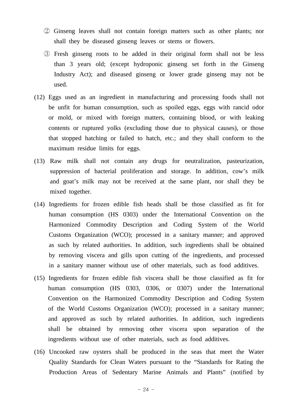- ② Ginseng leaves shall not contain foreign matters such as other plants; nor shall they be diseased ginseng leaves or stems or flowers.
- ③ Fresh ginseng roots to be added in their original form shall not be less than 3 years old; (except hydroponic ginseng set forth in the Ginseng Industry Act); and diseased ginseng or lower grade ginseng may not be used.
- (12) Eggs used as an ingredient in manufacturing and processing foods shall not be unfit for human consumption, such as spoiled eggs, eggs with rancid odor or mold, or mixed with foreign matters, containing blood, or with leaking contents or ruptured yolks (excluding those due to physical causes), or those that stopped hatching or failed to hatch, etc.; and they shall conform to the maximum residue limits for eggs.
- (13) Raw milk shall not contain any drugs for neutralization, pasteurization, suppression of bacterial proliferation and storage. In addition, cow's milk and goat's milk may not be received at the same plant, nor shall they be mixed together.
- (14) Ingredients for frozen edible fish heads shall be those classified as fit for human consumption (HS 0303) under the International Convention on the Harmonized Commodity Description and Coding System of the World Customs Organization (WCO); processed in a sanitary manner; and approved as such by related authorities. In addition, such ingredients shall be obtained by removing viscera and gills upon cutting of the ingredients, and processed in a sanitary manner without use of other materials, such as food additives.
- (15) Ingredients for frozen edible fish viscera shall be those classified as fit for human consumption (HS 0303, 0306, or 0307) under the International Convention on the Harmonized Commodity Description and Coding System of the World Customs Organization (WCO); processed in a sanitary manner; and approved as such by related authorities. In addition, such ingredients shall be obtained by removing other viscera upon separation of the ingredients without use of other materials, such as food additives.
- (16) Uncooked raw oysters shall be produced in the seas that meet the Water Quality Standards for Clean Waters pursuant to the "Standards for Rating the Production Areas of Sedentary Marine Animals and Plants" (notified by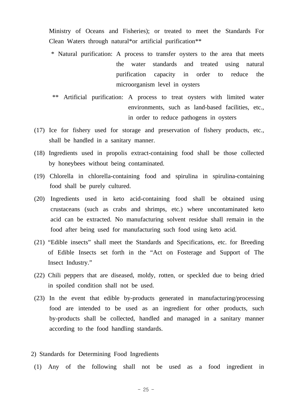Ministry of Oceans and Fisheries); or treated to meet the Standards For Clean Waters through natural\*or artificial purification\*\*

- \* Natural purification: A process to transfer oysters to the area that meets the water standards and treated using natural purification capacity in order to reduce the microorganism level in oysters
- \*\* Artificial purification: A process to treat oysters with limited water environments, such as land-based facilities, etc., in order to reduce pathogens in oysters
- (17) Ice for fishery used for storage and preservation of fishery products, etc., shall be handled in a sanitary manner.
- (18) Ingredients used in propolis extract-containing food shall be those collected by honeybees without being contaminated.
- (19) Chlorella in chlorella-containing food and spirulina in spirulina-containing food shall be purely cultured.
- (20) Ingredients used in keto acid-containing food shall be obtained using crustaceans (such as crabs and shrimps, etc.) where uncontaminated keto acid can be extracted. No manufacturing solvent residue shall remain in the food after being used for manufacturing such food using keto acid.
- (21) "Edible insects" shall meet the Standards and Specifications, etc. for Breeding of Edible Insects set forth in the "Act on Fosterage and Support of The Insect Industry."
- (22) Chili peppers that are diseased, moldy, rotten, or speckled due to being dried in spoiled condition shall not be used.
- (23) In the event that edible by-products generated in manufacturing/processing food are intended to be used as an ingredient for other products, such by-products shall be collected, handled and managed in a sanitary manner according to the food handling standards.
- 2) Standards for Determining Food Ingredients
- (1) Any of the following shall not be used as a food ingredient in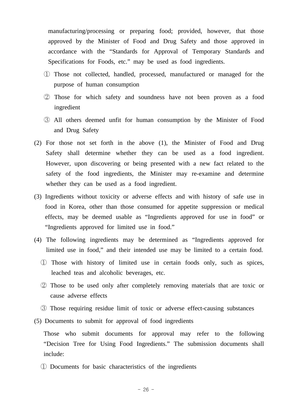manufacturing/processing or preparing food; provided, however, that those approved by the Minister of Food and Drug Safety and those approved in accordance with the "Standards for Approval of Temporary Standards and Specifications for Foods, etc." may be used as food ingredients.

- ① Those not collected, handled, processed, manufactured or managed for the purpose of human consumption
- ② Those for which safety and soundness have not been proven as a food ingredient
- ③ All others deemed unfit for human consumption by the Minister of Food and Drug Safety
- (2) For those not set forth in the above (1), the Minister of Food and Drug Safety shall determine whether they can be used as a food ingredient. However, upon discovering or being presented with a new fact related to the safety of the food ingredients, the Minister may re-examine and determine whether they can be used as a food ingredient.
- (3) Ingredients without toxicity or adverse effects and with history of safe use in food in Korea, other than those consumed for appetite suppression or medical effects, may be deemed usable as "Ingredients approved for use in food" or "Ingredients approved for limited use in food."
- (4) The following ingredients may be determined as "Ingredients approved for limited use in food," and their intended use may be limited to a certain food.
	- ① Those with history of limited use in certain foods only, such as spices, leached teas and alcoholic beverages, etc.
	- ② Those to be used only after completely removing materials that are toxic or cause adverse effects
	- ③ Those requiring residue limit of toxic or adverse effect-causing substances
- (5) Documents to submit for approval of food ingredients

 Those who submit documents for approval may refer to the following "Decision Tree for Using Food Ingredients." The submission documents shall include:

① Documents for basic characteristics of the ingredients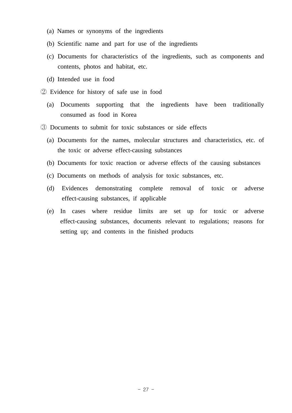- (a) Names or synonyms of the ingredients
- (b) Scientific name and part for use of the ingredients
- (c) Documents for characteristics of the ingredients, such as components and contents, photos and habitat, etc.
- (d) Intended use in food
- ② Evidence for history of safe use in food
	- (a) Documents supporting that the ingredients have been traditionally consumed as food in Korea
- ③ Documents to submit for toxic substances or side effects
	- (a) Documents for the names, molecular structures and characteristics, etc. of the toxic or adverse effect-causing substances
	- (b) Documents for toxic reaction or adverse effects of the causing substances
	- (c) Documents on methods of analysis for toxic substances, etc.
	- (d) Evidences demonstrating complete removal of toxic or adverse effect-causing substances, if applicable
	- (e) In cases where residue limits are set up for toxic or adverse effect-causing substances, documents relevant to regulations; reasons for setting up; and contents in the finished products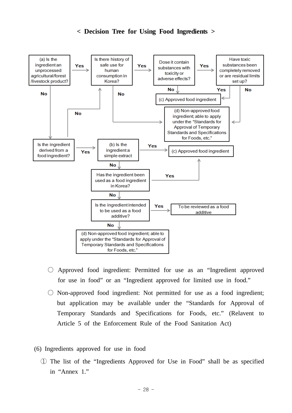### **< Decision Tree for Using Food Ingredients >**



- Approved food ingredient: Permitted for use as an "Ingredient approved for use in food" or an "Ingredient approved for limited use in food."
- $\bigcirc$  Non-approved food ingredient: Not permitted for use as a food ingredient; but application may be available under the "Standards for Approval of Temporary Standards and Specifications for Foods, etc." (Relavent to Article 5 of the Enforcement Rule of the Food Sanitation Act)
- (6) Ingredients approved for use in food
	- ① The list of the "Ingredients Approved for Use in Food" shall be as specified in "Annex 1."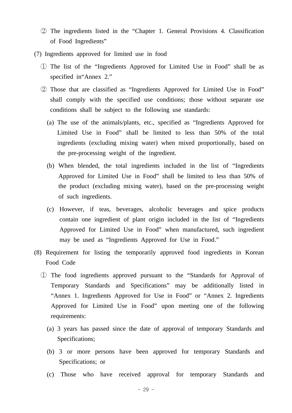- ② The ingredients listed in the "Chapter 1. General Provisions 4. Classification of Food Ingredients"
- (7) Ingredients approved for limited use in food
	- ① The list of the "Ingredients Approved for Limited Use in Food" shall be as specified in"Annex 2."
	- ② Those that are classified as "Ingredients Approved for Limited Use in Food" shall comply with the specified use conditions; those without separate use conditions shall be subject to the following use standards:
		- (a) The use of the animals/plants, etc., specified as "Ingredients Approved for Limited Use in Food" shall be limited to less than 50% of the total ingredients (excluding mixing water) when mixed proportionally, based on the pre-processing weight of the ingredient.
		- (b) When blended, the total ingredients included in the list of "Ingredients Approved for Limited Use in Food" shall be limited to less than 50% of the product (excluding mixing water), based on the pre-processing weight of such ingredients.
		- (c) However, if teas, beverages, alcoholic beverages and spice products contain one ingredient of plant origin included in the list of "Ingredients Approved for Limited Use in Food" when manufactured, such ingredient may be used as "Ingredients Approved for Use in Food."
- (8) Requirement for listing the temporarily approved food ingredients in Korean Food Code
	- ① The food ingredients approved pursuant to the "Standards for Approval of Temporary Standards and Specifications" may be additionally listed in "Annex 1. Ingredients Approved for Use in Food" or "Annex 2. Ingredients Approved for Limited Use in Food" upon meeting one of the following requirements:
		- (a) 3 years has passed since the date of approval of temporary Standards and Specifications;
		- (b) 3 or more persons have been approved for temporary Standards and Specifications; or
		- (c) Those who have received approval for temporary Standards and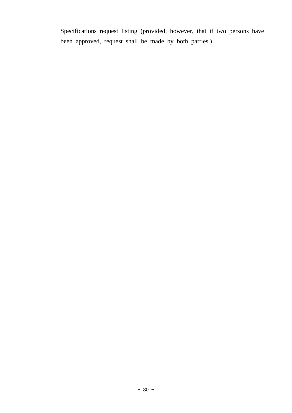Specifications request listing (provided, however, that if two persons have been approved, request shall be made by both parties.)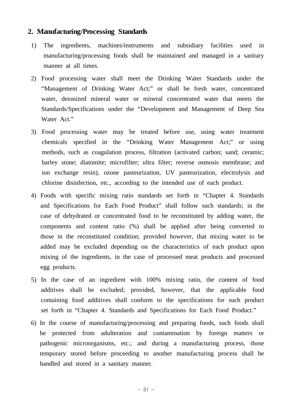### **2. Manufacturing/Processing Standards**

- 1) The ingredients, machines/instruments and subsidiary facilities used in manufacturing/processing foods shall be maintained and managed in a sanitary manner at all times.
- 2) Food processing water shall meet the Drinking Water Standards under the "Management of Drinking Water Act;" or shall be fresh water, concentrated water, deionized mineral water or mineral concentrated water that meets the Standards/Specifications under the "Development and Management of Deep Sea Water Act."
- 3) Food processing water may be treated before use, using water treatment chemicals specified in the "Drinking Water Management Act;" or using methods, such as coagulation process, filtration (activated carbon; sand; ceramic; barley stone; diatomite; microfilter; ultra filter; reverse osmosis membrane; and ion exchange resin), ozone pasteurization, UV pasteurization, electrolysis and chlorine disinfection, etc., according to the intended use of each product.
- 4) Foods with specific mixing ratio standards set forth in "Chapter 4. Standards and Specifications for Each Food Product" shall follow such standards; in the case of dehydrated or concentrated food to be reconstituted by adding water, the components and content ratio (%) shall be applied after being converted to those in the reconstituted condition; provided however, that mixing water to be added may be excluded depending on the characteristics of each product upon mixing of the ingredients, in the case of processed meat products and processed egg products.
- 5) In the case of an ingredient with 100% mixing ratio, the content of food additives shall be excluded; provided, however, that the applicable food containing food additives shall conform to the specifications for such product set forth in "Chapter 4. Standards and Specifications for Each Food Product."
- 6) In the course of manufacturing/processing and preparing foods, such foods shall be protected from adulteration and contamination by foreign matters or pathogenic microorganisms, etc.; and during a manufacturing process, those temporary stored before proceeding to another manufacturing process shall be handled and stored in a sanitary manner.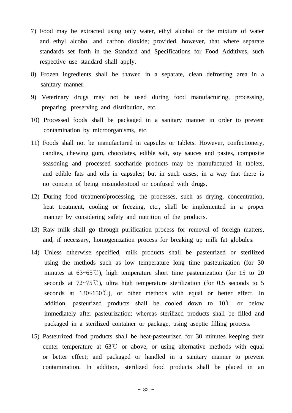- 7) Food may be extracted using only water, ethyl alcohol or the mixture of water and ethyl alcohol and carbon dioxide; provided, however, that where separate standards set forth in the Standard and Specifications for Food Additives, such respective use standard shall apply.
- 8) Frozen ingredients shall be thawed in a separate, clean defrosting area in a sanitary manner.
- 9) Veterinary drugs may not be used during food manufacturing, processing, preparing, preserving and distribution, etc.
- 10) Processed foods shall be packaged in a sanitary manner in order to prevent contamination by microorganisms, etc.
- 11) Foods shall not be manufactured in capsules or tablets. However, confectionery, candies, chewing gum, chocolates, edible salt, soy sauces and pastes, composite seasoning and processed saccharide products may be manufactured in tablets, and edible fats and oils in capsules; but in such cases, in a way that there is no concern of being misunderstood or confused with drugs.
- 12) During food treatment/processing, the processes, such as drying, concentration, heat treatment, cooling or freezing, etc., shall be implemented in a proper manner by considering safety and nutrition of the products.
- 13) Raw milk shall go through purification process for removal of foreign matters, and, if necessary, homogenization process for breaking up milk fat globules.
- 14) Unless otherwise specified, milk products shall be pasteurized or sterilized using the methods such as low temperature long time pasteurization (for 30 minutes at  $63~65^{\circ}$ ), high temperature short time pasteurization (for 15 to 20 seconds at  $72~75^{\circ}$ C), ultra high temperature sterilization (for 0.5 seconds to 5 seconds at  $130~150^{\circ}$ ), or other methods with equal or better effect. In addition, pasteurized products shall be cooled down to 10℃ or below immediately after pasteurization; whereas sterilized products shall be filled and packaged in a sterilized container or package, using aseptic filling process.
- 15) Pasteurized food products shall be heat-pasteurized for 30 minutes keeping their center temperature at  $63^{\circ}$  or above, or using alternative methods with equal or better effect; and packaged or handled in a sanitary manner to prevent contamination. In addition, sterilized food products shall be placed in an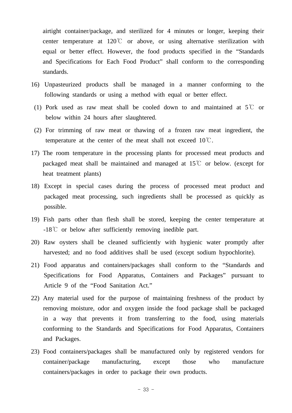airtight container/package, and sterilized for 4 minutes or longer, keeping their center temperature at 120℃ or above, or using alternative sterilization with equal or better effect. However, the food products specified in the "Standards and Specifications for Each Food Product" shall conform to the corresponding standards.

- 16) Unpasteurized products shall be managed in a manner conforming to the following standards or using a method with equal or better effect.
- (1) Pork used as raw meat shall be cooled down to and maintained at 5℃ or below within 24 hours after slaughtered.
- (2) For trimming of raw meat or thawing of a frozen raw meat ingredient, the temperature at the center of the meat shall not exceed  $10^{\circ}$ C.
- 17) The room temperature in the processing plants for processed meat products and packaged meat shall be maintained and managed at 15℃ or below. (except for heat treatment plants)
- 18) Except in special cases during the process of processed meat product and packaged meat processing, such ingredients shall be processed as quickly as possible.
- 19) Fish parts other than flesh shall be stored, keeping the center temperature at -18℃ or below after sufficiently removing inedible part.
- 20) Raw oysters shall be cleaned sufficiently with hygienic water promptly after harvested; and no food additives shall be used (except sodium hypochlorite).
- 21) Food apparatus and containers/packages shall conform to the "Standards and Specifications for Food Apparatus, Containers and Packages" pursuant to Article 9 of the "Food Sanitation Act."
- 22) Any material used for the purpose of maintaining freshness of the product by removing moisture, odor and oxygen inside the food package shall be packaged in a way that prevents it from transferring to the food, using materials conforming to the Standards and Specifications for Food Apparatus, Containers and Packages.
- 23) Food containers/packages shall be manufactured only by registered vendors for container/package manufacturing, except those who manufacture containers/packages in order to package their own products.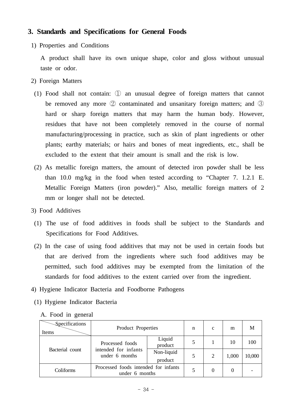# **3. Standards and Specifications for General Foods**

1) Properties and Conditions

 A product shall have its own unique shape, color and gloss without unusual taste or odor.

- 2) Foreign Matters
	- (1) Food shall not contain: ① an unusual degree of foreign matters that cannot be removed any more ② contaminated and unsanitary foreign matters; and ③ hard or sharp foreign matters that may harm the human body. However, residues that have not been completely removed in the course of normal manufacturing/processing in practice, such as skin of plant ingredients or other plants; earthy materials; or hairs and bones of meat ingredients, etc., shall be excluded to the extent that their amount is small and the risk is low.
	- (2) As metallic foreign matters, the amount of detected iron powder shall be less than 10.0 mg/kg in the food when tested according to "Chapter 7. 1.2.1 E. Metallic Foreign Matters (iron powder)." Also, metallic foreign matters of 2 mm or longer shall not be detected.
- 3) Food Additives
- (1) The use of food additives in foods shall be subject to the Standards and Specifications for Food Additives.
- (2) In the case of using food additives that may not be used in certain foods but that are derived from the ingredients where such food additives may be permitted, such food additives may be exempted from the limitation of the standards for food additives to the extent carried over from the ingredient.
- 4) Hygiene Indicator Bacteria and Foodborne Pathogens
- (1) Hygiene Indicator Bacteria

A. Food in general

| <b>Specifications</b> | Product |
|-----------------------|---------|

| Specifications<br>Items | Product Properties                                        | n                     | $\mathbf{C}$ | m              | M     |        |
|-------------------------|-----------------------------------------------------------|-----------------------|--------------|----------------|-------|--------|
| Bacterial count         | Processed foods<br>intended for infants<br>under 6 months | Liquid<br>product     |              |                | 10    | 100    |
|                         |                                                           | Non-liquid<br>product |              | $\overline{c}$ | 1,000 | 10,000 |
| Coliforms               | Processed foods intended for infants<br>under 6 months    |                       |              | 0              |       |        |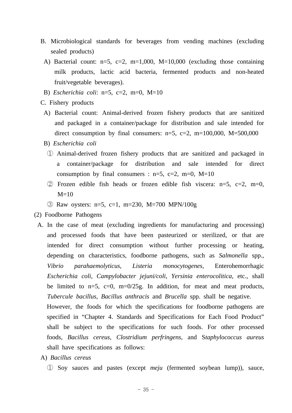- B. Microbiological standards for beverages from vending machines (excluding sealed products)
	- A) Bacterial count:  $n=5$ ,  $c=2$ ,  $m=1,000$ ,  $M=10,000$  (excluding those containing milk products, lactic acid bacteria, fermented products and non-heated fruit/vegetable beverages).
- B) *Escherichia coli*: n=5, c=2, m=0, M=10
- C. Fishery products
	- A) Bacterial count: Animal-derived frozen fishery products that are sanitized and packaged in a container/package for distribution and sale intended for direct consumption by final consumers:  $n=5$ ,  $c=2$ ,  $m=100,000$ ,  $M=500,000$
	- B) *Escherichia coli*
		- ① Animal-derived frozen fishery products that are sanitized and packaged in a container/package for distribution and sale intended for direct consumption by final consumers :  $n=5$ ,  $c=2$ ,  $m=0$ ,  $M=10$
		- $(2)$  Frozen edible fish heads or frozen edible fish viscera: n=5, c=2, m=0,  $M=10$
		- ③ Raw oysters: n=5, c=1, m=230, M=700 MPN/100g
- (2) Foodborne Pathogens
	- A. In the case of meat (excluding ingredients for manufacturing and processing) and processed foods that have been pasteurized or sterilized, or that are intended for direct consumption without further processing or heating, depending on characteristics, foodborne pathogens, such as *Salmonella* spp., *Vibrio parahaemolyticus*, *Listeria monocytogenes*, Enterohemorrhagic *Escherichia coli*, *Campylobacter jejuni/coli*, *Yersinia enterocolitica*, etc., shall be limited to  $n=5$ ,  $c=0$ ,  $m=0/25g$ . In addition, for meat and meat products, *Tubercule bacillus*, *Bacillus anthracis* and *Brucella* spp. shall be negative.

 However, the foods for which the specifications for foodborne pathogens are specified in "Chapter 4. Standards and Specifications for Each Food Product" shall be subject to the specifications for such foods. For other processed foods, *Bacillus cereus*, *Clostridium perfringens*, and S*taphylococcus aureus* shall have specifications as follows:

- A) *Bacillus cereus*
	- ① Soy sauces and pastes (except *meju* (fermented soybean lump)), sauce,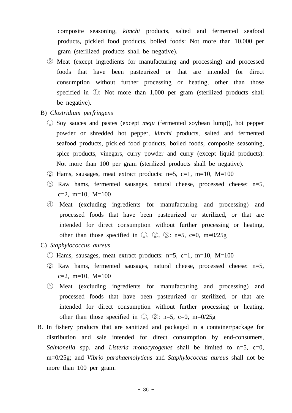composite seasoning, *kimchi* products, salted and fermented seafood products, pickled food products, boiled foods: Not more than 10,000 per gram (sterilized products shall be negative).

- ② Meat (except ingredients for manufacturing and processing) and processed foods that have been pasteurized or that are intended for direct consumption without further processing or heating, other than those specified in ①: Not more than 1,000 per gram (sterilized products shall be negative).
- B) *Clostridium perfringens*
	- ① Soy sauces and pastes (except *meju* (fermented soybean lump)), hot pepper powder or shredded hot pepper, *kimchi* products, salted and fermented seafood products, pickled food products, boiled foods, composite seasoning, spice products, vinegars, curry powder and curry (except liquid products): Not more than 100 per gram (sterilized products shall be negative).
	- $\odot$  Hams, sausages, meat extract products: n=5, c=1, m=10, M=100
	- ③ Raw hams, fermented sausages, natural cheese, processed cheese: n=5,  $c=2$ , m=10, M=100
	- ④ Meat (excluding ingredients for manufacturing and processing) and processed foods that have been pasteurized or sterilized, or that are intended for direct consumption without further processing or heating, other than those specified in  $(1)$ ,  $(2)$ ,  $(3)$ : n=5, c=0, m=0/25g
- C) *Staphylococcus aureus*
	- $\Omega$  Hams, sausages, meat extract products: n=5, c=1, m=10, M=100
	- ② Raw hams, fermented sausages, natural cheese, processed cheese: n=5,  $c=2$ , m=10, M=100
	- ③ Meat (excluding ingredients for manufacturing and processing) and processed foods that have been pasteurized or sterilized, or that are intended for direct consumption without further processing or heating, other than those specified in  $\mathbb{D}$ ,  $\mathbb{D}$ : n=5, c=0, m=0/25g
- B. In fishery products that are sanitized and packaged in a container/package for distribution and sale intended for direct consumption by end-consumers, *Salmonella* spp. and *Listeria monocytogenes* shall be limited to n=5, c=0, m=0/25g; and *Vibrio parahaemolyticus* and *Staphylococcus aureus* shall not be more than 100 per gram.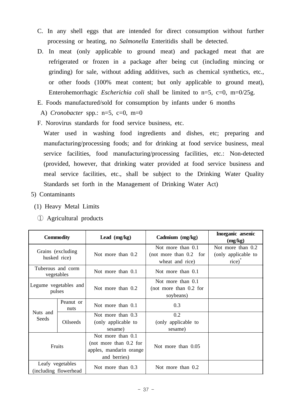- C. In any shell eggs that are intended for direct consumption without further processing or heating, no *Salmonella* Enteritidis shall be detected.
- D. In meat (only applicable to ground meat) and packaged meat that are refrigerated or frozen in a package after being cut (including mincing or grinding) for sale, without adding additives, such as chemical synthetics, etc., or other foods (100% meat content; but only applicable to ground meat), Enterohemorrhagic *Escherichia coli* shall be limited to n=5, c=0, m=0/25g.
- E. Foods manufactured/sold for consumption by infants under 6 months
- A) *Cronobacter* spp.: n=5, c=0, m=0
- F. Norovirus standards for food service business, etc.

 Water used in washing food ingredients and dishes, etc; preparing and manufacturing/processing foods; and for drinking at food service business, meal service facilities, food manufacturing/processing facilities, etc.: Non-detected (provided, however, that drinking water provided at food service business and meal service facilities, etc., shall be subject to the Drinking Water Quality Standards set forth in the Management of Drinking Water Act)

- 5) Contaminants
- (1) Heavy Metal Limits
	- ① Agricultural products

| <b>Commodity</b>                           |                                 | Lead $(mg/kg)$                                                                           | Cadmium (mg/kg)                                                  | Inorganic arsenic<br>(mg/kg)                                   |
|--------------------------------------------|---------------------------------|------------------------------------------------------------------------------------------|------------------------------------------------------------------|----------------------------------------------------------------|
| Grains (excluding)<br>husked rice)         |                                 | Not more than 0.2                                                                        | Not more than 0.1<br>(not more than $0.2$ for<br>wheat and rice) | Not more than 0.2<br>(only applicable to<br>rice) <sup>®</sup> |
|                                            | Tuberous and corm<br>vegetables | Not more than 0.1                                                                        | Not more than 0.1                                                |                                                                |
|                                            | Legume vegetables and<br>pulses | Not more than 0.2                                                                        | Not more than 0.1<br>(not more than $0.2$ for<br>soybeans)       |                                                                |
|                                            | Peanut or<br>nuts               | Not more than 0.1                                                                        | 0.3                                                              |                                                                |
| Nuts and<br>Seeds<br><b>Oilseeds</b>       |                                 | Not more than 0.3<br>(only applicable to<br>sesame)                                      | 0.2<br>(only applicable to<br>sesame)                            |                                                                |
| Fruits                                     |                                 | Not more than 0.1<br>(not more than $0.2$ for<br>apples, mandarin orange<br>and berries) | Not more than 0.05                                               |                                                                |
| Leafy vegetables<br>(including flowerhead) |                                 | Not more than 0.3                                                                        | Not more than 0.2                                                |                                                                |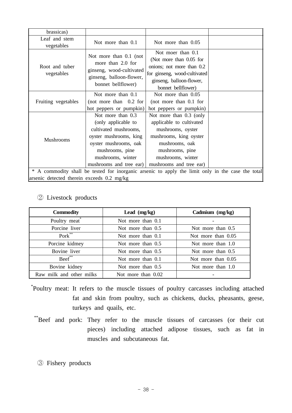| brassicas)                                                                                                                                                                |                                                                                                                           |                                                                                                                                                                                         |  |  |
|---------------------------------------------------------------------------------------------------------------------------------------------------------------------------|---------------------------------------------------------------------------------------------------------------------------|-----------------------------------------------------------------------------------------------------------------------------------------------------------------------------------------|--|--|
| Leaf and stem<br>vegetables                                                                                                                                               | Not more than 0.1                                                                                                         | Not more than 0.05                                                                                                                                                                      |  |  |
| Root and tuber<br>vegetables                                                                                                                                              | Not more than 0.1 (not<br>more than 2.0 for<br>ginseng, wood-cultivated<br>ginseng, balloon-flower,<br>bonnet bellflower) | Not moer than 0.1<br>(Not more than 0.05 for<br>onions; not more than 0.2<br>for ginseng, wood-cultivated<br>ginseng, balloon-flower,<br>bonnet bellflower)                             |  |  |
| Fruiting vegetables                                                                                                                                                       | Not more than 0.1<br>(not more than $0.2$ for<br>hot peppers or pumpkin)                                                  | Not more than 0.05<br>(not more than $0.1$ for<br>hot peppers or pumpkin)                                                                                                               |  |  |
| Not more than 0.3<br>(only applicable to<br>cultivated mushrooms,<br>oyster mushrooms, king<br>Mushrooms<br>oyster mushrooms, oak<br>mushrooms, pine<br>mushrooms, winter |                                                                                                                           | Not more than 0.3 (only<br>applicable to cultivated<br>mushrooms, oyster<br>mushrooms, king oyster<br>mushrooms, oak<br>mushrooms, pine<br>mushrooms, winter<br>mushrooms and tree ear) |  |  |
| * A commodity shall be tested for inorganic arsenic to apply the limit only in the case the total                                                                         |                                                                                                                           |                                                                                                                                                                                         |  |  |
| arsenic detected therein exceeds 0.2 mg/kg                                                                                                                                |                                                                                                                           |                                                                                                                                                                                         |  |  |
| mushrooms and tree ear)                                                                                                                                                   |                                                                                                                           |                                                                                                                                                                                         |  |  |

### ② Livestock products

| <b>Commodity</b>         | Lead $(mg/kg)$      | Cadmium (mg/kg)     |
|--------------------------|---------------------|---------------------|
| Poultry meat             | Not more than 0.1   |                     |
| Porcine liver            | Not more than $0.5$ | Not more than $0.5$ |
| Pork**                   | Not more than $0.1$ | Not more than 0.05  |
| Porcine kidmey           | Not more than 0.5   | Not more than $1.0$ |
| Bovine liver             | Not more than $0.5$ | Not more than $0.5$ |
| Beef**                   | Not more than 0.1   | Not more than 0.05  |
| Bovine kidney            | Not more than $0.5$ | Not more than $1.0$ |
| Raw milk and other milks | Not more than 0.02  |                     |

- \*Poultry meat: It refers to the muscle tissues of poultry carcasses including attached fat and skin from poultry, such as chickens, ducks, pheasants, geese, turkeys and quails, etc.
	- \*\*Beef and pork: They refer to the muscle tissues of carcasses (or their cut pieces) including attached adipose tissues, such as fat in muscles and subcutaneous fat.
		- ③ Fishery products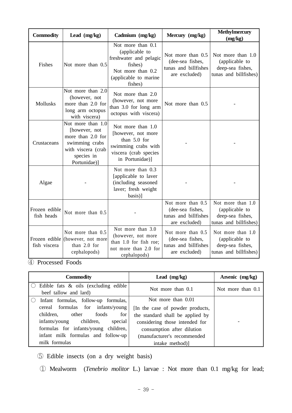| <b>Commodity</b>            | Lead $(mg/kg)$                                                                                                                | Cadmium (mg/kg)                                                                                                                   | Mercury (mg/kg)                                                                | Methylmercury<br>(mg/kg)                                                         |
|-----------------------------|-------------------------------------------------------------------------------------------------------------------------------|-----------------------------------------------------------------------------------------------------------------------------------|--------------------------------------------------------------------------------|----------------------------------------------------------------------------------|
| Fishes                      | Not more than 0.5                                                                                                             | Not more than 0.1<br>(applicable to<br>freshwater and pelagic<br>fishes)<br>Not more than 0.2<br>(applicable to marine<br>fishes) | Not more than 0.5<br>(dee-sea fishes,<br>tunas and billfishes<br>are excluded) | Not more than 1.0<br>(applicable to<br>deep-sea fishes,<br>tunas and billfishes) |
| Mollusks                    | Not more than 2.0<br>(however, not<br>more than 2.0 for<br>long arm octopus<br>with viscera)                                  | Not more than 2.0<br>(however, not more<br>than 3.0 for long arm<br>octopus with viscera)                                         | Not more than 0.5                                                              |                                                                                  |
| Crustaceans                 | Not more than 1.0<br>[however, not<br>more than 2.0 for<br>swimming crabs<br>with viscera (crab<br>species in<br>Portunidae)] | Not more than 1.0<br>[however, not more<br>than 5.0 for<br>swimming crabs with<br>viscera (crab species<br>in Portunidae)]        |                                                                                |                                                                                  |
| Algae                       |                                                                                                                               | Not more than 0.3<br>[applicable to laver<br>(including seasoned<br>laver; fresh weight<br>basis)]                                |                                                                                |                                                                                  |
| Frozen edible<br>fish heads | Not more than 0.5                                                                                                             |                                                                                                                                   | Not more than 0.5<br>(dee-sea fishes,<br>tunas and billfishes<br>are excluded) | Not more than 1.0<br>(applicable to<br>deep-sea fishes,<br>tunas and billfishes) |
| fish viscera                | Not more than 0.5<br>Frozen edible ((however, not more<br>than 2.0 for<br>cephalopods)                                        | Not more than 3.0<br>(however, not more<br>than 1.0 for fish roe;<br>not more than 2.0 for<br>cephalopods)                        | Not more than 0.5<br>(dee-sea fishes,<br>tunas and billfishes<br>are excluded) | Not more than 1.0<br>(applicable to<br>deep-sea fishes,<br>tunas and billfishes) |

④ Processed Foods

| <b>Commodity</b>                                                 | Lead $(mg/kg)$                   | Arsenic (mg/kg)   |
|------------------------------------------------------------------|----------------------------------|-------------------|
| Edible fats $\&$ oils (excluding edible<br>beef tallow and lard) | Not more than 0.1                | Not more than 0.1 |
| Infant formulas, follow-up formulas,                             | Not more than 0.01               |                   |
| cereal formulas for infants/young                                | [In the case of powder products, |                   |
| other foods<br>children,<br>for                                  | the standard shall be applied by |                   |
| infants/young children,<br>special                               | considering those intended for   |                   |
| formulas for infants/young children,                             | consumption after dilution       |                   |
| infant milk formulas and follow-up                               | (manufacturer's recommended      |                   |
| milk formulas                                                    | intake method)                   |                   |

⑤ Edible insects (on a dry weight basis)

① Mealworm (*Tenebrio molitor* L.) larvae : Not more than 0.1 mg/kg for lead;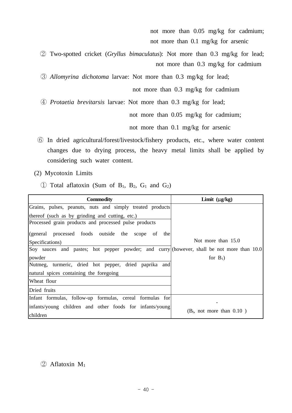not more than 0.05 mg/kg for cadmium; not more than 0.1 mg/kg for arsenic

 ② Two-spotted cricket (*Gryllus bimaculatus*): Not more than 0.3 mg/kg for lead; not more than 0.3 mg/kg for cadmium

③ *Allomyrina dichotoma* larvae: Not more than 0.3 mg/kg for lead;

not more than 0.3 mg/kg for cadmium

④ *Protaetia brevitarsis* larvae: Not more than 0.3 mg/kg for lead;

not more than 0.05 mg/kg for cadmium;

not more than 0.1 mg/kg for arsenic

- ⑥ In dried agricultural/forest/livestock/fishery products, etc., where water content changes due to drying process, the heavy metal limits shall be applied by considering such water content.
- (2) Mycotoxin Limits
	- $\circled{1}$  Total aflatoxin (Sum of B<sub>1</sub>, B<sub>2</sub>, G<sub>1</sub> and G<sub>2</sub>)

| <b>Commodity</b>                                                                           | Limit $(\mu g/kg)$             |
|--------------------------------------------------------------------------------------------|--------------------------------|
| Grains, pulses, peanuts, nuts and simply treated products                                  |                                |
| thereof (such as by grinding and cutting, etc.)                                            |                                |
| Processed grain products and processed pulse products                                      |                                |
| (general processed foods outside the<br>the<br>of<br>scope                                 |                                |
| Specifications)                                                                            | Not more than $15.0$           |
| Soy sauces and pastes; hot pepper powder; and curry (however, shall be not more than 10.0) |                                |
| powder                                                                                     | for $B_1$ )                    |
| Nutmeg, turmeric, dried hot pepper, dried paprika and                                      |                                |
| natural spices containing the foregoing                                                    |                                |
| Wheat flour                                                                                |                                |
| Dried fruits                                                                               |                                |
| Infant formulas, follow-up formulas, cereal formulas for                                   |                                |
| infants/young children and other foods for infants/young<br>children                       | $(B1$ , not more than $0.10$ ) |

### $\textcircled{2}$  Aflatoxin M<sub>1</sub>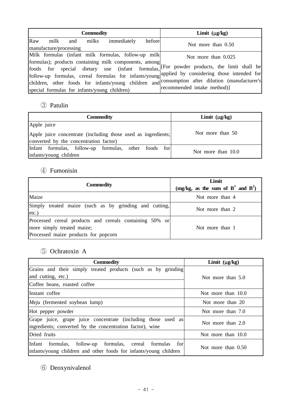| <b>Commodity</b>                                                                                                                                                                                                                                   | Limit $(\mu g/kg)$          |
|----------------------------------------------------------------------------------------------------------------------------------------------------------------------------------------------------------------------------------------------------|-----------------------------|
| Raw<br>milk and<br>before<br>milks<br>immediately<br>manufacture/processing                                                                                                                                                                        | Not more than $0.50$        |
| Milk formulas (infant milk formulas, follow-up milk<br>formulas); products containing milk components, among<br>foods for special dietary use (infant formulas, For powder products, the limit shall be                                            | Not more than 0.025         |
| follow-up formulas, cereal formulas for infants/young applied by considering those intended for<br>children, other foods for infants/young children and consumption after dilution (manufacturer's<br>special formulas for infants/young children) | recommended intake method)] |

## ③ Patulin

| <b>Commodity</b>                                              | Limit $(\mu g/kg)$ |  |
|---------------------------------------------------------------|--------------------|--|
| Apple juice                                                   |                    |  |
| Apple juice concentrate (including those used as ingredients; | Not more than 50   |  |
| converted by the concentration factor)                        |                    |  |
| Infant formulas, follow-up formulas, other foods for          | Not more than 10.0 |  |
| infants/young children                                        |                    |  |

# ④ Fumonisin

| <b>Commodity</b>                                                                                                              | Limit<br>(mg/kg, as the sum of $B^1$ and $B^2$ ) |  |
|-------------------------------------------------------------------------------------------------------------------------------|--------------------------------------------------|--|
| Maize                                                                                                                         | Not more than 4                                  |  |
| Simply treated maize (such as by grinding and cutting,<br>$ etc.$ )                                                           | Not more than 2                                  |  |
| Processed cereal products and cereals containing 50% or<br>more simply treated maize;<br>Processed maize products for popcorn | Not more than 1                                  |  |

## ⑤ Ochratoxin A

| <b>Commodity</b>                                                                                                                     | Limit $(\mu g/kg)$ |
|--------------------------------------------------------------------------------------------------------------------------------------|--------------------|
| Grains and their simply treated products (such as by grinding                                                                        |                    |
| and cutting, etc.)                                                                                                                   | Not more than 5.0  |
| Coffee beans, roasted coffee                                                                                                         |                    |
| IInstant coffee                                                                                                                      | Not more than 10.0 |
| <i>Meju</i> (fermented soybean lump)                                                                                                 | Not more than 20   |
| Hot pepper powder                                                                                                                    | Not more than 7.0  |
| Grape juice, grape juice concentrate (including those used as<br>lingredients; converted by the concentration factor), wine          | Not more than 2.0  |
| Dried fruits                                                                                                                         | Not more than 10.0 |
| formulas, follow-up formulas, cereal formulas<br>lInfant<br>for<br>infants/young children and other foods for infants/young children | Not more than 0.50 |

# ⑥ Deoxynivalenol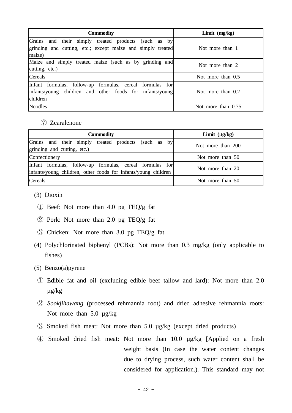| <b>Commodity</b>                                                                                                                        | Limit (mg/kg)        |
|-----------------------------------------------------------------------------------------------------------------------------------------|----------------------|
| Grains and their simply treated products (such as by<br>grinding and cutting, etc.; except maize and simply treated<br>maize)           | Not more than 1      |
| Maize and simply treated maize (such as by grinding and<br>cutting, etc.)                                                               | Not more than 2      |
| <b>C</b> ereals                                                                                                                         | Not more than $0.5$  |
| Infant formulas, follow-up formulas, cereal formulas for<br>infants/young children and other foods for infants/young<br><i>children</i> | Not more than $0.2$  |
| Noodles                                                                                                                                 | Not more than $0.75$ |

#### ⑦ Zearalenone

| <b>Commodity</b>                                                                                                           | Limit $(\mu g/kg)$ |
|----------------------------------------------------------------------------------------------------------------------------|--------------------|
| Grains and their simply treated products (such as by<br>grinding and cutting, etc.)                                        | Not more than 200  |
| Confectionery                                                                                                              | Not more than 50   |
| Infant formulas, follow-up formulas, cereal formulas for<br>infants/young children, other foods for infants/young children | Not more than 20   |
| <b>Cereals</b>                                                                                                             | Not more than 50   |

- (3) Dioxin
	- ① Beef: Not more than 4.0 pg TEQ/g fat
	- ② Pork: Not more than 2.0 pg TEQ/g fat
	- ③ Chicken: Not more than 3.0 pg TEQ/g fat
- (4) Polychlorinated biphenyl (PCBs): Not more than 0.3 mg/kg (only applicable to fishes)
- (5) Benzo(a)pyrene
	- ① Edible fat and oil (excluding edible beef tallow and lard): Not more than 2.0 µg/kg
	- ② *Sookjihawang* (processed rehmannia root) and dried adhesive rehmannia roots: Not more than  $5.0 \mu g/kg$
	- ③ Smoked fish meat: Not more than 5.0 µg/kg (except dried products)
	- ④ Smoked dried fish meat: Not more than 10.0 µg/kg [Applied on a fresh weight basis (In case the water content changes due to drying process, such water content shall be considered for application.). This standard may not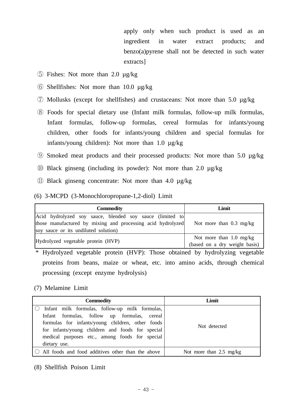apply only when such product is used as an ingredient in water extract products; and benzo(a)pyrene shall not be detected in such water extracts]

- ⑤ Fishes: Not more than 2.0 µg/kg
- ⑥ Shellfishes: Not more than 10.0 µg/kg
- ⑦ Mollusks (except for shellfishes) and crustaceans: Not more than 5.0 µg/kg
- ⑧ Foods for special dietary use (Infant milk formulas, follow-up milk formulas, Infant formulas, follow-up formulas, cereal formulas for infants/young children, other foods for infants/young children and special formulas for infants/young children): Not more than 1.0 µg/kg
- ⑨ Smoked meat products and their processed products: Not more than 5.0 µg/kg
- ⑩ Black ginseng (including its powder): Not more than 2.0 µg/kg
- ⑪ Black ginseng concentrate: Not more than 4.0 µg/kg

#### (6) 3-MCPD (3-Monochloropropane-1,2-diol) Limit

| <b>Commodity</b>                                            | Limit                             |
|-------------------------------------------------------------|-----------------------------------|
| Acid hydrolyzed soy sauce, blended soy sauce (limited to    |                                   |
| those manufactured by mixing and processing acid hydrolyzed | Not more than $0.3 \text{ mg/kg}$ |
| soy sauce or its undiluted solution)                        |                                   |
|                                                             | Not more than $1.0 \text{ mg/kg}$ |
| Hydrolyzed vegetable protein (HVP)                          | (based on a dry weight basis)     |

 \* Hydrolyzed vegetable protein (HVP): Those obtained by hydrolyzing vegetable proteins from beans, maize or wheat, etc. into amino acids, through chemical processing (except enzyme hydrolysis)

### (7) Melamine Limit

| <b>Commodity</b>                                                                                                                                                                                                                                                        | Limit                             |
|-------------------------------------------------------------------------------------------------------------------------------------------------------------------------------------------------------------------------------------------------------------------------|-----------------------------------|
| Infant milk formulas, follow-up milk formulas,<br>Infant formulas, follow up formulas, cereal<br>formulas for infants/young children, other foods<br>for infants/young children and foods for special<br>medical purposes etc., among foods for special<br>dietary use. | Not detected                      |
| All foods and food additives other than the above                                                                                                                                                                                                                       | Not more than $2.5 \text{ mg/kg}$ |

(8) Shellfish Poison Limit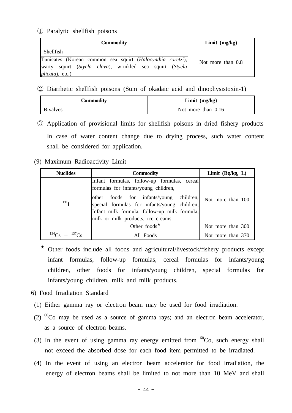① Paralytic shellfish poisons

| Commodity                                                                                                                                          | Limit (mg/kg)     |
|----------------------------------------------------------------------------------------------------------------------------------------------------|-------------------|
| Shellfish                                                                                                                                          |                   |
| Tunicates (Korean common sea squirt (Halocynthia roretzi),<br>warty squirt (Styela clava), wrinkled sea squirt (Styela)<br><i>plicata</i> ), etc.) | Not more than 0.8 |

② Diarrhetic shellfish poisons (Sum of okadaic acid and dinophysistoxin-1)

| Commodity       | Limit $(mg/kg)$      |  |  |
|-----------------|----------------------|--|--|
| <b>Bivalves</b> | Not more than $0.16$ |  |  |

- ③ Application of provisional limits for shellfish poisons in dried fishery products In case of water content change due to drying process, such water content shall be considered for application.
- (9) Maximum Radioactivity Limit

| <b>Nuclides</b>       | <b>Commodity</b>                                                                                                                                                                                                                                                    | Limit $(Bq/kg, L)$ |
|-----------------------|---------------------------------------------------------------------------------------------------------------------------------------------------------------------------------------------------------------------------------------------------------------------|--------------------|
| 131 <sub>T</sub>      | Infant formulas, follow-up formulas, cereal<br>formulas for infants/young children,<br>other foods for infants/young children,<br>special formulas for infants/young children,<br>Infant milk formula, follow-up milk formula,<br>milk or milk products, ice creams | Not more than 100  |
|                       | Other foods $\star$                                                                                                                                                                                                                                                 | Not more than 300  |
| $^{134}Cs + ^{137}Cs$ | All Foods                                                                                                                                                                                                                                                           | Not more than 370  |

- ★ Other foods include all foods and agricultural/livestock/fishery products except infant formulas, follow-up formulas, cereal formulas for infants/young children, other foods for infants/young children, special formulas for infants/young children, milk and milk products.
- 6) Food Irradiation Standard
- (1) Either gamma ray or electron beam may be used for food irradiation.
- (2)  ${}^{60}$ Co may be used as a source of gamma rays; and an electron beam accelerator, as a source of electron beams.
- (3) In the event of using gamma ray energy emitted from  ${}^{60}Co$ , such energy shall not exceed the absorbed dose for each food item permitted to be irradiated.
- (4) In the event of using an electron beam accelerator for food irradiation, the energy of electron beams shall be limited to not more than 10 MeV and shall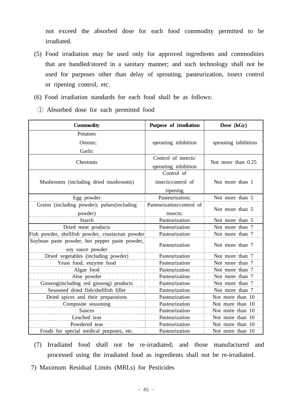not exceed the absorbed dose for each food commodity permitted to be irradiated.

- (5) Food irradiation may be used only for approved ingredients and commodities that are handled/stored in a sanitary manner; and such technology shall not be used for purposes other than delay of sprouting, pasteurization, insect control or ripening control, etc.
- (6) Food irradiation standards for each food shall be as follows:
	- ① Absorbed dose for each permitted food

| <b>Commodity</b>                                                   | Purpose of irradiation                       | Dose (kGy)           |  |
|--------------------------------------------------------------------|----------------------------------------------|----------------------|--|
| Potatoes                                                           |                                              |                      |  |
| Onions;                                                            | sprouting inhibition                         | sprouting inhibition |  |
| Garlic                                                             |                                              |                      |  |
| Chestnuts                                                          | Control of insects/<br>sprouting inhibition  | Not more than 0.25   |  |
| Mushrooms (including dried mushrooms)                              | Control of<br>insects/control of<br>ripening | Not more than 1      |  |
| Egg powder                                                         | Pasteurization;                              | Not more than 5      |  |
| Grains (including powder); pulses(including<br>powder)             | Pasteurization/control of<br>insects;        | Not more than 5      |  |
| <b>Starch</b>                                                      | Pasteurization                               | Not more than 5      |  |
| Dried meat products                                                | Pasteurization                               | Not more than 7      |  |
| Fish powder, shellfish powder, crustacean powder                   | Pasteurization                               | Not more than 7      |  |
| Soybean paste powder, hot pepper paste powder,<br>soy sauce powder | Pasteurization                               | Not more than 7      |  |
| Dried vegetables (including powder)                                | Pasteurization                               | Not more than 7      |  |
| Yeast food, enzyme food                                            | Pasteurization                               | Not more than 7      |  |
| Algae food                                                         | Pasteurization                               | Not more than 7      |  |
| Aloe powder                                                        | Pasteurization                               | Not more than 7      |  |
| Ginseng(including red ginseng) products                            | Pasteurization                               | Not more than 7      |  |
| Seasoned dried fish/shellfish fillet                               | Pasteurization                               | Not more than 7      |  |
| Dried spices and their preparations                                | Pasteurization                               | Not more than 10     |  |
| Composite seasoning                                                | Pasteurization                               | Not more than 10     |  |
| Sauces                                                             | Pasteurization                               | Not more than 10     |  |
| Leached teas                                                       | Pasteurization                               | Not more than 10     |  |
| Powdered teas                                                      | Pasteurization                               | Not more than 10     |  |
| Foods for special medical purposes, etc.                           | Pasteurization                               | Not more than 10     |  |

- (7) Irradiated food shall not be re-irradiated; and those manufactured and processed using the irradiated food as ingredients shall not be re-irradiated.
- 7) Maximum Residual Limits (MRLs) for Pesticides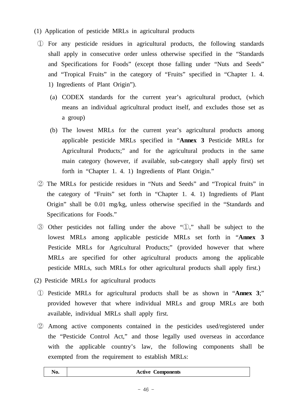- (1) Application of pesticide MRLs in agricultural products
	- ① For any pesticide residues in agricultural products, the following standards shall apply in consecutive order unless otherwise specified in the "Standards and Specifications for Foods" (except those falling under "Nuts and Seeds" and "Tropical Fruits" in the category of "Fruits" specified in "Chapter 1. 4. 1) Ingredients of Plant Origin").
		- (a) CODEX standards for the current year's agricultural product, (which means an individual agricultural product itself, and excludes those set as a group)
		- (b) The lowest MRLs for the current year's agricultural products among applicable pesticide MRLs specified in "**Annex 3** Pesticide MRLs for Agricultural Products;" and for the agricultural products in the same main category (however, if available, sub-category shall apply first) set forth in "Chapter 1. 4. 1) Ingredients of Plant Origin."
	- ② The MRLs for pesticide residues in "Nuts and Seeds" and "Tropical fruits" in the category of "Fruits" set forth in "Chapter 1. 4. 1) Ingredients of Plant Origin" shall be 0.01 mg/kg, unless otherwise specified in the "Standards and Specifications for Foods."
	- ③ Other pesticides not falling under the above "①," shall be subject to the lowest MRLs among applicable pesticide MRLs set forth in "**Annex 3**  Pesticide MRLs for Agricultural Products;" (provided however that where MRLs are specified for other agricultural products among the applicable pesticide MRLs, such MRLs for other agricultural products shall apply first.)
- (2) Pesticide MRLs for agricultural products
	- ① Pesticide MRLs for agricultural products shall be as shown in "**Annex 3**;" provided however that where individual MRLs and group MRLs are both available, individual MRLs shall apply first.
	- ② Among active components contained in the pesticides used/registered under the "Pesticide Control Act," and those legally used overseas in accordance with the applicable country's law, the following components shall be exempted from the requirement to establish MRLs:

| N0. | <b>Active Components</b> |
|-----|--------------------------|
|-----|--------------------------|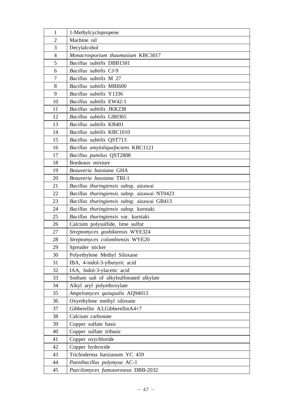| 1              | 1-Methylcyclopropene                             |
|----------------|--------------------------------------------------|
| $\overline{2}$ | Machine oil                                      |
| 3              | Decylalcohol                                     |
| $\overline{4}$ | Monacrosporium thaumasium KBC3017                |
| 5              | Bacillus subtilis DBB1501                        |
| 6              | Bacillus subtilis CJ-9                           |
| $\tau$         | Bacillus subtilis M 27                           |
| 8              | Bacillus subtilis MBI600                         |
| 9              | Bacillus subtilis Y1336                          |
| 10             | Bacillus subtilis EW42-1                         |
| 11             | Bacillus subtilis JKK238                         |
| 12             | Bacillus subtilis GB0365                         |
| 13             | Bacillus subtilis KB401                          |
| 14             | Bacillus subtilis KBC1010                        |
| 15             | Bacillus subtilis QST713                         |
| 16             | Bacillus amyloliquefaciens KBC1121               |
| 17             | Bacillus pumilus QST2808                         |
| 18             | Bordeaux mixture                                 |
| 19             | Beauveria bassiana GHA                           |
| 20             | Beauveria bassiana TBI-1                         |
| 21             | Bacillus thuringiensis subsp. aizawai            |
| 22             | Bacillus thuringiensis subsp. aizawai NT0423     |
| 23             | Bacillus thuringiensis subsp. aizawai GB413      |
| 24             | Bacillus thuringiensis subsp. kurstaki           |
| 25             | Bacillus thuringiensis var. kurstaki             |
| 26             | Calcium polysulfide, lime sulfur                 |
| 27             | Streptomyces goshikiensis WYE324                 |
| 28             | Streptomyces colombiensis WYE20                  |
| 29             | Spreader sticker                                 |
| 30             | Polyethylene Methyl Siloxane                     |
| 31             | IBA, 4-indol-3-ylbutyric acid                    |
| 32             | IAA, Indol-3-ylacetic acid                       |
| 33             | Sodium salt of alkylsulfonated alkylate          |
| 34             | Alkyl aryl polyethoxylate                        |
| 35             | Ampelomyces quisqualis AQ94013                   |
| 36             | Oxyethylene methyl siloxane                      |
| 37             | Gibberellin A3, Gibberellin A4+7                 |
| 38             | Calcium carbonate                                |
| 39             | Copper sulfate basic                             |
| 40             | Copper sulfate tribasic                          |
| 41             | Copper oxychloride                               |
| 42<br>43       | Copper hydroxide<br>Trichoderma harzianum YC 459 |
| 44             |                                                  |
|                | Paenibacillus polymyxa AC-1                      |
| 45             | Paecilomyces fumosoroseus DBB-2032               |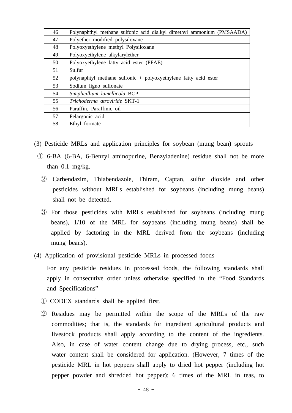| 46 | Polynaphthyl methane sulfonic acid dialkyl dimethyl ammonium (PMSAADA) |
|----|------------------------------------------------------------------------|
| 47 | Polyether modified polysiloxane                                        |
| 48 | Polyoxyethylene methyl Polysiloxane                                    |
| 49 | Polyoxyethylene alkylarylether                                         |
| 50 | Polyoxyethylene fatty acid ester (PFAE)                                |
| 51 | Sulfur                                                                 |
| 52 | polynaphtyl methane sulfonic $+$ polyoxyethylene fatty acid ester      |
| 53 | Sodium ligno sulfonate                                                 |
| 54 | Simplicillium lamellicola BCP                                          |
| 55 | Trichoderma atroviride SKT-1                                           |
| 56 | Paraffin, Paraffinic oil                                               |
| 57 | Pelargonic acid                                                        |
| 58 | Ethyl formate                                                          |

- (3) Pesticide MRLs and application principles for soybean (mung bean) sprouts
	- ① 6-BA (6-BA, 6-Benzyl aminopurine, Benzyladenine) residue shall not be more than 0.1 mg/kg.
		- ② Carbendazim, Thiabendazole, Thiram, Captan, sulfur dioxide and other pesticides without MRLs established for soybeans (including mung beans) shall not be detected.
		- ③ For those pesticides with MRLs established for soybeans (including mung beans), 1/10 of the MRL for soybeans (including mung beans) shall be applied by factoring in the MRL derived from the soybeans (including mung beans).
- (4) Application of provisional pesticide MRLs in processed foods

 For any pesticide residues in processed foods, the following standards shall apply in consecutive order unless otherwise specified in the "Food Standards and Specifications"

- ① CODEX standards shall be applied first.
- ② Residues may be permitted within the scope of the MRLs of the raw commodities; that is, the standards for ingredient agricultural products and livestock products shall apply according to the content of the ingredients. Also, in case of water content change due to drying process, etc., such water content shall be considered for application. (However, 7 times of the pesticide MRL in hot peppers shall apply to dried hot pepper (including hot pepper powder and shredded hot pepper); 6 times of the MRL in teas, to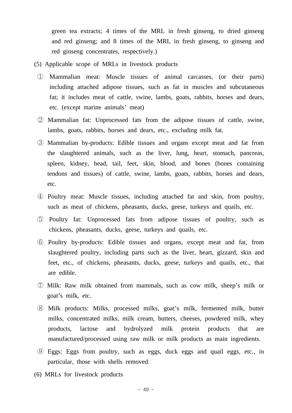green tea extracts; 4 times of the MRL in fresh ginseng, to dried ginseng and red ginseng; and 8 times of the MRL in fresh ginseng, to ginseng and red ginseng concentrates, respectively.)

- (5) Applicable scope of MRLs in livestock products
	- ① Mammalian meat: Muscle tissues of animal carcasses, (or their parts) including attached adipose tissues, such as fat in muscles and subcutaneous fat; it includes meat of cattle, swine, lambs, goats, rabbits, horses and dears, etc. (except marine animals' meat)
	- ② Mammalian fat: Unprocessed fats from the adipose tissues of cattle, swine, lambs, goats, rabbits, horses and dears, etc., excluding milk fat.
	- ③ Mammalian by-products: Edible tissues and organs except meat and fat from the slaughtered animals, such as the liver, lung, heart, stomach, pancreas, spleen, kidney, head, tail, feet, skin, blood, and bones (bones containing tendons and tissues) of cattle, swine, lambs, goats, rabbits, horses and dears, etc.
	- ④ Poultry meat: Muscle tissues, including attached fat and skin, from poultry, such as meat of chickens, pheasants, ducks, geese, turkeys and quails, etc.
	- ⑤ Poultry fat: Unprocessed fats from adipose tissues of poultry, such as chickens, pheasants, ducks, geese, turkeys and quails, etc.
	- ⑥ Poultry by-products: Edible tissues and organs, except meat and fat, from slaughtered poultry, including parts such as the liver, heart, gizzard, skin and feet, etc., of chickens, pheasants, ducks, geese, turkeys and quails, etc., that are edible.
	- ⑦ Milk: Raw milk obtained from mammals, such as cow milk, sheep's milk or goat's milk, etc.
	- ⑧ Milk products: Milks, processed milks, goat's milk, fermented milk, butter milks, concentrated milks, milk cream, butters, cheeses, powdered milk, whey products, lactose and hydrolyzed milk protein products that are manufactured/processed using raw milk or milk products as main ingredients.
	- ⑨ Eggs: Eggs from poultry, such as eggs, duck eggs and quail eggs, etc., in particular, those with shells removed.
- (6) MRLs for livestock products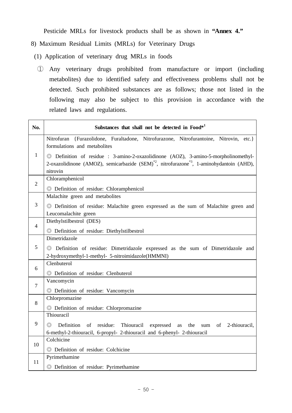Pesticide MRLs for livestock products shall be as shown in **"Annex 4."**

- 8) Maximum Residual Limits (MRLs) for Veterinary Drugs
- (1) Application of veterinary drug MRLs in foods
	- ① Any veterinary drugs prohibited from manufacture or import (including metabolites) due to identified safety and effectiveness problems shall not be detected. Such prohibited substances are as follows; those not listed in the following may also be subject to this provision in accordance with the related laws and regulations.

| No.            | Substances that shall not be detected in Food*1                                                                                                                                                                       |
|----------------|-----------------------------------------------------------------------------------------------------------------------------------------------------------------------------------------------------------------------|
|                | Nitrofuran {Furazolidone, Furaltadone, Nitrofurazone, Nitrofurantoine, Nitrovin, etc.}<br>formulations and metabolites                                                                                                |
| $\mathbf{1}$   | © Definition of residue : 3-amino-2-oxazolidinone (AOZ), 3-amino-5-morpholinomethyl-<br>2-oxazolidinone (AMOZ), semicarbazide (SEM) <sup>*2</sup> , nitrofurazone <sup>*3</sup> , 1-aminohydantoin (AHD),<br>nitrovin |
| $\overline{2}$ | Chloramphenicol<br>© Definition of residue: Chloramphenicol                                                                                                                                                           |
|                | Malachite green and metabolites                                                                                                                                                                                       |
| 3              | © Definition of residue: Malachite green expressed as the sum of Malachite green and<br>Leucomalachite green                                                                                                          |
| 4              | Diethylstilbestrol (DES)<br>© Definition of residue: Diethylstilbestrol                                                                                                                                               |
| 5              | Dimetridazole<br>© Definition of residue: Dimetridazole expressed as the sum of Dimetridazole and<br>2-hydroxymethyl-1-methyl- 5-nitroimidazole(HMMNI)                                                                |
| 6              | Clenbuterol<br>© Definition of residue: Clenbuterol                                                                                                                                                                   |
| $\tau$         | Vancomycin<br>© Definition of residue: Vancomycin                                                                                                                                                                     |
| 8              | Chlorpromazine<br>© Definition of residue: Chlorpromazine                                                                                                                                                             |
| 9              | Thiouracil<br>Definition<br>of residue:<br>Thiouracil<br>$\circledcirc$<br>expressed<br>the<br>2-thiouracil,<br>as<br>sum<br>of<br>6-methyl-2-thiouracil, 6-propyl- 2-thiouracil and 6-phenyl- 2-thiouracil           |
| 10             | Colchicine<br>© Definition of residue: Colchicine                                                                                                                                                                     |
| 11             | Pyrimethamine<br>© Definition of residue: Pyrimethamine                                                                                                                                                               |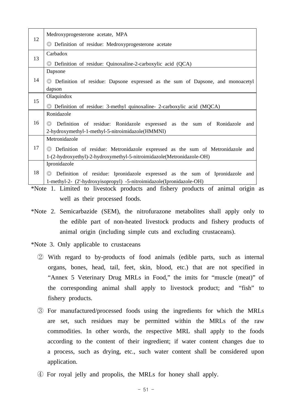|    | Medroxyprogesterone acetate, MPA                                                                 |
|----|--------------------------------------------------------------------------------------------------|
| 12 | © Definition of residue: Medroxyprogesterone acetate                                             |
|    | Carbadox                                                                                         |
| 13 | $\odot$ Definition of residue: Quinoxaline-2-carboxylic acid (QCA)                               |
|    | Dapsone                                                                                          |
| 14 | © Definition of residue: Dapsone expressed as the sum of Dapsone, and monoacetyl                 |
|    | dapson                                                                                           |
| 15 | Olaquindox                                                                                       |
|    | $\circledcirc$ Definition of residue: 3-methyl quinoxaline- 2-carboxylic acid (MQCA)             |
|    | Ronidazole                                                                                       |
| 16 | Definition of residue: Ronidazole expressed as the sum of Ronidazole and<br>$\circledcirc$       |
|    | 2-hydroxymethyl-1-methyl-5-nitroimidazole(HMMNI)                                                 |
|    | Metronidazole                                                                                    |
| 17 | Definition of residue: Metronidazole expressed as the sum of Metronidazole and<br>$\circledcirc$ |
|    | 1-(2-hydroxyethyl)-2-hydroxymethyl-5-nitroimidazole(Metronidazole-OH)                            |
|    | Ipronidazole                                                                                     |
| 18 | Definition of residue: Ipronidazole expressed as the sum of Ipronidazole and<br>$\circledcirc$   |
|    | 1-methyl-2- (2'-hydroxyisopropyl) -5-nitroimidazole(Ipronidazole-OH)                             |

 \*Note 1. Limited to livestock products and fishery products of animal origin as well as their processed foods.

- \*Note 2. Semicarbazide (SEM), the nitrofurazone metabolites shall apply only to the edible part of non-heated livestock products and fishery products of animal origin (including simple cuts and excluding crustaceans).
- \*Note 3. Only applicable to crustaceans
	- ② With regard to by-products of food animals (edible parts, such as internal organs, bones, head, tail, feet, skin, blood, etc.) that are not specified in "Annex 5 Veterinary Drug MRLs in Food," the imits for "muscle (meat)" of the corresponding animal shall apply to livestock product; and "fish" to fishery products.
	- ③ For manufactured/processed foods using the ingredients for which the MRLs are set, such residues may be permitted within the MRLs of the raw commodities. In other words, the respective MRL shall apply to the foods according to the content of their ingredient; if water content changes due to a process, such as drying, etc., such water content shall be considered upon application.
	- ④ For royal jelly and propolis, the MRLs for honey shall apply.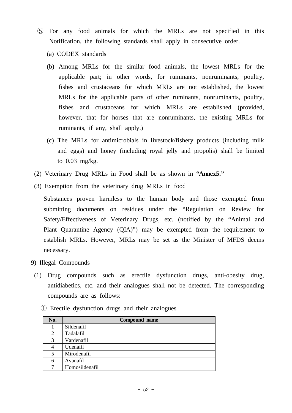- ⑤ For any food animals for which the MRLs are not specified in this Notification, the following standards shall apply in consecutive order.
	- (a) CODEX standards
	- (b) Among MRLs for the similar food animals, the lowest MRLs for the applicable part; in other words, for ruminants, nonruminants, poultry, fishes and crustaceans for which MRLs are not established, the lowest MRLs for the applicable parts of other ruminants, nonruminants, poultry, fishes and crustaceans for which MRLs are established (provided, however, that for horses that are nonruminants, the existing MRLs for ruminants, if any, shall apply.)
	- (c) The MRLs for antimicrobials in livestock/fishery products (including milk and eggs) and honey (including royal jelly and propolis) shall be limited to 0.03 mg/kg.
- (2) Veterinary Drug MRLs in Food shall be as shown in **"Annex5."**
- (3) Exemption from the veterinary drug MRLs in food

 Substances proven harmless to the human body and those exempted from submitting documents on residues under the "Regulation on Review for Safety/Effectiveness of Veterinary Drugs, etc. (notified by the "Animal and Plant Quarantine Agency (QIA)") may be exempted from the requirement to establish MRLs. However, MRLs may be set as the Minister of MFDS deems necessary.

- 9) Illegal Compounds
- (1) Drug compounds such as erectile dysfunction drugs, anti-obesity drug, antidiabetics, etc. and their analogues shall not be detected. The corresponding compounds are as follows:

|  |  | 1 Erectile dysfunction drugs and their analogues |  |  |  |  |  |
|--|--|--------------------------------------------------|--|--|--|--|--|
|--|--|--------------------------------------------------|--|--|--|--|--|

| No. | Compound name  |  |
|-----|----------------|--|
|     | Sildenafil     |  |
| 2   | Tadalafil      |  |
| 3   | Vardenafil     |  |
| 4   | Udenafil       |  |
| 5   | Mirodenafil    |  |
| 6   | Avanafil       |  |
|     | Homosildenafil |  |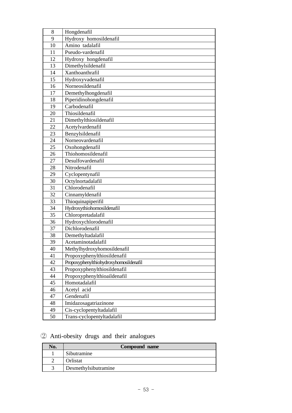| 8  | Hongdenafil                            |  |
|----|----------------------------------------|--|
| 9  | Hydroxy homosildenafil                 |  |
| 10 | Amino tadalafil                        |  |
| 11 | Pseudo-vardenafil                      |  |
| 12 | Hydroxy hongdenafil                    |  |
| 13 | Dimethylsildenafil                     |  |
| 14 | Xanthoanthrafil                        |  |
| 15 | Hydroxyvadenafil                       |  |
| 16 | Norneosildenafil                       |  |
| 17 | Demethylhongdenafil                    |  |
| 18 | Piperidinohongdenafil                  |  |
| 19 | Carbodenafil                           |  |
| 20 | Thiosildenafil                         |  |
| 21 | Dimethylthiosildenafil                 |  |
| 22 | Acetylvardenafil                       |  |
| 23 | Benzylsildenafil                       |  |
| 24 | Norneovardenafil                       |  |
| 25 | Oxohongdenafil                         |  |
| 26 | Thiohomosildenafil                     |  |
| 27 | Desulfovardenafil                      |  |
| 28 | Nitrodenafil                           |  |
| 29 | Cyclopentynafil                        |  |
| 30 | Octylnortadalafil                      |  |
| 31 | Chlorodenafil                          |  |
| 32 | Cinnamyldenafil                        |  |
| 33 | Thioquinapiperifil                     |  |
| 34 | Hydroxythiohomosildenafil              |  |
| 35 | Chloropretadalafil                     |  |
| 36 | Hydroxychlorodenafil                   |  |
| 37 | Dichlorodenafil                        |  |
| 38 | Demethyltadalafil                      |  |
| 39 | Acetaminotadalafil                     |  |
| 40 | Methylhydroxyhomosildenafil            |  |
| 41 | Propoxyphenylthiosildenafil            |  |
| 42 | Propoxyphenylthiohydroxyhomosildenafil |  |
| 43 | Propoxyphenylthiosildenafil            |  |
| 44 | Propoxyphenylthioaildenafil            |  |
| 45 | Homotadalafil                          |  |
| 46 | Acetyl acid                            |  |
| 47 | Gendenafil                             |  |
| 48 | Imidazosagatriazinone                  |  |
| 49 | Cis-cyclopentyltadalafil               |  |
| 50 | Trans-cyclopentyltadalafil             |  |

# ② Anti-obesity drugs and their analogues

| No. | Compound name        |  |
|-----|----------------------|--|
|     | Sibutramine          |  |
|     | Orlistat             |  |
|     | Desmethylsibutramine |  |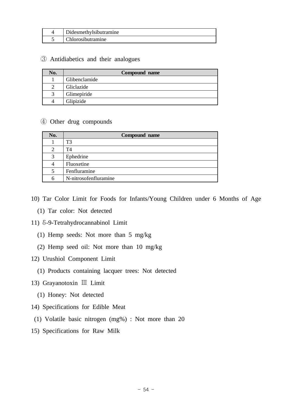| Didesmethylsibutramine |
|------------------------|
| Chlorosibutramine      |

### ③ Antidiabetics and their analogues

| No. | Compound name |  |
|-----|---------------|--|
|     | Glibenclamide |  |
| C   | Gliclazide    |  |
| 3   | Glimepiride   |  |
| 4   | Glipizide     |  |

### ④ Other drug compounds

| No. | Compound name         |  |
|-----|-----------------------|--|
|     | T <sub>3</sub>        |  |
| 2   | T4                    |  |
| 3   | Ephedrine             |  |
| 4   | Fluoxetine            |  |
| 5   | Fenfluramine          |  |
| 6   | N-nitrosofenfluramine |  |

- 10) Tar Color Limit for Foods for Infants/Young Children under 6 Months of Age
	- (1) Tar color: Not detected
- 11) δ-9-Tetrahydrocannabinol Limit
	- (1) Hemp seeds: Not more than 5 mg/kg
	- (2) Hemp seed oil: Not more than 10 mg/kg
- 12) Urushiol Component Limit
	- (1) Products containing lacquer trees: Not detected
- 13) Grayanotoxin Ⅲ Limit
	- (1) Honey: Not detected
- 14) Specifications for Edible Meat
- (1) Volatile basic nitrogen (mg%) : Not more than 20
- 15) Specifications for Raw Milk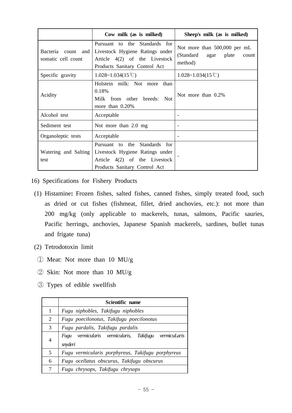|                                                | Cow milk (as is milked)                                                                                                                 | Sheep's milk (as is milked)                                                    |
|------------------------------------------------|-----------------------------------------------------------------------------------------------------------------------------------------|--------------------------------------------------------------------------------|
| Bacteria<br>count<br>and<br>somatic cell count | Standards for<br>Pursuant to the<br>Livestock Hygiene Ratings under<br>Article $4(2)$ of the Livestock<br>Products Sanitary Control Act | Not more than 500,000 per mL<br>(Standard<br>plate<br>agar<br>count<br>method) |
| Specific gravity                               | $1.028 \sim 1.034(15 \text{ C})$                                                                                                        | $1.028 \sim 1.034(15\degree\text{C})$                                          |
| Acidity                                        | Holstein milk: Not more<br>than<br>0.18%<br>Milk from other breeds:<br><b>Not</b><br>more than $0.20\%$                                 | Not more than 0.2%                                                             |
| Alcohol test                                   | Acceptable                                                                                                                              |                                                                                |
| Sediment test                                  | Not more than 2.0 mg                                                                                                                    | $\overline{\phantom{a}}$                                                       |
| Organoleptic tests                             | Acceptable                                                                                                                              |                                                                                |
| Watering and Salting<br>test                   | Standards for<br>Pursuant to the<br>Livestock Hygiene Ratings under<br>Article $4(2)$ of the Livestock<br>Products Sanitary Control Act |                                                                                |

- 16) Specifications for Fishery Products
- (1) Histamine**:** Frozen fishes, salted fishes, canned fishes, simply treated food, such as dried or cut fishes (fishmeat, fillet, dried anchovies, etc.): not more than 200 mg/kg (only applicable to mackerels, tunas, salmons, Pacific sauries, Pacific herrings, anchovies, Japanese Spanish mackerels, sardines, bullet tunas and frigate tuna)
- (2) Tetrodotoxin limit
- ① Meat: Not more than 10 MU/g
- ② Skin: Not more than 10 MU/g
- ③ Types of edible swellfish

|   | Scientific name                                                  |  |
|---|------------------------------------------------------------------|--|
| 1 | Fugu niphobles, Takifugu niphobles                               |  |
| 2 | Fugu poecilonotus, Takifugu poecilonotus                         |  |
| 3 | Fugu pardalis, Takifugu pardalis                                 |  |
| 4 | Fugu vermicularis vermicularis, Takifugu vermicuLaris<br>snyderi |  |
| 5 | Fugu vermicularis porphyreus, Takifugu porphyreus                |  |
| 6 | Fugu ocellatus obscurus, Takifugu obscurus                       |  |
| 7 | Fugu chrysops, Takifugu chrysops                                 |  |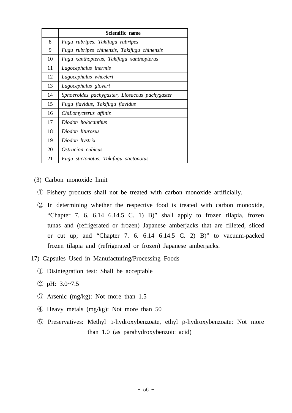|    | Scientific name                                |
|----|------------------------------------------------|
| 8  | Fugu rubripes, Takifugu rubripes               |
| 9  | Fugu rubripes chinensis, Takifugu chinensis    |
| 10 | Fugu xanthopterus, Takifugu xanthopterus       |
| 11 | Lagocephalus inermis                           |
| 12 | Lagocephalus wheeleri                          |
| 13 | Lagocephalus gloveri                           |
| 14 | Sphoeroides pachygaster, Liosaccus pachygaster |
| 15 | Fugu flavidus, Takifugu flavidus               |
| 16 | ChiLomycterus affinis                          |
| 17 | Diodon holocanthus                             |
| 18 | Diodon liturosus                               |
| 19 | Diodon hystrix                                 |
| 20 | Ostracion cubicus                              |
| 21 | Fugu stictonotus, Takifugu stictonotus         |

(3) Carbon monoxide limit

- ① Fishery products shall not be treated with carbon monoxide artificially.
- ② In determining whether the respective food is treated with carbon monoxide, "Chapter 7. 6. 6.14 6.14.5 C. 1) B)" shall apply to frozen tilapia, frozen tunas and (refrigerated or frozen) Japanese amberjacks that are filleted, sliced or cut up; and "Chapter 7. 6. 6.14 6.14.5 C. 2) B)" to vacuum-packed frozen tilapia and (refrigerated or frozen) Japanese amberjacks.
- 17) Capsules Used in Manufacturing/Processing Foods
	- ① Disintegration test: Shall be acceptable
	- ② pH: 3.0~7.5
	- ③ Arsenic (mg/kg): Not more than 1.5
	- ④ Heavy metals (mg/kg): Not more than 50
	- ⑤ Preservatives: Methyl ρ-hydroxybenzoate, ethyl ρ-hydroxybenzoate: Not more than 1.0 (as parahydroxybenzoic acid)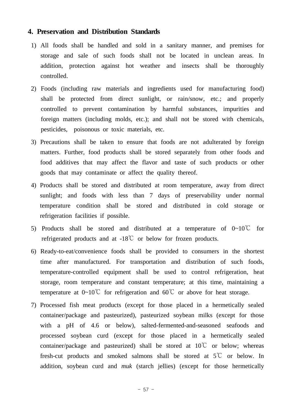### **4. Preservation and Distribution Standards**

- 1) All foods shall be handled and sold in a sanitary manner, and premises for storage and sale of such foods shall not be located in unclean areas. In addition, protection against hot weather and insects shall be thoroughly controlled.
- 2) Foods (including raw materials and ingredients used for manufacturing food) shall be protected from direct sunlight, or rain/snow, etc.; and properly controlled to prevent contamination by harmful substances, impurities and foreign matters (including molds, etc.); and shall not be stored with chemicals, pesticides, poisonous or toxic materials, etc.
- 3) Precautions shall be taken to ensure that foods are not adulterated by foreign matters. Further, food products shall be stored separately from other foods and food additives that may affect the flavor and taste of such products or other goods that may contaminate or affect the quality thereof.
- 4) Products shall be stored and distributed at room temperature, away from direct sunlight; and foods with less than 7 days of preservability under normal temperature condition shall be stored and distributed in cold storage or refrigeration facilities if possible.
- 5) Products shall be stored and distributed at a temperature of 0~10℃ for refrigerated products and at -18℃ or below for frozen products.
- 6) Ready-to-eat/convenience foods shall be provided to consumers in the shortest time after manufactured. For transportation and distribution of such foods, temperature-controlled equipment shall be used to control refrigeration, heat storage, room temperature and constant temperature; at this time, maintaining a temperature at  $0~10^{\circ}$  for refrigeration and  $60^{\circ}$  or above for heat storage.
- 7) Processed fish meat products (except for those placed in a hermetically sealed container/package and pasteurized), pasteurized soybean milks (except for those with a pH of 4.6 or below), salted-fermented-and-seasoned seafoods and processed soybean curd (except for those placed in a hermetically sealed container/package and pasteurized) shall be stored at  $10^{\circ}$  or below; whereas fresh-cut products and smoked salmons shall be stored at 5℃ or below. In addition, soybean curd and *muk* (starch jellies) (except for those hermetically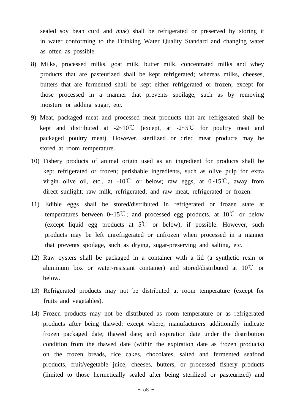sealed soy bean curd and *muk*) shall be refrigerated or preserved by storing it in water conforming to the Drinking Water Quality Standard and changing water as often as possible.

- 8) Milks, processed milks, goat milk, butter milk, concentrated milks and whey products that are pasteurized shall be kept refrigerated; whereas milks, cheeses, butters that are fermented shall be kept either refrigerated or frozen; except for those processed in a manner that prevents spoilage, such as by removing moisture or adding sugar, etc.
- 9) Meat, packaged meat and processed meat products that are refrigerated shall be kept and distributed at -2~10°C (except, at -2~5°C for poultry meat and packaged poultry meat). However, sterilized or dried meat products may be stored at room temperature.
- 10) Fishery products of animal origin used as an ingredient for products shall be kept refrigerated or frozen; perishable ingredients, such as olive pulp for extra virgin olive oil, etc., at  $-10^{\circ}$  or below; raw eggs, at  $0~-15^{\circ}$ C, away from direct sunlight; raw milk, refrigerated; and raw meat, refrigerated or frozen.
- 11) Edible eggs shall be stored/distributed in refrigerated or frozen state at temperatures between  $0~15^{\circ}\text{C}$ ; and processed egg products, at  $10^{\circ}\text{C}$  or below (except liquid egg products at  $5^{\circ}$  or below), if possible. However, such products may be left unrefrigerated or unfrozen when processed in a manner that prevents spoilage, such as drying, sugar-preserving and salting, etc.
- 12) Raw oysters shall be packaged in a container with a lid (a synthetic resin or aluminum box or water-resistant container) and stored/distributed at 10℃ or below.
- 13) Refrigerated products may not be distributed at room temperature (except for fruits and vegetables).
- 14) Frozen products may not be distributed as room temperature or as refrigerated products after being thawed; except where, manufacturers additionally indicate frozen packaged date; thawed date; and expiration date under the distribution condition from the thawed date (within the expiration date as frozen products) on the frozen breads, rice cakes, chocolates, salted and fermented seafood products, fruit/vegetable juice, cheeses, butters, or processed fishery products (limited to those hermetically sealed after being sterilized or pasteurized) and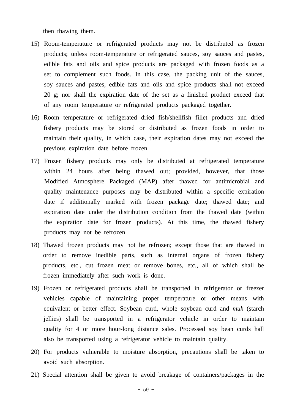then thawing them.

- 15) Room-temperature or refrigerated products may not be distributed as frozen products; unless room-temperature or refrigerated sauces, soy sauces and pastes, edible fats and oils and spice products are packaged with frozen foods as a set to complement such foods. In this case, the packing unit of the sauces, soy sauces and pastes, edible fats and oils and spice products shall not exceed 20 g; nor shall the expiration date of the set as a finished product exceed that of any room temperature or refrigerated products packaged together.
- 16) Room temperature or refrigerated dried fish/shellfish fillet products and dried fishery products may be stored or distributed as frozen foods in order to maintain their quality, in which case, their expiration dates may not exceed the previous expiration date before frozen.
- 17) Frozen fishery products may only be distributed at refrigerated temperature within 24 hours after being thawed out; provided, however, that those Modified Atmosphere Packaged (MAP) after thawed for antimicrobial and quality maintenance purposes may be distributed within a specific expiration date if additionally marked with frozen package date; thawed date; and expiration date under the distribution condition from the thawed date (within the expiration date for frozen products). At this time, the thawed fishery products may not be refrozen.
- 18) Thawed frozen products may not be refrozen; except those that are thawed in order to remove inedible parts, such as internal organs of frozen fishery products, etc., cut frozen meat or remove bones, etc., all of which shall be frozen immediately after such work is done.
- 19) Frozen or refrigerated products shall be transported in refrigerator or freezer vehicles capable of maintaining proper temperature or other means with equivalent or better effect. Soybean curd, whole soybean curd and *muk* (starch jellies) shall be transported in a refrigerator vehicle in order to maintain quality for 4 or more hour-long distance sales. Processed soy bean curds hall also be transported using a refrigerator vehicle to maintain quality.
- 20) For products vulnerable to moisture absorption, precautions shall be taken to avoid such absorption.
- 21) Special attention shall be given to avoid breakage of containers/packages in the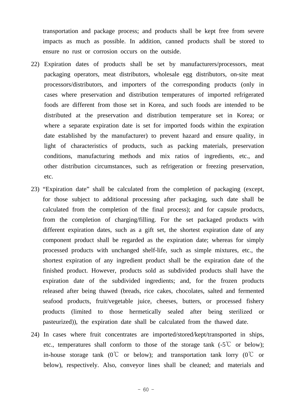transportation and package process; and products shall be kept free from severe impacts as much as possible. In addition, canned products shall be stored to ensure no rust or corrosion occurs on the outside.

- 22) Expiration dates of products shall be set by manufacturers/processors, meat packaging operators, meat distributors, wholesale egg distributors, on-site meat processors/distributors, and importers of the corresponding products (only in cases where preservation and distribution temperatures of imported refrigerated foods are different from those set in Korea, and such foods are intended to be distributed at the preservation and distribution temperature set in Korea; or where a separate expiration date is set for imported foods within the expiration date established by the manufacturer) to prevent hazard and ensure quality, in light of characteristics of products, such as packing materials, preservation conditions, manufacturing methods and mix ratios of ingredients, etc., and other distribution circumstances, such as refrigeration or freezing preservation, etc.
- 23) "Expiration date" shall be calculated from the completion of packaging (except, for those subject to additional processing after packaging, such date shall be calculated from the completion of the final process); and for capsule products, from the completion of charging/filling. For the set packaged products with different expiration dates, such as a gift set, the shortest expiration date of any component product shall be regarded as the expiration date; whereas for simply processed products with unchanged shelf-life, such as simple mixtures, etc., the shortest expiration of any ingredient product shall be the expiration date of the finished product. However, products sold as subdivided products shall have the expiration date of the subdivided ingredients; and, for the frozen products released after being thawed (breads, rice cakes, chocolates, salted and fermented seafood products, fruit/vegetable juice, cheeses, butters, or processed fishery products (limited to those hermetically sealed after being sterilized or pasteurized)), the expiration date shall be calculated from the thawed date.
- 24) In cases where fruit concentrates are imported/stored/kept/transported in ships, etc., temperatures shall conform to those of the storage tank  $(-5^{\circ}C)$  or below); in-house storage tank ( $0^{\circ}$  or below); and transportation tank lorry ( $0^{\circ}$  or below), respectively. Also, conveyor lines shall be cleaned; and materials and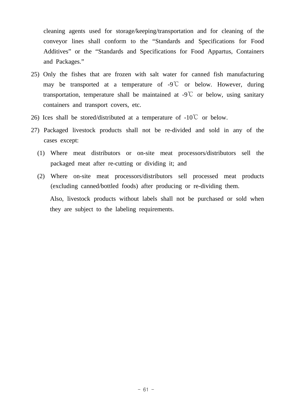cleaning agents used for storage/keeping/transportation and for cleaning of the conveyor lines shall conform to the "Standards and Specifications for Food Additives" or the "Standards and Specifications for Food Appartus, Containers and Packages."

- 25) Only the fishes that are frozen with salt water for canned fish manufacturing may be transported at a temperature of -9℃ or below. However, during transportation, temperature shall be maintained at  $-9^{\circ}$  or below, using sanitary containers and transport covers, etc.
- 26) Ices shall be stored/distributed at a temperature of  $-10^{\circ}$  or below.
- 27) Packaged livestock products shall not be re-divided and sold in any of the cases except:
	- (1) Where meat distributors or on-site meat processors/distributors sell the packaged meat after re-cutting or dividing it; and
	- (2) Where on-site meat processors/distributors sell processed meat products (excluding canned/bottled foods) after producing or re-dividing them. Also, livestock products without labels shall not be purchased or sold when

they are subject to the labeling requirements.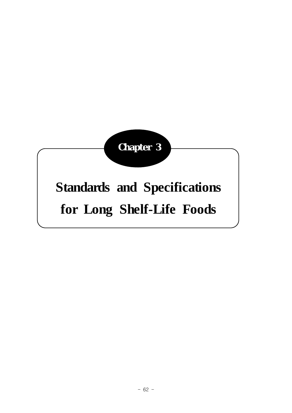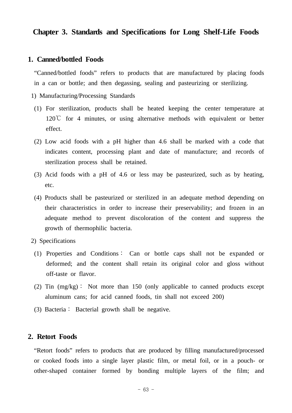### **Chapter 3. Standards and Specifications for Long Shelf-Life Foods**

### **1. Canned/bottled Foods**

 "Canned/bottled foods" refers to products that are manufactured by placing foods in a can or bottle; and then degassing, sealing and pasteurizing or sterilizing.

- 1) Manufacturing/Processing Standards
- (1) For sterilization, products shall be heated keeping the center temperature at 120℃ for 4 minutes, or using alternative methods with equivalent or better effect.
- (2) Low acid foods with a pH higher than 4.6 shall be marked with a code that indicates content, processing plant and date of manufacture; and records of sterilization process shall be retained.
- (3) Acid foods with a pH of 4.6 or less may be pasteurized, such as by heating, etc.
- (4) Products shall be pasteurized or sterilized in an adequate method depending on their characteristics in order to increase their preservability; and frozen in an adequate method to prevent discoloration of the content and suppress the growth of thermophilic bacteria.
- 2) Specifications
- (1) Properties and Conditions∶ Can or bottle caps shall not be expanded or deformed; and the content shall retain its original color and gloss without off-taste or flavor.
- (2) Tin (mg/kg)∶ Not more than 150 (only applicable to canned products except aluminum cans; for acid canned foods, tin shall not exceed 200)
- (3) Bacteria∶ Bacterial growth shall be negative.

### **2. Retort Foods**

 "Retort foods" refers to products that are produced by filling manufactured/processed or cooked foods into a single layer plastic film, or metal foil, or in a pouch- or other-shaped container formed by bonding multiple layers of the film; and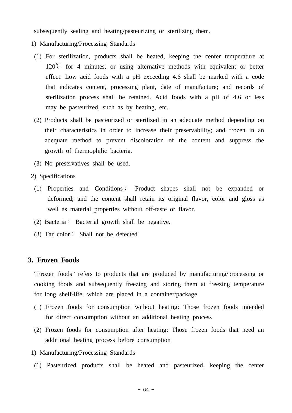subsequently sealing and heating/pasteurizing or sterilizing them.

- 1) Manufacturing/Processing Standards
- (1) For sterilization, products shall be heated, keeping the center temperature at  $120^{\circ}$  for 4 minutes, or using alternative methods with equivalent or better effect. Low acid foods with a pH exceeding 4.6 shall be marked with a code that indicates content, processing plant, date of manufacture; and records of sterilization process shall be retained. Acid foods with a pH of 4.6 or less may be pasteurized, such as by heating, etc.
- (2) Products shall be pasteurized or sterilized in an adequate method depending on their characteristics in order to increase their preservability; and frozen in an adequate method to prevent discoloration of the content and suppress the growth of thermophilic bacteria.
- (3) No preservatives shall be used.
- 2) Specifications
- (1) Properties and Conditions∶ Product shapes shall not be expanded or deformed; and the content shall retain its original flavor, color and gloss as well as material properties without off-taste or flavor.
- (2) Bacteria∶ Bacterial growth shall be negative.
- (3) Tar color∶ Shall not be detected

### **3. Frozen Foods**

 "Frozen foods" refers to products that are produced by manufacturing/processing or cooking foods and subsequently freezing and storing them at freezing temperature for long shelf-life, which are placed in a container/package.

- (1) Frozen foods for consumption without heating: Those frozen foods intended for direct consumption without an additional heating process
- (2) Frozen foods for consumption after heating: Those frozen foods that need an additional heating process before consumption
- 1) Manufacturing/Processing Standards
- (1) Pasteurized products shall be heated and pasteurized, keeping the center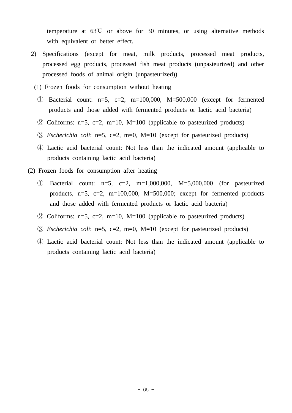temperature at  $63^{\circ}$  or above for 30 minutes, or using alternative methods with equivalent or better effect.

- 2) Specifications (except for meat, milk products, processed meat products, processed egg products, processed fish meat products (unpasteurized) and other processed foods of animal origin (unpasteurized))
- (1) Frozen foods for consumption without heating
	- ① Bacterial count: n=5, c=2, m=100,000, M=500,000 (except for fermented products and those added with fermented products or lactic acid bacteria)
	- $\odot$  Coliforms: n=5, c=2, m=10, M=100 (applicable to pasteurized products)
	- ③ *Escherichia coli*: n=5, c=2, m=0, M=10 (except for pasteurized products)
	- ④ Lactic acid bacterial count: Not less than the indicated amount (applicable to products containing lactic acid bacteria)
- (2) Frozen foods for consumption after heating
	- ① Bacterial count: n=5, c=2, m=1,000,000, M=5,000,000 (for pasteurized products,  $n=5$ ,  $c=2$ ,  $m=100,000$ ,  $M=500,000$ ; except for fermented products and those added with fermented products or lactic acid bacteria)
	- $\odot$  Coliforms: n=5, c=2, m=10, M=100 (applicable to pasteurized products)
	- ③ *Escherichia coli*: n=5, c=2, m=0, M=10 (except for pasteurized products)
	- ④ Lactic acid bacterial count: Not less than the indicated amount (applicable to products containing lactic acid bacteria)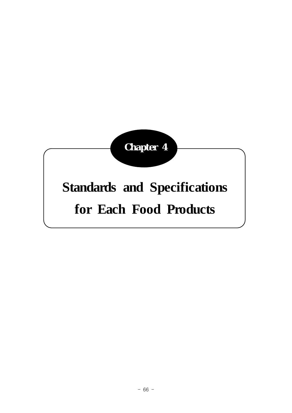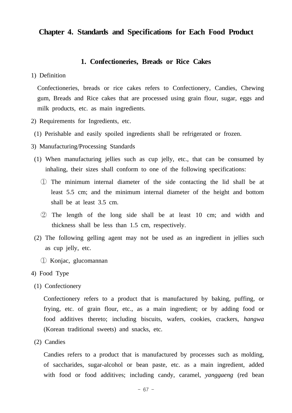### **Chapter 4. Standards and Specifications for Each Food Product**

#### **1. Confectioneries, Breads or Rice Cakes**

1) Definition

 Confectioneries, breads or rice cakes refers to Confectionery, Candies, Chewing gum, Breads and Rice cakes that are processed using grain flour, sugar, eggs and milk products, etc. as main ingredients.

- 2) Requirements for Ingredients, etc.
- (1) Perishable and easily spoiled ingredients shall be refrigerated or frozen.
- 3) Manufacturing/Processing Standards
- (1) When manufacturing jellies such as cup jelly, etc., that can be consumed by inhaling, their sizes shall conform to one of the following specifications:
	- ① The minimum internal diameter of the side contacting the lid shall be at least 5.5 cm; and the minimum internal diameter of the height and bottom shall be at least 3.5 cm.
	- ② The length of the long side shall be at least 10 cm; and width and thickness shall be less than 1.5 cm, respectively.
- (2) The following gelling agent may not be used as an ingredient in jellies such as cup jelly, etc.
	- ① Konjac, glucomannan
- 4) Food Type
- (1) Confectionery

 Confectionery refers to a product that is manufactured by baking, puffing, or frying, etc. of grain flour, etc., as a main ingredient; or by adding food or food additives thereto; including biscuits, wafers, cookies, crackers, *hangwa*  (Korean traditional sweets) and snacks, etc.

(2) Candies

 Candies refers to a product that is manufactured by processes such as molding, of saccharides, sugar-alcohol or bean paste, etc. as a main ingredient, added with food or food additives; including candy, caramel, *yanggaeng* (red bean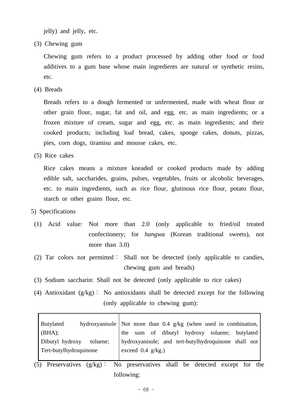jelly) and jelly, etc.

(3) Chewing gum

 Chewing gum refers to a product processed by adding other food or food additives to a gum base whose main ingredients are natural or synthetic resins, etc.

(4) Breads

 Breads refers to a dough fermented or unfermented, made with wheat flour or other grain flour, sugar, fat and oil, and egg, etc. as main ingredients; or a frozen mixture of cream, sugar and egg, etc. as main ingredients; and their cooked products; including loaf bread, cakes, sponge cakes, donuts, pizzas, pies, corn dogs, tiramisu and mousse cakes, etc.

(5) Rice cakes

 Rice cakes means a mixture kneaded or cooked products made by adding edible salt, saccharides, grains, pulses, vegetables, fruits or alcoholic beverages, etc. to main ingredients, such as rice flour, glutinous rice flour, potato flour, starch or other grains flour, etc.

5) Specifications

 $\mathbf{r}$ 

- (1) Acid value: Not more than 2.0 (only applicable to fried/oil treated confectionery; for *hangwa* (Korean traditional sweets), not more than 3.0)
- (2) Tar colors not permitted: Shall not be detected (only applicable to candies, chewing gum and breads)
- (3) Sodium saccharin: Shall not be detected (only applicable to rice cakes)
- (4) Antioxidant  $(g/kg)$ : No antioxidants shall be detected except for the following (only applicable to chewing gum):

Ē,

| <b>Butylated</b>            | hydroxyanisole   Not more than $0.4$ g/kg (when used in combination, |
|-----------------------------|----------------------------------------------------------------------|
| $(BHA)$ ;                   | sum of dibutyl hydroxy toluene; butylated<br>the                     |
| Dibutyl hydroxy<br>toluene; | hydroxyanisole; and tert-butylhydroquinone shall not                 |
| Tert-butylhydroquinone      | exceed $0.4$ g/kg.)                                                  |
|                             |                                                                      |

 (5) Preservatives (g/kg)∶ No preservatives shall be detected except for the following: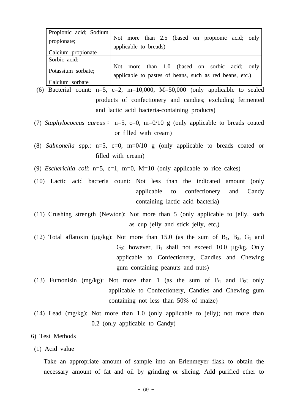| Propionic acid; Sodium |                                                                                                             |
|------------------------|-------------------------------------------------------------------------------------------------------------|
| propionate;            | Not more than 2.5 (based on propionic acid; only                                                            |
|                        | applicable to breads)                                                                                       |
| Calcium propionate     |                                                                                                             |
| Sorbic acid;           |                                                                                                             |
| Potassium sorbate;     | more than 1.0 (based on sorbic acid; only<br>Not<br>applicable to pastes of beans, such as red beans, etc.) |
| Calcium sorbate        |                                                                                                             |

- (6) Bacterial count:  $n=5$ ,  $c=2$ ,  $m=10,000$ ,  $M=50,000$  (only applicable to sealed products of confectionery and candies; excluding fermented and lactic acid bacteria-containing products)
- (7) *Staphylococcus aureus*∶ n=5, c=0, m=0/10 g (only applicable to breads coated or filled with cream)

 (8) *Salmonella* spp.: n=5, c=0, m=0/10 g (only applicable to breads coated or filled with cream)

- (9) *Escherichia coli*: n=5, c=1, m=0, M=10 (only applicable to rice cakes)
- (10) Lactic acid bacteria count: Not less than the indicated amount (only applicable to confectionery and Candy containing lactic acid bacteria)
- (11) Crushing strength (Newton): Not more than 5 (only applicable to jelly, such as cup jelly and stick jelly, etc.)
- (12) Total aflatoxin ( $\mu$ g/kg): Not more than 15.0 (as the sum of B<sub>1</sub>, B<sub>2</sub>, G<sub>1</sub> and  $G_2$ ; however,  $B_1$  shall not exceed 10.0  $\mu$ g/kg. Only applicable to Confectionery, Candies and Chewing gum containing peanuts and nuts)
- (13) Fumonisin (mg/kg): Not more than 1 (as the sum of  $B_1$  and  $B_2$ ; only applicable to Confectionery, Candies and Chewing gum containing not less than 50% of maize)
- (14) Lead (mg/kg): Not more than 1.0 (only applicable to jelly); not more than 0.2 (only applicable to Candy)

### 6) Test Methods

(1) Acid value

 Take an appropriate amount of sample into an Erlenmeyer flask to obtain the necessary amount of fat and oil by grinding or slicing. Add purified ether to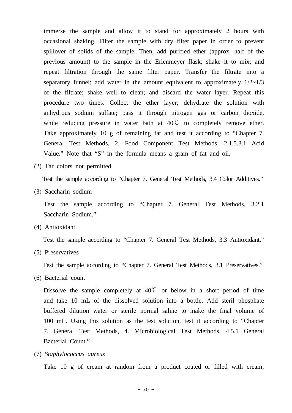immerse the sample and allow it to stand for approximately 2 hours with occasional shaking. Filter the sample with dry filter paper in order to prevent spillover of solids of the sample. Then, add purified ether (approx. half of the previous amount) to the sample in the Erlenmeyer flask; shake it to mix; and repeat filtration through the same filter paper. Transfer the filtrate into a separatory funnel; add water in the amount equivalent to approximately  $1/2 \sim 1/3$ of the filtrate; shake well to clean; and discard the water layer. Repeat this procedure two times. Collect the ether layer; dehydrate the solution with anhydrous sodium sulfate; pass it through nitrogen gas or carbon dioxide, while reducing pressure in water bath at 40℃ to completely remove ether. Take approximately 10 g of remaining fat and test it according to "Chapter 7. General Test Methods, 2. Food Component Test Methods, 2.1.5.3.1 Acid Value." Note that "S" in the formula means a gram of fat and oil.

(2) Tar colors not permitted

Test the sample according to "Chapter 7. General Test Methods, 3.4 Color Additives."

(3) Saccharin sodium

 Test the sample according to "Chapter 7. General Test Methods, 3.2.1 Saccharin Sodium."

(4) Antioxidant

Test the sample according to "Chapter 7. General Test Methods, 3.3 Antioxidant."

(5) Preservatives

Test the sample according to "Chapter 7. General Test Methods, 3.1 Preservatives."

(6) Bacterial count

Dissolve the sample completely at  $40^{\circ}$  or below in a short period of time and take 10 mL of the dissolved solution into a bottle. Add steril phosphate buffered dilution water or sterile normal saline to make the final volume of 100 mL. Using this solution as the test solution, test it according to "Chapter 7. General Test Methods, 4. Microbiological Test Methods, 4.5.1 General Bacterial Count."

(7) *Staphylococcus aureus*

Take 10 g of cream at random from a product coated or filled with cream;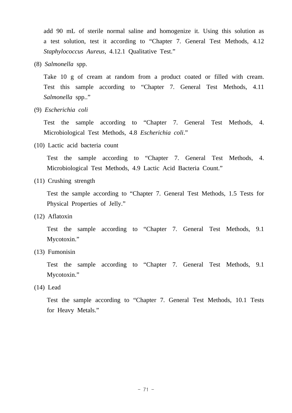add 90 mL of sterile normal saline and homogenize it. Using this solution as a test solution, test it according to "Chapter 7. General Test Methods, 4.12 *Staphylococcus Aureus*, 4.12.1 Qualitative Test."

(8) *Salmonella* spp.

 Take 10 g of cream at random from a product coated or filled with cream. Test this sample according to "Chapter 7. General Test Methods, 4.11 *Salmonella* spp.."

(9) *Escherichia coli*

 Test the sample according to "Chapter 7. General Test Methods, 4. Microbiological Test Methods, 4.8 *Escherichia coli*."

(10) Lactic acid bacteria count

 Test the sample according to "Chapter 7. General Test Methods, 4. Microbiological Test Methods, 4.9 Lactic Acid Bacteria Count."

(11) Crushing strength

 Test the sample according to "Chapter 7. General Test Methods, 1.5 Tests for Physical Properties of Jelly."

(12) Aflatoxin

 Test the sample according to "Chapter 7. General Test Methods, 9.1 Mycotoxin."

(13) Fumonisin

 Test the sample according to "Chapter 7. General Test Methods, 9.1 Mycotoxin."

(14) Lead

 Test the sample according to "Chapter 7. General Test Methods, 10.1 Tests for Heavy Metals."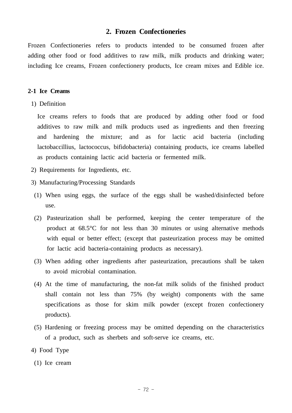### **2. Frozen Confectioneries**

Frozen Confectioneries refers to products intended to be consumed frozen after adding other food or food additives to raw milk, milk products and drinking water; including Ice creams, Frozen confectionery products, Ice cream mixes and Edible ice.

### **2-1 Ice Creams**

1) Definition

 Ice creams refers to foods that are produced by adding other food or food additives to raw milk and milk products used as ingredients and then freezing and hardening the mixture; and as for lactic acid bacteria (including lactobaccillius, lactococcus, bifidobacteria) containing products, ice creams labelled as products containing lactic acid bacteria or fermented milk.

- 2) Requirements for Ingredients, etc.
- 3) Manufacturing/Processing Standards
- (1) When using eggs, the surface of the eggs shall be washed/disinfected before use.
- (2) Pasteurization shall be performed, keeping the center temperature of the product at 68.5°C for not less than 30 minutes or using alternative methods with equal or better effect; (except that pasteurization process may be omitted for lactic acid bacteria-containing products as necessary).
- (3) When adding other ingredients after pasteurization, precautions shall be taken to avoid microbial contamination.
- (4) At the time of manufacturing, the non-fat milk solids of the finished product shall contain not less than 75% (by weight) components with the same specifications as those for skim milk powder (except frozen confectionery products).
- (5) Hardening or freezing process may be omitted depending on the characteristics of a product, such as sherbets and soft-serve ice creams, etc.
- 4) Food Type
	- (1) Ice cream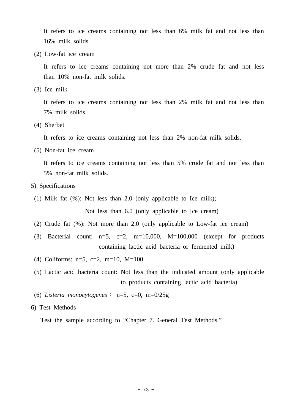It refers to ice creams containing not less than 6% milk fat and not less than 16% milk solids.

(2) Low-fat ice cream

 It refers to ice creams containing not more than 2% crude fat and not less than 10% non-fat milk solids.

(3) Ice milk

 It refers to ice creams containing not less than 2% milk fat and not less than 7% milk solids.

(4) Sherbet

It refers to ice creams containing not less than 2% non-fat milk solids.

(5) Non-fat ice cream

 It refers to ice creams containing not less than 5% crude fat and not less than 5% non-fat milk solids.

- 5) Specifications
	- (1) Milk fat (%): Not less than 2.0 (only applicable to Ice milk);

Not less than 6.0 (only applicable to Ice cream)

- (2) Crude fat (%): Not more than 2.0 (only applicable to Low-fat ice cream)
- (3) Bacterial count:  $n=5$ ,  $c=2$ ,  $m=10,000$ ,  $M=100,000$  (except for products containing lactic acid bacteria or fermented milk)
- (4) Coliforms: n=5, c=2, m=10, M=100
- (5) Lactic acid bacteria count: Not less than the indicated amount (only applicable to products containing lactic acid bacteria)
- (6) *Listeria monocytogenes*∶ n=5, c=0, m=0/25g
- 6) Test Methods

Test the sample according to "Chapter 7. General Test Methods."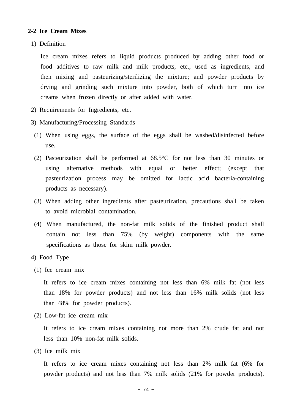#### **2-2 Ice Cream Mixes**

1) Definition

 Ice cream mixes refers to liquid products produced by adding other food or food additives to raw milk and milk products, etc., used as ingredients, and then mixing and pasteurizing/sterilizing the mixture; and powder products by drying and grinding such mixture into powder, both of which turn into ice creams when frozen directly or after added with water.

- 2) Requirements for Ingredients, etc.
- 3) Manufacturing/Processing Standards
- (1) When using eggs, the surface of the eggs shall be washed/disinfected before use.
- (2) Pasteurization shall be performed at 68.5°C for not less than 30 minutes or using alternative methods with equal or better effect; (except that pasteurization process may be omitted for lactic acid bacteria-containing products as necessary).
- (3) When adding other ingredients after pasteurization, precautions shall be taken to avoid microbial contamination.
- (4) When manufactured, the non-fat milk solids of the finished product shall contain not less than 75% (by weight) components with the same specifications as those for skim milk powder.
- 4) Food Type
- (1) Ice cream mix

 It refers to ice cream mixes containing not less than 6% milk fat (not less than 18% for powder products) and not less than 16% milk solids (not less than 48% for powder products).

(2) Low-fat ice cream mix

 It refers to ice cream mixes containing not more than 2% crude fat and not less than 10% non-fat milk solids.

(3) Ice milk mix

 It refers to ice cream mixes containing not less than 2% milk fat (6% for powder products) and not less than 7% milk solids (21% for powder products).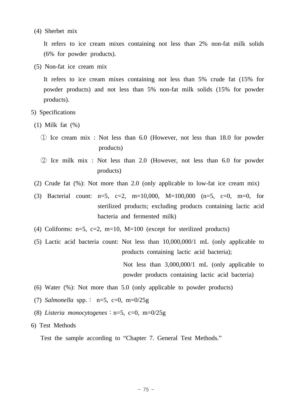(4) Sherbet mix

 It refers to ice cream mixes containing not less than 2% non-fat milk solids (6% for powder products).

(5) Non-fat ice cream mix

 It refers to ice cream mixes containing not less than 5% crude fat (15% for powder products) and not less than 5% non-fat milk solids (15% for powder products).

- 5) Specifications
- (1) Milk fat (%)
	- ① Ice cream mix : Not less than 6.0 (However, not less than 18.0 for powder products)
	- ② Ice milk mix : Not less than 2.0 (However, not less than 6.0 for powder products)
- (2) Crude fat (%): Not more than 2.0 (only applicable to low-fat ice cream mix)
- (3) Bacterial count:  $n=5$ ,  $c=2$ ,  $m=10,000$ ,  $M=100,000$  ( $n=5$ ,  $c=0$ ,  $m=0$ , for sterilized products; excluding products containing lactic acid bacteria and fermented milk)
- (4) Coliforms:  $n=5$ ,  $c=2$ ,  $m=10$ ,  $M=100$  (except for sterilized products)
- (5) Lactic acid bacteria count: Not less than 10,000,000/1 mL (only applicable to products containing lactic acid bacteria);

 Not less than 3,000,000/1 mL (only applicable to powder products containing lactic acid bacteria)

- (6) Water (%): Not more than 5.0 (only applicable to powder products)
- (7) *Salmonella* spp.∶ n=5, c=0, m=0/25g
- (8) *Listeria monocytogenes*∶n=5, c=0, m=0/25g
- 6) Test Methods

Test the sample according to "Chapter 7. General Test Methods."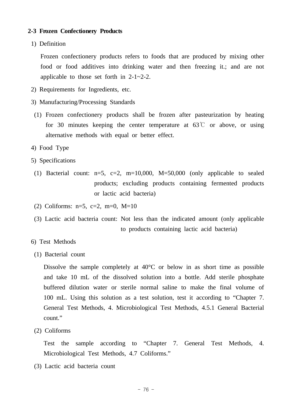#### **2-3 Frozen Confectionery Products**

1) Definition

 Frozen confectionery products refers to foods that are produced by mixing other food or food additives into drinking water and then freezing it.; and are not applicable to those set forth in 2-1~2-2.

- 2) Requirements for Ingredients, etc.
- 3) Manufacturing/Processing Standards
- (1) Frozen confectionery products shall be frozen after pasteurization by heating for 30 minutes keeping the center temperature at  $63^{\circ}$  or above, or using alternative methods with equal or better effect.
- 4) Food Type
- 5) Specifications
- (1) Bacterial count:  $n=5$ ,  $c=2$ ,  $m=10,000$ ,  $M=50,000$  (only applicable to sealed products; excluding products containing fermented products or lactic acid bacteria)
- (2) Coliforms:  $n=5$ ,  $c=2$ ,  $m=0$ .  $M=10$
- (3) Lactic acid bacteria count: Not less than the indicated amount (only applicable to products containing lactic acid bacteria)
- 6) Test Methods
- (1) Bacterial count

 Dissolve the sample completely at 40°C or below in as short time as possible and take 10 mL of the dissolved solution into a bottle. Add sterile phosphate buffered dilution water or sterile normal saline to make the final volume of 100 mL. Using this solution as a test solution, test it according to "Chapter 7. General Test Methods, 4. Microbiological Test Methods, 4.5.1 General Bacterial count."

(2) Coliforms

 Test the sample according to "Chapter 7. General Test Methods, 4. Microbiological Test Methods, 4.7 Coliforms."

(3) Lactic acid bacteria count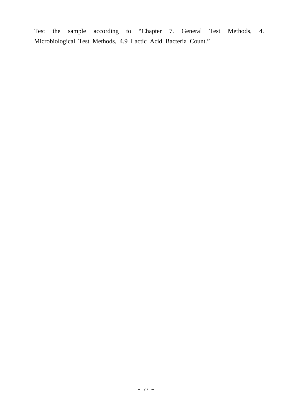Test the sample according to "Chapter 7. General Test Methods, 4. Microbiological Test Methods, 4.9 Lactic Acid Bacteria Count."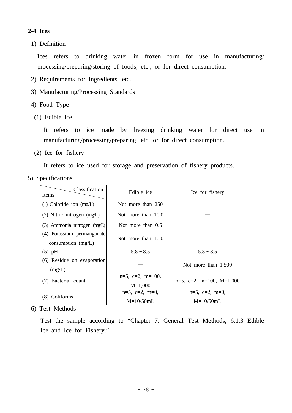# **2-4 Ices**

1) Definition

 Ices refers to drinking water in frozen form for use in manufacturing/ processing/preparing/storing of foods, etc.; or for direct consumption.

- 2) Requirements for Ingredients, etc.
- 3) Manufacturing/Processing Standards
- 4) Food Type
- (1) Edible ice

 It refers to ice made by freezing drinking water for direct use in manufacturing/processing/preparing, etc. or for direct consumption.

(2) Ice for fishery

It refers to ice used for storage and preservation of fishery products.

5) Specifications

| Classification<br><b>Items</b>                     | Edible ice                             | Ice for fishery                        |
|----------------------------------------------------|----------------------------------------|----------------------------------------|
| (1) Chloride ion $(mg/L)$                          | Not more than 250                      |                                        |
| $(2)$ Nitric nitrogen $(mg/L)$                     | Not more than 10.0                     |                                        |
| (3) Ammonia nitrogen (mg/L)                        | Not more than $0.5$                    |                                        |
| (4) Potassium permanganate<br>consumption $(mg/L)$ | Not more than 10.0                     |                                        |
| $(5)$ pH                                           | $5.8 - 8.5$                            | $5.8 - 8.5$                            |
| (6) Residue on evaporation<br>(mg/L)               |                                        | Not more than $1,500$                  |
| (7) Bacterial count                                | $n=5$ , $c=2$ , $m=100$ ,<br>$M=1,000$ | $n=5$ , $c=2$ , $m=100$ , $M=1,000$    |
| (8) Coliforms                                      | $n=5$ , $c=2$ , $m=0$ ,<br>$M=10/50mL$ | $n=5$ , $c=2$ , $m=0$ ,<br>$M=10/50mL$ |

6) Test Methods

 Test the sample according to "Chapter 7. General Test Methods, 6.1.3 Edible Ice and Ice for Fishery."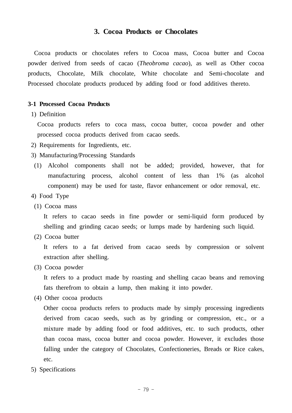## **3. Cocoa Products or Chocolates**

 Cocoa products or chocolates refers to Cocoa mass, Cocoa butter and Cocoa powder derived from seeds of cacao (*Theobroma cacao*), as well as Other cocoa products, Chocolate, Milk chocolate, White chocolate and Semi-chocolate and Processed chocolate products produced by adding food or food additives thereto.

#### **3-1 Processed Cocoa Products**

1) Definition

 Cocoa products refers to coca mass, cocoa butter, cocoa powder and other processed cocoa products derived from cacao seeds.

- 2) Requirements for Ingredients, etc.
- 3) Manufacturing/Processing Standards
- (1) Alcohol components shall not be added; provided, however, that for manufacturing process, alcohol content of less than 1% (as alcohol component) may be used for taste, flavor enhancement or odor removal, etc.
- 4) Food Type
- (1) Cocoa mass

 It refers to cacao seeds in fine powder or semi-liquid form produced by shelling and grinding cacao seeds; or lumps made by hardening such liquid.

(2) Cocoa butter

 It refers to a fat derived from cacao seeds by compression or solvent extraction after shelling.

(3) Cocoa powder

 It refers to a product made by roasting and shelling cacao beans and removing fats therefrom to obtain a lump, then making it into powder.

(4) Other cocoa products

 Other cocoa products refers to products made by simply processing ingredients derived from cacao seeds, such as by grinding or compression, etc., or a mixture made by adding food or food additives, etc. to such products, other than cocoa mass, cocoa butter and cocoa powder. However, it excludes those falling under the category of Chocolates, Confectioneries, Breads or Rice cakes, etc.

5) Specifications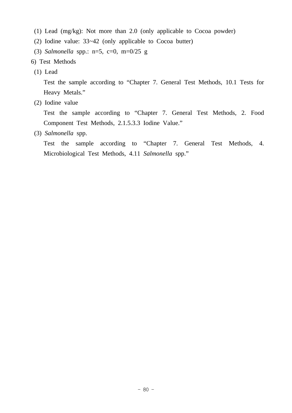- (1) Lead (mg/kg): Not more than 2.0 (only applicable to Cocoa powder)
- (2) Iodine value: 33~42 (only applicable to Cocoa butter)
- (3) *Salmonella* spp.: n=5, c=0, m=0/25 g
- 6) Test Methods
- (1) Lead

 Test the sample according to "Chapter 7. General Test Methods, 10.1 Tests for Heavy Metals."

(2) Iodine value

 Test the sample according to "Chapter 7. General Test Methods, 2. Food Component Test Methods, 2.1.5.3.3 Iodine Value."

(3) *Salmonella* spp.

 Test the sample according to "Chapter 7. General Test Methods, 4. Microbiological Test Methods, 4.11 *Salmonella* spp."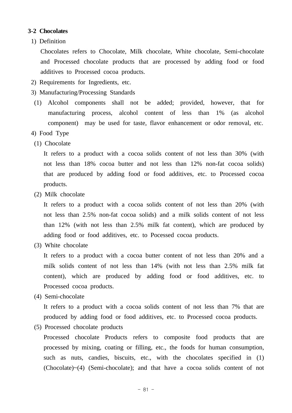## **3-2 Chocolates**

1) Definition

 Chocolates refers to Chocolate, Milk chocolate, White chocolate, Semi-chocolate and Processed chocolate products that are processed by adding food or food additives to Processed cocoa products.

- 2) Requirements for Ingredients, etc.
- 3) Manufacturing/Processing Standards
- (1) Alcohol components shall not be added; provided, however, that for manufacturing process, alcohol content of less than 1% (as alcohol component) may be used for taste, flavor enhancement or odor removal, etc.
- 4) Food Type
- (1) Chocolate

 It refers to a product with a cocoa solids content of not less than 30% (with not less than 18% cocoa butter and not less than 12% non-fat cocoa solids) that are produced by adding food or food additives, etc. to Processed cocoa products.

(2) Milk chocolate

 It refers to a product with a cocoa solids content of not less than 20% (with not less than 2.5% non-fat cocoa solids) and a milk solids content of not less than 12% (with not less than 2.5% milk fat content), which are produced by adding food or food additives, etc. to Pocessed cocoa products.

(3) White chocolate

 It refers to a product with a cocoa butter content of not less than 20% and a milk solids content of not less than 14% (with not less than 2.5% milk fat content), which are produced by adding food or food additives, etc. to Processed cocoa products.

(4) Semi-chocolate

 It refers to a product with a cocoa solids content of not less than 7% that are produced by adding food or food additives, etc. to Processed cocoa products.

(5) Processed chocolate products

 Processed chocolate Products refers to composite food products that are processed by mixing, coating or filling, etc., the foods for human consumption, such as nuts, candies, biscuits, etc., with the chocolates specified in (1) (Chocolate)~(4) (Semi-chocolate); and that have a cocoa solids content of not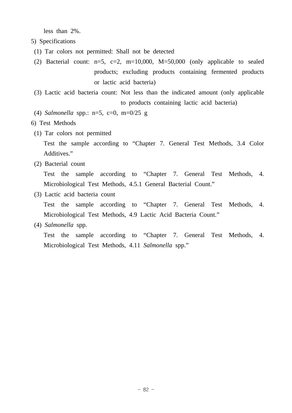less than 2%.

- 5) Specifications
- (1) Tar colors not permitted: Shall not be detected
- (2) Bacterial count:  $n=5$ ,  $c=2$ ,  $m=10,000$ ,  $M=50,000$  (only applicable to sealed products; excluding products containing fermented products or lactic acid bacteria)
- (3) Lactic acid bacteria count: Not less than the indicated amount (only applicable to products containing lactic acid bacteria)
- (4) *Salmonella* spp.: n=5, c=0, m=0/25 g
- 6) Test Methods
- (1) Tar colors not permitted

 Test the sample according to "Chapter 7. General Test Methods, 3.4 Color Additives."

(2) Bacterial count

 Test the sample according to "Chapter 7. General Test Methods, 4. Microbiological Test Methods, 4.5.1 General Bacterial Count."

(3) Lactic acid bacteria count

 Test the sample according to "Chapter 7. General Test Methods, 4. Microbiological Test Methods, 4.9 Lactic Acid Bacteria Count."

(4) *Salmonella* spp.

 Test the sample according to "Chapter 7. General Test Methods, 4. Microbiological Test Methods, 4.11 *Salmonella* spp."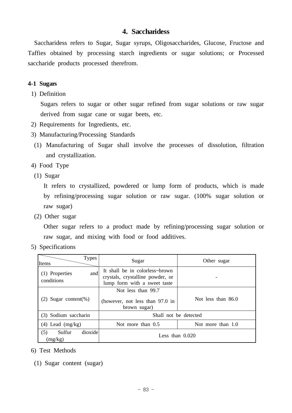## **4. Saccharidess**

 Saccharidess refers to Sugar, Sugar syrups, Oligosaccharides, Glucose, Fructose and Taffies obtained by processing starch ingredients or sugar solutions; or Processed saccharide products processed therefrom.

#### **4-1 Sugars**

1) Definition

 Sugars refers to sugar or other sugar refined from sugar solutions or raw sugar derived from sugar cane or sugar beets, etc.

- 2) Requirements for Ingredients, etc.
- 3) Manufacturing/Processing Standards
- (1) Manufacturing of Sugar shall involve the processes of dissolution, filtration and crystallization.

4) Food Type

(1) Sugar

 It refers to crystallized, powdered or lump form of products, which is made by refining/processing sugar solution or raw sugar. (100% sugar solution or raw sugar)

(2) Other sugar

 Other sugar refers to a product made by refining/processing sugar solution or raw sugar, and mixing with food or food additives.

5) Specifications

| <b>Types</b><br>Items               | Sugar                                                                                              | Other sugar        |  |
|-------------------------------------|----------------------------------------------------------------------------------------------------|--------------------|--|
| and<br>(1) Properties<br>conditions | It shall be in colorless~brown<br>crystals, crystalline powder, or<br>lump form with a sweet taste |                    |  |
| $(2)$ Sugar content(%)              | Not less than 99.7<br>(however, not less than 97.0 in<br>brown sugar)                              | Not less than 86.0 |  |
| (3) Sodium saccharin                | Shall not be detected                                                                              |                    |  |
| $(4)$ Lead $(mg/kg)$                | Not more than 1.0<br>Not more than 0.5                                                             |                    |  |
| dioxide<br>(5)<br>Sulfur<br>(mg/kg) | Less than $0.020$                                                                                  |                    |  |

- 6) Test Methods
	- (1) Sugar content (sugar)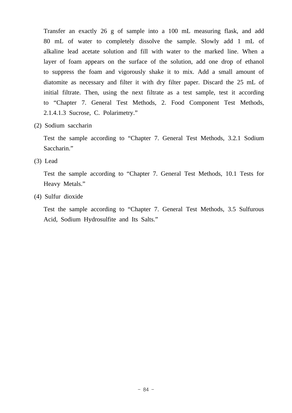Transfer an exactly 26 g of sample into a 100 mL measuring flask, and add 80 mL of water to completely dissolve the sample. Slowly add 1 mL of alkaline lead acetate solution and fill with water to the marked line. When a layer of foam appears on the surface of the solution, add one drop of ethanol to suppress the foam and vigorously shake it to mix. Add a small amount of diatomite as necessary and filter it with dry filter paper. Discard the 25 mL of initial filtrate. Then, using the next filtrate as a test sample, test it according to "Chapter 7. General Test Methods, 2. Food Component Test Methods, 2.1.4.1.3 Sucrose, C. Polarimetry."

(2) Sodium saccharin

 Test the sample according to "Chapter 7. General Test Methods, 3.2.1 Sodium Saccharin."

(3) Lead

 Test the sample according to "Chapter 7. General Test Methods, 10.1 Tests for Heavy Metals."

(4) Sulfur dioxide

 Test the sample according to "Chapter 7. General Test Methods, 3.5 Sulfurous Acid, Sodium Hydrosulfite and Its Salts."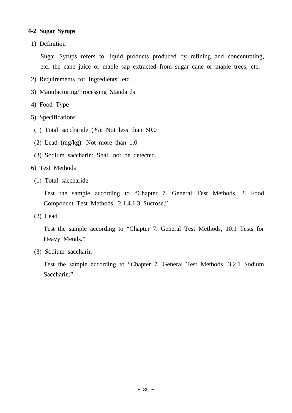## **4-2 Sugar Syrups**

1) Definition

 Sugar Syrups refers to liquid products produced by refining and concentrating, etc. the cane juice or maple sap extracted from sugar cane or maple trees, etc.

- 2) Requirements for Ingredients, etc.
- 3) Manufacturing/Processing Standards
- 4) Food Type
- 5) Specifications
- (1) Total saccharide (%): Not less than 60.0
- (2) Lead (mg/kg): Not more than 1.0
- (3) Sodium saccharin: Shall not be detected.
- 6) Test Methods
- (1) Total saccharide

 Test the sample according to "Chapter 7. General Test Methods, 2. Food Component Test Methods, 2.1.4.1.3 Sucrose."

(2) Lead

 Test the sample according to "Chapter 7. General Test Methods, 10.1 Tests for Heavy Metals."

(3) Sodium saccharin

 Test the sample according to "Chapter 7. General Test Methods, 3.2.1 Sodium Saccharin."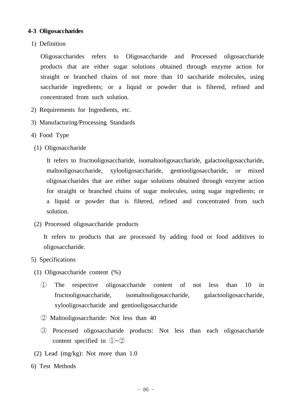## **4-3 Oligosaccharides**

1) Definition

 Oligosaccharides refers to Oligosaccharide and Processed oligosaccharide products that are either sugar solutions obtained through enzyme action for straight or branched chains of not more than 10 saccharide molecules, using saccharide ingredients; or a liquid or powder that is filtered, refined and concentrated from such solution.

- 2) Requirements for Ingredients, etc.
- 3) Manufacturing/Processing Standards
- 4) Food Type
- (1) Oligosaccharide

 It refers to fructooligosaccharide, isomaltooligosaccharide, galactooligosaccharide, maltooligosaccharide, xylooligosaccharide, gentiooligosaccharide, or mixed oligosaccharides that are either sugar solutions obtained through enzyme action for straight or branched chains of sugar molecules, using sugar ingredients; or a liquid or powder that is filtered, refined and concentrated from such solution.

(2) Processed oligosaccharide products

 It refers to products that are processed by adding food or food additives to oligosaccharide.

- 5) Specifications
- (1) Oligosaccharide content (%)
	- ① The respective oligosaccharide content of not less than 10 in fructooligosaccharide, isomaltooligosaccharide, galactooligosaccharide, xylooligosaccharide and gentiooligosaccharide
	- ② Maltooligosaccharide: Not less than 40
	- ③ Processed oligosaccharide products: Not less than each oligosaccharide content specified in  $(1) \sim (2)$
- (2) Lead (mg/kg): Not more than 1.0
- 6) Test Methods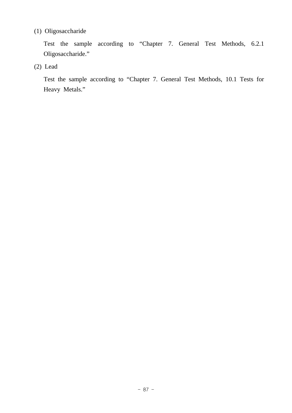# (1) Oligosaccharide

 Test the sample according to "Chapter 7. General Test Methods, 6.2.1 Oligosaccharide."

(2) Lead

 Test the sample according to "Chapter 7. General Test Methods, 10.1 Tests for Heavy Metals."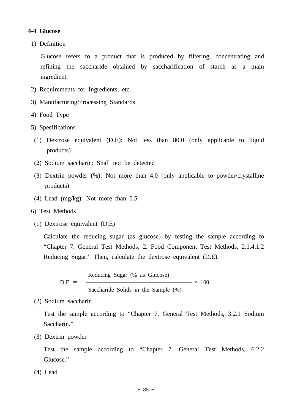#### **4-4 Glucose**

1) Definition

 Glucose refers to a product that is produced by filtering, concentrating and refining the saccharide obtained by saccharification of starch as a main ingredient.

- 2) Requirements for Ingredients, etc.
- 3) Manufacturing/Processing Standards
- 4) Food Type
- 5) Specifications
	- (1) Dextrose equivalent (D.E): Not less than 80.0 (only applicable to liquid products)
	- (2) Sodium saccharin: Shall not be detected
	- (3) Dextrin powder (%): Not more than 4.0 (only applicable to powder/crystalline products)
	- (4) Lead (mg/kg): Not more than 0.5
- 6) Test Methods
- (1) Dextrose equivalent (D.E)

 Calculate the reducing sugar (as glucose) by testing the sample according to "Chapter 7. General Test Methods, 2. Food Component Test Methods, 2.1.4.1.2 Reducing Sugar." Then, calculate the dextrose equivalent (D.E).

D.E = Reducing Sugar (%) as Glucose) 
$$
\times
$$
 100  
\nSaccharide Solids in the Sample (%)

(2) Sodium saccharin

 Test the sample according to "Chapter 7. General Test Methods, 3.2.1 Sodium Saccharin."

(3) Dextrin powder

 Test the sample according to "Chapter 7. General Test Methods, 6.2.2 Glucose."

(4) Lead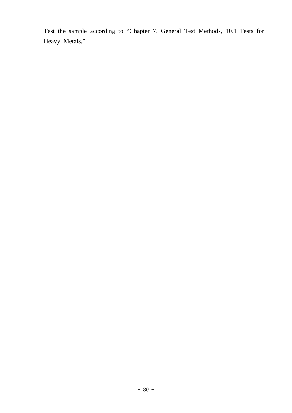Test the sample according to "Chapter 7. General Test Methods, 10.1 Tests for Heavy Metals."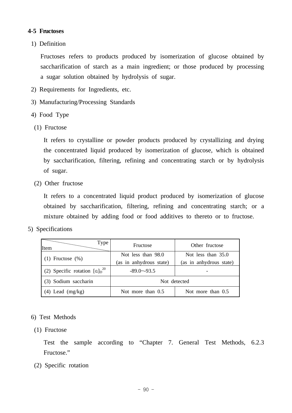## **4-5 Fructoses**

1) Definition

 Fructoses refers to products produced by isomerization of glucose obtained by saccharification of starch as a main ingredient; or those produced by processing a sugar solution obtained by hydrolysis of sugar.

- 2) Requirements for Ingredients, etc.
- 3) Manufacturing/Processing Standards
- 4) Food Type
- (1) Fructose

 It refers to crystalline or powder products produced by crystallizing and drying the concentrated liquid produced by isomerization of glucose, which is obtained by saccharification, filtering, refining and concentrating starch or by hydrolysis of sugar.

(2) Other fructose

 It refers to a concentrated liquid product produced by isomerization of glucose obtained by saccharification, filtering, refining and concentrating starch; or a mixture obtained by adding food or food additives to thereto or to fructose.

5) Specifications

| Type<br>Item                       | Fructose                | Other fructose          |  |
|------------------------------------|-------------------------|-------------------------|--|
|                                    | Not less than 98.0      | Not less than $35.0$    |  |
| $(1)$ Fructose $(\%)$              | (as in anhydrous state) | (as in anhydrous state) |  |
| (2) Specific rotation $[a]_D^{20}$ | $-89.0 - -93.5$         |                         |  |
| (3) Sodium saccharin               | Not detected            |                         |  |
| $(4)$ Lead $(mg/kg)$               | Not more than 0.5       | Not more than 0.5       |  |

## 6) Test Methods

(1) Fructose

 Test the sample according to "Chapter 7. General Test Methods, 6.2.3 Fructose."

(2) Specific rotation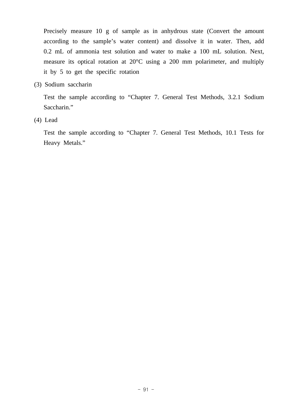Precisely measure 10 g of sample as in anhydrous state (Convert the amount according to the sample's water content) and dissolve it in water. Then, add 0.2 mL of ammonia test solution and water to make a 100 mL solution. Next, measure its optical rotation at 20°C using a 200 mm polarimeter, and multiply it by 5 to get the specific rotation

(3) Sodium saccharin

 Test the sample according to "Chapter 7. General Test Methods, 3.2.1 Sodium Saccharin."

(4) Lead

 Test the sample according to "Chapter 7. General Test Methods, 10.1 Tests for Heavy Metals."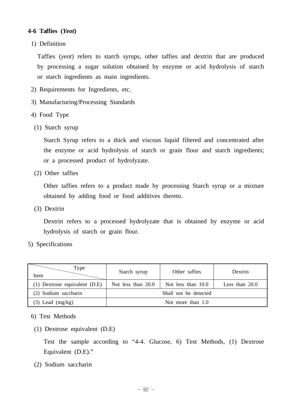## **4-6 Taffies (***Yeot***)**

1) Definition

 Taffies (*yeot*) refers to starch syrups, other taffies and dextrin that are produced by processing a sugar solution obtained by enzyme or acid hydrolysis of starch or starch ingredients as main ingredients.

- 2) Requirements for Ingredients, etc.
- 3) Manufacturing/Processing Standards
- 4) Food Type
- (1) Starch syrup

 Starch Syrup refers to a thick and viscous liquid filtered and concentrated after the enzyme or acid hydrolysis of starch or grain flour and starch ingredients; or a processed product of hydrolyzate.

(2) Other taffies

 Other taffies refers to a product made by processing Starch syrup or a mixture obtained by adding food or food additives thereto.

(3) Dextrin

 Dextrin refers to a processed hydrolyzate that is obtained by enzyme or acid hydrolysis of starch or grain flour.

5) Specifications

| Type<br>Item                  | Starch syrup          | Other taffies      | Dextrin          |
|-------------------------------|-----------------------|--------------------|------------------|
| (1) Dextrose equivalent (D.E) | Not less than 20.0    | Not less than 10.0 | Less than $20.0$ |
| (2) Sodium saccharin          | Shall not be detected |                    |                  |
| $(3)$ Lead $(mg/kg)$          | Not more than $1.0$   |                    |                  |

6) Test Methods

(1) Dextrose equivalent (D.E)

 Test the sample according to "4-4. Glucose, 6) Test Methods, (1) Dextrose Equivalent (D.E)."

(2) Sodium saccharin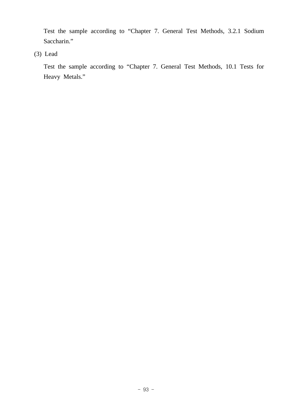Test the sample according to "Chapter 7. General Test Methods, 3.2.1 Sodium Saccharin."

(3) Lead

 Test the sample according to "Chapter 7. General Test Methods, 10.1 Tests for Heavy Metals."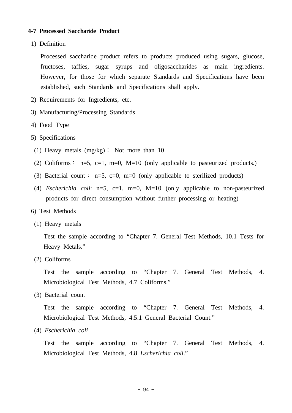#### **4-7 Processed Saccharide Product**

1) Definition

 Processed saccharide product refers to products produced using sugars, glucose, fructoses, taffies, sugar syrups and oligosaccharides as main ingredients. However, for those for which separate Standards and Specifications have been established, such Standards and Specifications shall apply.

- 2) Requirements for Ingredients, etc.
- 3) Manufacturing/Processing Standards
- 4) Food Type
- 5) Specifications
	- (1) Heavy metals (mg/kg)∶ Not more than 10
- (2) Coliforms : n=5, c=1, m=0, M=10 (only applicable to pasteurized products.)
- (3) Bacterial count: n=5, c=0, m=0 (only applicable to sterilized products)
- (4) *Escherichia coli*: n=5, c=1, m=0, M=10 (only applicable to non-pasteurized products for direct consumption without further processing or heating)
- 6) Test Methods
- (1) Heavy metals

 Test the sample according to "Chapter 7. General Test Methods, 10.1 Tests for Heavy Metals."

(2) Coliforms

 Test the sample according to "Chapter 7. General Test Methods, 4. Microbiological Test Methods, 4.7 Coliforms."

(3) Bacterial count

 Test the sample according to "Chapter 7. General Test Methods, 4. Microbiological Test Methods, 4.5.1 General Bacterial Count."

(4) *Escherichia coli*

 Test the sample according to "Chapter 7. General Test Methods, 4. Microbiological Test Methods, 4.8 *Escherichia coli*."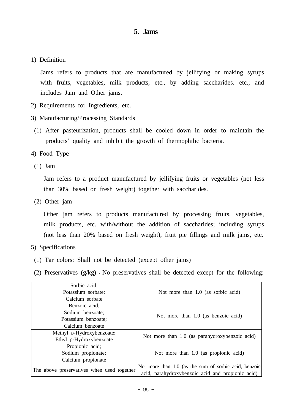## **5. Jams**

1) Definition

 Jams refers to products that are manufactured by jellifying or making syrups with fruits, vegetables, milk products, etc., by adding saccharides, etc.; and includes Jam and Other jams.

- 2) Requirements for Ingredients, etc.
- 3) Manufacturing/Processing Standards
- (1) After pasteurization, products shall be cooled down in order to maintain the products' quality and inhibit the growth of thermophilic bacteria.
- 4) Food Type
- (1) Jam

 Jam refers to a product manufactured by jellifying fruits or vegetables (not less than 30% based on fresh weight) together with saccharides.

(2) Other jam

 Other jam refers to products manufactured by processing fruits, vegetables, milk products, etc. with/without the addition of saccharides; including syrups (not less than 20% based on fresh weight), fruit pie fillings and milk jams, etc.

- 5) Specifications
	- (1) Tar colors: Shall not be detected (except other jams)
- (2) Preservatives  $(g/kg)$ : No preservatives shall be detected except for the following:

| Sorbic acid;                               |                                                       |  |  |
|--------------------------------------------|-------------------------------------------------------|--|--|
| Potassium sorbate;                         | Not more than 1.0 (as sorbic acid)                    |  |  |
| Calcium sorbate                            |                                                       |  |  |
| Benzoic acid;                              |                                                       |  |  |
| Sodium benzoate:                           |                                                       |  |  |
| Potassium benzoate;                        | Not more than 1.0 (as benzoic acid)                   |  |  |
| Calcium benzoate                           |                                                       |  |  |
| Methyl p-Hydroxybenzoate;                  | Not more than 1.0 (as parahydroxybenzoic acid)        |  |  |
| Ethyl p-Hydroxybenzoate                    |                                                       |  |  |
| Propionic acid;                            |                                                       |  |  |
| Sodium propionate;                         | Not more than 1.0 (as propionic acid)                 |  |  |
| Calcium propionate                         |                                                       |  |  |
| The above preservatives when used together | Not more than 1.0 (as the sum of sorbic acid, benzoic |  |  |
|                                            | acid, parahydroxybenzoic acid and propionic acid)     |  |  |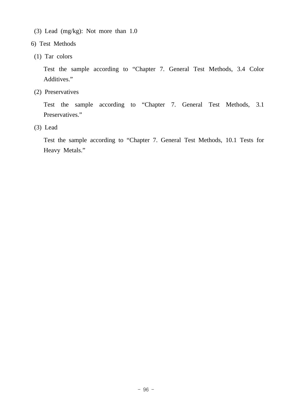- (3) Lead (mg/kg): Not more than 1.0
- 6) Test Methods
- (1) Tar colors

 Test the sample according to "Chapter 7. General Test Methods, 3.4 Color Additives."

(2) Preservatives

 Test the sample according to "Chapter 7. General Test Methods, 3.1 Preservatives."

(3) Lead

 Test the sample according to "Chapter 7. General Test Methods, 10.1 Tests for Heavy Metals."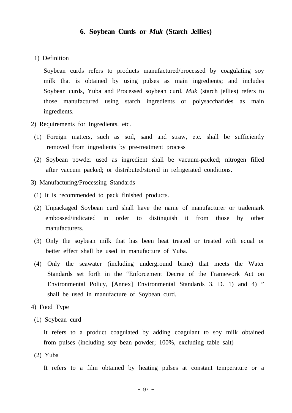#### **6. Soybean Curds or** *Muk* **(Starch Jellies)**

1) Definition

 Soybean curds refers to products manufactured/processed by coagulating soy milk that is obtained by using pulses as main ingredients; and includes Soybean curds, Yuba and Processed soybean curd. *Muk* (starch jellies) refers to those manufactured using starch ingredients or polysaccharides as main ingredients.

- 2) Requirements for Ingredients, etc.
- (1) Foreign matters, such as soil, sand and straw, etc. shall be sufficiently removed from ingredients by pre-treatment process
- (2) Soybean powder used as ingredient shall be vacuum-packed; nitrogen filled after vaccum packed; or distributed/stored in refrigerated conditions.
- 3) Manufacturing/Processing Standards
- (1) It is recommended to pack finished products.
- (2) Unpackaged Soybean curd shall have the name of manufacturer or trademark embossed/indicated in order to distinguish it from those by other manufacturers.
- (3) Only the soybean milk that has been heat treated or treated with equal or better effect shall be used in manufacture of Yuba.
- (4) Only the seawater (including underground brine) that meets the Water Standards set forth in the "Enforcement Decree of the Framework Act on Environmental Policy, [Annex] Environmental Standards 3. D. 1) and 4) " shall be used in manufacture of Soybean curd.
- 4) Food Type
- (1) Soybean curd

 It refers to a product coagulated by adding coagulant to soy milk obtained from pulses (including soy bean powder; 100%, excluding table salt)

(2) Yuba

It refers to a film obtained by heating pulses at constant temperature or a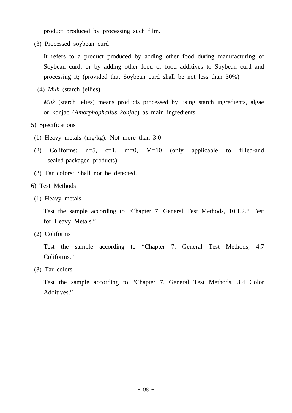product produced by processing such film.

(3) Processed soybean curd

 It refers to a product produced by adding other food during manufacturing of Soybean curd; or by adding other food or food additives to Soybean curd and processing it; (provided that Soybean curd shall be not less than 30%)

(4) *Muk* (starch jellies)

 *Muk* (starch jelies) means products processed by using starch ingredients, algae or konjac (*Amorphophallus konjac*) as main ingredients.

- 5) Specifications
- (1) Heavy metals (mg/kg): Not more than 3.0
- (2) Coliforms:  $n=5$ ,  $c=1$ ,  $m=0$ ,  $M=10$  (only applicable to filled-and sealed-packaged products)
- (3) Tar colors: Shall not be detected.
- 6) Test Methods
- (1) Heavy metals

 Test the sample according to "Chapter 7. General Test Methods, 10.1.2.8 Test for Heavy Metals."

(2) Coliforms

 Test the sample according to "Chapter 7. General Test Methods, 4.7 Coliforms."

(3) Tar colors

 Test the sample according to "Chapter 7. General Test Methods, 3.4 Color Additives."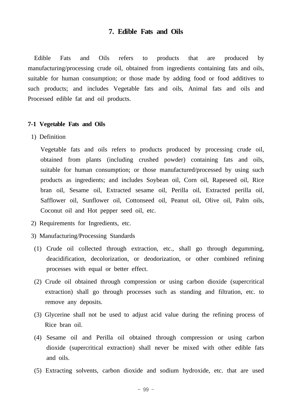## **7. Edible Fats and Oils**

Edible Fats and Oils refers to products that are produced by manufacturing/processing crude oil, obtained from ingredients containing fats and oils, suitable for human consumption; or those made by adding food or food additives to such products; and includes Vegetable fats and oils, Animal fats and oils and Processed edible fat and oil products.

#### **7-1 Vegetable Fats and Oils**

1) Definition

 Vegetable fats and oils refers to products produced by processing crude oil, obtained from plants (including crushed powder) containing fats and oils, suitable for human consumption; or those manufactured/processed by using such products as ingredients; and includes Soybean oil, Corn oil, Rapeseed oil, Rice bran oil, Sesame oil, Extracted sesame oil, Perilla oil, Extracted perilla oil, Safflower oil, Sunflower oil, Cottonseed oil, Peanut oil, Olive oil, Palm oils, Coconut oil and Hot pepper seed oil, etc.

- 2) Requirements for Ingredients, etc.
- 3) Manufacturing/Processing Standards
- (1) Crude oil collected through extraction, etc., shall go through degumming, deacidification, decolorization, or deodorization, or other combined refining processes with equal or better effect.
- (2) Crude oil obtained through compression or using carbon dioxide (supercritical extraction) shall go through processes such as standing and filtration, etc. to remove any deposits.
- (3) Glycerine shall not be used to adjust acid value during the refining process of Rice bran oil.
- (4) Sesame oil and Perilla oil obtained through compression or using carbon dioxide (supercritical extraction) shall never be mixed with other edible fats and oils.
- (5) Extracting solvents, carbon dioxide and sodium hydroxide, etc. that are used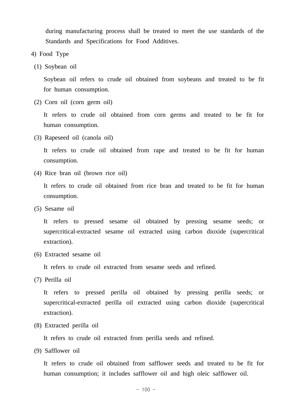during manufacturing process shall be treated to meet the use standards of the Standards and Specifications for Food Additives.

- 4) Food Type
- (1) Soybean oil

 Soybean oil refers to crude oil obtained from soybeans and treated to be fit for human consumption.

(2) Corn oil (corn germ oil)

 It refers to crude oil obtained from corn germs and treated to be fit for human consumption.

(3) Rapeseed oil (canola oil)

 It refers to crude oil obtained from rape and treated to be fit for human consumption.

(4) Rice bran oil (brown rice oil)

 It refers to crude oil obtained from rice bran and treated to be fit for human consumption.

(5) Sesame oil

 It refers to pressed sesame oil obtained by pressing sesame seeds; or supercritical-extracted sesame oil extracted using carbon dioxide (supercritical extraction).

(6) Extracted sesame oil

It refers to crude oil extracted from sesame seeds and refined.

(7) Perilla oil

 It refers to pressed perilla oil obtained by pressing perilla seeds; or supercritical-extracted perilla oil extracted using carbon dioxide (supercritical extraction).

(8) Extracted perilla oil

It refers to crude oil extracted from perilla seeds and refined.

(9) Safflower oil

 It refers to crude oil obtained from safflower seeds and treated to be fit for human consumption; it includes safflower oil and high oleic safflower oil.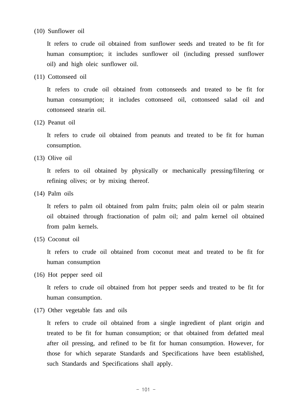#### (10) Sunflower oil

 It refers to crude oil obtained from sunflower seeds and treated to be fit for human consumption; it includes sunflower oil (including pressed sunflower oil) and high oleic sunflower oil.

(11) Cottonseed oil

 It refers to crude oil obtained from cottonseeds and treated to be fit for human consumption; it includes cottonseed oil, cottonseed salad oil and cottonseed stearin oil.

(12) Peanut oil

 It refers to crude oil obtained from peanuts and treated to be fit for human consumption.

(13) Olive oil

 It refers to oil obtained by physically or mechanically pressing/filtering or refining olives; or by mixing thereof.

(14) Palm oils

 It refers to palm oil obtained from palm fruits; palm olein oil or palm stearin oil obtained through fractionation of palm oil; and palm kernel oil obtained from palm kernels.

(15) Coconut oil

 It refers to crude oil obtained from coconut meat and treated to be fit for human consumption

(16) Hot pepper seed oil

 It refers to crude oil obtained from hot pepper seeds and treated to be fit for human consumption.

(17) Other vegetable fats and oils

 It refers to crude oil obtained from a single ingredient of plant origin and treated to be fit for human consumption; or that obtained from defatted meal after oil pressing, and refined to be fit for human consumption. However, for those for which separate Standards and Specifications have been established, such Standards and Specifications shall apply.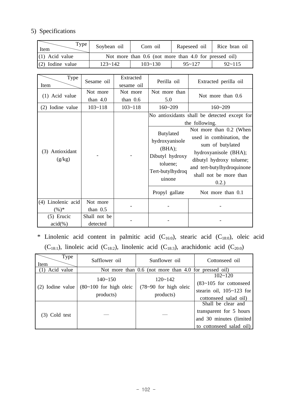# 5) Specifications

| Type<br>Item       | Soybean oil                                           | Corn oil    | Rapeseed oil   Rice bran oil |            |  |
|--------------------|-------------------------------------------------------|-------------|------------------------------|------------|--|
| $(1)$ Acid value   | Not more than 0.6 (not more than 4.0 for pressed oil) |             |                              |            |  |
| $(2)$ Iodine value | $123 - 142$                                           | $103 - 130$ | $95 - 127$                   | $92 - 115$ |  |

| Type               | Sesame oil   | Extracted   | Perilla oil                |                                              |
|--------------------|--------------|-------------|----------------------------|----------------------------------------------|
| Item               |              | sesame oil  |                            | Extracted perilla oil                        |
| (1) Acid value     | Not more     | Not more    | Not more than              | Not more than 0.6                            |
|                    | than $4.0$   | than $0.6$  | 5.0                        |                                              |
| (2) Iodine value   | $103 - 118$  | $103 - 118$ | $160 - 209$                | $160 - 209$                                  |
|                    |              |             |                            | No antioxidants shall be detected except for |
|                    |              |             |                            | the following.                               |
|                    |              |             | Butylated                  | Not more than 0.2 (When                      |
|                    |              |             | hydroxyanisole             | used in combination, the                     |
|                    |              |             | (BHA);                     | sum of butylated                             |
| Antioxidant<br>(3) |              |             | Dibutyl hydroxy            | hydroxyanisole (BHA);                        |
| (g/kg)             |              |             | toluene;                   | dibutyl hydroxy toluene;                     |
|                    |              |             | Tert-butylhydroq<br>uinone | and tert-butylhydroquinone                   |
|                    |              |             |                            | shall not be more than                       |
|                    |              |             |                            | 0.2.)                                        |
|                    |              |             | Propyl gallate             | Not more than 0.1                            |
| (4) Linolenic acid | Not more     |             |                            |                                              |
| $(\%)^*$           | than $0.5$   |             |                            |                                              |
| $(5)$ Erucic       | Shall not be |             |                            |                                              |
| $acid(\%)$         | detected     |             |                            |                                              |

 \* Linolenic acid content in palmitic acid (C16:0), stearic acid (C18:0), oleic acid (C<sub>18:1</sub>), linoleic acid (C<sub>18:2</sub>), linolenic acid (C<sub>18:3</sub>), arachidonic acid (C<sub>20:0</sub>)

| Type<br>Item     | Safflower oil                                         | Sunflower oil                                         | Cottonseed oil                                                                                        |  |  |
|------------------|-------------------------------------------------------|-------------------------------------------------------|-------------------------------------------------------------------------------------------------------|--|--|
| Acid value       |                                                       | Not more than 0.6 (not more than 4.0 for pressed oil) |                                                                                                       |  |  |
| (2) Iodine value | $140 - 150$<br>$(80-100)$ for high oleic<br>products) | $120 - 142$<br>$(78-90)$ for high oleic<br>products)  | $102 - 120$<br>$(83-105)$ for cottonseed<br>stearin oil, $105 \sim 123$ for<br>cottonseed salad oil)  |  |  |
| (3) Cold test    |                                                       |                                                       | Shall be clear and<br>transparent for 5 hours<br>and 30 minutes (limited)<br>to cottonseed salad oil) |  |  |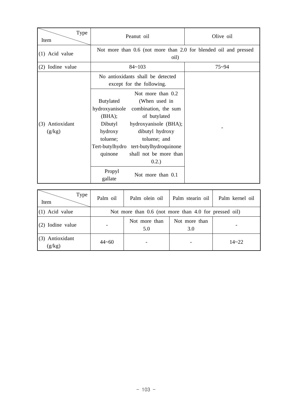| Type<br>Item       | Peanut oil                                                                                                                                              | Olive oil |  |  |  |
|--------------------|---------------------------------------------------------------------------------------------------------------------------------------------------------|-----------|--|--|--|
| (1) Acid value     | Not more than 0.6 (not more than 2.0 for blended oil and pressed<br>oil)                                                                                |           |  |  |  |
| (2) Iodine value   | $84 - 103$                                                                                                                                              | $75 - 94$ |  |  |  |
|                    | No antioxidants shall be detected<br>except for the following.                                                                                          |           |  |  |  |
| Antioxidant<br>(3) | Not more than 0.2<br>Butylated<br>(When used in<br>hydroxyanisole<br>combination, the sum<br>(BHA);<br>of butylated<br>hydroxyanisole (BHA);<br>Dibutyl |           |  |  |  |
| (g/kg)             | hydroxy<br>dibutyl hydroxy<br>toluene;<br>toluene; and<br>Tert-butylhydro<br>tert-butylhydroquinone<br>shall not be more than<br>quinone<br>0.2.)       |           |  |  |  |
|                    | Propyl<br>Not more than 0.1<br>gallate                                                                                                                  |           |  |  |  |

| <b>Type</b><br>Item       | Palm oil                                              | Palm olein oil       | Palm stearin oil     | Palm kernel oil |  |
|---------------------------|-------------------------------------------------------|----------------------|----------------------|-----------------|--|
| $(1)$ Acid value          | Not more than 0.6 (not more than 4.0 for pressed oil) |                      |                      |                 |  |
| $(2)$ Iodine value        |                                                       | Not more than<br>5.0 | Not more than<br>3.0 |                 |  |
| (3) Antioxidant<br>(g/kg) | $44 - 60$                                             |                      |                      | $14 - 22$       |  |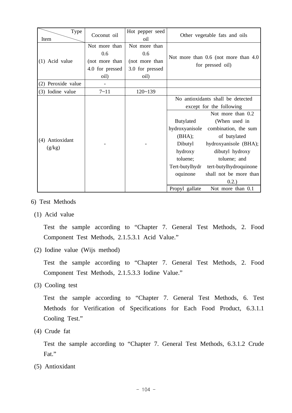| Type               | Coconut oil     | Hot pepper seed |                                       | Other vegetable fats and oils     |
|--------------------|-----------------|-----------------|---------------------------------------|-----------------------------------|
| Item               |                 | oil             |                                       |                                   |
|                    | Not more than   | Not more than   |                                       |                                   |
|                    | 0.6             | 0.6             |                                       |                                   |
| (1) Acid value     | (not more than  | (not more than  | Not more than 0.6 (not more than 4.0) |                                   |
|                    | 4.0 for pressed | 3.0 for pressed |                                       | for pressed oil)                  |
|                    | oil)            | oil)            |                                       |                                   |
| (2) Peroxide value |                 |                 |                                       |                                   |
| (3) Iodine value   | $7 - 11$        | $120 - 139$     |                                       |                                   |
|                    |                 |                 |                                       | No antioxidants shall be detected |
|                    |                 |                 |                                       | except for the following          |
|                    |                 |                 |                                       | Not more than 0.2                 |
|                    |                 |                 | <b>Butylated</b>                      | (When used in                     |
|                    |                 |                 | hydroxyanisole                        | combination, the sum              |
|                    |                 |                 | (BHA);                                | of butylated                      |
| Antioxidant<br>(4) |                 |                 | Dibutyl                               | hydroxyanisole (BHA);             |
| (g/kg)             |                 |                 | hydroxy                               | dibutyl hydroxy                   |
|                    |                 |                 | toluene;                              | toluene; and                      |
|                    |                 |                 | Tert-butylhydr                        | tert-butylhydroquinone            |
|                    |                 |                 | oquinone                              | shall not be more than            |
|                    |                 |                 |                                       | 0.2.)                             |
|                    |                 |                 | Propyl gallate                        | Not more than 0.1                 |

- 6) Test Methods
	- (1) Acid value

 Test the sample according to "Chapter 7. General Test Methods, 2. Food Component Test Methods, 2.1.5.3.1 Acid Value."

(2) Iodine value (Wijs method)

 Test the sample according to "Chapter 7. General Test Methods, 2. Food Component Test Methods, 2.1.5.3.3 Iodine Value."

(3) Cooling test

 Test the sample according to "Chapter 7. General Test Methods, 6. Test Methods for Verification of Specifications for Each Food Product, 6.3.1.1 Cooling Test."

(4) Crude fat

 Test the sample according to "Chapter 7. General Test Methods, 6.3.1.2 Crude Fat."

(5) Antioxidant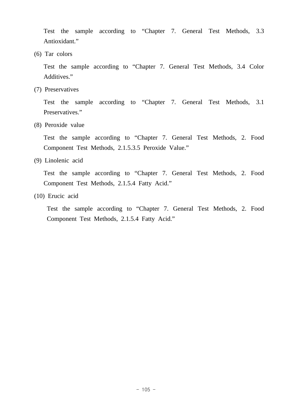Test the sample according to "Chapter 7. General Test Methods, 3.3 Antioxidant."

(6) Tar colors

 Test the sample according to "Chapter 7. General Test Methods, 3.4 Color Additives."

(7) Preservatives

 Test the sample according to "Chapter 7. General Test Methods, 3.1 Preservatives."

(8) Peroxide value

 Test the sample according to "Chapter 7. General Test Methods, 2. Food Component Test Methods, 2.1.5.3.5 Peroxide Value."

(9) Linolenic acid

 Test the sample according to "Chapter 7. General Test Methods, 2. Food Component Test Methods, 2.1.5.4 Fatty Acid."

(10) Erucic acid

 Test the sample according to "Chapter 7. General Test Methods, 2. Food Component Test Methods, 2.1.5.4 Fatty Acid."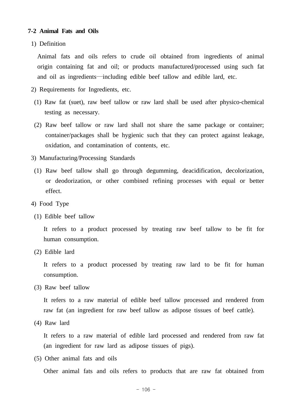#### **7-2 Animal Fats and Oils**

1) Definition

 Animal fats and oils refers to crude oil obtained from ingredients of animal origin containing fat and oil; or products manufactured/processed using such fat and oil as ingredients—including edible beef tallow and edible lard, etc.

- 2) Requirements for Ingredients, etc.
- (1) Raw fat (suet), raw beef tallow or raw lard shall be used after physico-chemical testing as necessary.
- (2) Raw beef tallow or raw lard shall not share the same package or container; container/packages shall be hygienic such that they can protect against leakage, oxidation, and contamination of contents, etc.
- 3) Manufacturing/Processing Standards
- (1) Raw beef tallow shall go through degumming, deacidification, decolorization, or deodorization, or other combined refining processes with equal or better effect.
- 4) Food Type
	- (1) Edible beef tallow

 It refers to a product processed by treating raw beef tallow to be fit for human consumption.

(2) Edible lard

 It refers to a product processed by treating raw lard to be fit for human consumption.

(3) Raw beef tallow

 It refers to a raw material of edible beef tallow processed and rendered from raw fat (an ingredient for raw beef tallow as adipose tissues of beef cattle).

(4) Raw lard

 It refers to a raw material of edible lard processed and rendered from raw fat (an ingredient for raw lard as adipose tissues of pigs).

(5) Other animal fats and oils

Other animal fats and oils refers to products that are raw fat obtained from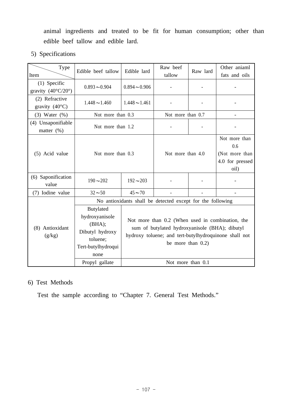animal ingredients and treated to be fit for human consumption; other than edible beef tallow and edible lard.

5) Specifications

| Edible beef tallow                                                                                                          | Edible lard                                                                                                                                                                         | Raw beef<br>tallow                     | Raw lard | Other aniaml<br>fats and oils                                                                        |
|-----------------------------------------------------------------------------------------------------------------------------|-------------------------------------------------------------------------------------------------------------------------------------------------------------------------------------|----------------------------------------|----------|------------------------------------------------------------------------------------------------------|
| $0.893 - 0.904$                                                                                                             | $0.894 - 0.906$                                                                                                                                                                     |                                        |          |                                                                                                      |
| $1.448 - 1.460$                                                                                                             | $1.448 - 1.461$                                                                                                                                                                     |                                        |          |                                                                                                      |
|                                                                                                                             |                                                                                                                                                                                     |                                        |          |                                                                                                      |
|                                                                                                                             |                                                                                                                                                                                     |                                        |          |                                                                                                      |
| Not more than 0.3                                                                                                           |                                                                                                                                                                                     | Not more than 4.0                      |          | Not more than<br>0.6<br>(Not more than<br>4.0 for pressed<br>oil)                                    |
| $190 - 202$                                                                                                                 | $192 - 203$                                                                                                                                                                         |                                        |          |                                                                                                      |
| $32 - 50$                                                                                                                   | $45 - 70$                                                                                                                                                                           |                                        |          |                                                                                                      |
|                                                                                                                             |                                                                                                                                                                                     |                                        |          |                                                                                                      |
| <b>Butylated</b><br>hydroxyanisole<br>(BHA);<br>Dibutyl hydroxy<br>toluene;<br>Tert-butylhydroqui<br>none<br>Propyl gallate | Not more than 0.2 (When used in combination, the<br>sum of butylated hydroxyanisole (BHA); dibutyl<br>hydroxy toluene; and tert-butylhydroquinone shall not<br>be more than $0.2$ ) |                                        |          |                                                                                                      |
|                                                                                                                             |                                                                                                                                                                                     | Not more than 0.3<br>Not more than 1.2 |          | Not more than 0.7<br>No antioxidants shall be detected except for the following<br>Not more than 0.1 |

# 6) Test Methods

Test the sample according to "Chapter 7. General Test Methods."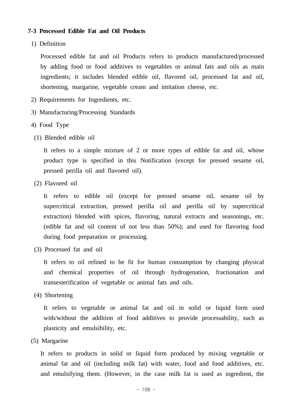#### **7-3 Processed Edible Fat and Oil Products**

1) Definition

 Processed edible fat and oil Products refers to products manufactured/processed by adding food or food additives to vegetables or animal fats and oils as main ingredients; it includes blended edible oil, flavored oil, processed fat and oil, shortening, margarine, vegetable cream and imitation cheese, etc.

- 2) Requirements for Ingredients, etc.
- 3) Manufacturing/Processing Standards
- 4) Food Type
	- (1) Blended edible oil

 It refers to a simple mixture of 2 or more types of edible fat and oil, whose product type is specified in this Notification (except for pressed sesame oil, pressed perilla oil and flavored oil).

(2) Flavored oil

 It refers to edible oil (except for pressed sesame oil, sesame oil by supercritical extraction, pressed perilla oil and perilla oil by supercritical extraction) blended with spices, flavoring, natural extracts and seasonings, etc. (edible fat and oil content of not less than 50%); and used for flavoring food during food preparation or processing.

(3) Processed fat and oil

 It refers to oil refined to be fit for human consumption by changing physical and chemical properties of oil through hydrogenation, fractionation and transesterification of vegetable or animal fats and oils.

(4) Shortening

 It refers to vegetable or animal fat and oil in solid or liquid form used with/without the addition of food additives to provide processability, such as plasticity and emulsibility, etc.

(5) Margarine

 It refers to products in solid or liquid form produced by mixing vegetable or animal fat and oil (including milk fat) with water, food and food additives, etc. and emulsifying them. (However, in the case milk fat is used as ingredient, the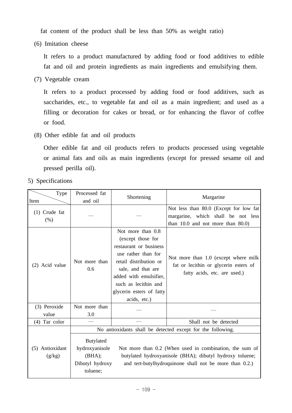fat content of the product shall be less than 50% as weight ratio)

(6) Imitation cheese

 It refers to a product manufactured by adding food or food additives to edible fat and oil and protein ingredients as main ingredients and emulsifying them.

(7) Vegetable cream

 It refers to a product processed by adding food or food additives, such as saccharides, etc., to vegetable fat and oil as a main ingredient; and used as a filling or decoration for cakes or bread, or for enhancing the flavor of coffee or food.

(8) Other edible fat and oil products

 Other edible fat and oil products refers to products processed using vegetable or animal fats and oils as main ingredients (except for pressed sesame oil and pressed perilla oil).

5) Specifications

| Type                      | Processed fat                                                                                                                                                                                                                                                                                                                |                                                                                                                                                                                                                                       | Margarine                                                                                                               |  |
|---------------------------|------------------------------------------------------------------------------------------------------------------------------------------------------------------------------------------------------------------------------------------------------------------------------------------------------------------------------|---------------------------------------------------------------------------------------------------------------------------------------------------------------------------------------------------------------------------------------|-------------------------------------------------------------------------------------------------------------------------|--|
| Item                      | and oil                                                                                                                                                                                                                                                                                                                      | Shortening                                                                                                                                                                                                                            |                                                                                                                         |  |
| $(1)$ Crude fat<br>(% )   |                                                                                                                                                                                                                                                                                                                              |                                                                                                                                                                                                                                       | Not less than 80.0 (Except for low fat)<br>margarine, which shall be not less<br>than $10.0$ and not more than $80.0$ ) |  |
| (2) Acid value            | Not more than<br>0.6                                                                                                                                                                                                                                                                                                         | Not more than 0.8<br>(except those for<br>restaurant or business<br>use rather than for<br>retail distribution or<br>sale, and that are<br>added with emulsifier,<br>such as lecithin and<br>glycerin esters of fatty<br>acids, etc.) | Not more than 1.0 (except where milk<br>fat or lecithin or glycerin esters of<br>fatty acids, etc. are used.)           |  |
| (3) Peroxide<br>value     | Not more than<br>3.0                                                                                                                                                                                                                                                                                                         |                                                                                                                                                                                                                                       |                                                                                                                         |  |
| $(4)$ Tar color           |                                                                                                                                                                                                                                                                                                                              |                                                                                                                                                                                                                                       | Shall not be detected                                                                                                   |  |
| (5) Antioxidant<br>(g/kg) | No antioxidants shall be detected except for the following.<br><b>Butylated</b><br>hydroxyanisole<br>Not more than 0.2 (When used in combination, the sum of<br>(BHA);<br>butylated hydroxyanisole (BHA); dibutyl hydroxy toluene;<br>Dibutyl hydroxy<br>and tert-butylhydroquinone shall not be more than 0.2.)<br>toluene; |                                                                                                                                                                                                                                       |                                                                                                                         |  |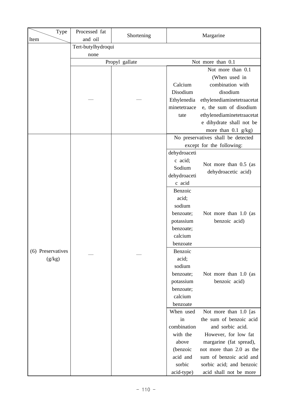| Type              | Processed fat         |                |              |                                    |
|-------------------|-----------------------|----------------|--------------|------------------------------------|
| Item              | Shortening<br>and oil |                | Margarine    |                                    |
|                   | Tert-butylhydroqui    |                |              |                                    |
|                   | none                  |                |              |                                    |
|                   |                       | Propyl gallate |              | Not more than 0.1                  |
|                   |                       |                |              | Not more than 0.1                  |
|                   |                       |                |              | (When used in                      |
|                   |                       |                | Calcium      | combination with                   |
|                   |                       |                | Disodium     | disodium                           |
|                   |                       |                | Ethylenedia  | ethylenediaminetetraacetat         |
|                   |                       |                | minetetraace | e, the sum of disodium             |
|                   |                       |                | tate         | ethylenediaminetetraacetat         |
|                   |                       |                |              | e dihydrate shall not be           |
|                   |                       |                |              | more than $0.1$ g/kg)              |
|                   |                       |                |              | No preservatives shall be detected |
|                   |                       |                |              | except for the following:          |
|                   |                       |                | dehydroaceti |                                    |
|                   |                       |                | c acid;      | Not more than 0.5 (as              |
|                   |                       |                | Sodium       | dehydroacetic acid)                |
|                   |                       |                | dehydroaceti |                                    |
|                   |                       |                | c acid       |                                    |
|                   |                       |                | Benzoic      |                                    |
|                   |                       |                | acid;        |                                    |
|                   |                       |                | sodium       |                                    |
|                   |                       |                | benzoate;    | Not more than 1.0 (as              |
|                   |                       |                | potassium    | benzoic acid)                      |
|                   |                       |                | benzoate;    |                                    |
|                   |                       |                | calcium      |                                    |
|                   |                       |                | benzoate     |                                    |
| (6) Preservatives |                       |                | Benzoic      |                                    |
| (g/kg)            |                       |                | acid;        |                                    |
|                   |                       |                | sodium       |                                    |
|                   |                       |                | benzoate;    | Not more than 1.0 (as              |
|                   |                       |                | potassium    | benzoic acid)                      |
|                   |                       |                | benzoate;    |                                    |
|                   |                       |                | calcium      |                                    |
|                   |                       |                | benzoate     |                                    |
|                   |                       |                | When used    | Not more than 1.0 [as              |
|                   |                       |                | in           | the sum of benzoic acid            |
|                   |                       |                | combination  | and sorbic acid.                   |
|                   |                       |                | with the     | However, for low fat               |
|                   |                       |                | above        | margarine (fat spread),            |
|                   |                       |                | (benzoic     | not more than 2.0 as the           |
|                   |                       |                | acid and     | sum of benzoic acid and            |
|                   |                       |                | sorbic       | sorbic acid; and benzoic           |
|                   |                       |                | acid-type)   | acid shall not be more             |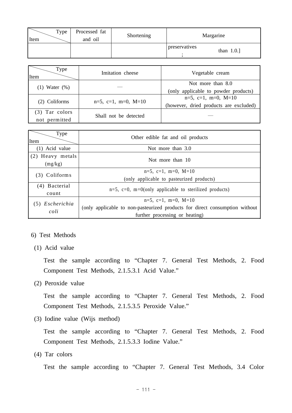| Type<br>Item | Processed fat<br>and oil | Shortening | Margarine                      |
|--------------|--------------------------|------------|--------------------------------|
|              |                          |            | preservatives<br>than $1.0$ .] |

| Type<br>Item       | Imitation cheese       | Vegetable cream                        |
|--------------------|------------------------|----------------------------------------|
|                    |                        | Not more than 8.0                      |
| $(1)$ Water $(\%)$ |                        | (only applicable to powder products)   |
| (2) Coliforms      | $n=5$ , c=1, m=0, M=10 | $n=5$ , c=1, m=0, M=10                 |
|                    |                        | (however, dried products are excluded) |
| (3) Tar colors     | Shall not be detected  |                                        |
| not permitted      |                        |                                        |

| Type<br>Item                | Other edible fat and oil products                                           |  |  |
|-----------------------------|-----------------------------------------------------------------------------|--|--|
| $(1)$ Acid value            | Not more than $3.0$                                                         |  |  |
| (2) Heavy metals<br>(mg/kg) | Not more than 10                                                            |  |  |
| (3) Coliforms               | $n=5$ , c=1, m=0, M=10                                                      |  |  |
|                             | (only applicable to pasteurized products)                                   |  |  |
| (4) Bacterial<br>count      | $n=5$ , c=0, m=0(only applicable to sterilized products)                    |  |  |
| (5) Escherichia             | $n=5$ , c=1, m=0, M=10                                                      |  |  |
| coli                        | (only applicable to non-pasteurized products for direct consumption without |  |  |
|                             | further processing or heating)                                              |  |  |

### 6) Test Methods

(1) Acid value

 Test the sample according to "Chapter 7. General Test Methods, 2. Food Component Test Methods, 2.1.5.3.1 Acid Value."

(2) Peroxide value

 Test the sample according to "Chapter 7. General Test Methods, 2. Food Component Test Methods, 2.1.5.3.5 Peroxide Value."

(3) Iodine value (Wijs method)

 Test the sample according to "Chapter 7. General Test Methods, 2. Food Component Test Methods, 2.1.5.3.3 Iodine Value."

(4) Tar colors

Test the sample according to "Chapter 7. General Test Methods, 3.4 Color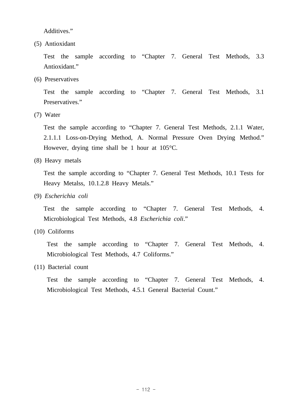Additives."

(5) Antioxidant

 Test the sample according to "Chapter 7. General Test Methods, 3.3 Antioxidant."

(6) Preservatives

 Test the sample according to "Chapter 7. General Test Methods, 3.1 Preservatives."

(7) Water

 Test the sample according to "Chapter 7. General Test Methods, 2.1.1 Water, 2.1.1.1 Loss-on-Drying Method, A. Normal Pressure Oven Drying Method." However, drying time shall be 1 hour at 105°C.

(8) Heavy metals

 Test the sample according to "Chapter 7. General Test Methods, 10.1 Tests for Heavy Metalss, 10.1.2.8 Heavy Metals."

(9) *Escherichia coli*

 Test the sample according to "Chapter 7. General Test Methods, 4. Microbiological Test Methods, 4.8 *Escherichia coli*."

(10) Coliforms

 Test the sample according to "Chapter 7. General Test Methods, 4. Microbiological Test Methods, 4.7 Coliforms."

(11) Bacterial count

 Test the sample according to "Chapter 7. General Test Methods, 4. Microbiological Test Methods, 4.5.1 General Bacterial Count."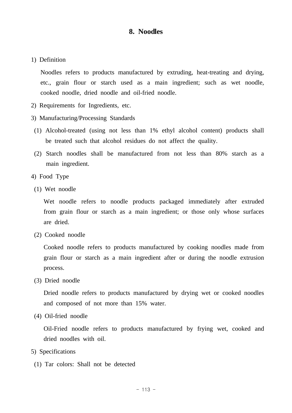# **8. Noodles**

1) Definition

 Noodles refers to products manufactured by extruding, heat-treating and drying, etc., grain flour or starch used as a main ingredient; such as wet noodle, cooked noodle, dried noodle and oil-fried noodle.

- 2) Requirements for Ingredients, etc.
- 3) Manufacturing/Processing Standards
- (1) Alcohol-treated (using not less than 1% ethyl alcohol content) products shall be treated such that alcohol residues do not affect the quality.
- (2) Starch noodles shall be manufactured from not less than 80% starch as a main ingredient.
- 4) Food Type
- (1) Wet noodle

Wet noodle refers to noodle products packaged immediately after extruded from grain flour or starch as a main ingredient; or those only whose surfaces are dried.

(2) Cooked noodle

 Cooked noodle refers to products manufactured by cooking noodles made from grain flour or starch as a main ingredient after or during the noodle extrusion process.

(3) Dried noodle

 Dried noodle refers to products manufactured by drying wet or cooked noodles and composed of not more than 15% water.

(4) Oil-fried noodle

 Oil-Fried noodle refers to products manufactured by frying wet, cooked and dried noodles with oil.

- 5) Specifications
	- (1) Tar colors: Shall not be detected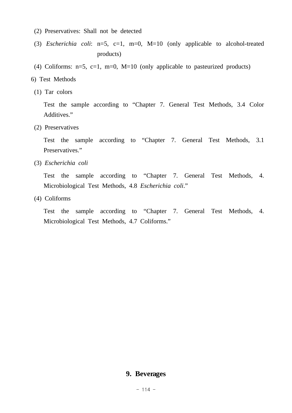- (2) Preservatives: Shall not be detected
- (3) *Escherichia coli*: n=5, c=1, m=0, M=10 (only applicable to alcohol-treated products)
- (4) Coliforms:  $n=5$ ,  $c=1$ ,  $m=0$ ,  $M=10$  (only applicable to pasteurized products)
- 6) Test Methods
- (1) Tar colors

 Test the sample according to "Chapter 7. General Test Methods, 3.4 Color Additives."

(2) Preservatives

 Test the sample according to "Chapter 7. General Test Methods, 3.1 Preservatives."

(3) *Escherichia coli*

 Test the sample according to "Chapter 7. General Test Methods, 4. Microbiological Test Methods, 4.8 *Escherichia coli*."

(4) Coliforms

 Test the sample according to "Chapter 7. General Test Methods, 4. Microbiological Test Methods, 4.7 Coliforms."

# **9. Beverages**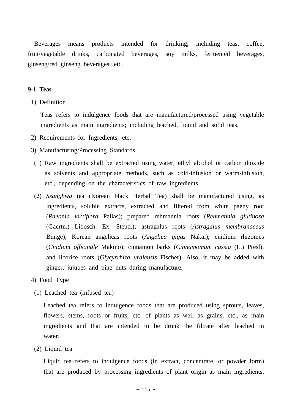Beverages means products intended for drinking, including teas, coffee, fruit/vegetable drinks, carbonated beverages, soy milks, fermented beverages, ginseng/red ginseng beverages, etc.

### **9-1 Teas**

1) Definition

 Teas refers to indulgence foods that are manufactured/processed using vegetable ingredients as main ingredients; including leached, liquid and solid teas.

- 2) Requirements for Ingredients, etc.
- 3) Manufacturing/Processing Standards
- (1) Raw ingredients shall be extracted using water, ethyl alcohol or carbon dioxide as solvents and appropriate methods, such as cold-infusion or warm-infusion, etc., depending on the characteristics of raw ingredients.
- (2) *Ssanghwa* tea (Korean black Herbal Tea) shall be manufactured using, as ingredients, soluble extracts, extracted and filtered from white paeny root (*Paeonia lactiflora* Pallas); prepared rehmannia roots (*Rehmannia glutinosa* (Gaertn.) Libosch. Ex. Steud.); astragalus roots (*Astragalus membranaceus*  Bunge); Korean angelicas roots (*Angelica gigas* Nakai); cnidium rhizomes (*Cnidium officinale* Makino); cinnamon barks (*Cinnamomum cassia* (L.) Presl); and licorice roots (*Glycyrrhiza uralensis* Fischer). Also, it may be added with ginger, jujubes and pine nuts during manufacture.
- 4) Food Type
	- (1) Leached tea (infused tea)

 Leached tea refers to indulgence foods that are produced using sprouts, leaves, flowers, stems, roots or fruits, etc. of plants as well as grains, etc., as main ingredients and that are intended to be drunk the filtrate after leached in water.

(2) Liquid tea

 Liquid tea refers to indulgence foods (in extract, concentrate, or powder form) that are produced by processing ingredients of plant origin as main ingredients,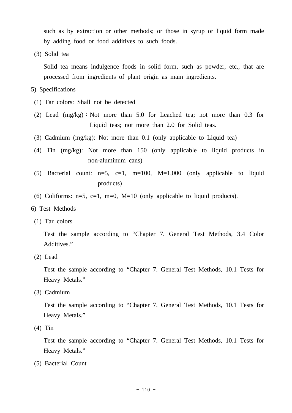such as by extraction or other methods; or those in syrup or liquid form made by adding food or food additives to such foods.

(3) Solid tea

 Solid tea means indulgence foods in solid form, such as powder, etc., that are processed from ingredients of plant origin as main ingredients.

### 5) Specifications

- (1) Tar colors: Shall not be detected
- (2) Lead (mg/kg)∶Not more than 5.0 for Leached tea; not more than 0.3 for Liquid teas; not more than 2.0 for Solid teas.
- (3) Cadmium (mg/kg): Not more than 0.1 (only applicable to Liquid tea)
- (4) Tin (mg/kg): Not more than 150 (only applicable to liquid products in non-aluminum cans)
- (5) Bacterial count:  $n=5$ ,  $c=1$ ,  $m=100$ ,  $M=1,000$  (only applicable to liquid products)
- (6) Coliforms:  $n=5$ ,  $c=1$ ,  $m=0$ ,  $M=10$  (only applicable to liquid products).
- 6) Test Methods
- (1) Tar colors

 Test the sample according to "Chapter 7. General Test Methods, 3.4 Color Additives."

(2) Lead

 Test the sample according to "Chapter 7. General Test Methods, 10.1 Tests for Heavy Metals."

(3) Cadmium

 Test the sample according to "Chapter 7. General Test Methods, 10.1 Tests for Heavy Metals."

(4) Tin

 Test the sample according to "Chapter 7. General Test Methods, 10.1 Tests for Heavy Metals."

(5) Bacterial Count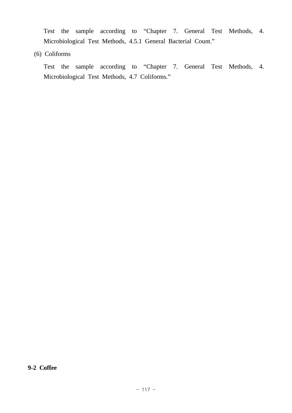Test the sample according to "Chapter 7. General Test Methods, 4. Microbiological Test Methods, 4.5.1 General Bacterial Count."

(6) Coliforms

 Test the sample according to "Chapter 7. General Test Methods, 4. Microbiological Test Methods, 4.7 Coliforms."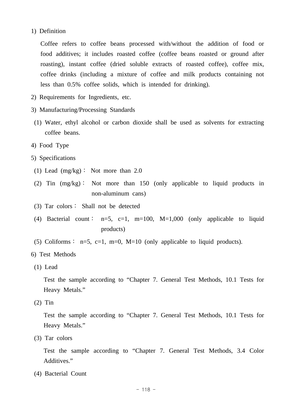### 1) Definition

 Coffee refers to coffee beans processed with/without the addition of food or food additives; it includes roasted coffee (coffee beans roasted or ground after roasting), instant coffee (dried soluble extracts of roasted coffee), coffee mix, coffee drinks (including a mixture of coffee and milk products containing not less than 0.5% coffee solids, which is intended for drinking).

- 2) Requirements for Ingredients, etc.
- 3) Manufacturing/Processing Standards
- (1) Water, ethyl alcohol or carbon dioxide shall be used as solvents for extracting coffee beans.
- 4) Food Type
- 5) Specifications
	- (1) Lead (mg/kg)∶ Not more than 2.0

 (2) Tin (mg/kg)∶ Not more than 150 (only applicable to liquid products in non-aluminum cans)

- (3) Tar colors∶ Shall not be detected
- (4) Bacterial count:  $n=5$ ,  $c=1$ ,  $m=100$ ,  $M=1,000$  (only applicable to liquid products)
- (5) Coliforms :  $n=5$ ,  $c=1$ ,  $m=0$ ,  $M=10$  (only applicable to liquid products).
- 6) Test Methods
- (1) Lead

 Test the sample according to "Chapter 7. General Test Methods, 10.1 Tests for Heavy Metals."

(2) Tin

 Test the sample according to "Chapter 7. General Test Methods, 10.1 Tests for Heavy Metals."

(3) Tar colors

 Test the sample according to "Chapter 7. General Test Methods, 3.4 Color Additives."

(4) Bacterial Count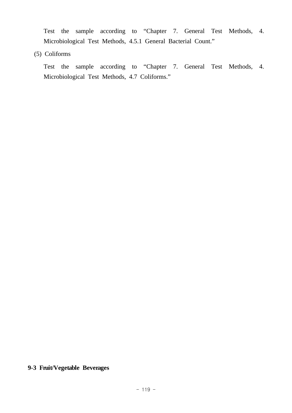Test the sample according to "Chapter 7. General Test Methods, 4. Microbiological Test Methods, 4.5.1 General Bacterial Count."

(5) Coliforms

 Test the sample according to "Chapter 7. General Test Methods, 4. Microbiological Test Methods, 4.7 Coliforms."

# **9-3 Fruit/Vegetable Beverages**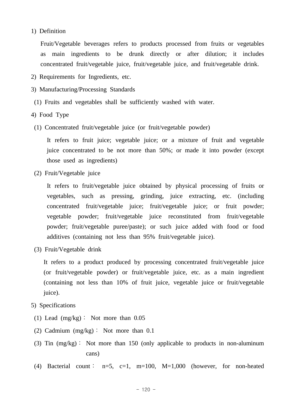### 1) Definition

 Fruit/Vegetable beverages refers to products processed from fruits or vegetables as main ingredients to be drunk directly or after dilution; it includes concentrated fruit/vegetable juice, fruit/vegetable juice, and fruit/vegetable drink.

- 2) Requirements for Ingredients, etc.
- 3) Manufacturing/Processing Standards
- (1) Fruits and vegetables shall be sufficiently washed with water.
- 4) Food Type
- (1) Concentrated fruit/vegetable juice (or fruit/vegetable powder)

 It refers to fruit juice; vegetable juice; or a mixture of fruit and vegetable juice concentrated to be not more than 50%; or made it into powder (except those used as ingredients)

(2) Fruit/Vegetable juice

 It refers to fruit/vegetable juice obtained by physical processing of fruits or vegetables, such as pressing, grinding, juice extracting, etc. (including concentrated fruit/vegetable juice; fruit/vegetable juice; or fruit powder; vegetable powder; fruit/vegetable juice reconstituted from fruit/vegetable powder; fruit/vegetable puree/paste); or such juice added with food or food additives (containing not less than 95% fruit/vegetable juice).

(3) Fruit/Vegetable drink

 It refers to a product produced by processing concentrated fruit/vegetable juice (or fruit/vegetable powder) or fruit/vegetable juice, etc. as a main ingredient (containing not less than 10% of fruit juice, vegetable juice or fruit/vegetable juice).

- 5) Specifications
	- (1) Lead (mg/kg): Not more than 0.05
	- (2) Cadmium  $(mg/kg)$ : Not more than 0.1
	- (3) Tin (mg/kg): Not more than 150 (only applicable to products in non-aluminum cans)
	- (4) Bacterial count:  $n=5$ ,  $c=1$ ,  $m=100$ ,  $M=1,000$  (however, for non-heated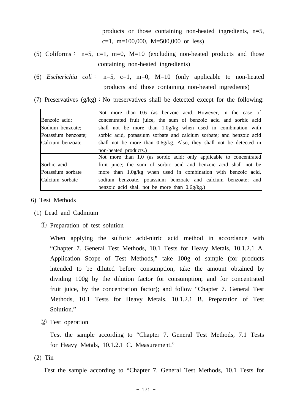products or those containing non-heated ingredients, n=5, c=1, m=100,000, M=500,000 or less)

(5) Coliforms:  $n=5$ ,  $c=1$ ,  $m=0$ ,  $M=10$  (excluding non-heated products and those containing non-heated ingredients)

 (6) *Escherichia coli*: n=5, c=1, m=0, M=10 (only applicable to non-heated products and those containing non-heated ingredients)

(7) Preservatives  $(g/kg)$ : No preservatives shall be detected except for the following:

|                     | Not more than 0.6 (as benzoic acid. However, in the case of          |  |  |  |
|---------------------|----------------------------------------------------------------------|--|--|--|
| Benzoic acid;       | concentrated fruit juice, the sum of benzoic acid and sorbic acid    |  |  |  |
| Sodium benzoate;    | shall not be more than 1.0g/kg when used in combination with         |  |  |  |
| Potassium benzoate; | sorbic acid, potassium sorbate and calcium sorbate; and benzoic acid |  |  |  |
| Calcium benzoate    | shall not be more than 0.6g/kg. Also, they shall not be detected in  |  |  |  |
|                     | non-heated products.)                                                |  |  |  |
|                     | Not more than 1.0 (as sorbic acid; only applicable to concentrated   |  |  |  |
| Sorbic acid         | fruit juice; the sum of sorbic acid and benzoic acid shall not be    |  |  |  |
| Potassium sorbate   | more than 1.0g/kg when used in combination with benzoic acid,        |  |  |  |
| Calcium sorbate     | sodium benzoate, potassium benzoate and calcium benzoate; and        |  |  |  |
|                     | benzoic acid shall not be more than $0.6g/kg$ .                      |  |  |  |

- 6) Test Methods
- (1) Lead and Cadmium
	- ① Preparation of test solution

 When applying the sulfuric acid-nitric acid method in accordance with "Chapter 7. General Test Methods, 10.1 Tests for Heavy Metals, 10.1.2.1 A. Application Scope of Test Methods," take 100g of sample (for products intended to be diluted before consumption, take the amount obtained by dividing 100g by the dilution factor for consumption; and for concentrated fruit juice, by the concentration factor); and follow "Chapter 7. General Test Methods, 10.1 Tests for Heavy Metals, 10.1.2.1 B. Preparation of Test Solution."

② Test operation

 Test the sample according to "Chapter 7. General Test Methods, 7.1 Tests for Heavy Metals, 10.1.2.1 C. Measurement."

(2) Tin

Test the sample according to "Chapter 7. General Test Methods, 10.1 Tests for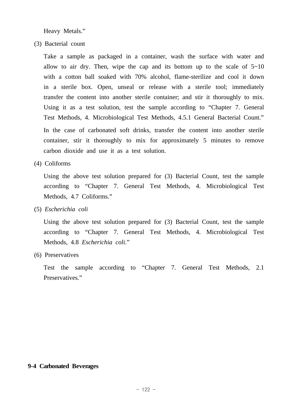Heavy Metals."

(3) Bacterial count

 Take a sample as packaged in a container, wash the surface with water and allow to air dry. Then, wipe the cap and its bottom up to the scale of  $5\nu$ -10 with a cotton ball soaked with 70% alcohol, flame-sterilize and cool it down in a sterile box. Open, unseal or release with a sterile tool; immediately transfer the content into another sterile container; and stir it thoroughly to mix. Using it as a test solution, test the sample according to "Chapter 7. General Test Methods, 4. Microbiological Test Methods, 4.5.1 General Bacterial Count." In the case of carbonated soft drinks, transfer the content into another sterile container, stir it thoroughly to mix for approximately 5 minutes to remove carbon dioxide and use it as a test solution.

(4) Coliforms

 Using the above test solution prepared for (3) Bacterial Count, test the sample according to "Chapter 7. General Test Methods, 4. Microbiological Test Methods, 4.7 Coliforms."

(5) *Escherichia coli*

 Using the above test solution prepared for (3) Bacterial Count, test the sample according to "Chapter 7. General Test Methods, 4. Microbiological Test Methods, 4.8 *Escherichia coli*."

(6) Preservatives

 Test the sample according to "Chapter 7. General Test Methods, 2.1 Preservatives."

### **9-4 Carbonated Beverages**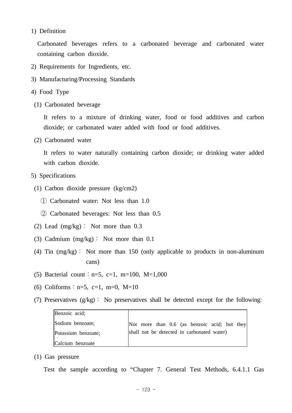### 1) Definition

 Carbonated beverages refers to a carbonated beverage and carbonated water containing carbon dioxide.

- 2) Requirements for Ingredients, etc.
- 3) Manufacturing/Processing Standards
- 4) Food Type
	- (1) Carbonated beverage

 It refers to a mixture of drinking water, food or food additives and carbon dioxide; or carbonated water added with food or food additives.

(2) Carbonated water

 It refers to water naturally containing carbon dioxide; or drinking water added with carbon dioxide.

- 5) Specifications
- (1) Carbon dioxide pressure (kg/cm2)
	- ① Carbonated water: Not less than 1.0
	- ② Carbonated beverages: Not less than 0.5
- (2) Lead  $(mg/kg)$ : Not more than 0.3
- (3) Cadmium (mg/kg): Not more than 0.1
- (4) Tin (mg/kg): Not more than 150 (only applicable to products in non-aluminum cans)
- (5) Bacterial count:  $n=5$ ,  $c=1$ ,  $m=100$ ,  $M=1,000$
- (6) Coliforms:  $n=5$ ,  $c=1$ ,  $m=0$ ,  $M=10$
- (7) Preservatives  $(g/kg)$ : No preservatives shall be detected except for the following:

| Benzoic acid;       |                                              |
|---------------------|----------------------------------------------|
| Sodium benzoate;    | Not more than 0.6 (as benzoic acid; but they |
| Potassium benzoate; | shall not be detected in carbonated water)   |
| Calcium benzoate    |                                              |

(1) Gas pressure

Test the sample according to "Chapter 7. General Test Methods, 6.4.1.1 Gas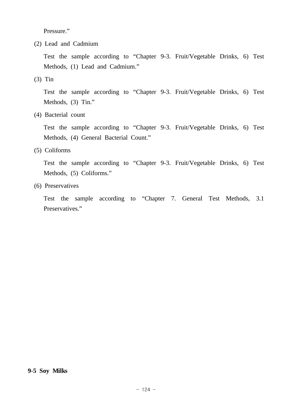Pressure."

(2) Lead and Cadmium

 Test the sample according to "Chapter 9-3. Fruit/Vegetable Drinks, 6) Test Methods, (1) Lead and Cadmium."

(3) Tin

 Test the sample according to "Chapter 9-3. Fruit/Vegetable Drinks, 6) Test Methods, (3) Tin."

(4) Bacterial count

 Test the sample according to "Chapter 9-3. Fruit/Vegetable Drinks, 6) Test Methods, (4) General Bacterial Count."

(5) Coliforms

 Test the sample according to "Chapter 9-3. Fruit/Vegetable Drinks, 6) Test Methods, (5) Coliforms."

(6) Preservatives

 Test the sample according to "Chapter 7. General Test Methods, 3.1 Preservatives."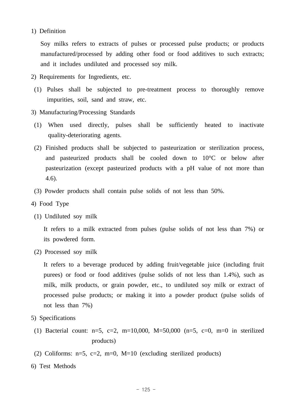## 1) Definition

 Soy milks refers to extracts of pulses or processed pulse products; or products manufactured/processed by adding other food or food additives to such extracts; and it includes undiluted and processed soy milk.

- 2) Requirements for Ingredients, etc.
- (1) Pulses shall be subjected to pre-treatment process to thoroughly remove impurities, soil, sand and straw, etc.
- 3) Manufacturing/Processing Standards
- (1) When used directly, pulses shall be sufficiently heated to inactivate quality-deteriorating agents.
- (2) Finished products shall be subjected to pasteurization or sterilization process, and pasteurized products shall be cooled down to 10°C or below after pasteurization (except pasteurized products with a pH value of not more than 4.6).
- (3) Powder products shall contain pulse solids of not less than 50%.
- 4) Food Type
	- (1) Undiluted soy milk

 It refers to a milk extracted from pulses (pulse solids of not less than 7%) or its powdered form.

(2) Processed soy milk

 It refers to a beverage produced by adding fruit/vegetable juice (including fruit purees) or food or food additives (pulse solids of not less than 1.4%), such as milk, milk products, or grain powder, etc., to undiluted soy milk or extract of processed pulse products; or making it into a powder product (pulse solids of not less than 7%)

- 5) Specifications
	- (1) Bacterial count:  $n=5$ ,  $c=2$ ,  $m=10,000$ ,  $M=50,000$  ( $n=5$ ,  $c=0$ ,  $m=0$  in sterilized products)
	- (2) Coliforms:  $n=5$ ,  $c=2$ ,  $m=0$ ,  $M=10$  (excluding sterilized products)
- 6) Test Methods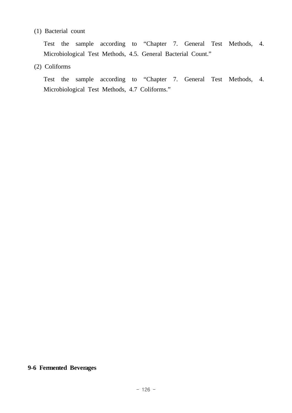# (1) Bacterial count

 Test the sample according to "Chapter 7. General Test Methods, 4. Microbiological Test Methods, 4.5. General Bacterial Count."

# (2) Coliforms

 Test the sample according to "Chapter 7. General Test Methods, 4. Microbiological Test Methods, 4.7 Coliforms."

# **9-6 Fermented Beverages**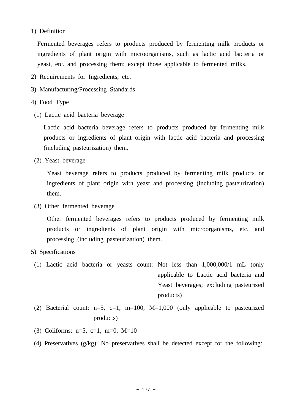# 1) Definition

Fermented beverages refers to products produced by fermenting milk products or ingredients of plant origin with microorganisms, such as lactic acid bacteria or yeast, etc. and processing them; except those applicable to fermented milks.

- 2) Requirements for Ingredients, etc.
- 3) Manufacturing/Processing Standards
- 4) Food Type
- (1) Lactic acid bacteria beverage

 Lactic acid bacteria beverage refers to products produced by fermenting milk products or ingredients of plant origin with lactic acid bacteria and processing (including pasteurization) them.

(2) Yeast beverage

 Yeast beverage refers to products produced by fermenting milk products or ingredients of plant origin with yeast and processing (including pasteurization) them.

(3) Other fermented beverage

Other fermented beverages refers to products produced by fermenting milk products or ingredients of plant origin with microorganisms, etc. and processing (including pasteurization) them.

- 5) Specifications
	- (1) Lactic acid bacteria or yeasts count: Not less than 1,000,000/1 mL (only applicable to Lactic acid bacteria and Yeast beverages; excluding pasteurized products)
	- (2) Bacterial count:  $n=5$ ,  $c=1$ ,  $m=100$ ,  $M=1,000$  (only applicable to pasteurized products)
	- (3) Coliforms:  $n=5$ ,  $c=1$ ,  $m=0$ ,  $M=10$
	- (4) Preservatives (g/kg): No preservatives shall be detected except for the following: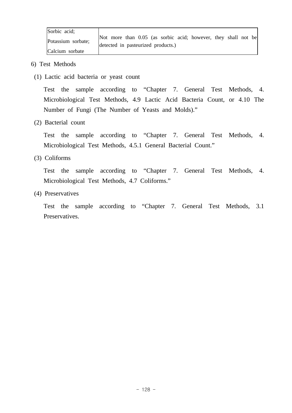| Sorbic acid:       |                                                                |
|--------------------|----------------------------------------------------------------|
| Potassium sorbate; | Not more than 0.05 (as sorbic acid; however, they shall not be |
|                    | detected in pasteurized products.)                             |
| Calcium sorbate    |                                                                |

- 6) Test Methods
- (1) Lactic acid bacteria or yeast count

 Test the sample according to "Chapter 7. General Test Methods, 4. Microbiological Test Methods, 4.9 Lactic Acid Bacteria Count, or 4.10 The Number of Fungi (The Number of Yeasts and Molds)."

(2) Bacterial count

 Test the sample according to "Chapter 7. General Test Methods, 4. Microbiological Test Methods, 4.5.1 General Bacterial Count."

(3) Coliforms

 Test the sample according to "Chapter 7. General Test Methods, 4. Microbiological Test Methods, 4.7 Coliforms."

(4) Preservatives

 Test the sample according to "Chapter 7. General Test Methods, 3.1 Preservatives.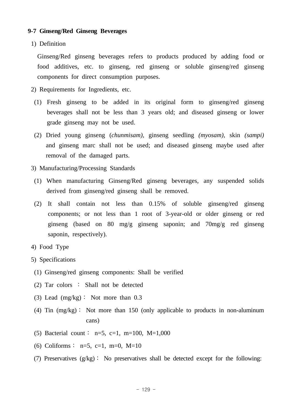### **9-7 Ginseng/Red Ginseng Beverages**

1) Definition

Ginseng/Red ginseng beverages refers to products produced by adding food or food additives, etc. to ginseng, red ginseng or soluble ginseng/red ginseng components for direct consumption purposes.

- 2) Requirements for Ingredients, etc.
- (1) Fresh ginseng to be added in its original form to ginseng/red ginseng beverages shall not be less than 3 years old; and diseased ginseng or lower grade ginseng may not be used.
- (2) Dried young ginseng (*chunmisam),* ginseng seedling *(myosam),* skin *(sampi)*  and ginseng marc shall not be used; and diseased ginseng maybe used after removal of the damaged parts.
- 3) Manufacturing/Processing Standards
- (1) When manufacturing Ginseng/Red ginseng beverages, any suspended solids derived from ginseng/red ginseng shall be removed.
- (2) It shall contain not less than 0.15% of soluble ginseng/red ginseng components; or not less than 1 root of 3-year-old or older ginseng or red ginseng (based on 80 mg/g ginseng saponin; and 70mg/g red ginseng saponin, respectively).
- 4) Food Type
- 5) Specifications
- (1) Ginseng/red ginseng components: Shall be verified
- (2) Tar colors ∶ Shall not be detected
- (3) Lead (mg/kg)∶ Not more than 0.3
- (4) Tin (mg/kg)∶ Not more than 150 (only applicable to products in non-aluminum cans)
- (5) Bacterial count : n=5, c=1, m=100, M=1,000
- (6) Coliforms :  $n=5$ ,  $c=1$ ,  $m=0$ ,  $M=10$
- (7) Preservatives (g/kg)∶ No preservatives shall be detected except for the following: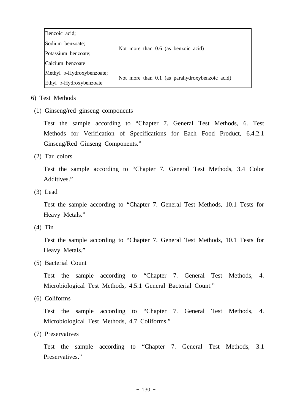| Benzoic acid;             |                                                |
|---------------------------|------------------------------------------------|
| Sodium benzoate;          |                                                |
| Potassium benzoate;       | Not more than 0.6 (as benzoic acid)            |
| Calcium benzoate          |                                                |
| Methyl p-Hydroxybenzoate; |                                                |
| Ethyl p-Hydroxybenzoate   | Not more than 0.1 (as parahydroxybenzoic acid) |

# 6) Test Methods

(1) Ginseng/red ginseng components

 Test the sample according to "Chapter 7. General Test Methods, 6. Test Methods for Verification of Specifications for Each Food Product, 6.4.2.1 Ginseng/Red Ginseng Components."

(2) Tar colors

 Test the sample according to "Chapter 7. General Test Methods, 3.4 Color Additives."

(3) Lead

 Test the sample according to "Chapter 7. General Test Methods, 10.1 Tests for Heavy Metals."

(4) Tin

 Test the sample according to "Chapter 7. General Test Methods, 10.1 Tests for Heavy Metals."

(5) Bacterial Count

 Test the sample according to "Chapter 7. General Test Methods, 4. Microbiological Test Methods, 4.5.1 General Bacterial Count."

(6) Coliforms

 Test the sample according to "Chapter 7. General Test Methods, 4. Microbiological Test Methods, 4.7 Coliforms."

(7) Preservatives

 Test the sample according to "Chapter 7. General Test Methods, 3.1 Preservatives."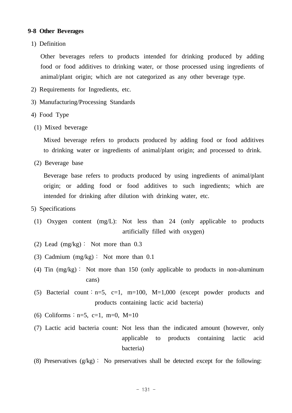## **9-8 Other Beverages**

1) Definition

 Other beverages refers to products intended for drinking produced by adding food or food additives to drinking water, or those processed using ingredients of animal/plant origin; which are not categorized as any other beverage type.

- 2) Requirements for Ingredients, etc.
- 3) Manufacturing/Processing Standards
- 4) Food Type
	- (1) Mixed beverage

 Mixed beverage refers to products produced by adding food or food additives to drinking water or ingredients of animal/plant origin; and processed to drink.

(2) Beverage base

 Beverage base refers to products produced by using ingredients of animal/plant origin; or adding food or food additives to such ingredients; which are intended for drinking after dilution with drinking water, etc.

- 5) Specifications
- (1) Oxygen content (mg/L): Not less than 24 (only applicable to products artificially filled with oxygen)
- (2) Lead (mg/kg): Not more than 0.3
- (3) Cadmium (mg/kg): Not more than 0.1
- (4) Tin (mg/kg): Not more than 150 (only applicable to products in non-aluminum cans)
- (5) Bacterial count:  $n=5$ ,  $c=1$ ,  $m=100$ ,  $M=1,000$  (except powder products and products containing lactic acid bacteria)
- (6) Coliforms:  $n=5$ ,  $c=1$ ,  $m=0$ ,  $M=10$
- (7) Lactic acid bacteria count: Not less than the indicated amount (however, only applicable to products containing lactic acid bacteria)
- (8) Preservatives  $(g/kg)$ : No preservatives shall be detected except for the following: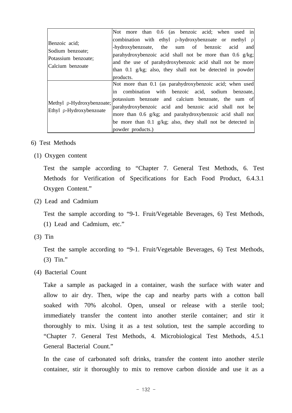|                                                                              | Not more than 0.6 (as benzoic acid; when used in                                                                                                                                                                                                                                                                                                                                  |
|------------------------------------------------------------------------------|-----------------------------------------------------------------------------------------------------------------------------------------------------------------------------------------------------------------------------------------------------------------------------------------------------------------------------------------------------------------------------------|
| Benzoic acid;<br>Sodium benzoate;<br>Potassium benzoate;<br>Calcium benzoate | combination with ethyl $\rho$ -hydroxybenzoate or methyl $\rho$<br>-hydroxybenzoate, the sum of benzoic acid<br>and<br>parahydroxybenzoic acid shall not be more than $0.6$ g/kg;<br>and the use of parahydroxybenzoic acid shall not be more<br>than 0.1 g/kg; also, they shall not be detected in powder<br>products.                                                           |
| Methyl p-Hydroxybenzoate;<br>Ethyl p-Hydroxybenzoate                         | Not more than 0.1 (as parahydroxybenzoic acid; when used<br>in combination with benzoic acid, sodium benzoate,<br>potassium benzoate and calcium benzoate, the sum of<br>parahydroxybenzoic acid and benzoic acid shall not be<br>more than 0.6 g/kg; and parahydroxybenzoic acid shall not<br>be more than 0.1 $g/kg$ ; also, they shall not be detected in<br>powder products.) |

- 6) Test Methods
	- (1) Oxygen content

 Test the sample according to "Chapter 7. General Test Methods, 6. Test Methods for Verification of Specifications for Each Food Product, 6.4.3.1 Oxygen Content."

(2) Lead and Cadmium

 Test the sample according to "9-1. Fruit/Vegetable Beverages, 6) Test Methods, (1) Lead and Cadmium, etc."

(3) Tin

 Test the sample according to "9-1. Fruit/Vegetable Beverages, 6) Test Methods,  $(3)$  Tin."

(4) Bacterial Count

 Take a sample as packaged in a container, wash the surface with water and allow to air dry. Then, wipe the cap and nearby parts with a cotton ball soaked with 70% alcohol. Open, unseal or release with a sterile tool; immediately transfer the content into another sterile container; and stir it thoroughly to mix. Using it as a test solution, test the sample according to "Chapter 7. General Test Methods, 4. Microbiological Test Methods, 4.5.1 General Bacterial Count."

 In the case of carbonated soft drinks, transfer the content into another sterile container, stir it thoroughly to mix to remove carbon dioxide and use it as a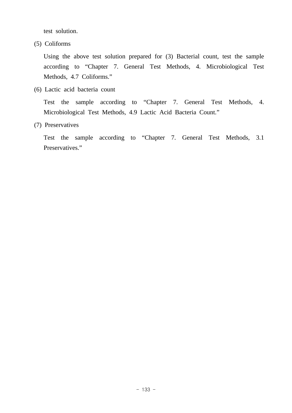test solution.

(5) Coliforms

 Using the above test solution prepared for (3) Bacterial count, test the sample according to "Chapter 7. General Test Methods, 4. Microbiological Test Methods, 4.7 Coliforms."

(6) Lactic acid bacteria count

 Test the sample according to "Chapter 7. General Test Methods, 4. Microbiological Test Methods, 4.9 Lactic Acid Bacteria Count."

(7) Preservatives

 Test the sample according to "Chapter 7. General Test Methods, 3.1 Preservatives."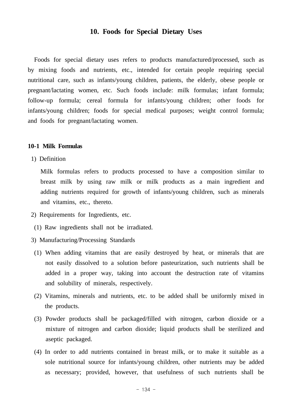# **10. Foods for Special Dietary Uses**

 Foods for special dietary uses refers to products manufactured/processed, such as by mixing foods and nutrients, etc., intended for certain people requiring special nutritional care, such as infants/young children, patients, the elderly, obese people or pregnant/lactating women, etc. Such foods include: milk formulas; infant formula; follow-up formula; cereal formula for infants/young children; other foods for infants/young children; foods for special medical purposes; weight control formula; and foods for pregnant/lactating women.

#### **10-1 Milk Formulas**

1) Definition

 Milk formulas refers to products processed to have a composition similar to breast milk by using raw milk or milk products as a main ingredient and adding nutrients required for growth of infants/young children, such as minerals and vitamins, etc., thereto.

- 2) Requirements for Ingredients, etc.
- (1) Raw ingredients shall not be irradiated.
- 3) Manufacturing/Processing Standards
	- (1) When adding vitamins that are easily destroyed by heat, or minerals that are not easily dissolved to a solution before pasteurization, such nutrients shall be added in a proper way, taking into account the destruction rate of vitamins and solubility of minerals, respectively.
	- (2) Vitamins, minerals and nutrients, etc. to be added shall be uniformly mixed in the products.
	- (3) Powder products shall be packaged/filled with nitrogen, carbon dioxide or a mixture of nitrogen and carbon dioxide; liquid products shall be sterilized and aseptic packaged.
	- (4) In order to add nutrients contained in breast milk, or to make it suitable as a sole nutritional source for infants/young children, other nutrients may be added as necessary; provided, however, that usefulness of such nutrients shall be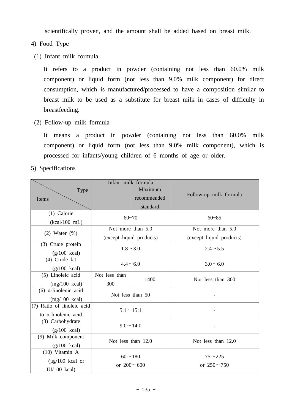scientifically proven, and the amount shall be added based on breast milk.

- 4) Food Type
- (1) Infant milk formula

 It refers to a product in powder (containing not less than 60.0% milk component) or liquid form (not less than 9.0% milk component) for direct consumption, which is manufactured/processed to have a composition similar to breast milk to be used as a substitute for breast milk in cases of difficulty in breastfeeding.

(2) Follow-up milk formula

 It means a product in powder (containing not less than 60.0% milk component) or liquid form (not less than 9.0% milk component), which is processed for infants/young children of 6 months of age or older.

5) Specifications

|                            | Infant milk formula |                          |                          |  |
|----------------------------|---------------------|--------------------------|--------------------------|--|
| Type                       |                     | Maximum                  |                          |  |
| Items                      |                     | recommended              | Follow-up milk formula   |  |
|                            |                     | standard                 |                          |  |
| (1) Calorie                | $60 - 70$           |                          | $60 - 85$                |  |
| $(kcal/100$ mL)            |                     |                          |                          |  |
| $(2)$ Water $(\%)$         |                     | Not more than 5.0        | Not more than 5.0        |  |
|                            |                     | (except liquid products) | (except liquid products) |  |
| (3) Crude protein          |                     |                          | $2.4 - 5.5$              |  |
| $(g/100$ kcal)             | $1.8 - 3.0$         |                          |                          |  |
| $(4)$ Crude fat            |                     | $4.4 - 6.0$              | $3.0 - 6.0$              |  |
| $(g/100$ kcal)             |                     |                          |                          |  |
| (5) Linoleic acid          | Not less than       | 1400                     | Not less than 300        |  |
| $(mg/100$ kcal)            | 300                 |                          |                          |  |
| $(6)$ a-linolenic acid     | Not less than 50    |                          |                          |  |
| $(mg/100$ kcal)            |                     |                          |                          |  |
| (7) Ratio of linoleic acid | $5:1 \sim 15:1$     |                          |                          |  |
| to a-linolenic acid        |                     |                          |                          |  |
| (8) Carbohydrate           | $9.0 \sim 14.0$     |                          |                          |  |
| $(g/100$ kcal)             |                     |                          |                          |  |
| (9) Milk component         | Not less than 12.0  |                          | Not less than 12.0       |  |
| $(g/100$ kcal)             |                     |                          |                          |  |
| $(10)$ Vitamin A           |                     | $60 - 180$               | $75 - 225$               |  |
| $(\mu$ g/100 kcal or       | or $200 - 600$      |                          | or $250 - 750$           |  |
| $IU/100$ kcal)             |                     |                          |                          |  |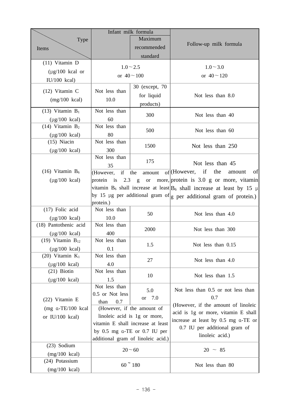|                                     |                 | Infant milk formula                      |                                                                             |
|-------------------------------------|-----------------|------------------------------------------|-----------------------------------------------------------------------------|
| Type                                |                 | Maximum                                  |                                                                             |
| Items                               |                 | recommended                              | Follow-up milk formula                                                      |
|                                     |                 | standard                                 |                                                                             |
| $(11)$ Vitamin D                    |                 | $1.0 - 2.5$                              | $1.0 - 3.0$                                                                 |
| $(\mu g/100 \text{ kcal or})$       |                 |                                          |                                                                             |
| $IU/100$ kcal)                      |                 | or $40 - 100$                            | or $40 - 120$                                                               |
|                                     | Not less than   | 30 (except, 70)                          |                                                                             |
| $(12)$ Vitamin C                    |                 | for liquid                               | Not less than 8.0                                                           |
| $(mg/100$ kcal)                     | 10.0            | products)                                |                                                                             |
| $(13)$ Vitamin $B_1$                | Not less than   |                                          |                                                                             |
| $(\mu$ g/100 kcal)                  | 60              | 300                                      | Not less than 40                                                            |
| $(14)$ Vitamin $B_2$                | Not less than   |                                          |                                                                             |
| $(\mu g/100 \text{ kcal})$          | 80              | 500                                      | Not less than 60                                                            |
| $(15)$ Niacin                       | Not less than   | 1500                                     | Not less than 250                                                           |
| $(\mu g/100 \text{ kcal})$          | 300             |                                          |                                                                             |
|                                     | Not less than   | 175                                      |                                                                             |
|                                     | 35              |                                          | Not less than 45                                                            |
| $(16)$ Vitamin $B_6$                | if<br>(However, | the<br>amount                            | $of$ (However, if the<br>of<br>amount                                       |
| $(\mu g/100 \text{ kcal})$          |                 |                                          | protein is 2.3 g or more, protein is 3.0 g or more, vitamin                 |
|                                     |                 |                                          | vitamin $B_6$ shall increase at least $B_6$ shall increase at least by 15 µ |
|                                     |                 |                                          | by 15 µg per additional gram of $ g $ per additional gram of protein.)      |
|                                     | protein.)       |                                          |                                                                             |
| (17) Folic acid                     | Not less than   | 50                                       | Not less than 4.0                                                           |
| $(\mu g/100 \text{ kcal})$          | 10.0            |                                          |                                                                             |
| (18) Pantothenic acid               | Not less than   | 2000                                     | Not less than 300                                                           |
| $(\mu g/100 \text{ kcal})$          | 400             |                                          |                                                                             |
| (19) Vitamin $B_{12}$               | Not less than   | 1.5                                      | Not less than 0.15                                                          |
| $(\mu g/100 \text{ kcal})$          | 0.1             |                                          |                                                                             |
| $(20)$ Vitamin $K_1$                | Not less than   | 27                                       | Not less than 4.0                                                           |
| $(\mu g/100 \text{ kcal})$          | 4.0             |                                          |                                                                             |
| $(21)$ Biotin                       | Not less than   | 10                                       | Not less than 1.5                                                           |
| $(\mu g/100 \text{ kcal})$          | 1.5             |                                          |                                                                             |
|                                     | Not less than   | 5.0                                      | Not less than 0.5 or not less than                                          |
| (22) Vitamin E                      | 0.5 or Not less | or 7.0                                   | 0.7                                                                         |
| $(mg \alpha - TE/100 \text{ kcal})$ | 0.7<br>than     | (However, if the amount of               | (However, if the amount of linoleic                                         |
|                                     |                 | linoleic acid is 1g or more,             | acid is 1g or more, vitamin E shall                                         |
| or $IU/100$ kcal)                   |                 | vitamin E shall increase at least        | increase at least by 0.5 mg a-TE or                                         |
|                                     |                 | by $0.5$ mg $\alpha$ -TE or $0.7$ IU per | 0.7 IU per additional gram of                                               |
|                                     |                 | additional gram of linoleic acid.)       | linoleic acid.)                                                             |
| $(23)$ Sodium                       |                 |                                          |                                                                             |
| $(mg/100$ kcal)                     |                 | $20 - 60$                                | $20 \sim 85$                                                                |
| (24) Potassium                      |                 |                                          |                                                                             |
| $(mg/100$ kcal)                     |                 | $60$ ~ 180                               | Not less than 80                                                            |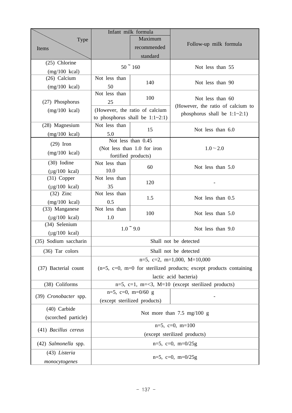|                            |                                                                       | Infant milk formula                |                                                                      |  |  |  |  |
|----------------------------|-----------------------------------------------------------------------|------------------------------------|----------------------------------------------------------------------|--|--|--|--|
| Type                       | Maximum                                                               |                                    |                                                                      |  |  |  |  |
| Items                      |                                                                       | recommended                        | Follow-up milk formula                                               |  |  |  |  |
|                            |                                                                       | standard                           |                                                                      |  |  |  |  |
| (25) Chlorine              |                                                                       |                                    |                                                                      |  |  |  |  |
| $(mg/100$ kcal)            |                                                                       | $50^\circ 160$                     | Not less than 55                                                     |  |  |  |  |
| (26) Calcium               | Not less than                                                         |                                    |                                                                      |  |  |  |  |
| $(mg/100$ kcal)            | 50                                                                    | 140                                | Not less than 90                                                     |  |  |  |  |
|                            | Not less than<br>100                                                  |                                    |                                                                      |  |  |  |  |
| (27) Phosphorus            | 25                                                                    |                                    | Not less than 60                                                     |  |  |  |  |
| $(mg/100$ kcal)            |                                                                       | (However, the ratio of calcium     | (However, the ratio of calcium to<br>phosphorus shall be $1:1-2:1$ ) |  |  |  |  |
|                            |                                                                       | to phosphorus shall be $1:1-2:1$ ) |                                                                      |  |  |  |  |
| (28) Magnesium             | Not less than                                                         |                                    |                                                                      |  |  |  |  |
| $(mg/100 \text{ kcal})$    | 5.0                                                                   | 15                                 | Not less than 6.0                                                    |  |  |  |  |
| $(29)$ Iron                |                                                                       | Not less than 0.45                 |                                                                      |  |  |  |  |
|                            |                                                                       | (Not less than 1.0 for iron        | $1.0 - 2.0$                                                          |  |  |  |  |
| $(mg/100$ kcal)            |                                                                       | fortified products)                |                                                                      |  |  |  |  |
| (30) Iodine                | Not less than                                                         | 60                                 | Not less than 5.0                                                    |  |  |  |  |
| $(\mu g/100 \text{ kcal})$ | 10.0                                                                  |                                    |                                                                      |  |  |  |  |
| $(31)$ Copper              | Not less than                                                         | 120                                |                                                                      |  |  |  |  |
| $(\mu$ g/100 kcal)         | 35                                                                    |                                    |                                                                      |  |  |  |  |
| $(32)$ Zinc                | Not less than                                                         | 1.5                                | Not less than 0.5                                                    |  |  |  |  |
| $(mg/100$ kcal)            | 0.5                                                                   |                                    |                                                                      |  |  |  |  |
| (33) Manganese             | Not less than                                                         | 100                                | Not less than 5.0                                                    |  |  |  |  |
| $(\mu g/100 \text{ kcal})$ | 1.0                                                                   |                                    |                                                                      |  |  |  |  |
| (34) Selenium              |                                                                       | $1.0 \degree 9.0$                  | Not less than 9.0                                                    |  |  |  |  |
| $(\mu g/100 \text{ kcal})$ |                                                                       |                                    |                                                                      |  |  |  |  |
| (35) Sodium saccharin      |                                                                       | Shall not be detected              |                                                                      |  |  |  |  |
| $(36)$ Tar colors          | Shall not be detected                                                 |                                    |                                                                      |  |  |  |  |
|                            |                                                                       |                                    | $n=5$ , c=2, m=1,000, M=10,000                                       |  |  |  |  |
| (37) Bacterial count       | $(n=5, c=0, m=0)$ for sterilized products; except products containing |                                    |                                                                      |  |  |  |  |
|                            | lactic acid bacteria)                                                 |                                    |                                                                      |  |  |  |  |
| (38) Coliforms             | $n=5$ , c=1, m=<3, M=10 (except sterilized products)                  |                                    |                                                                      |  |  |  |  |
|                            |                                                                       | $n=5$ , $c=0$ , $m=0/60$ g         |                                                                      |  |  |  |  |
| (39) Cronobacter spp.      |                                                                       | (except sterilized products)       | -                                                                    |  |  |  |  |
| (40) Carbide               |                                                                       |                                    |                                                                      |  |  |  |  |
| (scorched particle)        | Not more than $7.5 \text{ mg}/100 \text{ g}$                          |                                    |                                                                      |  |  |  |  |
|                            |                                                                       |                                    |                                                                      |  |  |  |  |
| (41) Bacillus cereus       | $n=5$ , $c=0$ , $m=100$                                               |                                    |                                                                      |  |  |  |  |
|                            | (except sterilized products)                                          |                                    |                                                                      |  |  |  |  |
| (42) Salmonella spp.       | $n=5$ , $c=0$ , $m=0/25g$                                             |                                    |                                                                      |  |  |  |  |
| (43) Listeria              |                                                                       |                                    |                                                                      |  |  |  |  |
| monocytogenes              | $n=5$ , $c=0$ , $m=0/25g$                                             |                                    |                                                                      |  |  |  |  |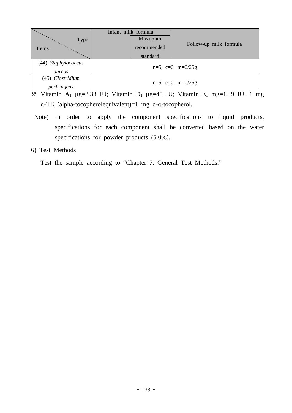|                     |                           | Infant milk formula |                        |  |  |  |
|---------------------|---------------------------|---------------------|------------------------|--|--|--|
| <b>Type</b>         |                           | Maximum             | Follow-up milk formula |  |  |  |
| Items               |                           | recommended         |                        |  |  |  |
|                     |                           | standard            |                        |  |  |  |
| (44) Staphylococcus |                           |                     |                        |  |  |  |
| aureus              | $n=5$ , $c=0$ , $m=0/25g$ |                     |                        |  |  |  |
| (45) Clostridium    |                           |                     |                        |  |  |  |
| perfringens         | $n=5$ , $c=0$ , $m=0/25g$ |                     |                        |  |  |  |

 $\overline{\ast}$  Vitamin A<sub>1</sub> µg=3.33 IU; Vitamin D<sub>1</sub> µg=40 IU; Vitamin E<sub>1</sub> mg=1.49 IU; 1 mg α-TE (alpha-tocopherolequivalent)=1 mg d-α-tocopherol.

- Note) In order to apply the component specifications to liquid products, specifications for each component shall be converted based on the water specifications for powder products (5.0%).
- 6) Test Methods

Test the sample according to "Chapter 7. General Test Methods."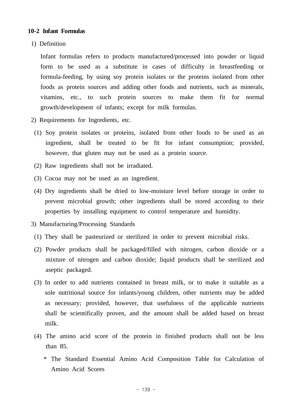## **10-2 Infant Formulas**

1) Definition

 Infant formulas refers to products manufactured/processed into powder or liquid form to be used as a substitute in cases of difficulty in breastfeeding or formula-feeding, by using soy protein isolates or the proteins isolated from other foods as protein sources and adding other foods and nutrients, such as minerals, vitamins, etc., to such protein sources to make them fit for normal growth/development of infants; except for milk formulas.

- 2) Requirements for Ingredients, etc.
- (1) Soy protein isolates or proteins, isolated from other foods to be used as an ingredient, shall be treated to be fit for infant consumption; provided, however, that gluten may not be used as a protein source.
- (2) Raw ingredients shall not be irradiated.
- (3) Cocoa may not be used as an ingredient.
- (4) Dry ingredients shall be dried to low-moisture level before storage in order to prevent microbial growth; other ingredients shall be stored according to their properties by installing equipment to control temperature and humidity.
- 3) Manufacturing/Processing Standards
- (1) They shall be pasteurized or sterilized in order to prevent microbial risks.
- (2) Powder products shall be packaged/filled with nitrogen, carbon dioxide or a mixture of nitrogen and carbon dioxide; liquid products shall be sterilized and aseptic packaged.
- (3) In order to add nutrients contained in breast milk, or to make it suitable as a sole nutritional source for infants/young children, other nutrients may be added as necessary; provided, however, that usefulness of the applicable nutrients shall be scientifically proven, and the amount shall be added based on breast milk.
- (4) The amino acid score of the protein in finished products shall not be less than 85.
	- \* The Standard Essential Amino Acid Composition Table for Calculation of Amino Acid Scores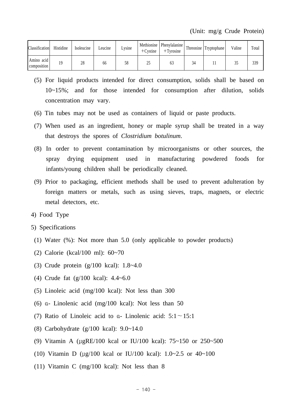| <b>Classification</b>               | Histidine | Isoleucine | Leucine | Lysine | Methionine<br>$+$ Cystine | Phenylalanine<br>$+$ Tyrosine | Threonine | Tryptophane | Valine | Total |
|-------------------------------------|-----------|------------|---------|--------|---------------------------|-------------------------------|-----------|-------------|--------|-------|
| Amino acid<br>$\lfloor$ composition | 1 Q       | 28         | 66      | 58     | ን ና<br>ں ک                | 03                            | 34        |             | ر ر    | 339   |

- (5) For liquid products intended for direct consumption, solids shall be based on 10~15%; and for those intended for consumption after dilution, solids concentration may vary.
- (6) Tin tubes may not be used as containers of liquid or paste products.
- (7) When used as an ingredient, honey or maple syrup shall be treated in a way that destroys the spores of *Clostridium botulinum*.
- (8) In order to prevent contamination by microorganisms or other sources, the spray drying equipment used in manufacturing powdered foods for infants/young children shall be periodically cleaned.
- (9) Prior to packaging, efficient methods shall be used to prevent adulteration by foreign matters or metals, such as using sieves, traps, magnets, or electric metal detectors, etc.
- 4) Food Type
- 5) Specifications
- (1) Water (%): Not more than 5.0 (only applicable to powder products)
- (2) Calorie (kcal/100 ml): 60~70
- (3) Crude protein (g/100 kcal): 1.8~4.0
- (4) Crude fat (g/100 kcal): 4.4~6.0
- (5) Linoleic acid (mg/100 kcal): Not less than 300
- (6) α- Linolenic acid (mg/100 kcal): Not less than 50
- (7) Ratio of Linoleic acid to α- Linolenic acid: 5:1∼15:1
- (8) Carbohydrate (g/100 kcal): 9.0~14.0
- (9) Vitamin A (μgRE/100 kcal or IU/100 kcal): 75~150 or 250~500
- (10) Vitamin D (μg/100 kcal or IU/100 kcal): 1.0~2.5 or 40~100
- (11) Vitamin C (mg/100 kcal): Not less than 8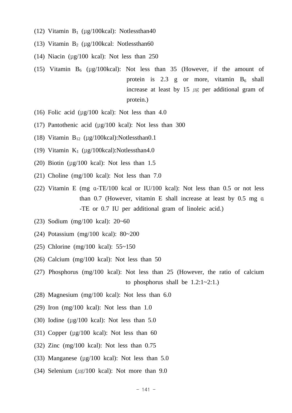- (12) Vitamin  $B_1$  (μg/100kcal): Notlessthan40
- (13) Vitamin  $B_2$  (μg/100kcal: Notlessthan60
- (14) Niacin ( $\mu$ g/100 kcal): Not less than 250
- (15) Vitamin  $B_6$  (μg/100kcal): Not less than 35 (However, if the amount of protein is 2.3 g or more, vitamin  $B_6$  shall increase at least by 15  $\mu$ g per additional gram of protein.)
- (16) Folic acid ( $\mu$ g/100 kcal): Not less than 4.0
- (17) Pantothenic acid (μg/100 kcal): Not less than 300
- (18) Vitamin  $B_{12}$  (μg/100kcal):Notlessthan0.1
- (19) Vitamin  $K_1$  (μg/100kcal):Notlessthan4.0
- (20) Biotin ( $\mu$ g/100 kcal): Not less than 1.5
- (21) Choline (mg/100 kcal): Not less than 7.0
- (22) Vitamin E (mg α-TE/100 kcal or IU/100 kcal): Not less than 0.5 or not less than 0.7 (However, vitamin E shall increase at least by 0.5 mg α -TE or 0.7 IU per additional gram of linoleic acid.)
- (23) Sodium (mg/100 kcal): 20~60
- (24) Potassium (mg/100 kcal): 80~200
- (25) Chlorine (mg/100 kcal): 55~150
- (26) Calcium (mg/100 kcal): Not less than 50
- (27) Phosphorus (mg/100 kcal): Not less than 25 (However, the ratio of calcium to phosphorus shall be 1.2:1~2:1.)
- (28) Magnesium (mg/100 kcal): Not less than 6.0
- (29) Iron (mg/100 kcal): Not less than 1.0
- (30) Iodine ( $\mu$ g/100 kcal): Not less than 5.0
- (31) Copper ( $\mu$ g/100 kcal): Not less than 60
- (32) Zinc (mg/100 kcal): Not less than 0.75
- (33) Manganese (μg/100 kcal): Not less than 5.0
- (34) Selenium ( $\mu$ g/100 kcal): Not more than 9.0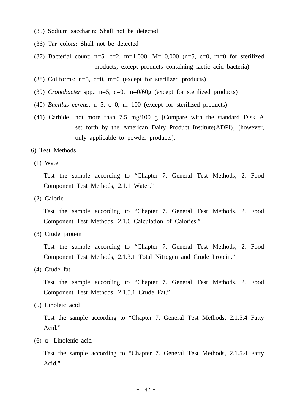- (35) Sodium saccharin: Shall not be detected
- (36) Tar colors: Shall not be detected
- (37) Bacterial count:  $n=5$ ,  $c=2$ ,  $m=1,000$ ,  $M=10,000$  ( $n=5$ ,  $c=0$ ,  $m=0$  for sterilized products; except products containing lactic acid bacteria)
- (38) Coliforms:  $n=5$ ,  $c=0$ ,  $m=0$  (except for sterilized products)
- (39) *Cronobacter* spp.: n=5, c=0, m=0/60g (except for sterilized products)
- (40) *Bacillus cereus*: n=5, c=0, m=100 (except for sterilized products)
- (41) Carbide: not more than 7.5 mg/100 g [Compare with the standard Disk A set forth by the American Dairy Product Institute(ADPI)] (however, only applicable to powder products).
- 6) Test Methods
- (1) Water

 Test the sample according to "Chapter 7. General Test Methods, 2. Food Component Test Methods, 2.1.1 Water."

(2) Calorie

 Test the sample according to "Chapter 7. General Test Methods, 2. Food Component Test Methods, 2.1.6 Calculation of Calories."

(3) Crude protein

 Test the sample according to "Chapter 7. General Test Methods, 2. Food Component Test Methods, 2.1.3.1 Total Nitrogen and Crude Protein."

(4) Crude fat

 Test the sample according to "Chapter 7. General Test Methods, 2. Food Component Test Methods, 2.1.5.1 Crude Fat."

(5) Linoleic acid

 Test the sample according to "Chapter 7. General Test Methods, 2.1.5.4 Fatty Acid."

(6) α- Linolenic acid

 Test the sample according to "Chapter 7. General Test Methods, 2.1.5.4 Fatty Acid."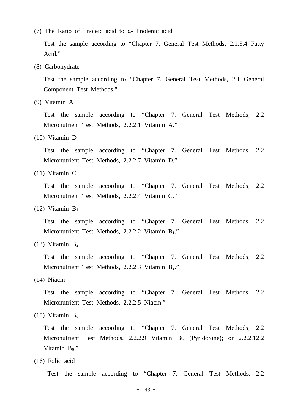(7) The Ratio of linoleic acid to α- linolenic acid

 Test the sample according to "Chapter 7. General Test Methods, 2.1.5.4 Fatty Acid."

(8) Carbohydrate

 Test the sample according to "Chapter 7. General Test Methods, 2.1 General Component Test Methods."

(9) Vitamin A

 Test the sample according to "Chapter 7. General Test Methods, 2.2 Micronutrient Test Methods, 2.2.2.1 Vitamin A."

(10) Vitamin D

 Test the sample according to "Chapter 7. General Test Methods, 2.2 Micronutrient Test Methods, 2.2.2.7 Vitamin D."

(11) Vitamin C

 Test the sample according to "Chapter 7. General Test Methods, 2.2 Micronutrient Test Methods, 2.2.2.4 Vitamin C."

(12) Vitamin  $B_1$ 

 Test the sample according to "Chapter 7. General Test Methods, 2.2 Micronutrient Test Methods, 2.2.2.2 Vitamin B<sub>1</sub>."

(13) Vitamin  $B_2$ 

 Test the sample according to "Chapter 7. General Test Methods, 2.2 Micronutrient Test Methods, 2.2.2.3 Vitamin B<sub>2</sub>."

(14) Niacin

 Test the sample according to "Chapter 7. General Test Methods, 2.2 Micronutrient Test Methods, 2.2.2.5 Niacin."

(15) Vitamin  $B_6$ 

 Test the sample according to "Chapter 7. General Test Methods, 2.2 Micronutrient Test Methods, 2.2.2.9 Vitamin B6 (Pyridoxine); or 2.2.2.12.2 Vitamin  $B_6$ ."

(16) Folic acid

Test the sample according to "Chapter 7. General Test Methods, 2.2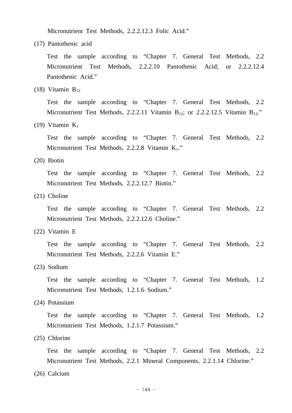Micronutrient Test Methods, 2.2.2.12.3 Folic Acid."

(17) Pantothenic acid

 Test the sample according to "Chapter 7. General Test Methods, 2.2 Micronutrient Test Methods, 2.2.2.10 Pantothenic Acid; or 2.2.2.12.4 Pantothenic Acid."

(18) Vitamin  $B_{12}$ 

 Test the sample according to "Chapter 7. General Test Methods, 2.2 Micronutrient Test Methods, 2.2.2.11 Vitamin  $B_{12}$ ; or 2.2.2.12.5 Vitamin  $B_{12}$ ."

(19) Vitamin  $K_1$ 

 Test the sample according to "Chapter 7. General Test Methods, 2.2 Micronutrient Test Methods, 2.2.2.8 Vitamin K<sub>1</sub>."

(20) Biotin

 Test the sample according to "Chapter 7. General Test Methods, 2.2 Micronutrient Test Methods, 2.2.2.12.7 Biotin."

(21) Choline

 Test the sample according to "Chapter 7. General Test Methods, 2.2 Micronutrient Test Methods, 2.2.2.12.6 Choline."

(22) Vitamin E

 Test the sample according to "Chapter 7. General Test Methods, 2.2 Micronutrient Test Methods, 2.2.2.6 Vitamin E."

(23) Sodium

 Test the sample according to "Chapter 7. General Test Methods, 1.2 Micronutrient Test Methods, 1.2.1.6 Sodium."

(24) Potassium

 Test the sample according to "Chapter 7. General Test Methods, 1.2 Micronutrient Test Methods, 1.2.1.7 Potassium."

(25) Chlorine

 Test the sample according to "Chapter 7. General Test Methods, 2.2 Micronutrient Test Methods, 2.2.1 Mineral Components, 2.2.1.14 Chlorine."

(26) Calcium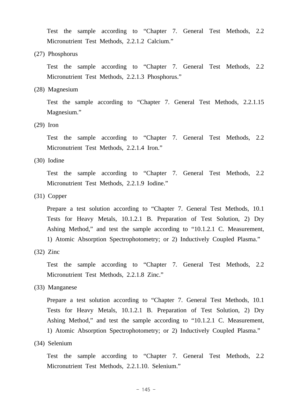Test the sample according to "Chapter 7. General Test Methods, 2.2 Micronutrient Test Methods, 2.2.1.2 Calcium."

(27) Phosphorus

 Test the sample according to "Chapter 7. General Test Methods, 2.2 Micronutrient Test Methods, 2.2.1.3 Phosphorus."

(28) Magnesium

 Test the sample according to "Chapter 7. General Test Methods, 2.2.1.15 Magnesium."

(29) Iron

 Test the sample according to "Chapter 7. General Test Methods, 2.2 Micronutrient Test Methods, 2.2.1.4 Iron."

(30) Iodine

 Test the sample according to "Chapter 7. General Test Methods, 2.2 Micronutrient Test Methods, 2.2.1.9 Iodine."

(31) Copper

 Prepare a test solution according to "Chapter 7. General Test Methods, 10.1 Tests for Heavy Metals, 10.1.2.1 B. Preparation of Test Solution, 2) Dry Ashing Method," and test the sample according to "10.1.2.1 C. Measurement, 1) Atomic Absorption Spectrophotometry; or 2) Inductively Coupled Plasma."

(32) Zinc

 Test the sample according to "Chapter 7. General Test Methods, 2.2 Micronutrient Test Methods, 2.2.1.8 Zinc."

(33) Manganese

 Prepare a test solution according to "Chapter 7. General Test Methods, 10.1 Tests for Heavy Metals, 10.1.2.1 B. Preparation of Test Solution, 2) Dry Ashing Method," and test the sample according to "10.1.2.1 C. Measurement, 1) Atomic Absorption Spectrophotometry; or 2) Inductively Coupled Plasma."

(34) Selenium

 Test the sample according to "Chapter 7. General Test Methods, 2.2 Micronutrient Test Methods, 2.2.1.10. Selenium."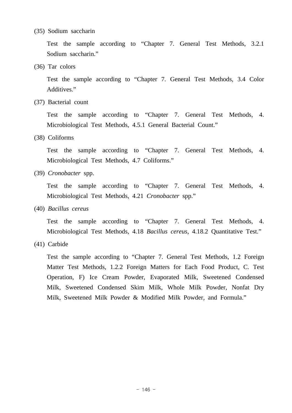#### (35) Sodium saccharin

 Test the sample according to "Chapter 7. General Test Methods, 3.2.1 Sodium saccharin."

(36) Tar colors

 Test the sample according to "Chapter 7. General Test Methods, 3.4 Color Additives."

(37) Bacterial count

 Test the sample according to "Chapter 7. General Test Methods, 4. Microbiological Test Methods, 4.5.1 General Bacterial Count."

(38) Coliforms

 Test the sample according to "Chapter 7. General Test Methods, 4. Microbiological Test Methods, 4.7 Coliforms."

(39) *Cronobacter* spp.

 Test the sample according to "Chapter 7. General Test Methods, 4. Microbiological Test Methods, 4.21 *Cronobacter* spp."

(40) *Bacillus cereus*

 Test the sample according to "Chapter 7. General Test Methods, 4. Microbiological Test Methods, 4.18 *Bacillus cereus*, 4.18.2 Quantitative Test."

(41) Carbide

 Test the sample according to "Chapter 7. General Test Methods, 1.2 Foreign Matter Test Methods, 1.2.2 Foreign Matters for Each Food Product, C. Test Operation, F) Ice Cream Powder, Evaporated Milk, Sweetened Condensed Milk, Sweetened Condensed Skim Milk, Whole Milk Powder, Nonfat Dry Milk, Sweetened Milk Powder & Modified Milk Powder, and Formula."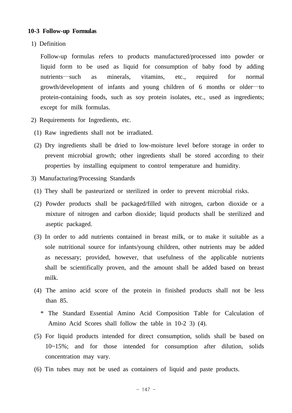#### **10-3 Follow-up Formulas**

1) Definition

 Follow-up formulas refers to products manufactured/processed into powder or liquid form to be used as liquid for consumption of baby food by adding nutrients—such as minerals, vitamins, etc., required for normal growth/development of infants and young children of 6 months or older—to protein-containing foods, such as soy protein isolates, etc., used as ingredients; except for milk formulas.

- 2) Requirements for Ingredients, etc.
- (1) Raw ingredients shall not be irradiated.
- (2) Dry ingredients shall be dried to low-moisture level before storage in order to prevent microbial growth; other ingredients shall be stored according to their properties by installing equipment to control temperature and humidity.
- 3) Manufacturing/Processing Standards
- (1) They shall be pasteurized or sterilized in order to prevent microbial risks.
- (2) Powder products shall be packaged/filled with nitrogen, carbon dioxide or a mixture of nitrogen and carbon dioxide; liquid products shall be sterilized and aseptic packaged.
- (3) In order to add nutrients contained in breast milk, or to make it suitable as a sole nutritional source for infants/young children, other nutrients may be added as necessary; provided, however, that usefulness of the applicable nutrients shall be scientifically proven, and the amount shall be added based on breast milk.
- (4) The amino acid score of the protein in finished products shall not be less than 85.
	- \* The Standard Essential Amino Acid Composition Table for Calculation of Amino Acid Scores shall follow the table in 10-2 3) (4).
- (5) For liquid products intended for direct consumption, solids shall be based on 10~15%; and for those intended for consumption after dilution, solids concentration may vary.
- (6) Tin tubes may not be used as containers of liquid and paste products.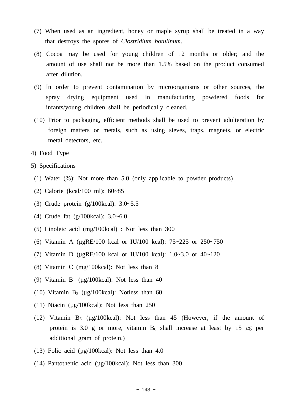- (7) When used as an ingredient, honey or maple syrup shall be treated in a way that destroys the spores of *Clostridium botulinum*.
- (8) Cocoa may be used for young children of 12 months or older; and the amount of use shall not be more than 1.5% based on the product consumed after dilution.
- (9) In order to prevent contamination by microorganisms or other sources, the spray drying equipment used in manufacturing powdered foods for infants/young children shall be periodically cleaned.
- (10) Prior to packaging, efficient methods shall be used to prevent adulteration by foreign matters or metals, such as using sieves, traps, magnets, or electric metal detectors, etc.
- 4) Food Type
- 5) Specifications
- (1) Water (%): Not more than 5.0 (only applicable to powder products)
- (2) Calorie (kcal/100 ml): 60~85
- (3) Crude protein (g/100kcal): 3.0~5.5
- (4) Crude fat (g/100kcal): 3.0~6.0
- (5) Linoleic acid (mg/100kcal) : Not less than 300
- (6) Vitamin A (μgRE/100 kcal or IU/100 kcal): 75~225 or 250~750
- (7) Vitamin D (μgRE/100 kcal or IU/100 kcal): 1.0~3.0 or 40~120
- (8) Vitamin C (mg/100kcal): Not less than 8
- (9) Vitamin  $B_1$  (μg/100kcal): Not less than 40
- (10) Vitamin  $B_2$  (μg/100kcal): Notless than 60
- (11) Niacin (μg/100kcal): Not less than 250
- (12) Vitamin  $B_6$  (μg/100kcal): Not less than 45 (However, if the amount of protein is 3.0 g or more, vitamin  $B_6$  shall increase at least by 15  $\mu$ g per additional gram of protein.)
- (13) Folic acid (μg/100kcal): Not less than 4.0
- (14) Pantothenic acid (μg/100kcal): Not less than 300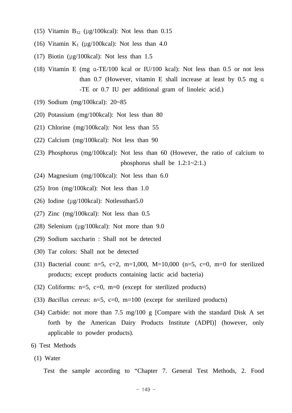- (15) Vitamin  $B_{12}$  (μg/100kcal): Not less than 0.15
- (16) Vitamin  $K_1$  (μg/100kcal): Not less than 4.0
- (17) Biotin (μg/100kcal): Not less than 1.5
- (18) Vitamin E (mg α-TE/100 kcal or IU/100 kcal): Not less than 0.5 or not less than 0.7 (However, vitamin E shall increase at least by 0.5 mg α -TE or 0.7 IU per additional gram of linoleic acid.)
- (19) Sodium (mg/100kcal): 20~85
- (20) Potassium (mg/100kcal): Not less than 80
- (21) Chlorine (mg/100kcal): Not less than 55
- (22) Calcium (mg/100kcal): Not less than 90
- (23) Phosphorus (mg/100kcal): Not less than 60 (However, the ratio of calcium to phosphorus shall be  $1.2:1 \sim 2:1.$ )
- (24) Magnesium (mg/100kcal): Not less than 6.0
- (25) Iron (mg/100kcal): Not less than 1.0
- (26) Iodine (μg/100kcal): Notlessthan5.0
- (27) Zinc (mg/100kcal): Not less than 0.5
- (28) Selenium (μg/100kcal): Not more than 9.0
- (29) Sodium saccharin : Shall not be detected
- (30) Tar colors: Shall not be detected
- (31) Bacterial count:  $n=5$ ,  $c=2$ ,  $m=1,000$ ,  $M=10,000$  ( $n=5$ ,  $c=0$ ,  $m=0$  for sterilized products; except products containing lactic acid bacteria)
- (32) Coliforms:  $n=5$ ,  $c=0$ ,  $m=0$  (except for sterilized products)
- (33) *Bacillus cereus*: n=5, c=0, m=100 (except for sterilized products)
- (34) Carbide: not more than 7.5 mg/100 g [Compare with the standard Disk A set forth by the American Dairy Products Institute (ADPI)] (however, only applicable to powder products).
- 6) Test Methods
- (1) Water

Test the sample according to "Chapter 7. General Test Methods, 2. Food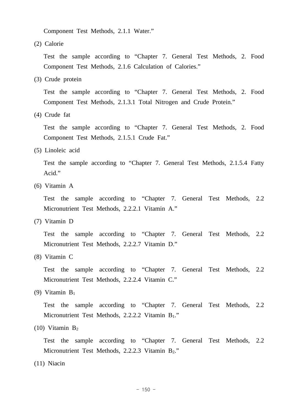Component Test Methods, 2.1.1 Water."

(2) Calorie

 Test the sample according to "Chapter 7. General Test Methods, 2. Food Component Test Methods, 2.1.6 Calculation of Calories."

(3) Crude protein

 Test the sample according to "Chapter 7. General Test Methods, 2. Food Component Test Methods, 2.1.3.1 Total Nitrogen and Crude Protein."

(4) Crude fat

 Test the sample according to "Chapter 7. General Test Methods, 2. Food Component Test Methods, 2.1.5.1 Crude Fat."

(5) Linoleic acid

 Test the sample according to "Chapter 7. General Test Methods, 2.1.5.4 Fatty Acid."

(6) Vitamin A

 Test the sample according to "Chapter 7. General Test Methods, 2.2 Micronutrient Test Methods, 2.2.2.1 Vitamin A."

(7) Vitamin D

 Test the sample according to "Chapter 7. General Test Methods, 2.2 Micronutrient Test Methods, 2.2.2.7 Vitamin D."

(8) Vitamin C

 Test the sample according to "Chapter 7. General Test Methods, 2.2 Micronutrient Test Methods, 2.2.2.4 Vitamin C."

(9) Vitamin B1

 Test the sample according to "Chapter 7. General Test Methods, 2.2 Micronutrient Test Methods, 2.2.2.2 Vitamin B<sub>1</sub>."

(10) Vitamin  $B_2$ 

 Test the sample according to "Chapter 7. General Test Methods, 2.2 Micronutrient Test Methods, 2.2.2.3 Vitamin B<sub>2</sub>."

(11) Niacin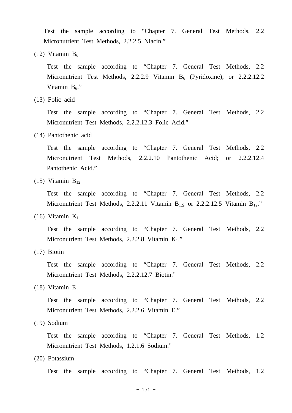Test the sample according to "Chapter 7. General Test Methods, 2.2 Micronutrient Test Methods, 2.2.2.5 Niacin."

(12) Vitamin  $B_6$ 

 Test the sample according to "Chapter 7. General Test Methods, 2.2 Micronutrient Test Methods, 2.2.2.9 Vitamin B<sub>6</sub> (Pyridoxine); or 2.2.2.12.2 Vitamin  $B_6$ ."

(13) Folic acid

 Test the sample according to "Chapter 7. General Test Methods, 2.2 Micronutrient Test Methods, 2.2.2.12.3 Folic Acid."

(14) Pantothenic acid

 Test the sample according to "Chapter 7. General Test Methods, 2.2 Micronutrient Test Methods, 2.2.2.10 Pantothenic Acid; or 2.2.2.12.4 Pantothenic Acid."

 $(15)$  Vitamin  $B_{12}$ 

 Test the sample according to "Chapter 7. General Test Methods, 2.2 Micronutrient Test Methods, 2.2.2.11 Vitamin B<sub>12</sub>; or 2.2.2.12.5 Vitamin B<sub>12</sub>."

(16) Vitamin  $K_1$ 

 Test the sample according to "Chapter 7. General Test Methods, 2.2 Micronutrient Test Methods, 2.2.2.8 Vitamin K<sub>1</sub>."

(17) Biotin

 Test the sample according to "Chapter 7. General Test Methods, 2.2 Micronutrient Test Methods, 2.2.2.12.7 Biotin."

(18) Vitamin E

 Test the sample according to "Chapter 7. General Test Methods, 2.2 Micronutrient Test Methods, 2.2.2.6 Vitamin E."

(19) Sodium

 Test the sample according to "Chapter 7. General Test Methods, 1.2 Micronutrient Test Methods, 1.2.1.6 Sodium."

(20) Potassium

Test the sample according to "Chapter 7. General Test Methods, 1.2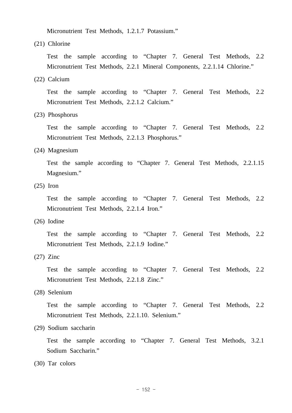Micronutrient Test Methods, 1.2.1.7 Potassium."

(21) Chlorine

 Test the sample according to "Chapter 7. General Test Methods, 2.2 Micronutrient Test Methods, 2.2.1 Mineral Components, 2.2.1.14 Chlorine."

(22) Calcium

 Test the sample according to "Chapter 7. General Test Methods, 2.2 Micronutrient Test Methods, 2.2.1.2 Calcium."

(23) Phosphorus

 Test the sample according to "Chapter 7. General Test Methods, 2.2 Micronutrient Test Methods, 2.2.1.3 Phosphorus."

(24) Magnesium

 Test the sample according to "Chapter 7. General Test Methods, 2.2.1.15 Magnesium."

(25) Iron

 Test the sample according to "Chapter 7. General Test Methods, 2.2 Micronutrient Test Methods, 2.2.1.4 Iron."

(26) Iodine

 Test the sample according to "Chapter 7. General Test Methods, 2.2 Micronutrient Test Methods, 2.2.1.9 Iodine."

(27) Zinc

 Test the sample according to "Chapter 7. General Test Methods, 2.2 Micronutrient Test Methods, 2.2.1.8 Zinc."

(28) Selenium

 Test the sample according to "Chapter 7. General Test Methods, 2.2 Micronutrient Test Methods, 2.2.1.10. Selenium."

(29) Sodium saccharin

 Test the sample according to "Chapter 7. General Test Methods, 3.2.1 Sodium Saccharin."

(30) Tar colors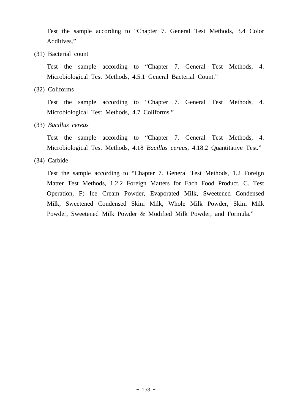Test the sample according to "Chapter 7. General Test Methods, 3.4 Color Additives."

(31) Bacterial count

 Test the sample according to "Chapter 7. General Test Methods, 4. Microbiological Test Methods, 4.5.1 General Bacterial Count."

(32) Coliforms

 Test the sample according to "Chapter 7. General Test Methods, 4. Microbiological Test Methods, 4.7 Coliforms."

(33) *Bacillus cereus*

 Test the sample according to "Chapter 7. General Test Methods, 4. Microbiological Test Methods, 4.18 *Bacillus cereus*, 4.18.2 Quantitative Test."

(34) Carbide

 Test the sample according to "Chapter 7. General Test Methods, 1.2 Foreign Matter Test Methods, 1.2.2 Foreign Matters for Each Food Product, C. Test Operation, F) Ice Cream Powder, Evaporated Milk, Sweetened Condensed Milk, Sweetened Condensed Skim Milk, Whole Milk Powder, Skim Milk Powder, Sweetened Milk Powder & Modified Milk Powder, and Formula."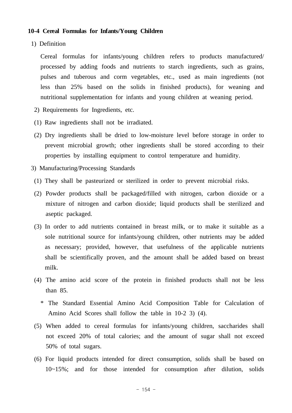#### **10-4 Cereal Formulas for Infants/Young Children**

1) Definition

 Cereal formulas for infants/young children refers to products manufactured/ processed by adding foods and nutrients to starch ingredients, such as grains, pulses and tuberous and corm vegetables, etc., used as main ingredients (not less than 25% based on the solids in finished products), for weaning and nutritional supplementation for infants and young children at weaning period.

- 2) Requirements for Ingredients, etc.
- (1) Raw ingredients shall not be irradiated.
- (2) Dry ingredients shall be dried to low-moisture level before storage in order to prevent microbial growth; other ingredients shall be stored according to their properties by installing equipment to control temperature and humidity.
- 3) Manufacturing/Processing Standards
- (1) They shall be pasteurized or sterilized in order to prevent microbial risks.
- (2) Powder products shall be packaged/filled with nitrogen, carbon dioxide or a mixture of nitrogen and carbon dioxide; liquid products shall be sterilized and aseptic packaged.
- (3) In order to add nutrients contained in breast milk, or to make it suitable as a sole nutritional source for infants/young children, other nutrients may be added as necessary; provided, however, that usefulness of the applicable nutrients shall be scientifically proven, and the amount shall be added based on breast milk.
- (4) The amino acid score of the protein in finished products shall not be less than 85.
	- \* The Standard Essential Amino Acid Composition Table for Calculation of Amino Acid Scores shall follow the table in 10-2 3) (4).
- (5) When added to cereal formulas for infants/young children, saccharides shall not exceed 20% of total calories; and the amount of sugar shall not exceed 50% of total sugars.
- (6) For liquid products intended for direct consumption, solids shall be based on 10~15%; and for those intended for consumption after dilution, solids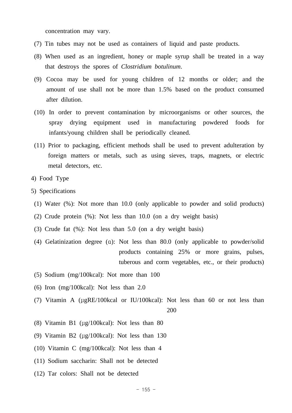concentration may vary.

- (7) Tin tubes may not be used as containers of liquid and paste products.
- (8) When used as an ingredient, honey or maple syrup shall be treated in a way that destroys the spores of *Clostridium botulinum*.
- (9) Cocoa may be used for young children of 12 months or older; and the amount of use shall not be more than 1.5% based on the product consumed after dilution.
- (10) In order to prevent contamination by microorganisms or other sources, the spray drying equipment used in manufacturing powdered foods for infants/young children shall be periodically cleaned.
- (11) Prior to packaging, efficient methods shall be used to prevent adulteration by foreign matters or metals, such as using sieves, traps, magnets, or electric metal detectors, etc.
- 4) Food Type
- 5) Specifications
- (1) Water (%): Not more than 10.0 (only applicable to powder and solid products)
- (2) Crude protein (%): Not less than 10.0 (on a dry weight basis)
- (3) Crude fat (%): Not less than 5.0 (on a dry weight basis)
- (4) Gelatinization degree (α): Not less than 80.0 (only applicable to powder/solid products containing 25% or more grains, pulses, tuberous and corm vegetables, etc., or their products)
- (5) Sodium (mg/100kcal): Not more than 100
- (6) Iron (mg/100kcal): Not less than 2.0
- (7) Vitamin A (μgRE/100kcal or IU/100kcal): Not less than 60 or not less than 200
- (8) Vitamin B1 (μg/100kcal): Not less than 80
- (9) Vitamin B2 (μg/100kcal): Not less than 130
- (10) Vitamin C (mg/100kcal): Not less than 4
- (11) Sodium saccharin: Shall not be detected
- (12) Tar colors: Shall not be detected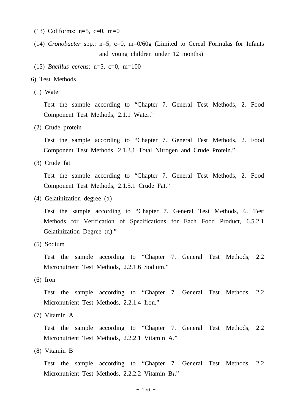- (13) Coliforms:  $n=5$ ,  $c=0$ ,  $m=0$
- (14) *Cronobacter* spp.: n=5, c=0, m=0/60g (Limited to Cereal Formulas for Infants and young children under 12 months)
- (15) *Bacillus cereus*: n=5, c=0, m=100
- 6) Test Methods
- (1) Water

 Test the sample according to "Chapter 7. General Test Methods, 2. Food Component Test Methods, 2.1.1 Water."

(2) Crude protein

 Test the sample according to "Chapter 7. General Test Methods, 2. Food Component Test Methods, 2.1.3.1 Total Nitrogen and Crude Protein."

(3) Crude fat

 Test the sample according to "Chapter 7. General Test Methods, 2. Food Component Test Methods, 2.1.5.1 Crude Fat."

(4) Gelatinization degree (α)

 Test the sample according to "Chapter 7. General Test Methods, 6. Test Methods for Verification of Specifications for Each Food Product, 6.5.2.1 Gelatinization Degree (α)."

(5) Sodium

 Test the sample according to "Chapter 7. General Test Methods, 2.2 Micronutrient Test Methods, 2.2.1.6 Sodium."

(6) Iron

 Test the sample according to "Chapter 7. General Test Methods, 2.2 Micronutrient Test Methods, 2.2.1.4 Iron."

(7) Vitamin A

 Test the sample according to "Chapter 7. General Test Methods, 2.2 Micronutrient Test Methods, 2.2.2.1 Vitamin A."

(8) Vitamin B1

 Test the sample according to "Chapter 7. General Test Methods, 2.2 Micronutrient Test Methods, 2.2.2.2 Vitamin B<sub>1</sub>."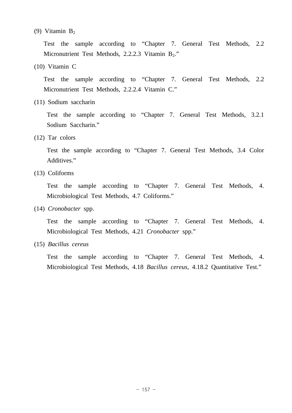#### (9) Vitamin B2

 Test the sample according to "Chapter 7. General Test Methods, 2.2 Micronutrient Test Methods, 2.2.2.3 Vitamin B<sub>2</sub>."

(10) Vitamin C

 Test the sample according to "Chapter 7. General Test Methods, 2.2 Micronutrient Test Methods, 2.2.2.4 Vitamin C."

(11) Sodium saccharin

 Test the sample according to "Chapter 7. General Test Methods, 3.2.1 Sodium Saccharin."

(12) Tar colors

 Test the sample according to "Chapter 7. General Test Methods, 3.4 Color Additives."

(13) Coliforms

 Test the sample according to "Chapter 7. General Test Methods, 4. Microbiological Test Methods, 4.7 Coliforms."

(14) *Cronobacter* spp.

 Test the sample according to "Chapter 7. General Test Methods, 4. Microbiological Test Methods, 4.21 *Cronobacter* spp."

(15) *Bacillus cereus*

 Test the sample according to "Chapter 7. General Test Methods, 4. Microbiological Test Methods, 4.18 *Bacillus cereus*, 4.18.2 Quantitative Test."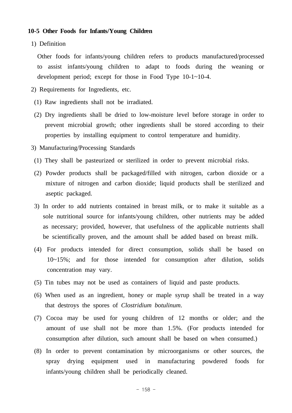#### **10-5 Other Foods for Infants/Young Children**

1) Definition

 Other foods for infants/young children refers to products manufactured/processed to assist infants/young children to adapt to foods during the weaning or development period; except for those in Food Type 10-1~10-4.

- 2) Requirements for Ingredients, etc.
- (1) Raw ingredients shall not be irradiated.
- (2) Dry ingredients shall be dried to low-moisture level before storage in order to prevent microbial growth; other ingredients shall be stored according to their properties by installing equipment to control temperature and humidity.
- 3) Manufacturing/Processing Standards
- (1) They shall be pasteurized or sterilized in order to prevent microbial risks.
- (2) Powder products shall be packaged/filled with nitrogen, carbon dioxide or a mixture of nitrogen and carbon dioxide; liquid products shall be sterilized and aseptic packaged.
- 3) In order to add nutrients contained in breast milk, or to make it suitable as a sole nutritional source for infants/young children, other nutrients may be added as necessary; provided, however, that usefulness of the applicable nutrients shall be scientifically proven, and the amount shall be added based on breast milk.
- (4) For products intended for direct consumption, solids shall be based on 10~15%; and for those intended for consumption after dilution, solids concentration may vary.
- (5) Tin tubes may not be used as containers of liquid and paste products.
- (6) When used as an ingredient, honey or maple syrup shall be treated in a way that destroys the spores of *Clostridium botulinum*.
- (7) Cocoa may be used for young children of 12 months or older; and the amount of use shall not be more than 1.5%. (For products intended for consumption after dilution, such amount shall be based on when consumed.)
- (8) In order to prevent contamination by microorganisms or other sources, the spray drying equipment used in manufacturing powdered foods for infants/young children shall be periodically cleaned.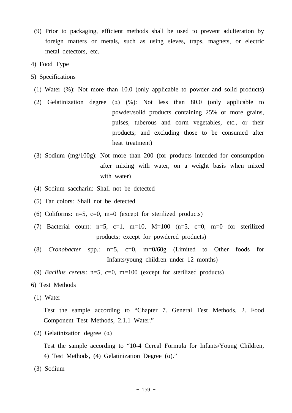- (9) Prior to packaging, efficient methods shall be used to prevent adulteration by foreign matters or metals, such as using sieves, traps, magnets, or electric metal detectors, etc.
- 4) Food Type
- 5) Specifications
- (1) Water (%): Not more than 10.0 (only applicable to powder and solid products)
- (2) Gelatinization degree (α) (%): Not less than 80.0 (only applicable to powder/solid products containing 25% or more grains, pulses, tuberous and corm vegetables, etc., or their products; and excluding those to be consumed after heat treatment)
- (3) Sodium (mg/100g): Not more than 200 (for products intended for consumption after mixing with water, on a weight basis when mixed with water)
- (4) Sodium saccharin: Shall not be detected
- (5) Tar colors: Shall not be detected
- (6) Coliforms:  $n=5$ ,  $c=0$ ,  $m=0$  (except for sterilized products)
- (7) Bacterial count:  $n=5$ ,  $c=1$ ,  $m=10$ ,  $M=100$  ( $n=5$ ,  $c=0$ ,  $m=0$  for sterilized products; except for powdered products)
- (8) *Cronobacter* spp.: n=5, c=0, m=0/60g (Limited to Other foods for Infants/young children under 12 months)
- (9) *Bacillus cereus*: n=5, c=0, m=100 (except for sterilized products)
- 6) Test Methods
- (1) Water

 Test the sample according to "Chapter 7. General Test Methods, 2. Food Component Test Methods, 2.1.1 Water."

(2) Gelatinization degree (α)

 Test the sample according to "10-4 Cereal Formula for Infants/Young Children, 4) Test Methods, (4) Gelatinization Degree (α)."

(3) Sodium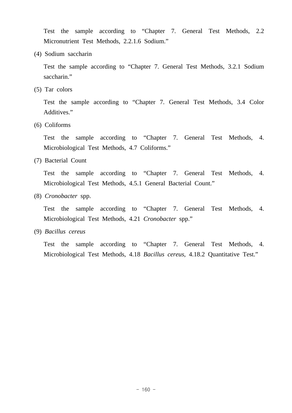Test the sample according to "Chapter 7. General Test Methods, 2.2 Micronutrient Test Methods, 2.2.1.6 Sodium."

(4) Sodium saccharin

 Test the sample according to "Chapter 7. General Test Methods, 3.2.1 Sodium saccharin."

(5) Tar colors

 Test the sample according to "Chapter 7. General Test Methods, 3.4 Color Additives."

(6) Coliforms

 Test the sample according to "Chapter 7. General Test Methods, 4. Microbiological Test Methods, 4.7 Coliforms."

(7) Bacterial Count

 Test the sample according to "Chapter 7. General Test Methods, 4. Microbiological Test Methods, 4.5.1 General Bacterial Count."

(8) *Cronobacter* spp.

 Test the sample according to "Chapter 7. General Test Methods, 4. Microbiological Test Methods, 4.21 *Cronobacter* spp."

(9) *Bacillus cereus*

 Test the sample according to "Chapter 7. General Test Methods, 4. Microbiological Test Methods, 4.18 *Bacillus cereus*, 4.18.2 Quantitative Test."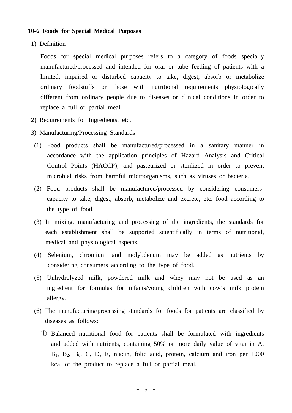#### **10-6 Foods for Special Medical Purposes**

1) Definition

 Foods for special medical purposes refers to a category of foods specially manufactured/processed and intended for oral or tube feeding of patients with a limited, impaired or disturbed capacity to take, digest, absorb or metabolize ordinary foodstuffs or those with nutritional requirements physiologically different from ordinary people due to diseases or clinical conditions in order to replace a full or partial meal.

- 2) Requirements for Ingredients, etc.
- 3) Manufacturing/Processing Standards
- (1) Food products shall be manufactured/processed in a sanitary manner in accordance with the application principles of Hazard Analysis and Critical Control Points (HACCP); and pasteurized or sterilized in order to prevent microbial risks from harmful microorganisms, such as viruses or bacteria.
- (2) Food products shall be manufactured/processed by considering consumers' capacity to take, digest, absorb, metabolize and excrete, etc. food according to the type of food.
- (3) In mixing, manufacturing and processing of the ingredients, the standards for each establishment shall be supported scientifically in terms of nutritional, medical and physiological aspects.
- (4) Selenium, chromium and molybdenum may be added as nutrients by considering consumers according to the type of food.
- (5) Unhydrolyzed milk, powdered milk and whey may not be used as an ingredient for formulas for infants/young children with cow's milk protein allergy.
- (6) The manufacturing/processing standards for foods for patients are classified by diseases as follows:
	- ① Balanced nutritional food for patients shall be formulated with ingredients and added with nutrients, containing 50% or more daily value of vitamin A,  $B_1$ ,  $B_2$ ,  $B_6$ , C, D, E, niacin, folic acid, protein, calcium and iron per 1000 kcal of the product to replace a full or partial meal.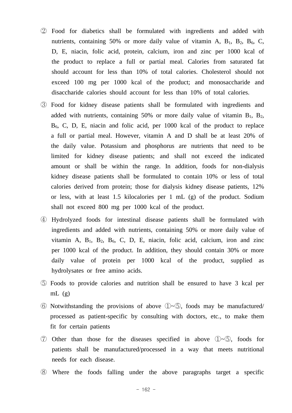- ② Food for diabetics shall be formulated with ingredients and added with nutrients, containing 50% or more daily value of vitamin A,  $B_1$ ,  $B_2$ ,  $B_6$ , C, D, E, niacin, folic acid, protein, calcium, iron and zinc per 1000 kcal of the product to replace a full or partial meal. Calories from saturated fat should account for less than 10% of total calories. Cholesterol should not exceed 100 mg per 1000 kcal of the product; and monosaccharide and disaccharide calories should account for less than 10% of total calories.
- ③ Food for kidney disease patients shall be formulated with ingredients and added with nutrients, containing 50% or more daily value of vitamin  $B_1$ ,  $B_2$ , B6, C, D, E, niacin and folic acid, per 1000 kcal of the product to replace a full or partial meal. However, vitamin A and D shall be at least 20% of the daily value. Potassium and phosphorus are nutrients that need to be limited for kidney disease patients; and shall not exceed the indicated amount or shall be within the range. In addition, foods for non-dialysis kidney disease patients shall be formulated to contain 10% or less of total calories derived from protein; those for dialysis kidney disease patients, 12% or less, with at least 1.5 kilocalories per 1 mL (g) of the product. Sodium shall not exceed 800 mg per 1000 kcal of the product.
- ④ Hydrolyzed foods for intestinal disease patients shall be formulated with ingredients and added with nutrients, containing 50% or more daily value of vitamin A,  $B_1$ ,  $B_2$ ,  $B_6$ , C, D, E, niacin, folic acid, calcium, iron and zinc per 1000 kcal of the product. In addition, they should contain 30% or more daily value of protein per 1000 kcal of the product, supplied as hydrolysates or free amino acids.
- ⑤ Foods to provide calories and nutrition shall be ensured to have 3 kcal per mL  $(g)$
- ⑥ Notwithstanding the provisions of above ①~⑤, foods may be manufactured/ processed as patient-specific by consulting with doctors, etc., to make them fit for certain patients
- ⑦ Other than those for the diseases specified in above ①~⑤, foods for patients shall be manufactured/processed in a way that meets nutritional needs for each disease.
- ⑧ Where the foods falling under the above paragraphs target a specific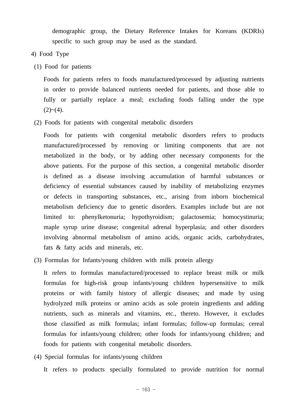demographic group, the Dietary Reference Intakes for Koreans (KDRIs) specific to such group may be used as the standard.

- 4) Food Type
- (1) Food for patients

 Foods for patients refers to foods manufactured/processed by adjusting nutrients in order to provide balanced nutrients needed for patients, and those able to fully or partially replace a meal; excluding foods falling under the type  $(2)~(4).$ 

(2) Foods for patients with congenital metabolic disorders

 Foods for patients with congenital metabolic disorders refers to products manufactured/processed by removing or limiting components that are not metabolized in the body, or by adding other necessary components for the above patients. For the purpose of this section, a congenital metabolic disorder is defined as a disease involving accumulation of harmful substances or deficiency of essential substances caused by inability of metabolizing enzymes or defects in transporting substances, etc., arising from inborn biochemical metabolism deficiency due to genetic disorders. Examples include but are not limited to: phenylketonuria; hypothyroidism; galactosemia; homocystinuria; maple syrup urine disease; congenital adrenal hyperplasia; and other disorders involving abnormal metabolism of amino acids, organic acids, carbohydrates, fats & fatty acids and minerals, etc.

(3) Formulas for Infants/young children with milk protein allergy

 It refers to formulas manufactured/processed to replace breast milk or milk formulas for high-risk group infants/young children hypersensitive to milk proteins or with family history of allergic diseases; and made by using hydrolyzed milk proteins or amino acids as sole protein ingredients and adding nutrients, such as minerals and vitamins, etc., thereto. However, it excludes those classified as milk formulas; infant formulas; follow-up formulas; cereal formulas for infants/young children; other foods for infants/young children; and foods for patients with congenital metabolic disorders.

(4) Special formulas for infants/young children

It refers to products specially formulated to provide nutrition for normal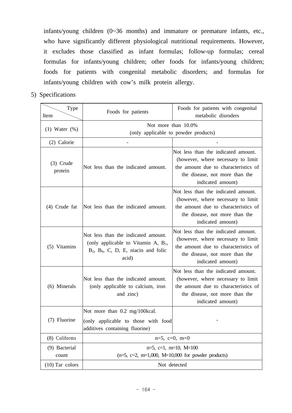infants/young children (0~36 months) and immature or premature infants, etc., who have significantly different physiological nutritional requirements. However, it excludes those classified as infant formulas; follow-up formulas; cereal formulas for infants/young children; other foods for infants/young children; foods for patients with congenital metabolic disorders; and formulas for infants/young children with cow's milk protein allergy.

5) Specifications

| Type<br>Item           | Foods for patients                                                                                                                  | Foods for patients with congenital<br>metabolic disroders                                                                                                                |
|------------------------|-------------------------------------------------------------------------------------------------------------------------------------|--------------------------------------------------------------------------------------------------------------------------------------------------------------------------|
|                        | Not more than 10.0%<br>(only applicable to powder products)                                                                         |                                                                                                                                                                          |
| $(1)$ Water $(\%)$     |                                                                                                                                     |                                                                                                                                                                          |
| (2) Calorie            |                                                                                                                                     |                                                                                                                                                                          |
| $(3)$ Crude<br>protein | Not less than the indicated amount.                                                                                                 | Not less than the indicated amount.<br>(however, where necessary to limit<br>the amount due to characteristics of<br>the disease, not more than the<br>indicated amount) |
| $(4)$ Crude fat        | Not less than the indicated amount.                                                                                                 | Not less than the indicated amount.<br>(however, where necessary to limit<br>the amount due to characteristics of<br>the disease, not more than the<br>indicated amount) |
| (5) Vitamins           | Not less than the indicated amount.<br>(only applicable to Vitamin A, $B_1$ ,<br>$B_2$ , $B_6$ , C, D, E, niacin and folic<br>acid) | Not less than the indicated amount.<br>(however, where necessary to limit<br>the amount due to characteristics of<br>the disease, not more than the<br>indicated amount) |
| (6) Minerals           | Not less than the indicated amount.<br>(only applicable to calcium, iron<br>and zinc)                                               | Not less than the indicated amount.<br>(however, where necessary to limit<br>the amount due to characteristics of<br>the disease, not more than the<br>indicated amount) |
| (7) Fluorine           | Not more than 0.2 mg/100kcal.<br>(only applicable to those with food<br>additives containing fluorine)                              |                                                                                                                                                                          |
| (8) Coliforms          | $n=5$ , $c=0$ , $m=0$                                                                                                               |                                                                                                                                                                          |
| (9) Bacterial          | $n=5$ , $c=1$ , $m=10$ , $M=100$                                                                                                    |                                                                                                                                                                          |
| count                  | $(n=5, c=2, m=1,000, M=10,000$ for powder products)                                                                                 |                                                                                                                                                                          |
| $(10)$ Tar colors      | Not detected                                                                                                                        |                                                                                                                                                                          |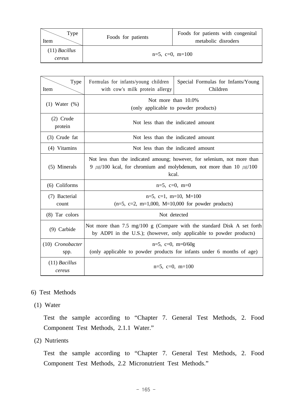| Type<br>Item              | Foods for patients | Foods for patients with congenital<br>metabolic disroders |
|---------------------------|--------------------|-----------------------------------------------------------|
| $(11)$ Bacillus<br>cereus |                    | $n=5$ , $c=0$ , $m=100$                                   |

| Type<br>Item              | Formulas for infants/young children<br>with cow's milk protein allergy                                                                                             | Special Formulas for Infants/Young<br>Children |
|---------------------------|--------------------------------------------------------------------------------------------------------------------------------------------------------------------|------------------------------------------------|
| $(1)$ Water $(\%)$        | Not more than 10.0%<br>(only applicable to powder products)                                                                                                        |                                                |
| $(2)$ Crude<br>protein    | Not less than the indicated amount                                                                                                                                 |                                                |
| (3) Crude fat             | Not less than the indicated amount                                                                                                                                 |                                                |
| (4) Vitamins              | Not less than the indicated amount                                                                                                                                 |                                                |
| (5) Minerals              | Not less than the indicated amoung; however, for selenium, not more than<br>9 $\mu$ g/100 kcal, for chromium and molybdenum, not more than 10 $\mu$ g/100<br>kcal. |                                                |
| (6) Coliforms             | $n=5$ , $c=0$ , $m=0$                                                                                                                                              |                                                |
| (7) Bacterial<br>count    | $n=5$ , $c=1$ , $m=10$ , $M=100$<br>$(n=5, c=2, m=1,000, M=10,000$ for powder products)                                                                            |                                                |
| (8) Tar colors            | Not detected                                                                                                                                                       |                                                |
| $(9)$ Carbide             | Not more than 7.5 mg/100 g (Compare with the standard Disk A set forth<br>by ADPI in the U.S.); (however, only applicable to powder products)                      |                                                |
| (10) Cronobacter<br>spp.  | $n=5$ , $c=0$ , $m=0/60g$<br>(only applicable to powder products for infants under 6 months of age)                                                                |                                                |
| $(11)$ Bacillus<br>cereus | $n=5$ , $c=0$ , $m=100$                                                                                                                                            |                                                |

#### 6) Test Methods

(1) Water

 Test the sample according to "Chapter 7. General Test Methods, 2. Food Component Test Methods, 2.1.1 Water."

(2) Nutrients

 Test the sample according to "Chapter 7. General Test Methods, 2. Food Component Test Methods, 2.2 Micronutrient Test Methods."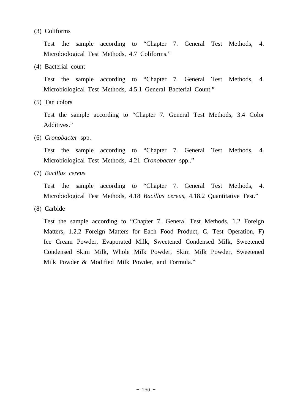#### (3) Coliforms

 Test the sample according to "Chapter 7. General Test Methods, 4. Microbiological Test Methods, 4.7 Coliforms."

(4) Bacterial count

 Test the sample according to "Chapter 7. General Test Methods, 4. Microbiological Test Methods, 4.5.1 General Bacterial Count."

(5) Tar colors

 Test the sample according to "Chapter 7. General Test Methods, 3.4 Color Additives."

(6) *Cronobacter* spp.

 Test the sample according to "Chapter 7. General Test Methods, 4. Microbiological Test Methods, 4.21 *Cronobacter* spp.."

(7) *Bacillus cereus*

 Test the sample according to "Chapter 7. General Test Methods, 4. Microbiological Test Methods, 4.18 *Bacillus cereus*, 4.18.2 Quantitative Test."

(8) Carbide

 Test the sample according to "Chapter 7. General Test Methods, 1.2 Foreign Matters, 1.2.2 Foreign Matters for Each Food Product, C. Test Operation, F) Ice Cream Powder, Evaporated Milk, Sweetened Condensed Milk, Sweetened Condensed Skim Milk, Whole Milk Powder, Skim Milk Powder, Sweetened Milk Powder & Modified Milk Powder, and Formula."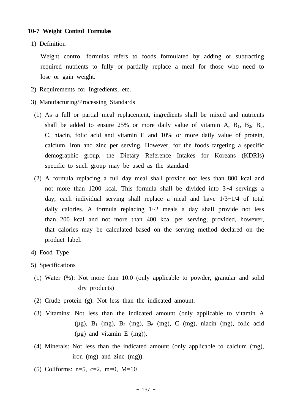#### **10-7 Weight Control Formulas**

1) Definition

 Weight control formulas refers to foods formulated by adding or subtracting required nutrients to fully or partially replace a meal for those who need to lose or gain weight.

- 2) Requirements for Ingredients, etc.
- 3) Manufacturing/Processing Standards
- (1) As a full or partial meal replacement, ingredients shall be mixed and nutrients shall be added to ensure 25% or more daily value of vitamin A,  $B_1$ ,  $B_2$ ,  $B_6$ , C, niacin, folic acid and vitamin E and 10% or more daily value of protein, calcium, iron and zinc per serving. However, for the foods targeting a specific demographic group, the Dietary Reference Intakes for Koreans (KDRIs) specific to such group may be used as the standard.
- (2) A formula replacing a full day meal shall provide not less than 800 kcal and not more than 1200 kcal. This formula shall be divided into 3~4 servings a day; each individual serving shall replace a meal and have  $1/3 \sim 1/4$  of total daily calories. A formula replacing  $1~2$  meals a day shall provide not less than 200 kcal and not more than 400 kcal per serving; provided, however, that calories may be calculated based on the serving method declared on the product label.
- 4) Food Type
- 5) Specifications
	- (1) Water (%): Not more than 10.0 (only applicable to powder, granular and solid dry products)
	- (2) Crude protein (g): Not less than the indicated amount.
	- (3) Vitamins: Not less than the indicated amount (only applicable to vitamin A  $(\mu g)$ ,  $B_1$  (mg),  $B_2$  (mg),  $B_6$  (mg),  $C$  (mg), niacin (mg), folic acid  $(\mu g)$  and vitamin E  $(mg)$ ).
	- (4) Minerals: Not less than the indicated amount (only applicable to calcium (mg), iron (mg) and zinc (mg)).
	- (5) Coliforms:  $n=5$ ,  $c=2$ ,  $m=0$ ,  $M=10$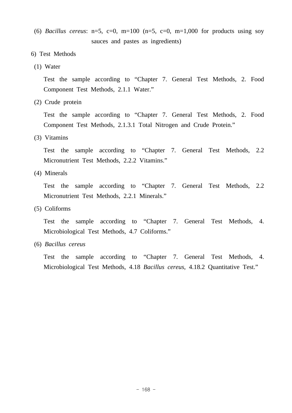- (6) *Bacillus cereus*:  $n=5$ ,  $c=0$ ,  $m=100$  ( $n=5$ ,  $c=0$ ,  $m=1,000$  for products using soy sauces and pastes as ingredients)
- 6) Test Methods
- (1) Water

 Test the sample according to "Chapter 7. General Test Methods, 2. Food Component Test Methods, 2.1.1 Water."

(2) Crude protein

 Test the sample according to "Chapter 7. General Test Methods, 2. Food Component Test Methods, 2.1.3.1 Total Nitrogen and Crude Protein."

(3) Vitamins

 Test the sample according to "Chapter 7. General Test Methods, 2.2 Micronutrient Test Methods, 2.2.2 Vitamins."

(4) Minerals

 Test the sample according to "Chapter 7. General Test Methods, 2.2 Micronutrient Test Methods, 2.2.1 Minerals."

(5) Coliforms

 Test the sample according to "Chapter 7. General Test Methods, 4. Microbiological Test Methods, 4.7 Coliforms."

(6) *Bacillus cereus*

 Test the sample according to "Chapter 7. General Test Methods, 4. Microbiological Test Methods, 4.18 *Bacillus cereus*, 4.18.2 Quantitative Test."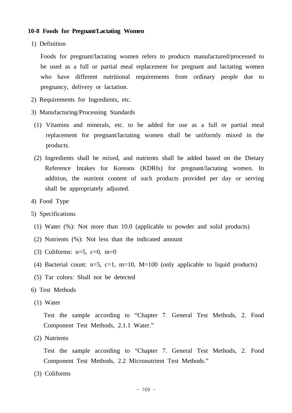#### **10-8 Foods for Pregnant/Lactating Women**

1) Definition

 Foods for pregnant/lactating women refers to products manufactured/processed to be used as a full or partial meal replacement for pregnant and lactating women who have different nutritional requirements from ordinary people due to pregnancy, delivery or lactation.

- 2) Requirements for Ingredients, etc.
- 3) Manufacturing/Processing Standards
- (1) Vitamins and minerals, etc. to be added for use as a full or partial meal replacement for pregnant/lactating women shall be uniformly mixed in the products.
- (2) Ingredients shall be mixed, and nutrients shall be added based on the Dietary Reference Intakes for Koreans (KDRIs) for pregnant/lactating women. In addition, the nutrient content of such products provided per day or serving shall be appropriately adjusted.
- 4) Food Type
- 5) Specifications
	- (1) Water (%): Not more than 10.0 (applicable to powder and solid products)
	- (2) Nutrients (%): Not less than the indicated amount
	- (3) Coliforms:  $n=5$ ,  $c=0$ ,  $m=0$
	- (4) Bacterial count:  $n=5$ ,  $c=1$ ,  $m=10$ ,  $M=100$  (only applicable to liquid products)
	- (5) Tar colors: Shall not be detected

#### 6) Test Methods

(1) Water

 Test the sample according to "Chapter 7. General Test Methods, 2. Food Component Test Methods, 2.1.1 Water."

(2) Nutrients

 Test the sample according to "Chapter 7. General Test Methods, 2. Food Component Test Methods, 2.2 Micronutrient Test Methods."

(3) Coliforms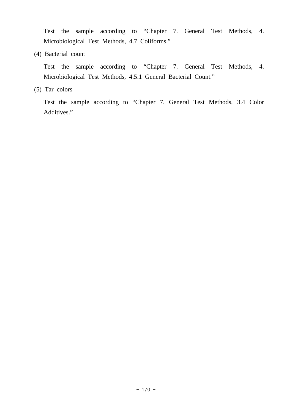Test the sample according to "Chapter 7. General Test Methods, 4. Microbiological Test Methods, 4.7 Coliforms."

(4) Bacterial count

 Test the sample according to "Chapter 7. General Test Methods, 4. Microbiological Test Methods, 4.5.1 General Bacterial Count."

(5) Tar colors

 Test the sample according to "Chapter 7. General Test Methods, 3.4 Color Additives."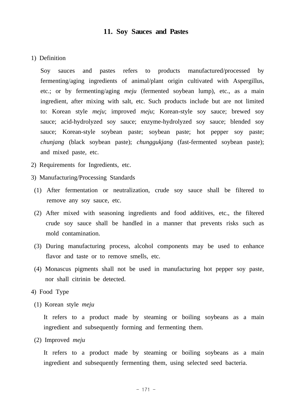## **11. Soy Sauces and Pastes**

#### 1) Definition

 Soy sauces and pastes refers to products manufactured/processed by fermenting/aging ingredients of animal/plant origin cultivated with Aspergillus, etc.; or by fermenting/aging *meju* (fermented soybean lump), etc., as a main ingredient, after mixing with salt, etc. Such products include but are not limited to: Korean style *meju*; improved *meju*; Korean-style soy sauce; brewed soy sauce; acid-hydrolyzed soy sauce; enzyme-hydrolyzed soy sauce; blended soy sauce; Korean-style soybean paste; soybean paste; hot pepper soy paste; *chunjang* (black soybean paste); *chunggukjang* (fast-fermented soybean paste); and mixed paste, etc.

- 2) Requirements for Ingredients, etc.
- 3) Manufacturing/Processing Standards
- (1) After fermentation or neutralization, crude soy sauce shall be filtered to remove any soy sauce, etc.
- (2) After mixed with seasoning ingredients and food additives, etc., the filtered crude soy sauce shall be handled in a manner that prevents risks such as mold contamination.
- (3) During manufacturing process, alcohol components may be used to enhance flavor and taste or to remove smells, etc.
- (4) Monascus pigments shall not be used in manufacturing hot pepper soy paste, nor shall citrinin be detected.
- 4) Food Type
	- (1) Korean style *meju*

It refers to a product made by steaming or boiling soybeans as a main ingredient and subsequently forming and fermenting them.

(2) Improved *meju*

It refers to a product made by steaming or boiling soybeans as a main ingredient and subsequently fermenting them, using selected seed bacteria.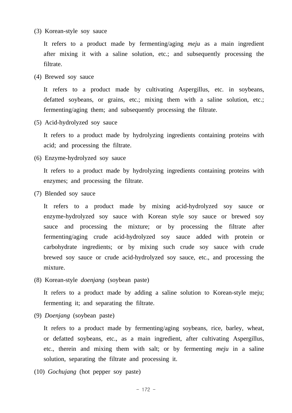(3) Korean-style soy sauce

 It refers to a product made by fermenting/aging *meju* as a main ingredient after mixing it with a saline solution, etc.; and subsequently processing the filtrate.

(4) Brewed soy sauce

 It refers to a product made by cultivating Aspergillus, etc. in soybeans, defatted soybeans, or grains, etc.; mixing them with a saline solution, etc.; fermenting/aging them; and subsequently processing the filtrate.

(5) Acid-hydrolyzed soy sauce

 It refers to a product made by hydrolyzing ingredients containing proteins with acid; and processing the filtrate.

(6) Enzyme-hydrolyzed soy sauce

 It refers to a product made by hydrolyzing ingredients containing proteins with enzymes; and processing the filtrate.

(7) Blended soy sauce

 It refers to a product made by mixing acid-hydrolyzed soy sauce or enzyme-hydrolyzed soy sauce with Korean style soy sauce or brewed soy sauce and processing the mixture; or by processing the filtrate after fermenting/aging crude acid-hydrolyzed soy sauce added with protein or carbohydrate ingredients; or by mixing such crude soy sauce with crude brewed soy sauce or crude acid-hydrolyzed soy sauce, etc., and processing the mixture.

(8) Korean-style *doenjang* (soybean paste)

 It refers to a product made by adding a saline solution to Korean-style meju; fermenting it; and separating the filtrate.

(9) *Doenjang* (soybean paste)

 It refers to a product made by fermenting/aging soybeans, rice, barley, wheat, or defatted soybeans, etc., as a main ingredient, after cultivating Aspergillus, etc., therein and mixing them with salt; or by fermenting *meju* in a saline solution, separating the filtrate and processing it.

(10) *Gochujang* (hot pepper soy paste)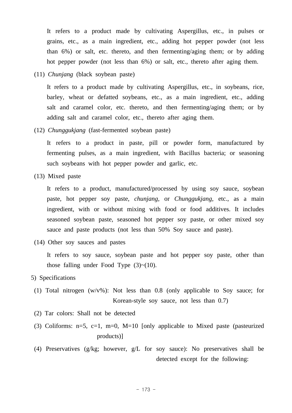It refers to a product made by cultivating Aspergillus, etc., in pulses or grains, etc., as a main ingredient, etc., adding hot pepper powder (not less than 6%) or salt, etc. thereto, and then fermenting/aging them; or by adding hot pepper powder (not less than 6%) or salt, etc., thereto after aging them.

(11) *Chunjang* (black soybean paste)

 It refers to a product made by cultivating Aspergillus, etc., in soybeans, rice, barley, wheat or defatted soybeans, etc., as a main ingredient, etc., adding salt and caramel color, etc. thereto, and then fermenting/aging them; or by adding salt and caramel color, etc., thereto after aging them.

(12) *Chunggukjang* (fast-fermented soybean paste)

 It refers to a product in paste, pill or powder form, manufactured by fermenting pulses, as a main ingredient, with Bacillus bacteria; or seasoning such soybeans with hot pepper powder and garlic, etc.

(13) Mixed paste

 It refers to a product, manufactured/processed by using soy sauce, soybean paste, hot pepper soy paste, *chunjang*, or *Chunggukjang*, etc., as a main ingredient, with or without mixing with food or food additives. It includes seasoned soybean paste, seasoned hot pepper soy paste, or other mixed soy sauce and paste products (not less than 50% Soy sauce and paste).

(14) Other soy sauces and pastes

 It refers to soy sauce, soybean paste and hot pepper soy paste, other than those falling under Food Type  $(3)~(10)$ .

#### 5) Specifications

- (1) Total nitrogen (w/v%): Not less than 0.8 (only applicable to Soy sauce; for Korean-style soy sauce, not less than 0.7)
- (2) Tar colors: Shall not be detected
- (3) Coliforms:  $n=5$ ,  $c=1$ ,  $m=0$ ,  $M=10$  [only applicable to Mixed paste (pasteurized products)]
- (4) Preservatives (g/kg; however, g/L for soy sauce): No preservatives shall be detected except for the following: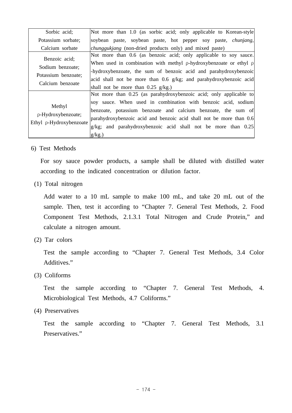| Sorbic acid;                                                                 | Not more than 1.0 (as sorbic acid; only applicable to Korean-style                                                                                                                                                                                                                                                                                    |
|------------------------------------------------------------------------------|-------------------------------------------------------------------------------------------------------------------------------------------------------------------------------------------------------------------------------------------------------------------------------------------------------------------------------------------------------|
| Potassium sorbate;                                                           | soybean paste, soybean paste, hot pepper soy paste, <i>chunjang</i> ,                                                                                                                                                                                                                                                                                 |
| Calcium sorbate                                                              | <i>chunggukjang</i> (non-dried products only) and mixed paste)                                                                                                                                                                                                                                                                                        |
| Benzoic acid;<br>Sodium benzoate;<br>Potassium benzoate;<br>Calcium benzoate | Not more than 0.6 (as benzoic acid; only applicable to soy sauce.<br>When used in combination with methyl $\rho$ -hydroxybenzoate or ethyl $\rho$<br>-hydroxybenzoate, the sum of benzoic acid and parahydroxybenzoic<br>acid shall not be more than 0.6 g/kg; and parahydroxybenzoic acid<br>shall not be more than $0.25$ g/kg.)                    |
| Methyl<br>p-Hydroxybenzoate;<br>Ethyl p-Hydroxybenzoate                      | Not more than 0.25 (as parahydroxybenzoic acid; only applicable to<br>soy sauce. When used in combination with benzoic acid, sodium<br>benzoate, potassium benzoate and calcium benzoate, the sum of<br>parahydroxybenzoic acid and benzoic acid shall not be more than 0.6<br>g/kg; and parahydroxybenzoic acid shall not be more than 0.25<br>g/kg. |

6) Test Methods

 For soy sauce powder products, a sample shall be diluted with distilled water according to the indicated concentration or dilution factor.

(1) Total nitrogen

 Add water to a 10 mL sample to make 100 mL, and take 20 mL out of the sample. Then, test it according to "Chapter 7. General Test Methods, 2. Food Component Test Methods, 2.1.3.1 Total Nitrogen and Crude Protein," and calculate a nitrogen amount.

(2) Tar colors

 Test the sample according to "Chapter 7. General Test Methods, 3.4 Color Additives."

(3) Coliforms

 Test the sample according to "Chapter 7. General Test Methods, 4. Microbiological Test Methods, 4.7 Coliforms."

(4) Preservatives

 Test the sample according to "Chapter 7. General Test Methods, 3.1 Preservatives."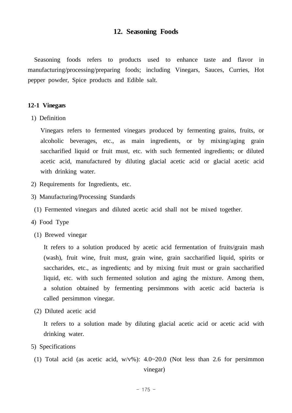## **12. Seasoning Foods**

 Seasoning foods refers to products used to enhance taste and flavor in manufacturing/processing/preparing foods; including Vinegars, Sauces, Curries, Hot pepper powder, Spice products and Edible salt.

#### **12-1 Vinegars**

1) Definition

 Vinegars refers to fermented vinegars produced by fermenting grains, fruits, or alcoholic beverages, etc., as main ingredients, or by mixing/aging grain saccharified liquid or fruit must, etc. with such fermented ingredients; or diluted acetic acid, manufactured by diluting glacial acetic acid or glacial acetic acid with drinking water.

- 2) Requirements for Ingredients, etc.
- 3) Manufacturing/Processing Standards
- (1) Fermented vinegars and diluted acetic acid shall not be mixed together.
- 4) Food Type
- (1) Brewed vinegar

 It refers to a solution produced by acetic acid fermentation of fruits/grain mash (wash), fruit wine, fruit must, grain wine, grain saccharified liquid, spirits or saccharides, etc., as ingredients; and by mixing fruit must or grain saccharified liquid, etc. with such fermented solution and aging the mixture. Among them, a solution obtained by fermenting persimmons with acetic acid bacteria is called persimmon vinegar.

(2) Diluted acetic acid

 It refers to a solution made by diluting glacial acetic acid or acetic acid with drinking water.

- 5) Specifications
- (1) Total acid (as acetic acid,  $w/v\%$ ):  $4.0~20.0$  (Not less than 2.6 for persimmon

vinegar)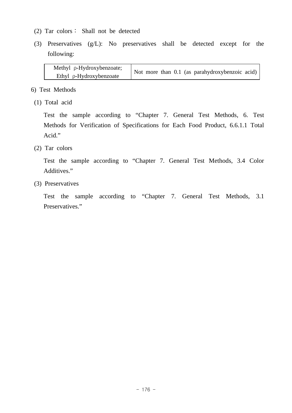- (2) Tar colors∶ Shall not be detected
- (3) Preservatives (g/L): No preservatives shall be detected except for the following:

| Methyl p-Hydroxybenzoate; | Not more than 0.1 (as parahydroxybenzoic acid) |  |
|---------------------------|------------------------------------------------|--|
| Ethyl p-Hydroxybenzoate   |                                                |  |

- 6) Test Methods
- (1) Total acid

 Test the sample according to "Chapter 7. General Test Methods, 6. Test Methods for Verification of Specifications for Each Food Product, 6.6.1.1 Total Acid."

(2) Tar colors

 Test the sample according to "Chapter 7. General Test Methods, 3.4 Color Additives."

(3) Preservatives

 Test the sample according to "Chapter 7. General Test Methods, 3.1 Preservatives."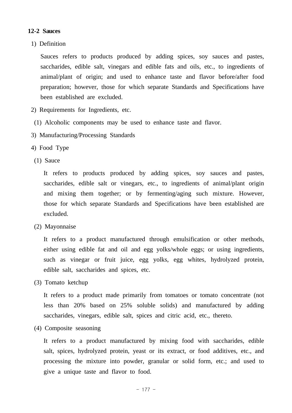### **12-2 Sauces**

1) Definition

 Sauces refers to products produced by adding spices, soy sauces and pastes, saccharides, edible salt, vinegars and edible fats and oils, etc., to ingredients of animal/plant of origin; and used to enhance taste and flavor before/after food preparation; however, those for which separate Standards and Specifications have been established are excluded.

- 2) Requirements for Ingredients, etc.
- (1) Alcoholic components may be used to enhance taste and flavor.
- 3) Manufacturing/Processing Standards
- 4) Food Type
- (1) Sauce

 It refers to products produced by adding spices, soy sauces and pastes, saccharides, edible salt or vinegars, etc., to ingredients of animal/plant origin and mixing them together; or by fermenting/aging such mixture. However, those for which separate Standards and Specifications have been established are excluded.

(2) Mayonnaise

 It refers to a product manufactured through emulsification or other methods, either using edible fat and oil and egg yolks/whole eggs; or using ingredients, such as vinegar or fruit juice, egg yolks, egg whites, hydrolyzed protein, edible salt, saccharides and spices, etc.

(3) Tomato ketchup

 It refers to a product made primarily from tomatoes or tomato concentrate (not less than 20% based on 25% soluble solids) and manufactured by adding saccharides, vinegars, edible salt, spices and citric acid, etc., thereto.

(4) Composite seasoning

 It refers to a product manufactured by mixing food with saccharides, edible salt, spices, hydrolyzed protein, yeast or its extract, or food additives, etc., and processing the mixture into powder, granular or solid form, etc.; and used to give a unique taste and flavor to food.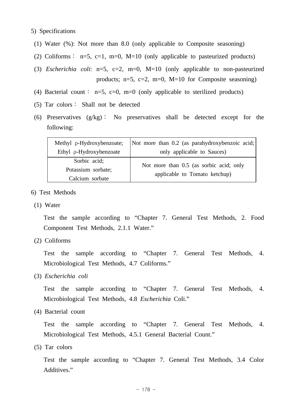#### 5) Specifications

- (1) Water (%): Not more than 8.0 (only applicable to Composite seasoning)
- (2) Coliforms : n=5, c=1, m=0, M=10 (only applicable to pasteurized products)
- (3) *Escherichia coli*: n=5, c=2, m=0, M=10 (only applicable to non-pasteurized products;  $n=5$ ,  $c=2$ ,  $m=0$ ,  $M=10$  for Composite seasoning)
- (4) Bacterial count : n=5, c=0, m=0 (only applicable to sterilized products)
- (5) Tar colors∶ Shall not be detected
- (6) Preservatives (g/kg)∶ No preservatives shall be detected except for the following:

| Methyl p-Hydroxybenzoate; | Not more than 0.2 (as parahydroxybenzoic acid; |  |
|---------------------------|------------------------------------------------|--|
| Ethyl p-Hydroxybenzoate   | only applicable to Sauces)                     |  |
| Sorbic acid;              | Not more than 0.5 (as sorbic acid; only        |  |
| Potassium sorbate;        |                                                |  |
| Calcium sorbate           | applicable to Tomato ketchup)                  |  |

- 6) Test Methods
	- (1) Water

 Test the sample according to "Chapter 7. General Test Methods, 2. Food Component Test Methods, 2.1.1 Water."

(2) Coliforms

 Test the sample according to "Chapter 7. General Test Methods, 4. Microbiological Test Methods, 4.7 Coliforms."

(3) *Escherichia coli*

 Test the sample according to "Chapter 7. General Test Methods, 4. Microbiological Test Methods, 4.8 *Escherichia* Coli."

(4) Bacterial count

 Test the sample according to "Chapter 7. General Test Methods, 4. Microbiological Test Methods, 4.5.1 General Bacterial Count."

(5) Tar colors

 Test the sample according to "Chapter 7. General Test Methods, 3.4 Color Additives."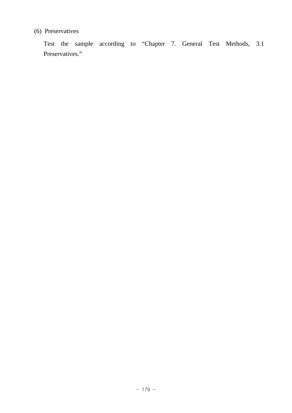# (6) Preservatives

 Test the sample according to "Chapter 7. General Test Methods, 3.1 Preservatives."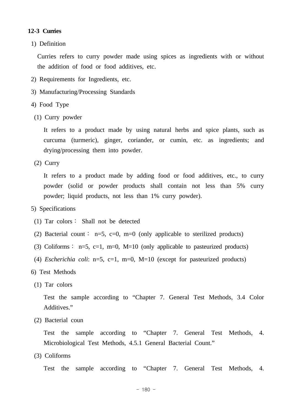#### **12-3 Curries**

1) Definition

 Curries refers to curry powder made using spices as ingredients with or without the addition of food or food additives, etc.

- 2) Requirements for Ingredients, etc.
- 3) Manufacturing/Processing Standards
- 4) Food Type
- (1) Curry powder

 It refers to a product made by using natural herbs and spice plants, such as curcuma (turmeric), ginger, coriander, or cumin, etc. as ingredients; and drying/processing them into powder.

(2) Curry

It refers to a product made by adding food or food additives, etc., to curry powder (solid or powder products shall contain not less than 5% curry powder; liquid products, not less than 1% curry powder).

- 5) Specifications
	- (1) Tar colors∶ Shall not be detected
- (2) Bacterial count: n=5, c=0, m=0 (only applicable to sterilized products)
- (3) Coliforms  $: n=5, c=1, m=0, M=10$  (only applicable to pasteurized products)
- (4) *Escherichia coli*: n=5, c=1, m=0, M=10 (except for pasteurized products)
- 6) Test Methods
- (1) Tar colors

 Test the sample according to "Chapter 7. General Test Methods, 3.4 Color Additives."

(2) Bacterial coun

 Test the sample according to "Chapter 7. General Test Methods, 4. Microbiological Test Methods, 4.5.1 General Bacterial Count."

(3) Coliforms

Test the sample according to "Chapter 7. General Test Methods, 4.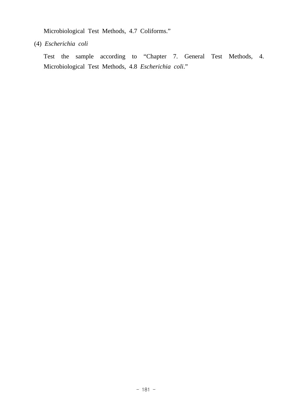Microbiological Test Methods, 4.7 Coliforms."

(4) *Escherichia coli*

 Test the sample according to "Chapter 7. General Test Methods, 4. Microbiological Test Methods, 4.8 *Escherichia coli*."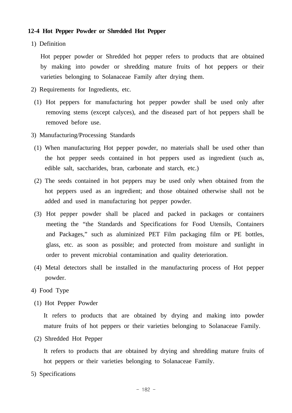#### **12-4 Hot Pepper Powder or Shredded Hot Pepper**

1) Definition

 Hot pepper powder or Shredded hot pepper refers to products that are obtained by making into powder or shredding mature fruits of hot peppers or their varieties belonging to Solanaceae Family after drying them.

- 2) Requirements for Ingredients, etc.
- (1) Hot peppers for manufacturing hot pepper powder shall be used only after removing stems (except calyces), and the diseased part of hot peppers shall be removed before use.
- 3) Manufacturing/Processing Standards
- (1) When manufacturing Hot pepper powder, no materials shall be used other than the hot pepper seeds contained in hot peppers used as ingredient (such as, edible salt, saccharides, bran, carbonate and starch, etc.)
- (2) The seeds contained in hot peppers may be used only when obtained from the hot peppers used as an ingredient; and those obtained otherwise shall not be added and used in manufacturing hot pepper powder.
- (3) Hot pepper powder shall be placed and packed in packages or containers meeting the "the Standards and Specifications for Food Utensils, Containers and Packages," such as aluminized PET Film packaging film or PE bottles, glass, etc. as soon as possible; and protected from moisture and sunlight in order to prevent microbial contamination and quality deterioration.
- (4) Metal detectors shall be installed in the manufacturing process of Hot pepper powder.
- 4) Food Type
- (1) Hot Pepper Powder

 It refers to products that are obtained by drying and making into powder mature fruits of hot peppers or their varieties belonging to Solanaceae Family.

(2) Shredded Hot Pepper

 It refers to products that are obtained by drying and shredding mature fruits of hot peppers or their varieties belonging to Solanaceae Family.

5) Specifications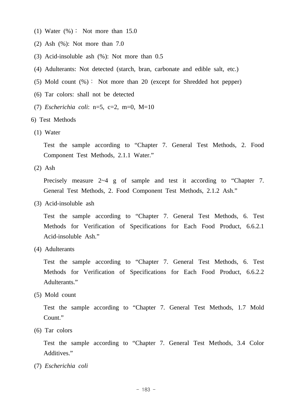- (1) Water  $(\%)$ : Not more than 15.0
- (2) Ash (%): Not more than 7.0
- (3) Acid-insoluble ash (%): Not more than 0.5
- (4) Adulterants: Not detected (starch, bran, carbonate and edible salt, etc.)
- (5) Mold count (%): Not more than 20 (except for Shredded hot pepper)
- (6) Tar colors: shall not be detected
- (7) *Escherichia coli*: n=5, c=2, m=0, M=10
- 6) Test Methods
- (1) Water

 Test the sample according to "Chapter 7. General Test Methods, 2. Food Component Test Methods, 2.1.1 Water."

(2) Ash

Precisely measure 2~4 g of sample and test it according to "Chapter 7. General Test Methods, 2. Food Component Test Methods, 2.1.2 Ash."

(3) Acid-insoluble ash

 Test the sample according to "Chapter 7. General Test Methods, 6. Test Methods for Verification of Specifications for Each Food Product, 6.6.2.1 Acid-insoluble Ash."

(4) Adulterants

 Test the sample according to "Chapter 7. General Test Methods, 6. Test Methods for Verification of Specifications for Each Food Product, 6.6.2.2 Adulterants."

(5) Mold count

 Test the sample according to "Chapter 7. General Test Methods, 1.7 Mold Count."

(6) Tar colors

 Test the sample according to "Chapter 7. General Test Methods, 3.4 Color Additives."

(7) *Escherichia coli*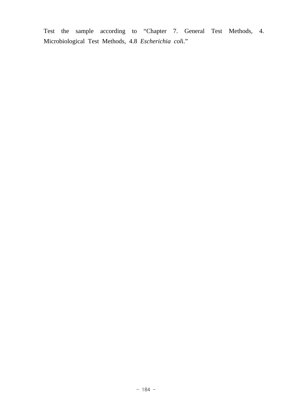Test the sample according to "Chapter 7. General Test Methods, 4. Microbiological Test Methods, 4.8 *Escherichia col*i."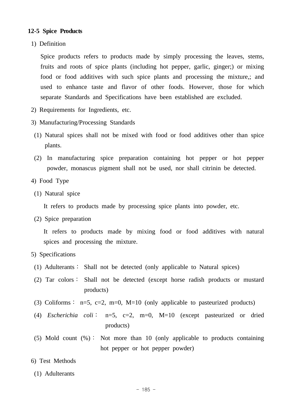#### **12-5 Spice Products**

1) Definition

 Spice products refers to products made by simply processing the leaves, stems, fruits and roots of spice plants (including hot pepper, garlic, ginger;) or mixing food or food additives with such spice plants and processing the mixture,; and used to enhance taste and flavor of other foods. However, those for which separate Standards and Specifications have been established are excluded.

- 2) Requirements for Ingredients, etc.
- 3) Manufacturing/Processing Standards
- (1) Natural spices shall not be mixed with food or food additives other than spice plants.
- (2) In manufacturing spice preparation containing hot pepper or hot pepper powder, monascus pigment shall not be used, nor shall citrinin be detected.
- 4) Food Type
- (1) Natural spice

It refers to products made by processing spice plants into powder, etc.

(2) Spice preparation

 It refers to products made by mixing food or food additives with natural spices and processing the mixture.

- 5) Specifications
	- (1) Adulterants∶ Shall not be detected (only applicable to Natural spices)
	- (2) Tar colors∶ Shall not be detected (except horse radish products or mustard products)
	- (3) Coliforms : n=5, c=2, m=0, M=10 (only applicable to pasteurized products)
	- (4) *Escherichia coli*∶ n=5, c=2, m=0, M=10 (except pasteurized or dried products)
	- (5) Mold count  $(\%)$ : Not more than 10 (only applicable to products containing hot pepper or hot pepper powder)
- 6) Test Methods
- (1) Adulterants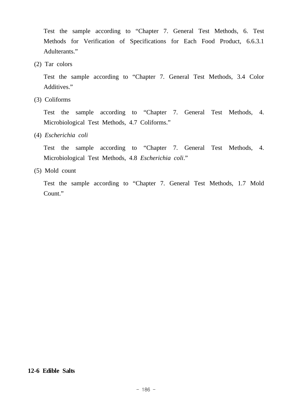Test the sample according to "Chapter 7. General Test Methods, 6. Test Methods for Verification of Specifications for Each Food Product, 6.6.3.1 Adulterants."

(2) Tar colors

 Test the sample according to "Chapter 7. General Test Methods, 3.4 Color Additives."

(3) Coliforms

 Test the sample according to "Chapter 7. General Test Methods, 4. Microbiological Test Methods, 4.7 Coliforms."

(4) *Escherichia coli*

 Test the sample according to "Chapter 7. General Test Methods, 4. Microbiological Test Methods, 4.8 *Escherichia coli*."

(5) Mold count

 Test the sample according to "Chapter 7. General Test Methods, 1.7 Mold Count."

#### **12-6 Edible Salts**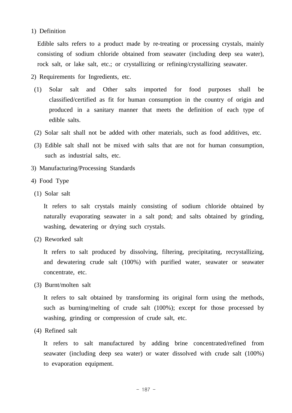#### 1) Definition

 Edible salts refers to a product made by re-treating or processing crystals, mainly consisting of sodium chloride obtained from seawater (including deep sea water), rock salt, or lake salt, etc.; or crystallizing or refining/crystallizing seawater.

- 2) Requirements for Ingredients, etc.
- (1) Solar salt and Other salts imported for food purposes shall be classified/certified as fit for human consumption in the country of origin and produced in a sanitary manner that meets the definition of each type of edible salts.
- (2) Solar salt shall not be added with other materials, such as food additives, etc.
- (3) Edible salt shall not be mixed with salts that are not for human consumption, such as industrial salts, etc.
- 3) Manufacturing/Processing Standards
- 4) Food Type
- (1) Solar salt

 It refers to salt crystals mainly consisting of sodium chloride obtained by naturally evaporating seawater in a salt pond; and salts obtained by grinding, washing, dewatering or drying such crystals.

(2) Reworked salt

 It refers to salt produced by dissolving, filtering, precipitating, recrystallizing, and dewatering crude salt (100%) with purified water, seawater or seawater concentrate, etc.

(3) Burnt/molten salt

 It refers to salt obtained by transforming its original form using the methods, such as burning/melting of crude salt (100%); except for those processed by washing, grinding or compression of crude salt, etc.

(4) Refined salt

 It refers to salt manufactured by adding brine concentrated/refined from seawater (including deep sea water) or water dissolved with crude salt (100%) to evaporation equipment.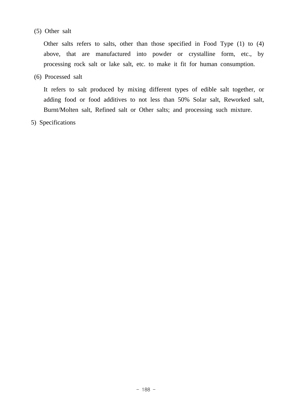## (5) Other salt

 Other salts refers to salts, other than those specified in Food Type (1) to (4) above, that are manufactured into powder or crystalline form, etc., by processing rock salt or lake salt, etc. to make it fit for human consumption.

(6) Processed salt

 It refers to salt produced by mixing different types of edible salt together, or adding food or food additives to not less than 50% Solar salt, Reworked salt, Burnt/Molten salt, Refined salt or Other salts; and processing such mixture.

5) Specifications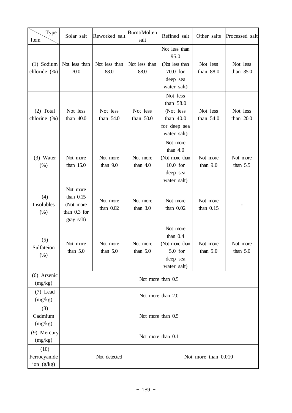| Type<br>Item                       | Solar salt                                                         | Reworked salt           | Burnt/Molten<br>salt   | Refined salt                                                                      | Other salts             | Processed salt         |
|------------------------------------|--------------------------------------------------------------------|-------------------------|------------------------|-----------------------------------------------------------------------------------|-------------------------|------------------------|
| $(1)$ Sodium<br>chloride (%)       | Not less than<br>70.0                                              | Not less than<br>88.0   | Not less than<br>88.0  | Not less than<br>95.0<br>(Not less than<br>$70.0$ for<br>deep sea<br>water salt)  | Not less<br>than 88.0   | Not less<br>than 35.0  |
| $(2)$ Total<br>chlorine (%)        | Not less<br>than 40.0                                              | Not less<br>than 54.0   | Not less<br>than 50.0  | Not less<br>than 58.0<br>(Not less<br>than 40.0<br>for deep sea<br>water salt)    | Not less<br>than $54.0$ | Not less<br>than 20.0  |
| (3) Water<br>(% )                  | Not more<br>than 15.0                                              | Not more<br>than $9.0$  | Not more<br>than $4.0$ | Not more<br>than $4.0$<br>(Not more than<br>$10.0$ for<br>deep sea<br>water salt) | Not more<br>than $9.0$  | Not more<br>than $5.5$ |
| (4)<br>Insolubles<br>$(\%)$        | Not more<br>than $0.15$<br>(Not more<br>than 0.3 for<br>gray salt) | Not more<br>than $0.02$ | Not more<br>than $3.0$ | Not more<br>than $0.02$                                                           | Not more<br>than $0.15$ |                        |
| (5)<br>Sulfateion<br>(% )          | Not more<br>than $5.0$                                             | Not more<br>than $5.0$  | Not more<br>than $5.0$ | Not more<br>than $0.4$<br>(Not more than<br>$5.0$ for<br>deep sea<br>water salt)  | Not more<br>than $5.0$  | Not more<br>than $5.0$ |
| (6) Arsenic<br>(mg/kg)             | Not more than 0.5                                                  |                         |                        |                                                                                   |                         |                        |
| $(7)$ Lead<br>(mg/kg)              | Not more than 2.0                                                  |                         |                        |                                                                                   |                         |                        |
| (8)<br>Cadmium<br>(mg/kg)          | Not more than 0.5                                                  |                         |                        |                                                                                   |                         |                        |
| (9) Mercury<br>(mg/kg)             | Not more than 0.1                                                  |                         |                        |                                                                                   |                         |                        |
| (10)<br>Ferrocyanide<br>ion (g/kg) | Not detected<br>Not more than 0.010                                |                         |                        |                                                                                   |                         |                        |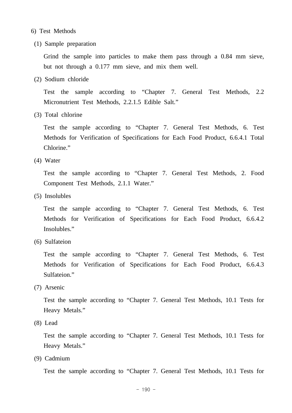- 6) Test Methods
- (1) Sample preparation

 Grind the sample into particles to make them pass through a 0.84 mm sieve, but not through a 0.177 mm sieve, and mix them well.

(2) Sodium chloride

 Test the sample according to "Chapter 7. General Test Methods, 2.2 Micronutrient Test Methods, 2.2.1.5 Edible Salt."

(3) Total chlorine

 Test the sample according to "Chapter 7. General Test Methods, 6. Test Methods for Verification of Specifications for Each Food Product, 6.6.4.1 Total Chlorine."

(4) Water

 Test the sample according to "Chapter 7. General Test Methods, 2. Food Component Test Methods, 2.1.1 Water."

(5) Insolubles

 Test the sample according to "Chapter 7. General Test Methods, 6. Test Methods for Verification of Specifications for Each Food Product, 6.6.4.2 Insolubles."

(6) Sulfateion

 Test the sample according to "Chapter 7. General Test Methods, 6. Test Methods for Verification of Specifications for Each Food Product, 6.6.4.3 Sulfateion."

(7) Arsenic

 Test the sample according to "Chapter 7. General Test Methods, 10.1 Tests for Heavy Metals."

(8) Lead

 Test the sample according to "Chapter 7. General Test Methods, 10.1 Tests for Heavy Metals."

(9) Cadmium

Test the sample according to "Chapter 7. General Test Methods, 10.1 Tests for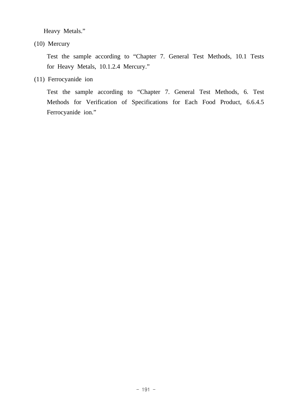Heavy Metals."

(10) Mercury

 Test the sample according to "Chapter 7. General Test Methods, 10.1 Tests for Heavy Metals, 10.1.2.4 Mercury."

(11) Ferrocyanide ion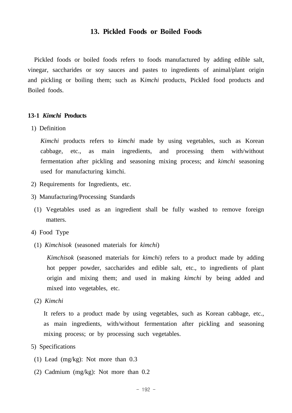## **13. Pickled Foods or Boiled Foods**

 Pickled foods or boiled foods refers to foods manufactured by adding edible salt, vinegar, saccharides or soy sauces and pastes to ingredients of animal/plant origin and pickling or boiling them; such as K*imchi* products, Pickled food products and Boiled foods.

#### **13-1** *Kimchi* **Products**

1) Definition

 *Kimchi* products refers to *kimchi* made by using vegetables, such as Korean cabbage, etc., as main ingredients, and processing them with/without fermentation after pickling and seasoning mixing process; and *kimchi* seasoning used for manufacturing kimchi.

- 2) Requirements for Ingredients, etc.
- 3) Manufacturing/Processing Standards
- (1) Vegetables used as an ingredient shall be fully washed to remove foreign matters.
- 4) Food Type
- (1) *Kimchisok* (seasoned materials for *kimchi*)

 *Kimchisok* (seasoned materials for *kimchi*) refers to a product made by adding hot pepper powder, saccharides and edible salt, etc., to ingredients of plant origin and mixing them; and used in making *kimchi* by being added and mixed into vegetables, etc.

(2) *Kimchi*

 It refers to a product made by using vegetables, such as Korean cabbage, etc., as main ingredients, with/without fermentation after pickling and seasoning mixing process; or by processing such vegetables.

- 5) Specifications
- (1) Lead (mg/kg): Not more than 0.3
- (2) Cadmium (mg/kg): Not more than 0.2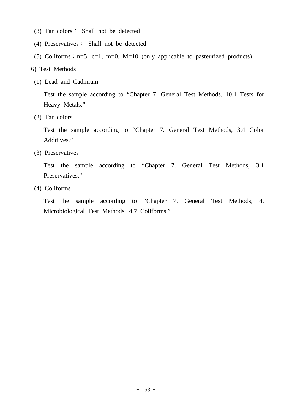- (3) Tar colors∶ Shall not be detected
- (4) Preservatives∶ Shall not be detected
- (5) Coliforms :  $n=5$ ,  $c=1$ ,  $m=0$ ,  $M=10$  (only applicable to pasteurized products)
- 6) Test Methods
- (1) Lead and Cadmium

 Test the sample according to "Chapter 7. General Test Methods, 10.1 Tests for Heavy Metals."

(2) Tar colors

 Test the sample according to "Chapter 7. General Test Methods, 3.4 Color Additives."

(3) Preservatives

 Test the sample according to "Chapter 7. General Test Methods, 3.1 Preservatives."

(4) Coliforms

 Test the sample according to "Chapter 7. General Test Methods, 4. Microbiological Test Methods, 4.7 Coliforms."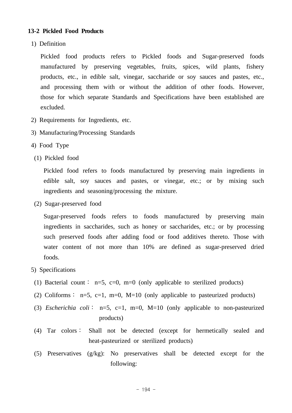## **13-2 Pickled Food Products**

1) Definition

 Pickled food products refers to Pickled foods and Sugar-preserved foods manufactured by preserving vegetables, fruits, spices, wild plants, fishery products, etc., in edible salt, vinegar, saccharide or soy sauces and pastes, etc., and processing them with or without the addition of other foods. However, those for which separate Standards and Specifications have been established are excluded.

- 2) Requirements for Ingredients, etc.
- 3) Manufacturing/Processing Standards
- 4) Food Type
- (1) Pickled food

 Pickled food refers to foods manufactured by preserving main ingredients in edible salt, soy sauces and pastes, or vinegar, etc.; or by mixing such ingredients and seasoning/processing the mixture.

(2) Sugar-preserved food

 Sugar-preserved foods refers to foods manufactured by preserving main ingredients in saccharides, such as honey or saccharides, etc.; or by processing such preserved foods after adding food or food additives thereto. Those with water content of not more than 10% are defined as sugar-preserved dried foods.

#### 5) Specifications

- (1) Bacterial count: n=5, c=0, m=0 (only applicable to sterilized products)
- (2) Coliforms : n=5, c=1, m=0, M=10 (only applicable to pasteurized products)
- (3) *Escherichia coli*∶ n=5, c=1, m=0, M=10 (only applicable to non-pasteurized products)
- (4) Tar colors∶ Shall not be detected (except for hermetically sealed and heat-pasteurized or sterilized products)
- (5) Preservatives (g/kg): No preservatives shall be detected except for the following: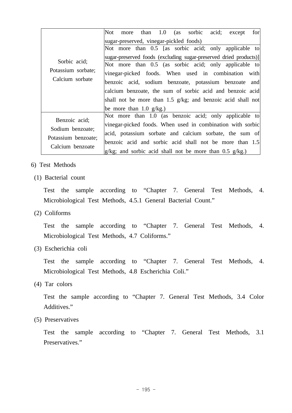|                                                             | Not | more                       |  |  | than 1.0 (as sorbic acid;               | except                                                            | for |
|-------------------------------------------------------------|-----|----------------------------|--|--|-----------------------------------------|-------------------------------------------------------------------|-----|
|                                                             |     |                            |  |  | sugar-preserved, vinegar-pickled foods) |                                                                   |     |
|                                                             |     |                            |  |  |                                         | Not more than 0.5 [as sorbic acid; only applicable to             |     |
|                                                             |     |                            |  |  |                                         | sugar-preserved foods (excluding sugar-preserved dried products)] |     |
| Sorbic acid;                                                |     |                            |  |  |                                         | Not more than 0.5 (as sorbic acid; only applicable to             |     |
| Potassium sorbate;                                          |     |                            |  |  |                                         | vinegar-picked foods. When used in combination with               |     |
| Calcium sorbate                                             |     |                            |  |  |                                         | benzoic acid, sodium benzoate, potassium benzoate and             |     |
|                                                             |     |                            |  |  |                                         | calcium benzoate, the sum of sorbic acid and benzoic acid         |     |
|                                                             |     |                            |  |  |                                         | shall not be more than 1.5 g/kg; and benzoic acid shall not       |     |
|                                                             |     | be more than 1.0 $g/kg$ .) |  |  |                                         |                                                                   |     |
| Benzoic acid;                                               |     |                            |  |  |                                         | Not more than 1.0 (as benzoic acid; only applicable to            |     |
| Sodium benzoate;<br>Potassium benzoate;<br>Calcium benzoate |     |                            |  |  |                                         | vinegar-picked foods. When used in combination with sorbic        |     |
|                                                             |     |                            |  |  |                                         | acid, potassium sorbate and calcium sorbate, the sum of           |     |
|                                                             |     |                            |  |  |                                         | benzoic acid and sorbic acid shall not be more than 1.5           |     |
|                                                             |     |                            |  |  |                                         | $ g/kg$ ; and sorbic acid shall not be more than 0.5 $g/kg$ .)    |     |

- 6) Test Methods
	- (1) Bacterial count

 Test the sample according to "Chapter 7. General Test Methods, 4. Microbiological Test Methods, 4.5.1 General Bacterial Count."

(2) Coliforms

 Test the sample according to "Chapter 7. General Test Methods, 4. Microbiological Test Methods, 4.7 Coliforms."

(3) Escherichia coli

 Test the sample according to "Chapter 7. General Test Methods, 4. Microbiological Test Methods, 4.8 Escherichia Coli."

(4) Tar colors

 Test the sample according to "Chapter 7. General Test Methods, 3.4 Color Additives."

(5) Preservatives

 Test the sample according to "Chapter 7. General Test Methods, 3.1 Preservatives."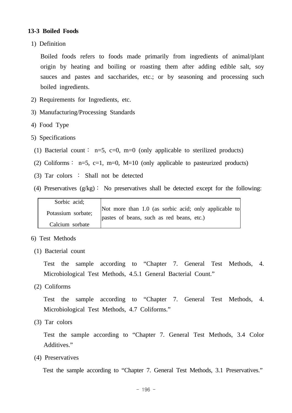## **13-3 Boiled Foods**

1) Definition

 Boiled foods refers to foods made primarily from ingredients of animal/plant origin by heating and boiling or roasting them after adding edible salt, soy sauces and pastes and saccharides, etc.; or by seasoning and processing such boiled ingredients.

- 2) Requirements for Ingredients, etc.
- 3) Manufacturing/Processing Standards
- 4) Food Type
- 5) Specifications
	- (1) Bacterial count : n=5, c=0, m=0 (only applicable to sterilized products)
- (2) Coliforms :  $n=5$ ,  $c=1$ ,  $m=0$ ,  $M=10$  (only applicable to pasteurized products)
- (3) Tar colors ∶ Shall not be detected
- (4) Preservatives (g/kg)∶ No preservatives shall be detected except for the following:

| Sorbic acid;       |                                                       |
|--------------------|-------------------------------------------------------|
| Potassium sorbate; | Not more than 1.0 (as sorbic acid; only applicable to |
|                    | pastes of beans, such as red beans, etc.)             |
| Calcium sorbate    |                                                       |

#### 6) Test Methods

(1) Bacterial count

 Test the sample according to "Chapter 7. General Test Methods, 4. Microbiological Test Methods, 4.5.1 General Bacterial Count."

(2) Coliforms

 Test the sample according to "Chapter 7. General Test Methods, 4. Microbiological Test Methods, 4.7 Coliforms."

(3) Tar colors

 Test the sample according to "Chapter 7. General Test Methods, 3.4 Color Additives."

(4) Preservatives

Test the sample according to "Chapter 7. General Test Methods, 3.1 Preservatives."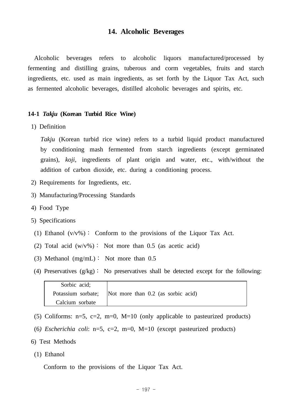## **14. Alcoholic Beverages**

 Alcoholic beverages refers to alcoholic liquors manufactured/processed by fermenting and distilling grains, tuberous and corm vegetables, fruits and starch ingredients, etc. used as main ingredients, as set forth by the Liquor Tax Act, such as fermented alcoholic beverages, distilled alcoholic beverages and spirits, etc.

#### **14-1** *Takju* **(Korean Turbid Rice Wine)**

1) Definition

 *Takju* (Korean turbid rice wine) refers to a turbid liquid product manufactured by conditioning mash fermented from starch ingredients (except germinated grains), *koji*, ingredients of plant origin and water, etc., with/without the addition of carbon dioxide, etc. during a conditioning process.

- 2) Requirements for Ingredients, etc.
- 3) Manufacturing/Processing Standards
- 4) Food Type
- 5) Specifications
- (1) Ethanol  $(v/v\%)$ : Conform to the provisions of the Liquor Tax Act.
- (2) Total acid  $(w/v\%)$ : Not more than 0.5 (as acetic acid)
- (3) Methanol (mg/mL)∶ Not more than 0.5
- (4) Preservatives (g/kg)∶ No preservatives shall be detected except for the following:

| Sorbic acid;       |                                      |
|--------------------|--------------------------------------|
| Potassium sorbate; | Not more than $0.2$ (as sorbic acid) |
| Calcium sorbate    |                                      |

- (5) Coliforms:  $n=5$ ,  $c=2$ ,  $m=0$ ,  $M=10$  (only applicable to pasteurized products)
- (6*) Escherichia coli*: n=5, c=2, m=0, M=10 (except pasteurized products)
- 6) Test Methods
- (1) Ethanol

Conform to the provisions of the Liquor Tax Act.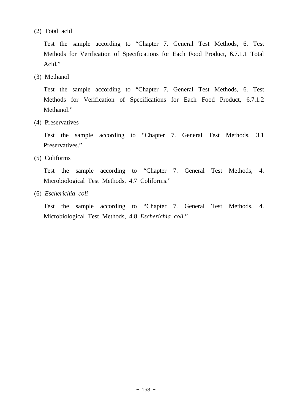(2) Total acid

 Test the sample according to "Chapter 7. General Test Methods, 6. Test Methods for Verification of Specifications for Each Food Product, 6.7.1.1 Total Acid."

(3) Methanol

 Test the sample according to "Chapter 7. General Test Methods, 6. Test Methods for Verification of Specifications for Each Food Product, 6.7.1.2 Methanol."

(4) Preservatives

 Test the sample according to "Chapter 7. General Test Methods, 3.1 Preservatives."

(5) Coliforms

 Test the sample according to "Chapter 7. General Test Methods, 4. Microbiological Test Methods, 4.7 Coliforms."

(6) *Escherichia coli*

 Test the sample according to "Chapter 7. General Test Methods, 4. Microbiological Test Methods, 4.8 *Escherichia coli*."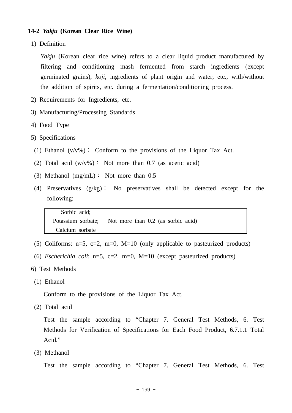#### **14-2** *Yakju* **(Korean Clear Rice Wine)**

1) Definition

*Yakju* (Korean clear rice wine) refers to a clear liquid product manufactured by filtering and conditioning mash fermented from starch ingredients (except germinated grains), *koji*, ingredients of plant origin and water, etc., with/without the addition of spirits, etc. during a fermentation/conditioning process.

- 2) Requirements for Ingredients, etc.
- 3) Manufacturing/Processing Standards
- 4) Food Type
- 5) Specifications
- (1) Ethanol  $(v/v\%)$ : Conform to the provisions of the Liquor Tax Act.
- (2) Total acid  $(w/v\%)$ : Not more than 0.7 (as acetic acid)
- (3) Methanol (mg/mL)∶ Not more than 0.5
- (4) Preservatives (g/kg)∶ No preservatives shall be detected except for the following:

| Sorbic acid;       |                                      |
|--------------------|--------------------------------------|
| Potassium sorbate; | Not more than $0.2$ (as sorbic acid) |
| Calcium sorbate    |                                      |

- (5) Coliforms:  $n=5$ ,  $c=2$ ,  $m=0$ ,  $M=10$  (only applicable to pasteurized products)
- (6) *Escherichia coli*: n=5, c=2, m=0, M=10 (except pasteurized products)
- 6) Test Methods
- (1) Ethanol

Conform to the provisions of the Liquor Tax Act.

(2) Total acid

 Test the sample according to "Chapter 7. General Test Methods, 6. Test Methods for Verification of Specifications for Each Food Product, 6.7.1.1 Total Acid."

(3) Methanol

Test the sample according to "Chapter 7. General Test Methods, 6. Test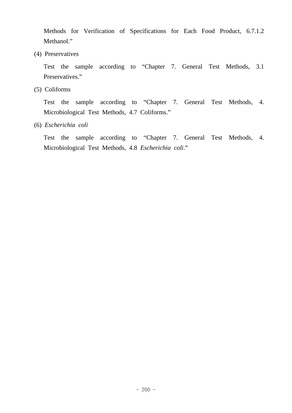Methods for Verification of Specifications for Each Food Product, 6.7.1.2 Methanol."

(4) Preservatives

 Test the sample according to "Chapter 7. General Test Methods, 3.1 Preservatives."

(5) Coliforms

 Test the sample according to "Chapter 7. General Test Methods, 4. Microbiological Test Methods, 4.7 Coliforms."

(6) *Escherichia coli*

 Test the sample according to "Chapter 7. General Test Methods, 4. Microbiological Test Methods, 4.8 *Escherichia coli*."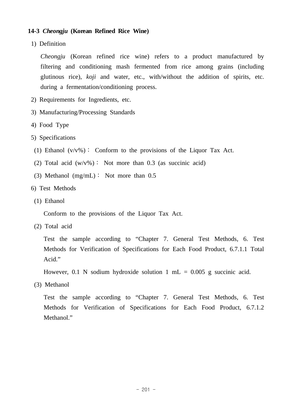## **14-3** *Cheongju* **(Korean Refined Rice Wine)**

1) Definition

 *Cheongju* (Korean refined rice wine) refers to a product manufactured by filtering and conditioning mash fermented from rice among grains (including glutinous rice), *koji* and water, etc., with/without the addition of spirits, etc. during a fermentation/conditioning process.

- 2) Requirements for Ingredients, etc.
- 3) Manufacturing/Processing Standards
- 4) Food Type
- 5) Specifications
- (1) Ethanol  $(v/v\%)$ : Conform to the provisions of the Liquor Tax Act.
- (2) Total acid  $(w/v\%)$ : Not more than 0.3 (as succinic acid)
- (3) Methanol (mg/mL)∶ Not more than 0.5
- 6) Test Methods
- (1) Ethanol

Conform to the provisions of the Liquor Tax Act.

(2) Total acid

 Test the sample according to "Chapter 7. General Test Methods, 6. Test Methods for Verification of Specifications for Each Food Product, 6.7.1.1 Total Acid."

However, 0.1 N sodium hydroxide solution 1 mL =  $0.005$  g succinic acid.

(3) Methanol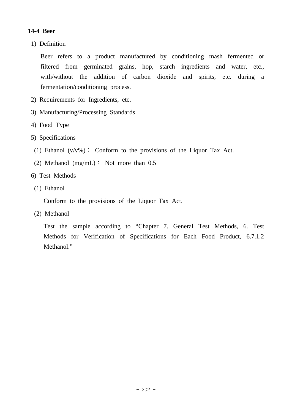# **14-4 Beer**

1) Definition

 Beer refers to a product manufactured by conditioning mash fermented or filtered from germinated grains, hop, starch ingredients and water, etc., with/without the addition of carbon dioxide and spirits, etc. during a fermentation/conditioning process.

- 2) Requirements for Ingredients, etc.
- 3) Manufacturing/Processing Standards
- 4) Food Type
- 5) Specifications
- (1) Ethanol  $(v/v\%)$ : Conform to the provisions of the Liquor Tax Act.
- (2) Methanol (mg/mL)∶ Not more than 0.5
- 6) Test Methods
- (1) Ethanol

Conform to the provisions of the Liquor Tax Act.

(2) Methanol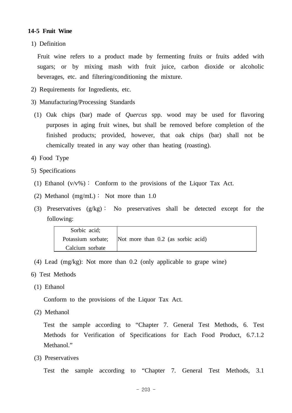## **14-5 Fruit Wine**

1) Definition

 Fruit wine refers to a product made by fermenting fruits or fruits added with sugars; or by mixing mash with fruit juice, carbon dioxide or alcoholic beverages, etc. and filtering/conditioning the mixture.

- 2) Requirements for Ingredients, etc.
- 3) Manufacturing/Processing Standards
- (1) Oak chips (bar) made of *Quercus* spp. wood may be used for flavoring purposes in aging fruit wines, but shall be removed before completion of the finished products; provided, however, that oak chips (bar) shall not be chemically treated in any way other than heating (roasting).
- 4) Food Type
- 5) Specifications
- (1) Ethanol  $(v/v\%)$ : Conform to the provisions of the Liquor Tax Act.
- (2) Methanol (mg/mL): Not more than  $1.0$
- (3) Preservatives (g/kg)∶ No preservatives shall be detected except for the following:

| Sorbic acid;    |                                                       |
|-----------------|-------------------------------------------------------|
|                 | Potassium sorbate; Not more than 0.2 (as sorbic acid) |
| Calcium sorbate |                                                       |

- (4) Lead (mg/kg): Not more than 0.2 (only applicable to grape wine)
- 6) Test Methods
- (1) Ethanol

Conform to the provisions of the Liquor Tax Act.

(2) Methanol

 Test the sample according to "Chapter 7. General Test Methods, 6. Test Methods for Verification of Specifications for Each Food Product, 6.7.1.2 Methanol."

(3) Preservatives

Test the sample according to "Chapter 7. General Test Methods, 3.1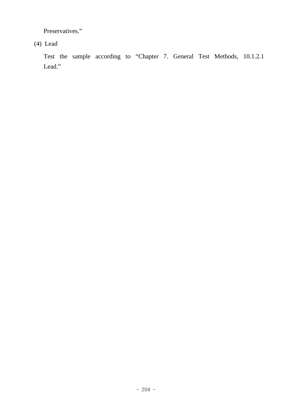Preservatives."

(4) Lead

 Test the sample according to "Chapter 7. General Test Methods, 10.1.2.1 Lead."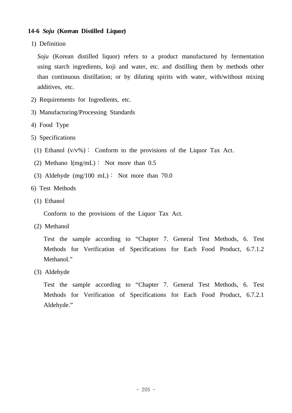## **14-6** *Soju* **(Korean Distilled Liquor)**

1) Definition

 *Soju* (Korean distilled liquor) refers to a product manufactured by fermentation using starch ingredients, koji and water, etc. and distilling them by methods other than continuous distillation; or by diluting spirits with water, with/without mixing additives, etc.

- 2) Requirements for Ingredients, etc.
- 3) Manufacturing/Processing Standards
- 4) Food Type
- 5) Specifications
- (1) Ethanol  $(v/v\%)$ : Conform to the provisions of the Liquor Tax Act.
- (2) Methano  $l(mg/mL)$ : Not more than 0.5
- (3) Aldehyde  $(mg/100 \text{ mL})$ : Not more than 70.0
- 6) Test Methods
- (1) Ethanol

Conform to the provisions of the Liquor Tax Act.

(2) Methanol

 Test the sample according to "Chapter 7. General Test Methods, 6. Test Methods for Verification of Specifications for Each Food Product, 6.7.1.2 Methanol."

(3) Aldehyde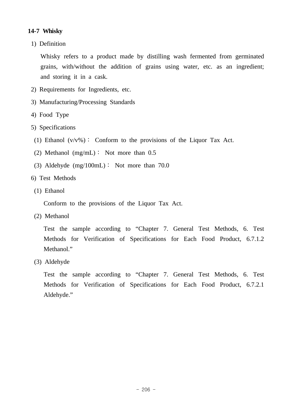# **14-7 Whisky**

1) Definition

 Whisky refers to a product made by distilling wash fermented from germinated grains, with/without the addition of grains using water, etc. as an ingredient; and storing it in a cask.

- 2) Requirements for Ingredients, etc.
- 3) Manufacturing/Processing Standards
- 4) Food Type
- 5) Specifications
	- (1) Ethanol  $(v/v\%)$ : Conform to the provisions of the Liquor Tax Act.
- (2) Methanol (mg/mL)∶ Not more than 0.5
- (3) Aldehyde  $(mg/100mL)$ : Not more than 70.0
- 6) Test Methods
- (1) Ethanol

Conform to the provisions of the Liquor Tax Act.

(2) Methanol

 Test the sample according to "Chapter 7. General Test Methods, 6. Test Methods for Verification of Specifications for Each Food Product, 6.7.1.2 Methanol."

(3) Aldehyde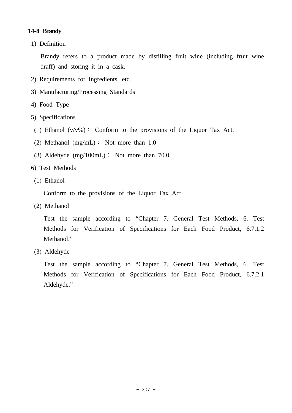# **14-8 Brandy**

1) Definition

 Brandy refers to a product made by distilling fruit wine (including fruit wine draff) and storing it in a cask.

- 2) Requirements for Ingredients, etc.
- 3) Manufacturing/Processing Standards
- 4) Food Type
- 5) Specifications
- (1) Ethanol  $(v/v\%)$ : Conform to the provisions of the Liquor Tax Act.
- (2) Methanol (mg/mL)∶ Not more than 1.0
- (3) Aldehyde  $(mg/100mL)$ : Not more than 70.0
- 6) Test Methods
- (1) Ethanol

Conform to the provisions of the Liquor Tax Act.

(2) Methanol

 Test the sample according to "Chapter 7. General Test Methods, 6. Test Methods for Verification of Specifications for Each Food Product, 6.7.1.2 Methanol."

(3) Aldehyde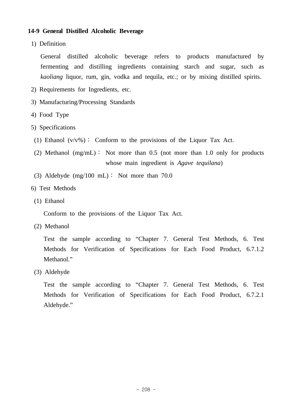## **14-9 General Distilled Alcoholic Beverage**

1) Definition

 General distilled alcoholic beverage refers to products manufactured by fermenting and distilling ingredients containing starch and sugar, such as *kaoliang* liquor, rum, gin, vodka and tequila, etc.; or by mixing distilled spirits.

- 2) Requirements for Ingredients, etc.
- 3) Manufacturing/Processing Standards
- 4) Food Type
- 5) Specifications
- (1) Ethanol  $(v/v\%)$ : Conform to the provisions of the Liquor Tax Act.
- (2) Methanol  $(mg/mL)$ : Not more than 0.5 (not more than 1.0 only for products whose main ingredient is *Agave tequilana*)
- (3) Aldehyde  $(mg/100 \text{ mL})$ : Not more than 70.0
- 6) Test Methods
- (1) Ethanol

Conform to the provisions of the Liquor Tax Act.

(2) Methanol

 Test the sample according to "Chapter 7. General Test Methods, 6. Test Methods for Verification of Specifications for Each Food Product, 6.7.1.2 Methanol."

(3) Aldehyde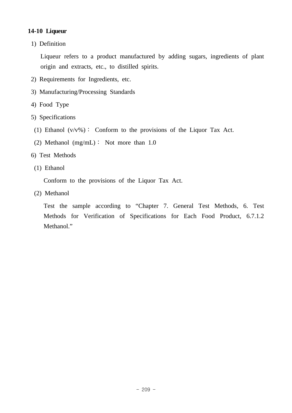# **14-10 Liqueur**

1) Definition

 Liqueur refers to a product manufactured by adding sugars, ingredients of plant origin and extracts, etc., to distilled spirits.

- 2) Requirements for Ingredients, etc.
- 3) Manufacturing/Processing Standards
- 4) Food Type
- 5) Specifications
- (1) Ethanol  $(v/v\%)$ : Conform to the provisions of the Liquor Tax Act.
- (2) Methanol (mg/mL)∶ Not more than 1.0
- 6) Test Methods
- (1) Ethanol

Conform to the provisions of the Liquor Tax Act.

(2) Methanol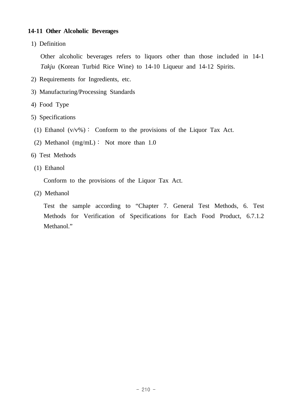## **14-11 Other Alcoholic Beverages**

1) Definition

 Other alcoholic beverages refers to liquors other than those included in 14-1 *Takju* (Korean Turbid Rice Wine) to 14-10 Liqueur and 14-12 Spirits.

- 2) Requirements for Ingredients, etc.
- 3) Manufacturing/Processing Standards
- 4) Food Type
- 5) Specifications
- (1) Ethanol  $(v/v\%)$ : Conform to the provisions of the Liquor Tax Act.
- (2) Methanol (mg/mL)∶ Not more than 1.0
- 6) Test Methods
- (1) Ethanol

Conform to the provisions of the Liquor Tax Act.

(2) Methanol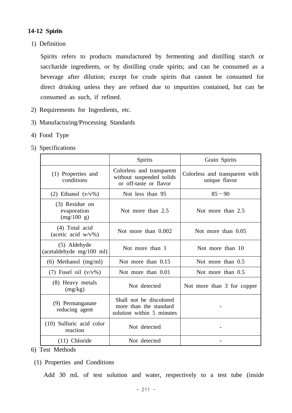# **14-12 Spirits**

1) Definition

 Spirits refers to products manufactured by fermenting and distilling starch or saccharide ingredients, or by distilling crude spirits; and can be consumed as a beverage after dilution; except for crude spirits that cannot be consumed for direct drinking unless they are refined due to impurities contained, but can be consumed as such, if refined.

- 2) Requirements for Ingredients, etc.
- 3) Manufacturing/Processing Standards
- 4) Food Type
- 5) Specifications

|                                             | Spirits                                                                         | Grain Spirits                                   |
|---------------------------------------------|---------------------------------------------------------------------------------|-------------------------------------------------|
| (1) Properties and<br>conditions            | Colorless and transparent<br>without suspended solids<br>or off-taste or flavor | Colorless and transparent with<br>unique flavor |
| (2) Ethanol $(v/v\%)$                       | Not less than 95                                                                | $85 - 90$                                       |
| (3) Residue on<br>evaporation<br>(mg/100 g) | Not more than 2.5                                                               | Not more than 2.5                               |
| (4) Total acid<br>(acetic acid $w/v\%$ )    | Not more than 0.002                                                             | Not more than 0.05                              |
| (5) Aldehyde<br>(acetaldehyde mg/100 ml)    | Not more than 1                                                                 | Not more than 10                                |
| $(6)$ Methanol $(mg/ml)$                    | Not more than 0.15                                                              | Not more than 0.5                               |
| $(7)$ Fusel oil $(v/v\%)$                   | Not more than 0.01                                                              | Not more than 0.5                               |
| (8) Heavy metals<br>(mg/kg)                 | Not detected                                                                    | Not more than 3 for copper                      |
| (9) Permanganate<br>reducing agent          | Shall not be discolored<br>more than the standard<br>solution within 5 minutes  |                                                 |
| (10) Sulfuric acid color<br>reaction        | Not detected                                                                    |                                                 |
| $(11)$ Chloride                             | Not detected                                                                    |                                                 |

- 6) Test Methods
	- (1) Properties and Conditions

Add 30 mL of test solution and water, respectively to a test tube (inside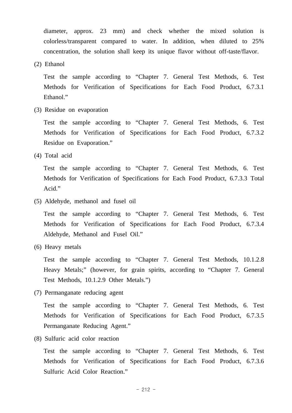diameter, approx. 23 mm) and check whether the mixed solution is colorless/transparent compared to water. In addition, when diluted to 25% concentration, the solution shall keep its unique flavor without off-taste/flavor.

(2) Ethanol

 Test the sample according to "Chapter 7. General Test Methods, 6. Test Methods for Verification of Specifications for Each Food Product, 6.7.3.1 Ethanol."

(3) Residue on evaporation

 Test the sample according to "Chapter 7. General Test Methods, 6. Test Methods for Verification of Specifications for Each Food Product, 6.7.3.2 Residue on Evaporation."

(4) Total acid

 Test the sample according to "Chapter 7. General Test Methods, 6. Test Methods for Verification of Specifications for Each Food Product, 6.7.3.3 Total Acid."

(5) Aldehyde, methanol and fusel oil

 Test the sample according to "Chapter 7. General Test Methods, 6. Test Methods for Verification of Specifications for Each Food Product, 6.7.3.4 Aldehyde, Methanol and Fusel Oil."

(6) Heavy metals

 Test the sample according to "Chapter 7. General Test Methods, 10.1.2.8 Heavy Metals;" (however, for grain spirits, according to "Chapter 7. General Test Methods, 10.1.2.9 Other Metals.")

(7) Permanganate reducing agent

 Test the sample according to "Chapter 7. General Test Methods, 6. Test Methods for Verification of Specifications for Each Food Product, 6.7.3.5 Permanganate Reducing Agent."

(8) Sulfuric acid color reaction

 Test the sample according to "Chapter 7. General Test Methods, 6. Test Methods for Verification of Specifications for Each Food Product, 6.7.3.6 Sulfuric Acid Color Reaction."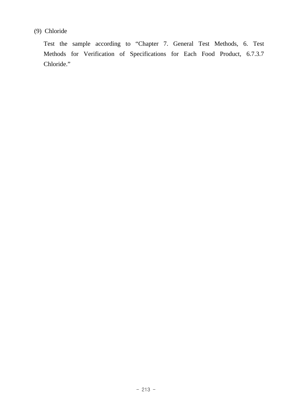# (9) Chloride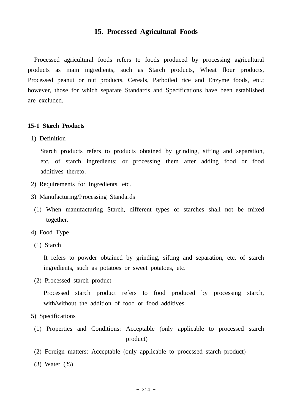# **15. Processed Agricultural Foods**

 Processed agricultural foods refers to foods produced by processing agricultural products as main ingredients, such as Starch products, Wheat flour products, Processed peanut or nut products, Cereals, Parboiled rice and Enzyme foods, etc.; however, those for which separate Standards and Specifications have been established are excluded.

#### **15-1 Starch Products**

1) Definition

 Starch products refers to products obtained by grinding, sifting and separation, etc. of starch ingredients; or processing them after adding food or food additives thereto.

- 2) Requirements for Ingredients, etc.
- 3) Manufacturing/Processing Standards
- (1) When manufacturing Starch, different types of starches shall not be mixed together.
- 4) Food Type
- (1) Starch

 It refers to powder obtained by grinding, sifting and separation, etc. of starch ingredients, such as potatoes or sweet potatoes, etc.

(2) Processed starch product

 Processed starch product refers to food produced by processing starch, with/without the addition of food or food additives.

#### 5) Specifications

- (1) Properties and Conditions: Acceptable (only applicable to processed starch product)
- (2) Foreign matters: Acceptable (only applicable to processed starch product)
- (3) Water (%)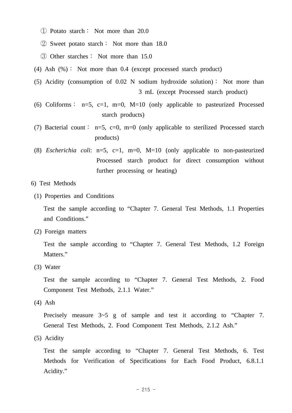① Potato starch∶ Not more than 20.0

② Sweet potato starch∶ Not more than 18.0

- ③ Other starches∶ Not more than 15.0
- (4) Ash (%)∶ Not more than 0.4 (except processed starch product)
- (5) Acidity (consumption of 0.02 N sodium hydroxide solution)∶ Not more than 3 mL (except Processed starch product)
- (6) Coliforms :  $n=5$ ,  $c=1$ ,  $m=0$ ,  $M=10$  (only applicable to pasteurized Processed starch products)
- (7) Bacterial count∶ n=5, c=0, m=0 (only applicable to sterilized Processed starch products)
- (8) *Escherichia coli*: n=5, c=1, m=0, M=10 (only applicable to non-pasteurized Processed starch product for direct consumption without further processing or heating)

#### 6) Test Methods

(1) Properties and Conditions

 Test the sample according to "Chapter 7. General Test Methods, 1.1 Properties and Conditions."

(2) Foreign matters

 Test the sample according to "Chapter 7. General Test Methods, 1.2 Foreign Matters."

(3) Water

 Test the sample according to "Chapter 7. General Test Methods, 2. Food Component Test Methods, 2.1.1 Water."

(4) Ash

Precisely measure  $3-5$  g of sample and test it according to "Chapter 7. General Test Methods, 2. Food Component Test Methods, 2.1.2 Ash."

(5) Acidity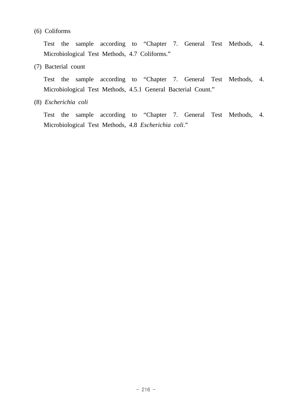## (6) Coliforms

 Test the sample according to "Chapter 7. General Test Methods, 4. Microbiological Test Methods, 4.7 Coliforms."

(7) Bacterial count

 Test the sample according to "Chapter 7. General Test Methods, 4. Microbiological Test Methods, 4.5.1 General Bacterial Count."

(8) *Escherichia coli*

 Test the sample according to "Chapter 7. General Test Methods, 4. Microbiological Test Methods, 4.8 *Escherichia coli*."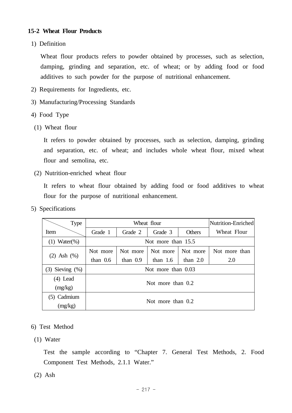# **15-2 Wheat Flour Products**

1) Definition

 Wheat flour products refers to powder obtained by processes, such as selection, damping, grinding and separation, etc. of wheat; or by adding food or food additives to such powder for the purpose of nutritional enhancement.

- 2) Requirements for Ingredients, etc.
- 3) Manufacturing/Processing Standards
- 4) Food Type
- (1) Wheat flour

 It refers to powder obtained by processes, such as selection, damping, grinding and separation, etc. of wheat; and includes whole wheat flour, mixed wheat flour and semolina, etc.

(2) Nutrition-enriched wheat flour

 It refers to wheat flour obtained by adding food or food additives to wheat flour for the purpose of nutritional enhancement.

5) Specifications

| <b>Type</b>          | Wheat flour         |            |            | Nutrition-Enriched |               |
|----------------------|---------------------|------------|------------|--------------------|---------------|
| Item                 | Grade 1             | Grade 2    | Grade 3    | Others             | Wheat Flour   |
| $Water(\% )$<br>(1)  | Not more than 15.5  |            |            |                    |               |
|                      | Not more            | Not more   | Not more   | Not more           | Not more than |
| Ash $(\%)$<br>(2)    | than $0.6$          | than $0.9$ | than $1.6$ | than $2.0$         | 2.0           |
| $(3)$ Sieving $(\%)$ | Not more than 0.03  |            |            |                    |               |
| (4) Lead             | Not more than $0.2$ |            |            |                    |               |
| (mg/kg)              |                     |            |            |                    |               |
| Cadmium              |                     |            |            |                    |               |
| (mg/kg)              | Not more than 0.2   |            |            |                    |               |

- 6) Test Method
- (1) Water

 Test the sample according to "Chapter 7. General Test Methods, 2. Food Component Test Methods, 2.1.1 Water."

(2) Ash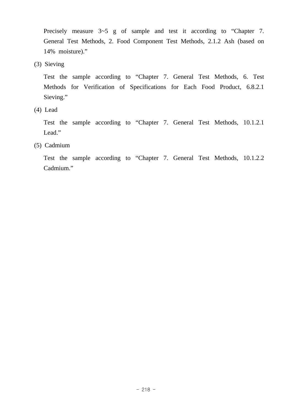Precisely measure  $3-5$  g of sample and test it according to "Chapter 7. General Test Methods, 2. Food Component Test Methods, 2.1.2 Ash (based on 14% moisture)."

(3) Sieving

 Test the sample according to "Chapter 7. General Test Methods, 6. Test Methods for Verification of Specifications for Each Food Product, 6.8.2.1 Sieving."

(4) Lead

 Test the sample according to "Chapter 7. General Test Methods, 10.1.2.1 Lead."

(5) Cadmium

 Test the sample according to "Chapter 7. General Test Methods, 10.1.2.2 Cadmium."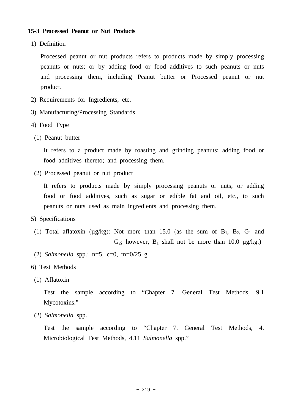### **15-3 Processed Peanut or Nut Products**

1) Definition

 Processed peanut or nut products refers to products made by simply processing peanuts or nuts; or by adding food or food additives to such peanuts or nuts and processing them, including Peanut butter or Processed peanut or nut product.

- 2) Requirements for Ingredients, etc.
- 3) Manufacturing/Processing Standards
- 4) Food Type
- (1) Peanut butter

 It refers to a product made by roasting and grinding peanuts; adding food or food additives thereto; and processing them.

(2) Processed peanut or nut product

 It refers to products made by simply processing peanuts or nuts; or adding food or food additives, such as sugar or edible fat and oil, etc., to such peanuts or nuts used as main ingredients and processing them.

- 5) Specifications
- (1) Total aflatoxin ( $\mu$ g/kg): Not more than 15.0 (as the sum of B<sub>1</sub>, B<sub>2</sub>, G<sub>1</sub> and G<sub>2</sub>; however, B<sub>1</sub> shall not be more than 10.0  $\mu$ g/kg.)
- (2) *Salmonella* spp.: n=5, c=0, m=0/25 g
- 6) Test Methods
- (1) Aflatoxin

 Test the sample according to "Chapter 7. General Test Methods, 9.1 Mycotoxins."

(2) *Salmonella* spp.

 Test the sample according to "Chapter 7. General Test Methods, 4. Microbiological Test Methods, 4.11 *Salmonella* spp."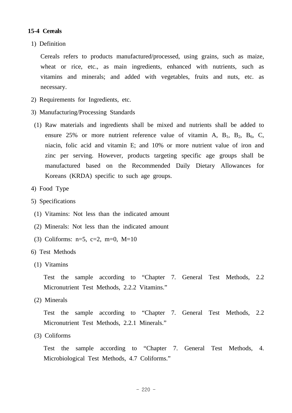## **15-4 Cereals**

1) Definition

 Cereals refers to products manufactured/processed, using grains, such as maize, wheat or rice, etc., as main ingredients, enhanced with nutrients, such as vitamins and minerals; and added with vegetables, fruits and nuts, etc. as necessary.

- 2) Requirements for Ingredients, etc.
- 3) Manufacturing/Processing Standards
- (1) Raw materials and ingredients shall be mixed and nutrients shall be added to ensure 25% or more nutrient reference value of vitamin A,  $B_1$ ,  $B_2$ ,  $B_6$ , C, niacin, folic acid and vitamin E; and 10% or more nutrient value of iron and zinc per serving. However, products targeting specific age groups shall be manufactured based on the Recommended Daily Dietary Allowances for Koreans (KRDA) specific to such age groups.
- 4) Food Type
- 5) Specifications
	- (1) Vitamins: Not less than the indicated amount
	- (2) Minerals: Not less than the indicated amount
	- (3) Coliforms:  $n=5$ ,  $c=2$ ,  $m=0$ ,  $M=10$
- 6) Test Methods
- (1) Vitamins

 Test the sample according to "Chapter 7. General Test Methods, 2.2 Micronutrient Test Methods, 2.2.2 Vitamins."

(2) Minerals

 Test the sample according to "Chapter 7. General Test Methods, 2.2 Micronutrient Test Methods, 2.2.1 Minerals."

(3) Coliforms

 Test the sample according to "Chapter 7. General Test Methods, 4. Microbiological Test Methods, 4.7 Coliforms."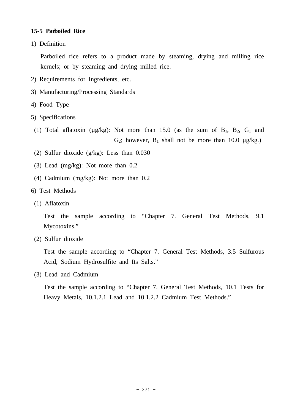# **15-5 Parboiled Rice**

1) Definition

 Parboiled rice refers to a product made by steaming, drying and milling rice kernels; or by steaming and drying milled rice.

- 2) Requirements for Ingredients, etc.
- 3) Manufacturing/Processing Standards
- 4) Food Type
- 5) Specifications
- (1) Total aflatoxin ( $\mu$ g/kg): Not more than 15.0 (as the sum of B<sub>1</sub>, B<sub>2</sub>, G<sub>1</sub> and G<sub>2</sub>; however, B<sub>1</sub> shall not be more than 10.0  $\mu$ g/kg.)
- (2) Sulfur dioxide (g/kg): Less than 0.030
- (3) Lead (mg/kg): Not more than 0.2
- (4) Cadmium (mg/kg): Not more than 0.2
- 6) Test Methods
- (1) Aflatoxin

 Test the sample according to "Chapter 7. General Test Methods, 9.1 Mycotoxins."

(2) Sulfur dioxide

 Test the sample according to "Chapter 7. General Test Methods, 3.5 Sulfurous Acid, Sodium Hydrosulfite and Its Salts."

(3) Lead and Cadmium

 Test the sample according to "Chapter 7. General Test Methods, 10.1 Tests for Heavy Metals, 10.1.2.1 Lead and 10.1.2.2 Cadmium Test Methods."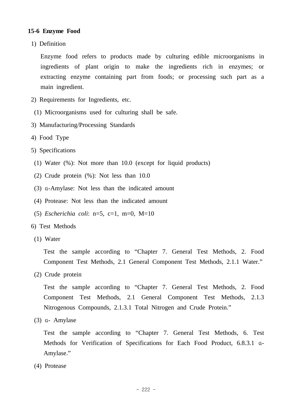# **15-6 Enzyme Food**

1) Definition

 Enzyme food refers to products made by culturing edible microorganisms in ingredients of plant origin to make the ingredients rich in enzymes; or extracting enzyme containing part from foods; or processing such part as a main ingredient.

- 2) Requirements for Ingredients, etc.
- (1) Microorganisms used for culturing shall be safe.
- 3) Manufacturing/Processing Standards
- 4) Food Type
- 5) Specifications
- (1) Water (%): Not more than 10.0 (except for liquid products)
- (2) Crude protein (%): Not less than 10.0
- (3) α-Amylase: Not less than the indicated amount
- (4) Protease: Not less than the indicated amount
- (5) *Escherichia coli*: n=5, c=1, m=0, M=10
- 6) Test Methods
- (1) Water

 Test the sample according to "Chapter 7. General Test Methods, 2. Food Component Test Methods, 2.1 General Component Test Methods, 2.1.1 Water."

(2) Crude protein

 Test the sample according to "Chapter 7. General Test Methods, 2. Food Component Test Methods, 2.1 General Component Test Methods, 2.1.3 Nitrogenous Compounds, 2.1.3.1 Total Nitrogen and Crude Protein."

(3) α- Amylase

 Test the sample according to "Chapter 7. General Test Methods, 6. Test Methods for Verification of Specifications for Each Food Product, 6.8.3.1 α-Amylase."

(4) Protease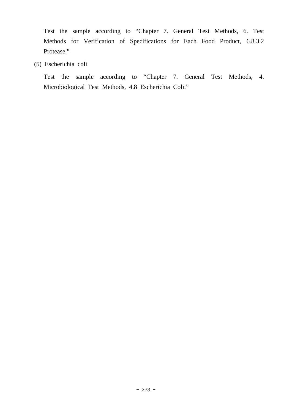Test the sample according to "Chapter 7. General Test Methods, 6. Test Methods for Verification of Specifications for Each Food Product, 6.8.3.2 Protease."

(5) Escherichia coli

 Test the sample according to "Chapter 7. General Test Methods, 4. Microbiological Test Methods, 4.8 Escherichia Coli."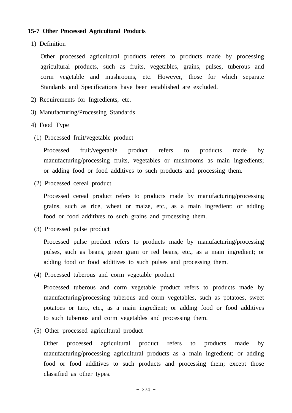## **15-7 Other Processed Agricultural Products**

1) Definition

 Other processed agricultural products refers to products made by processing agricultural products, such as fruits, vegetables, grains, pulses, tuberous and corm vegetable and mushrooms, etc. However, those for which separate Standards and Specifications have been established are excluded.

- 2) Requirements for Ingredients, etc.
- 3) Manufacturing/Processing Standards
- 4) Food Type
- (1) Processed fruit/vegetable product

 Processed fruit/vegetable product refers to products made by manufacturing/processing fruits, vegetables or mushrooms as main ingredients; or adding food or food additives to such products and processing them.

(2) Processed cereal product

 Processed cereal product refers to products made by manufacturing/processing grains, such as rice, wheat or maize, etc., as a main ingredient; or adding food or food additives to such grains and processing them.

(3) Processed pulse product

 Processed pulse product refers to products made by manufacturing/processing pulses, such as beans, green gram or red beans, etc., as a main ingredient; or adding food or food additives to such pulses and processing them.

(4) Processed tuberous and corm vegetable product

 Processed tuberous and corm vegetable product refers to products made by manufacturing/processing tuberous and corm vegetables, such as potatoes, sweet potatoes or taro, etc., as a main ingredient; or adding food or food additives to such tuberous and corm vegetables and processing them.

(5) Other processed agricultural product

 Other processed agricultural product refers to products made by manufacturing/processing agricultural products as a main ingredient; or adding food or food additives to such products and processing them; except those classified as other types.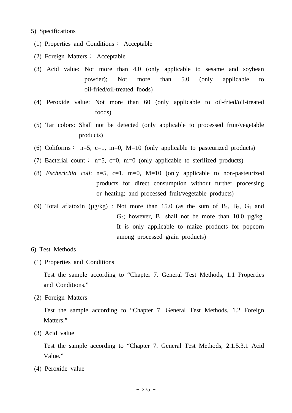#### 5) Specifications

- (1) Properties and Conditions∶ Acceptable
- (2) Foreign Matters∶ Acceptable
- (3) Acid value: Not more than 4.0 (only applicable to sesame and soybean powder); Not more than 5.0 (only applicable to oil-fried/oil-treated foods)
- (4) Peroxide value: Not more than 60 (only applicable to oil-fried/oil-treated foods)
- (5) Tar colors: Shall not be detected (only applicable to processed fruit/vegetable products)
- (6) Coliforms : n=5, c=1, m=0, M=10 (only applicable to pasteurized products)
- (7) Bacterial count: n=5, c=0, m=0 (only applicable to sterilized products)
- (8) *Escherichia coli*: n=5, c=1, m=0, M=10 (only applicable to non-pasteurized products for direct consumption without further processing or heating; and processed fruit/vegetable products)
- (9) Total aflatoxin ( $\mu$ g/kg) : Not more than 15.0 (as the sum of B<sub>1</sub>, B<sub>2</sub>, G<sub>1</sub> and G<sub>2</sub>; however,  $B_1$  shall not be more than 10.0  $\mu$ g/kg. It is only applicable to maize products for popcorn among processed grain products)
- 6) Test Methods
- (1) Properties and Conditions

 Test the sample according to "Chapter 7. General Test Methods, 1.1 Properties and Conditions."

(2) Foreign Matters

 Test the sample according to "Chapter 7. General Test Methods, 1.2 Foreign Matters."

(3) Acid value

 Test the sample according to "Chapter 7. General Test Methods, 2.1.5.3.1 Acid Value."

(4) Peroxide value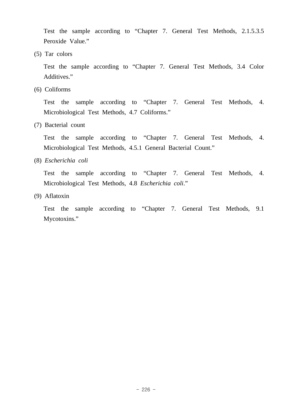Test the sample according to "Chapter 7. General Test Methods, 2.1.5.3.5 Peroxide Value."

(5) Tar colors

 Test the sample according to "Chapter 7. General Test Methods, 3.4 Color Additives."

(6) Coliforms

 Test the sample according to "Chapter 7. General Test Methods, 4. Microbiological Test Methods, 4.7 Coliforms."

(7) Bacterial count

 Test the sample according to "Chapter 7. General Test Methods, 4. Microbiological Test Methods, 4.5.1 General Bacterial Count."

(8) *Escherichia coli*

 Test the sample according to "Chapter 7. General Test Methods, 4. Microbiological Test Methods, 4.8 *Escherichia coli*."

(9) Aflatoxin

 Test the sample according to "Chapter 7. General Test Methods, 9.1 Mycotoxins."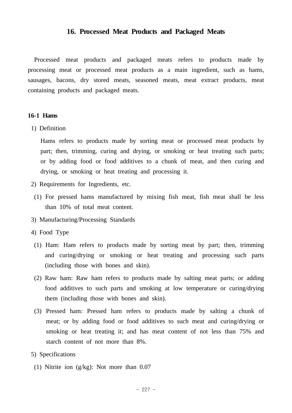### **16. Processed Meat Products and Packaged Meats**

 Processed meat products and packaged meats refers to products made by processing meat or processed meat products as a main ingredient, such as hams, sausages, bacons, dry stored meats, seasoned meats, meat extract products, meat containing products and packaged meats.

#### **16-1 Hams**

1) Definition

 Hams refers to products made by sorting meat or processed meat products by part; then, trimming, curing and drying, or smoking or heat treating such parts; or by adding food or food additives to a chunk of meat, and then curing and drying, or smoking or heat treating and processing it.

- 2) Requirements for Ingredients, etc.
	- (1) For pressed hams manufactured by mixing fish meat, fish meat shall be less than 10% of total meat content.
- 3) Manufacturing/Processing Standards
- 4) Food Type
	- (1) Ham: Ham refers to products made by sorting meat by part; then, trimming and curing/drying or smoking or heat treating and processing such parts (including those with bones and skin).
	- (2) Raw ham: Raw ham refers to products made by salting meat parts; or adding food additives to such parts and smoking at low temperature or curing/drying them (including those with bones and skin).
	- (3) Pressed ham: Pressed ham refers to products made by salting a chunk of meat; or by adding food or food additives to such meat and curing/drying or smoking or heat treating it; and has meat content of not less than 75% and starch content of not more than 8%.
- 5) Specifications
	- (1) Nitrite ion (g/kg): Not more than 0.07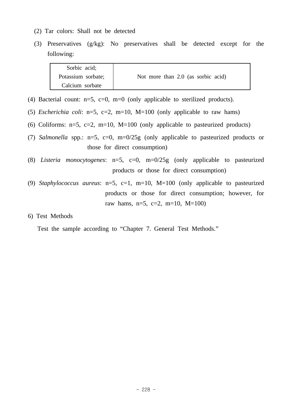- (2) Tar colors: Shall not be detected
- (3) Preservatives (g/kg): No preservatives shall be detected except for the following:

| Sorbic acid;       |                                    |
|--------------------|------------------------------------|
| Potassium sorbate; | Not more than 2.0 (as sorbic acid) |
| Calcium sorbate    |                                    |

- (4) Bacterial count:  $n=5$ ,  $c=0$ ,  $m=0$  (only applicable to sterilized products).
- (5) *Escherichia coli*: n=5, c=2, m=10, M=100 (only applicable to raw hams)
- (6) Coliforms:  $n=5$ ,  $c=2$ ,  $m=10$ ,  $M=100$  (only applicable to pasteurized products)
- (7) *Salmonella* spp.: n=5, c=0, m=0/25g (only applicable to pasteurized products or those for direct consumption)
- (8) *Listeria monocytogenes*: n=5, c=0, m=0/25g (only applicable to pasteurized products or those for direct consumption)
- (9) *Staphylococcus aureus*: n=5, c=1, m=10, M=100 (only applicable to pasteurized products or those for direct consumption; however, for raw hams,  $n=5$ ,  $c=2$ ,  $m=10$ ,  $M=100$ )
- 6) Test Methods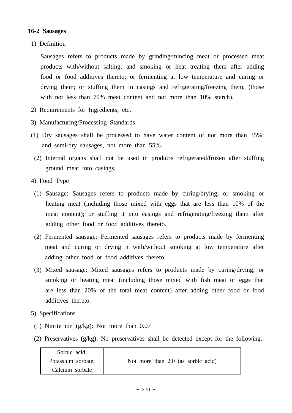# **16-2 Sausages**

1) Definition

 Sausages refers to products made by grinding/mincing meat or processed meat products with/without salting, and smoking or heat treating them after adding food or food additives thereto; or fermenting at low temperature and curing or drying them; or stuffing them in casings and refrigerating/freezing them, (those with not less than 70% meat content and not more than 10% starch).

- 2) Requirements for Ingredients, etc.
- 3) Manufacturing/Processing Standards
- (1) Dry sausages shall be processed to have water content of not more than 35%; and semi-dry sausages, not more than 55%.
	- (2) Internal organs shall not be used in products refrigerated/frozen after stuffing ground meat into casings.
- 4) Food Type
	- (1) Sausage: Sausages refers to products made by curing/drying; or smoking or heating meat (including those mixed with eggs that are less than 10% of the meat content); or stuffing it into casings and refrigerating/freezing them after adding other food or food additives thereto.
	- (2) Fermented sausage: Fermented sausages refers to products made by fermenting meat and curing or drying it with/without smoking at low temperature after adding other food or food additives thereto.
	- (3) Mixed sausage: Mixed sausages refers to products made by curing/drying; or smoking or heating meat (including those mixed with fish meat or eggs that are less than 20% of the total meat content) after adding other food or food additives thereto.
- 5) Specifications
- (1) Nitrite ion (g/kg): Not more than 0.07
- (2) Preservatives (g/kg): No preservatives shall be detected except for the following:

| Sorbic acid;       |                                    |
|--------------------|------------------------------------|
| Potassium sorbate; | Not more than 2.0 (as sorbic acid) |
| Calcium sorbate    |                                    |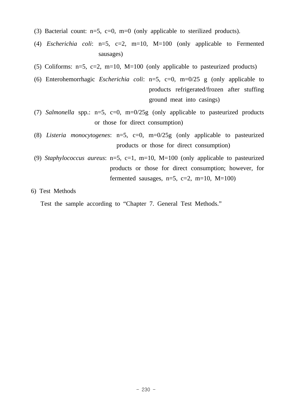(3) Bacterial count:  $n=5$ ,  $c=0$ ,  $m=0$  (only applicable to sterilized products).

 (4) *Escherichia coli*: n=5, c=2, m=10, M=100 (only applicable to Fermented sausages)

(5) Coliforms:  $n=5$ ,  $c=2$ ,  $m=10$ ,  $M=100$  (only applicable to pasteurized products)

- (6) Enterohemorrhagic *Escherichia coli*: n=5, c=0, m=0/25 g (only applicable to products refrigerated/frozen after stuffing ground meat into casings)
- (7) *Salmonella* spp.: n=5, c=0, m=0/25g (only applicable to pasteurized products or those for direct consumption)
- (8) *Listeria monocytogenes*: n=5, c=0, m=0/25g (only applicable to pasteurized products or those for direct consumption)
- (9) *Staphylococcus aureus*: n=5, c=1, m=10, M=100 (only applicable to pasteurized products or those for direct consumption; however, for fermented sausages,  $n=5$ ,  $c=2$ ,  $m=10$ ,  $M=100$ )

6) Test Methods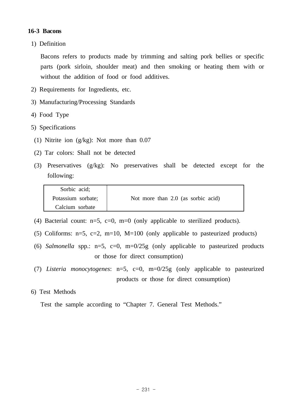# **16-3 Bacons**

1) Definition

 Bacons refers to products made by trimming and salting pork bellies or specific parts (pork sirloin, shoulder meat) and then smoking or heating them with or without the addition of food or food additives.

- 2) Requirements for Ingredients, etc.
- 3) Manufacturing/Processing Standards
- 4) Food Type
- 5) Specifications
	- (1) Nitrite ion (g/kg): Not more than 0.07
	- (2) Tar colors: Shall not be detected
	- (3) Preservatives (g/kg): No preservatives shall be detected except for the following:

| Sorbic acid;       |                                    |
|--------------------|------------------------------------|
| Potassium sorbate; | Not more than 2.0 (as sorbic acid) |
| Calcium sorbate    |                                    |

- (4) Bacterial count:  $n=5$ ,  $c=0$ ,  $m=0$  (only applicable to sterilized products).
- (5) Coliforms:  $n=5$ ,  $c=2$ ,  $m=10$ ,  $M=100$  (only applicable to pasteurized products)
- (6) *Salmonella* spp.: n=5, c=0, m=0/25g (only applicable to pasteurized products or those for direct consumption)
- (7) *Listeria monocytogenes*: n=5, c=0, m=0/25g (only applicable to pasteurized products or those for direct consumption)

### 6) Test Methods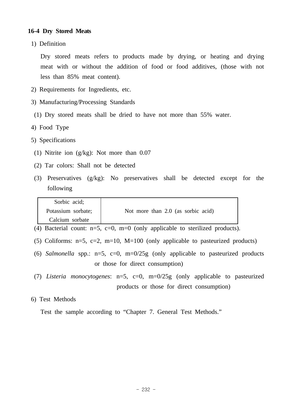### **16-4 Dry Stored Meats**

1) Definition

Dry stored meats refers to products made by drying, or heating and drying meat with or without the addition of food or food additives, (those with not less than 85% meat content).

- 2) Requirements for Ingredients, etc.
- 3) Manufacturing/Processing Standards
- (1) Dry stored meats shall be dried to have not more than 55% water.
- 4) Food Type
- 5) Specifications
- (1) Nitrite ion (g/kg): Not more than 0.07
- (2) Tar colors: Shall not be detected
- (3) Preservatives (g/kg): No preservatives shall be detected except for the following

| Sorbic acid;       |                                    |
|--------------------|------------------------------------|
| Potassium sorbate; | Not more than 2.0 (as sorbic acid) |
| Calcium sorbate    |                                    |

- (4) Bacterial count:  $n=5$ ,  $c=0$ ,  $m=0$  (only applicable to sterilized products).
- (5) Coliforms:  $n=5$ ,  $c=2$ ,  $m=10$ ,  $M=100$  (only applicable to pasteurized products)
- (6) *Salmonella* spp.: n=5, c=0, m=0/25g (only applicable to pasteurized products or those for direct consumption)
- (7) *Listeria monocytogenes*: n=5, c=0, m=0/25g (only applicable to pasteurized products or those for direct consumption)

# 6) Test Methods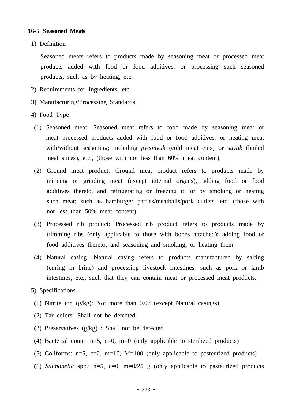### **16-5 Seasoned Meats**

1) Definition

 Seasoned meats refers to products made by seasoning meat or processed meat products added with food or food additives; or processing such seasoned products, such as by heating, etc.

- 2) Requirements for Ingredients, etc.
- 3) Manufacturing/Processing Standards
- 4) Food Type
	- (1) Seasoned meat: Seasoned meat refers to food made by seasoning meat or meat processed products added with food or food additives; or heating meat with/without seasoning; including *pyeonyuk* (cold meat cuts) or s*uyuk* (boiled meat slices), etc., (those with not less than 60% meat content).
	- (2) Ground meat product: Ground meat product refers to products made by mincing or grinding meat (except internal organs), adding food or food additives thereto, and refrigerating or freezing it; or by smoking or heating such meat; such as hamburger patties/meatballs/pork cutlets, etc. (those with not less than 50% meat content).
	- (3) Processed rib product: Processed rib product refers to products made by trimming ribs (only applicable to those with bones attached); adding food or food additives thereto; and seasoning and smoking, or heating them.
	- (4) Natural casing: Natural casing refers to products manufactured by salting (curing in brine) and processing livestock intestines, such as pork or lamb intestines, etc., such that they can contain meat or processed meat products.
- 5) Specifications
- (1) Nitrite ion (g/kg): Not more than 0.07 (except Natural casings)
- (2) Tar colors: Shall not be detected
- (3) Preservatives (g/kg) : Shall not be detected
- (4) Bacterial count:  $n=5$ ,  $c=0$ ,  $m=0$  (only applicable to sterilized products)
- (5) Coliforms:  $n=5$ ,  $c=2$ ,  $m=10$ ,  $M=100$  (only applicable to pasteurized products)
- (6) *Salmonella* spp.:  $n=5$ ,  $c=0$ ,  $m=0/25$  g (only applicable to pasteurized products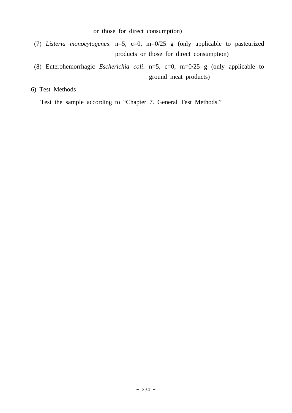or those for direct consumption)

- (7) *Listeria monocytogenes*: n=5, c=0, m=0/25 g (only applicable to pasteurized products or those for direct consumption)
- (8) Enterohemorrhagic *Escherichia coli*: n=5, c=0, m=0/25 g (only applicable to ground meat products)

6) Test Methods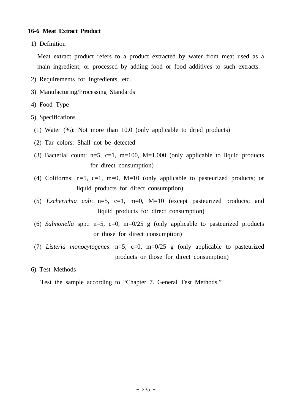## **16-6 Meat Extract Product**

1) Definition

 Meat extract product refers to a product extracted by water from meat used as a main ingredient; or processed by adding food or food additives to such extracts.

- 2) Requirements for Ingredients, etc.
- 3) Manufacturing/Processing Standards
- 4) Food Type
- 5) Specifications
- (1) Water (%): Not more than 10.0 (only applicable to dried products)
- (2) Tar colors: Shall not be detected
- (3) Bacterial count:  $n=5$ ,  $c=1$ ,  $m=100$ ,  $M=1,000$  (only applicable to liquid products for direct consumption)
- (4) Coliforms:  $n=5$ ,  $c=1$ ,  $m=0$ ,  $M=10$  (only applicable to pasteurized products; or liquid products for direct consumption).
- (5) *Escherichia coli*: n=5, c=1, m=0, M=10 (except pasteurized products; and liquid products for direct consumption)
- (6) *Salmonella* spp.:  $n=5$ ,  $c=0$ ,  $m=0/25$  g (only applicable to pasteurized products or those for direct consumption)
- (7) *Listeria monocytogenes*: n=5, c=0, m=0/25 g (only applicable to pasteurized products or those for direct consumption)

### 6) Test Methods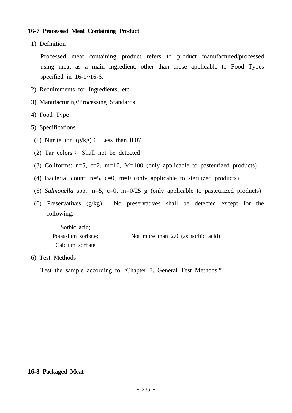# **16-7 Processed Meat Containing Product**

1) Definition

 Processed meat containing product refers to product manufactured/processed using meat as a main ingredient, other than those applicable to Food Types specified in  $16-1-16-6$ .

- 2) Requirements for Ingredients, etc.
- 3) Manufacturing/Processing Standards
- 4) Food Type
- 5) Specifications
	- (1) Nitrite ion (g/kg)∶ Less than 0.07
	- (2) Tar colors∶ Shall not be detected
	- (3) Coliforms:  $n=5$ ,  $c=2$ ,  $m=10$ ,  $M=100$  (only applicable to pasteurized products)
	- (4) Bacterial count:  $n=5$ ,  $c=0$ ,  $m=0$  (only applicable to sterilized products)
	- (5) *Salmonella* spp.:  $n=5$ ,  $c=0$ ,  $m=0/25$  g (only applicable to pasteurized products)
	- (6) Preservatives (g/kg)∶ No preservatives shall be detected except for the following:

| Sorbic acid;       |                                    |
|--------------------|------------------------------------|
| Potassium sorbate; | Not more than 2.0 (as sorbic acid) |
| Calcium sorbate    |                                    |

6) Test Methods

Test the sample according to "Chapter 7. General Test Methods."

#### **16-8 Packaged Meat**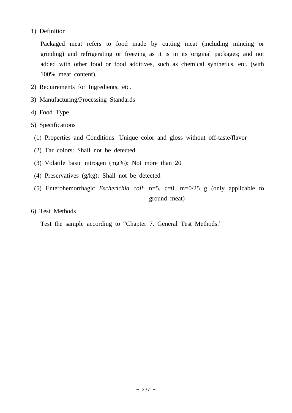# 1) Definition

 Packaged meat refers to food made by cutting meat (including mincing or grinding) and refrigerating or freezing as it is in its original packages; and not added with other food or food additives, such as chemical synthetics, etc. (with 100% meat content).

- 2) Requirements for Ingredients, etc.
- 3) Manufacturing/Processing Standards
- 4) Food Type
- 5) Specifications
	- (1) Properties and Conditions: Unique color and gloss without off-taste/flavor
	- (2) Tar colors: Shall not be detected
	- (3) Volatile basic nitrogen (mg%): Not more than 20
	- (4) Preservatives (g/kg): Shall not be detected
	- (5) Enterohemorrhagic *Escherichia coli*: n=5, c=0, m=0/25 g (only applicable to ground meat)
- 6) Test Methods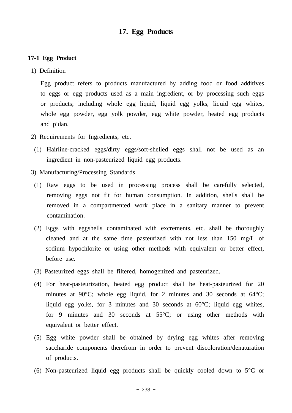# **17. Egg Products**

### **17-1 Egg Product**

1) Definition

 Egg product refers to products manufactured by adding food or food additives to eggs or egg products used as a main ingredient, or by processing such eggs or products; including whole egg liquid, liquid egg yolks, liquid egg whites, whole egg powder, egg yolk powder, egg white powder, heated egg products and pidan.

- 2) Requirements for Ingredients, etc.
- (1) Hairline-cracked eggs/dirty eggs/soft-shelled eggs shall not be used as an ingredient in non-pasteurized liquid egg products.
- 3) Manufacturing/Processing Standards
- (1) Raw eggs to be used in processing process shall be carefully selected, removing eggs not fit for human consumption. In addition, shells shall be removed in a compartmented work place in a sanitary manner to prevent contamination.
- (2) Eggs with eggshells contaminated with excrements, etc. shall be thoroughly cleaned and at the same time pasteurized with not less than 150 mg/L of sodium hypochlorite or using other methods with equivalent or better effect, before use.
- (3) Pasteurized eggs shall be filtered, homogenized and pasteurized.
- (4) For heat-pasteurization, heated egg product shall be heat-pasteurized for 20 minutes at 90°C; whole egg liquid, for 2 minutes and 30 seconds at 64°C; liquid egg yolks, for 3 minutes and 30 seconds at 60°C; liquid egg whites, for 9 minutes and 30 seconds at 55°C; or using other methods with equivalent or better effect.
- (5) Egg white powder shall be obtained by drying egg whites after removing saccharide components therefrom in order to prevent discoloration/denaturation of products.
- (6) Non-pasteurized liquid egg products shall be quickly cooled down to 5°C or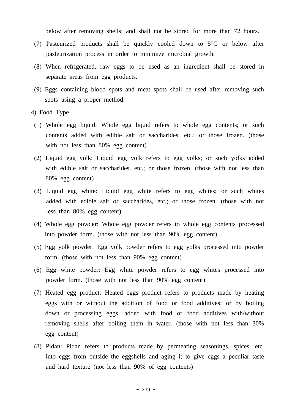below after removing shells; and shall not be stored for more than 72 hours.

- (7) Pasteurized products shall be quickly cooled down to 5°C or below after pasteurization process in order to minimize microbial growth.
- (8) When refrigerated, raw eggs to be used as an ingredient shall be stored in separate areas from egg products.
- (9) Eggs containing blood spots and meat spots shall be used after removing such spots using a proper method.
- 4) Food Type
	- (1) Whole egg liquid: Whole egg liquid refers to whole egg contents; or such contents added with edible salt or saccharides, etc.; or those frozen. (those with not less than 80% egg content)
	- (2) Liquid egg yolk: Liquid egg yolk refers to egg yolks; or such yolks added with edible salt or saccharides, etc.; or those frozen. (those with not less than 80% egg content)
	- (3) Liquid egg white: Liquid egg white refers to egg whites; or such whites added with edible salt or saccharides, etc.; or those frozen. (those with not less than 80% egg content)
	- (4) Whole egg powder: Whole egg powder refers to whole egg contents processed into powder form. (those with not less than 90% egg content)
	- (5) Egg yolk powder: Egg yolk powder refers to egg yolks processed into powder form. (those with not less than 90% egg content)
	- (6) Egg white powder: Egg white powder refers to egg whites processed into powder form. (those with not less than 90% egg content)
	- (7) Heated egg product: Heated eggs product refers to products made by heating eggs with or without the addition of food or food additives; or by boiling down or processing eggs, added with food or food additives with/without removing shells after boiling them in water. (those with not less than 30% egg content)
	- (8) Pidan: Pidan refers to products made by permeating seasonings, spices, etc. into eggs from outside the eggshells and aging it to give eggs a peculiar taste and hard texture (not less than 90% of egg contents)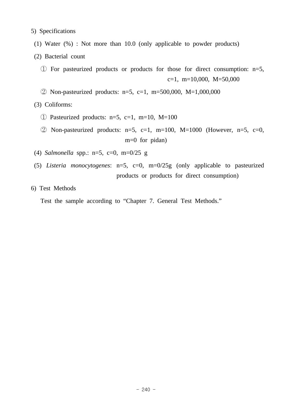5) Specifications

- (1) Water (%) : Not more than 10.0 (only applicable to powder products)
- (2) Bacterial count

```
 ① For pasteurized products or products for those for direct consumption: n=5, 
                                            c=1, m=10,000, M=50,000
```
② Non-pasteurized products: n=5, c=1, m=500,000, M=1,000,000

(3) Coliforms:

- $\circled{1}$  Pasteurized products: n=5, c=1, m=10, M=100
- $\textcircled{2}$  Non-pasteurized products: n=5, c=1, m=100, M=1000 (However, n=5, c=0, m=0 for pidan)
- (4) *Salmonella* spp.: n=5, c=0, m=0/25 g
- (5) *Listeria monocytogenes*: n=5, c=0, m=0/25g (only applicable to pasteurized products or products for direct consumption)
- 6) Test Methods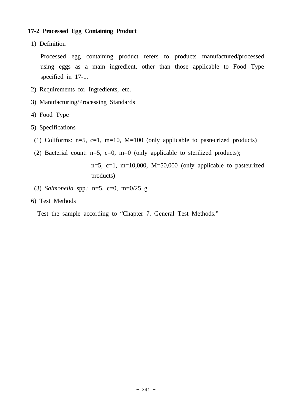# **17-2 Processed Egg Containing Product**

1) Definition

 Processed egg containing product refers to products manufactured/processed using eggs as a main ingredient, other than those applicable to Food Type specified in 17-1.

- 2) Requirements for Ingredients, etc.
- 3) Manufacturing/Processing Standards
- 4) Food Type
- 5) Specifications
	- (1) Coliforms:  $n=5$ ,  $c=1$ ,  $m=10$ ,  $M=100$  (only applicable to pasteurized products)
	- (2) Bacterial count:  $n=5$ ,  $c=0$ ,  $m=0$  (only applicable to sterilized products);

```
n=5, c=1, m=10,000, M=50,000 (only applicable to pasteurized
products)
```
- (3) *Salmonella* spp.: n=5, c=0, m=0/25 g
- 6) Test Methods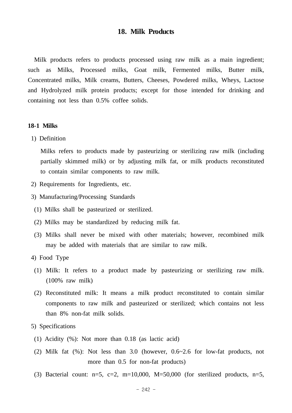#### **18. Milk Products**

 Milk products refers to products processed using raw milk as a main ingredient; such as Milks, Processed milks, Goat milk, Fermented milks, Butter milk, Concentrated milks, Milk creams, Butters, Cheeses, Powdered milks, Wheys, Lactose and Hydrolyzed milk protein products; except for those intended for drinking and containing not less than 0.5% coffee solids.

#### **18-1 Milks**

1) Definition

 Milks refers to products made by pasteurizing or sterilizing raw milk (including partially skimmed milk) or by adjusting milk fat, or milk products reconstituted to contain similar components to raw milk.

- 2) Requirements for Ingredients, etc.
- 3) Manufacturing/Processing Standards
- (1) Milks shall be pasteurized or sterilized.
- (2) Milks may be standardized by reducing milk fat.
- (3) Milks shall never be mixed with other materials; however, recombined milk may be added with materials that are similar to raw milk.
- 4) Food Type
- (1) Milk: It refers to a product made by pasteurizing or sterilizing raw milk. (100% raw milk)
- (2) Reconstituted milk: It means a milk product reconstituted to contain similar components to raw milk and pasteurized or sterilized; which contains not less than 8% non-fat milk solids.
- 5) Specifications
- (1) Acidity (%): Not more than 0.18 (as lactic acid)
- (2) Milk fat (%): Not less than 3.0 (however, 0.6~2.6 for low-fat products, not more than 0.5 for non-fat products)
- (3) Bacterial count:  $n=5$ ,  $c=2$ ,  $m=10,000$ ,  $M=50,000$  (for sterilized products,  $n=5$ ,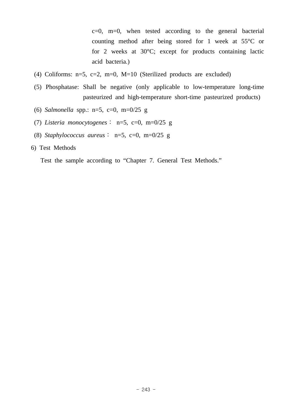$c=0$ , m=0, when tested according to the general bacterial counting method after being stored for 1 week at 55°C or for 2 weeks at 30°C; except for products containing lactic acid bacteria.)

- (4) Coliforms: n=5, c=2, m=0, M=10 (Sterilized products are excluded)
- (5) Phosphatase: Shall be negative (only applicable to low-temperature long-time pasteurized and high-temperature short-time pasteurized products)
- (6) *Salmonella* spp.: n=5, c=0, m=0/25 g
- (7) *Listeria monocytogenes*∶ n=5, c=0, m=0/25 g
- (8) *Staphylococcus aureus*∶ n=5, c=0, m=0/25 g

### 6) Test Methods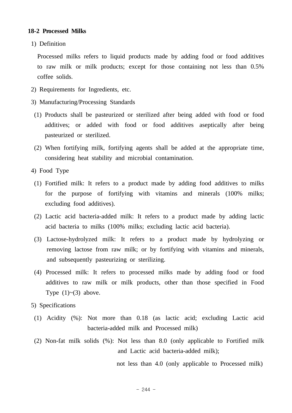### **18-2 Processed Milks**

1) Definition

 Processed milks refers to liquid products made by adding food or food additives to raw milk or milk products; except for those containing not less than 0.5% coffee solids.

- 2) Requirements for Ingredients, etc.
- 3) Manufacturing/Processing Standards
- (1) Products shall be pasteurized or sterilized after being added with food or food additives; or added with food or food additives aseptically after being pasteurized or sterilized.
- (2) When fortifying milk, fortifying agents shall be added at the appropriate time, considering heat stability and microbial contamination.
- 4) Food Type
	- (1) Fortified milk: It refers to a product made by adding food additives to milks for the purpose of fortifying with vitamins and minerals (100% milks; excluding food additives).
	- (2) Lactic acid bacteria-added milk: It refers to a product made by adding lactic acid bacteria to milks (100% milks; excluding lactic acid bacteria).
	- (3) Lactose-hydrolyzed milk: It refers to a product made by hydrolyzing or removing lactose from raw milk; or by fortifying with vitamins and minerals, and subsequently pasteurizing or sterilizing.
	- (4) Processed milk: It refers to processed milks made by adding food or food additives to raw milk or milk products, other than those specified in Food Type  $(1)$   $\sim$  (3) above.
- 5) Specifications
- (1) Acidity (%): Not more than 0.18 (as lactic acid; excluding Lactic acid bacteria-added milk and Processed milk)
- (2) Non-fat milk solids (%): Not less than 8.0 (only applicable to Fortified milk and Lactic acid bacteria-added milk);

not less than 4.0 (only applicable to Processed milk)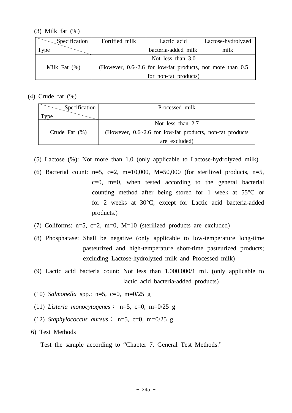(3) Milk fat (%)

| Specification                                                                       | Fortified milk<br>Lactic acid |                       | Lactose-hydrolyzed |
|-------------------------------------------------------------------------------------|-------------------------------|-----------------------|--------------------|
| Type                                                                                | bacteria-added milk           |                       | milk               |
| Not less than 3.0                                                                   |                               |                       |                    |
| Milk Fat $(\%)$<br>(However, $0.6 \sim 2.6$ for low-fat products, not more than 0.5 |                               |                       |                    |
|                                                                                     |                               | for non-fat products) |                    |

(4) Crude fat (%)

| Specification    | Processed milk                                                  |  |  |
|------------------|-----------------------------------------------------------------|--|--|
| Tvpe             |                                                                 |  |  |
|                  | Not less than 2.7                                               |  |  |
| Crude Fat $(\%)$ | (However, $0.6 \sim 2.6$ for low-fat products, non-fat products |  |  |
|                  | are excluded)                                                   |  |  |

- (5) Lactose (%): Not more than 1.0 (only applicable to Lactose-hydrolyzed milk)
- (6) Bacterial count:  $n=5$ ,  $c=2$ ,  $m=10,000$ ,  $M=50,000$  (for sterilized products,  $n=5$ ,  $c=0$ , m=0, when tested according to the general bacterial counting method after being stored for 1 week at 55°C or for 2 weeks at 30°C; except for Lactic acid bacteria-added products.)
- (7) Coliforms:  $n=5$ ,  $c=2$ ,  $m=0$ ,  $M=10$  (sterilized products are excluded)
- (8) Phosphatase: Shall be negative (only applicable to low-temperature long-time pasteurized and high-temperature short-time pasteurized products; excluding Lactose-hydrolyzed milk and Processed milk)
- (9) Lactic acid bacteria count: Not less than 1,000,000/1 mL (only applicable to lactic acid bacteria-added products)
- (10) *Salmonella* spp.: n=5, c=0, m=0/25 g
- (11) *Listeria monocytogenes*∶ n=5, c=0, m=0/25 g
- (12) *Staphylococcus aureus*∶ n=5, c=0, m=0/25 g
- 6) Test Methods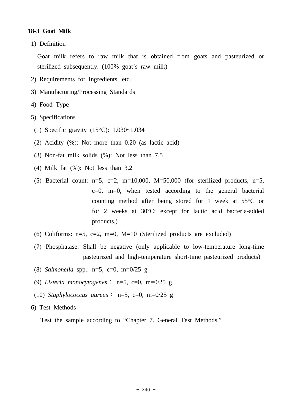# **18-3 Goat Milk**

1) Definition

 Goat milk refers to raw milk that is obtained from goats and pasteurized or sterilized subsequently. (100% goat's raw milk)

- 2) Requirements for Ingredients, etc.
- 3) Manufacturing/Processing Standards
- 4) Food Type
- 5) Specifications
- (1) Specific gravity (15°C): 1.030~1.034
- (2) Acidity (%): Not more than 0.20 (as lactic acid)
- (3) Non-fat milk solids (%): Not less than 7.5
- (4) Milk fat (%): Not less than 3.2
- (5) Bacterial count:  $n=5$ ,  $c=2$ ,  $m=10,000$ ,  $M=50,000$  (for sterilized products,  $n=5$ ,  $c=0$ , m=0, when tested according to the general bacterial counting method after being stored for 1 week at 55°C or for 2 weeks at 30°C; except for lactic acid bacteria-added products.)
- (6) Coliforms:  $n=5$ ,  $c=2$ ,  $m=0$ ,  $M=10$  (Sterilized products are excluded)
- (7) Phosphatase: Shall be negative (only applicable to low-temperature long-time pasteurized and high-temperature short-time pasteurized products)
- (8) *Salmonella* spp.: n=5, c=0, m=0/25 g
- (9) *Listeria monocytogenes*∶ n=5, c=0, m=0/25 g
- (10) *Staphylococcus aureus*∶ n=5, c=0, m=0/25 g
- 6) Test Methods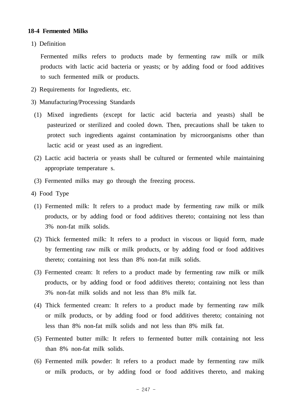### **18-4 Fermented Milks**

1) Definition

 Fermented milks refers to products made by fermenting raw milk or milk products with lactic acid bacteria or yeasts; or by adding food or food additives to such fermented milk or products.

- 2) Requirements for Ingredients, etc.
- 3) Manufacturing/Processing Standards
- (1) Mixed ingredients (except for lactic acid bacteria and yeasts) shall be pasteurized or sterilized and cooled down. Then, precautions shall be taken to protect such ingredients against contamination by microorganisms other than lactic acid or yeast used as an ingredient.
- (2) Lactic acid bacteria or yeasts shall be cultured or fermented while maintaining appropriate temperature s.
- (3) Fermented milks may go through the freezing process.
- 4) Food Type
- (1) Fermented milk: It refers to a product made by fermenting raw milk or milk products, or by adding food or food additives thereto; containing not less than 3% non-fat milk solids.
- (2) Thick fermented milk: It refers to a product in viscous or liquid form, made by fermenting raw milk or milk products, or by adding food or food additives thereto; containing not less than 8% non-fat milk solids.
- (3) Fermented cream: It refers to a product made by fermenting raw milk or milk products, or by adding food or food additives thereto; containing not less than 3% non-fat milk solids and not less than 8% milk fat.
- (4) Thick fermented cream: It refers to a product made by fermenting raw milk or milk products, or by adding food or food additives thereto; containing not less than 8% non-fat milk solids and not less than 8% milk fat.
- (5) Fermented butter milk: It refers to fermented butter milk containing not less than 8% non-fat milk solids.
- (6) Fermented milk powder: It refers to a product made by fermenting raw milk or milk products, or by adding food or food additives thereto, and making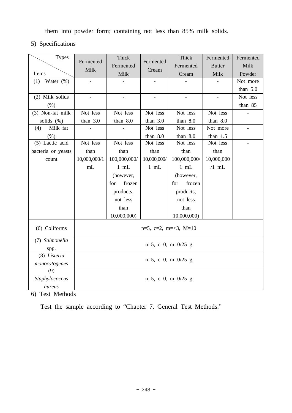them into powder form; containing not less than 85% milk solids.

5) Specifications

| <b>Types</b>         | Fermented<br>Milk       | Thick<br>Fermented | Fermented<br>Cream         | Thick<br>Fermented | Fermented<br><b>Butter</b> | Fermented<br>Milk |
|----------------------|-------------------------|--------------------|----------------------------|--------------------|----------------------------|-------------------|
| Items                |                         | Milk               |                            | Cream              | Milk                       | Powder            |
| Water $(\% )$<br>(1) |                         |                    |                            |                    |                            | Not more          |
|                      |                         |                    |                            |                    |                            | than $5.0$        |
| (2) Milk solids      |                         |                    |                            |                    |                            | Not less          |
| (% )                 |                         |                    |                            |                    |                            | than 85           |
| (3) Non-fat milk     | Not less                | Not less           | Not less                   | Not less           | Not less                   |                   |
| solids (%)           | than $3.0$              | than 8.0           | than $3.0$                 | than 8.0           | than 8.0                   |                   |
| Milk fat<br>(4)      |                         |                    | Not less                   | Not less           | Not more                   |                   |
| $(\% )$              |                         |                    | than $8.0$                 | than $8.0$         | than $1.5$                 |                   |
| (5) Lactic acid      | Not less                | Not less           | Not less                   | Not less           | Not less                   |                   |
| bacteria or yeasts   | than                    | than               | than                       | than               | than                       |                   |
| count                | 10,000,000/1            | 100,000,000/       | 10,000,000/                | 100,000,000/       | 10,000,000                 |                   |
|                      | mL                      | $1$ mL             | $1$ mL                     | $1$ mL             | $/1$ mL                    |                   |
|                      |                         | (however,          |                            | (however,          |                            |                   |
|                      |                         | frozen<br>for      |                            | frozen<br>for      |                            |                   |
|                      |                         | products,          |                            | products,          |                            |                   |
|                      |                         | not less           |                            | not less           |                            |                   |
|                      |                         | than               |                            | than               |                            |                   |
|                      |                         | 10,000,000)        |                            | 10,000,000)        |                            |                   |
| (6) Coliforms        | $n=5$ , c=2, m=<3, M=10 |                    |                            |                    |                            |                   |
| (7) Salmonella       |                         |                    |                            |                    |                            |                   |
| spp.                 | $n=5$ , c=0, m=0/25 g   |                    |                            |                    |                            |                   |
| (8) Listeria         |                         |                    |                            |                    |                            |                   |
| monocytogenes        | $n=5$ , c=0, m=0/25 g   |                    |                            |                    |                            |                   |
| (9)                  |                         |                    |                            |                    |                            |                   |
| Staphylococcus       |                         |                    | $n=5$ , $c=0$ , $m=0/25$ g |                    |                            |                   |
| aureus               |                         |                    |                            |                    |                            |                   |

6) Test Methods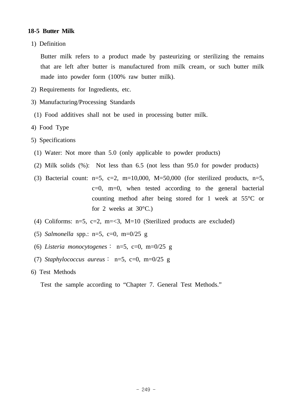# **18-5 Butter Milk**

1) Definition

 Butter milk refers to a product made by pasteurizing or sterilizing the remains that are left after butter is manufactured from milk cream, or such butter milk made into powder form (100% raw butter milk).

- 2) Requirements for Ingredients, etc.
- 3) Manufacturing/Processing Standards
- (1) Food additives shall not be used in processing butter milk.
- 4) Food Type
- 5) Specifications
- (1) Water: Not more than 5.0 (only applicable to powder products)
- (2) Milk solids (%): Not less than 6.5 (not less than 95.0 for powder products)
- (3) Bacterial count:  $n=5$ ,  $c=2$ ,  $m=10,000$ ,  $M=50,000$  (for sterilized products,  $n=5$ , c=0, m=0, when tested according to the general bacterial counting method after being stored for 1 week at 55°C or for 2 weeks at  $30^{\circ}$ C.)
- (4) Coliforms:  $n=5$ ,  $c=2$ ,  $m=<3$ ,  $M=10$  (Sterilized products are excluded)
- (5) *Salmonella* spp.: n=5, c=0, m=0/25 g
- (6) *Listeria monocytogenes*∶ n=5, c=0, m=0/25 g
- (7) *Staphylococcus aureus*∶ n=5, c=0, m=0/25 g
- 6) Test Methods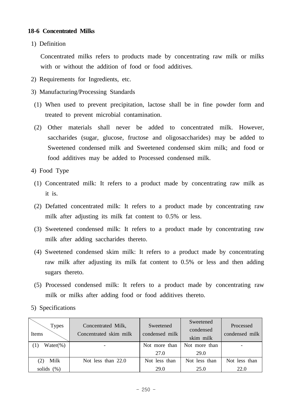# **18-6 Concentrated Milks**

1) Definition

 Concentrated milks refers to products made by concentrating raw milk or milks with or without the addition of food or food additives.

- 2) Requirements for Ingredients, etc.
- 3) Manufacturing/Processing Standards
- (1) When used to prevent precipitation, lactose shall be in fine powder form and treated to prevent microbial contamination.
- (2) Other materials shall never be added to concentrated milk. However, saccharides (sugar, glucose, fructose and oligosaccharides) may be added to Sweetened condensed milk and Sweetened condensed skim milk; and food or food additives may be added to Processed condensed milk.
- 4) Food Type
	- (1) Concentrated milk: It refers to a product made by concentrating raw milk as it is.
	- (2) Defatted concentrated milk: It refers to a product made by concentrating raw milk after adjusting its milk fat content to 0.5% or less.
	- (3) Sweetened condensed milk: It refers to a product made by concentrating raw milk after adding saccharides thereto.
	- (4) Sweetened condensed skim milk: It refers to a product made by concentrating raw milk after adjusting its milk fat content to 0.5% or less and then adding sugars thereto.
- (5) Processed condensed milk: It refers to a product made by concentrating raw milk or milks after adding food or food additives thereto.
- 5) Specifications

| <b>Types</b><br>Items | Concentrated Milk,<br>Concentrated skim milk | Sweetened<br>condensed milk | Sweetened<br>condensed<br>skim milk | Processed<br>condensed milk |
|-----------------------|----------------------------------------------|-----------------------------|-------------------------------------|-----------------------------|
| Water $(\%)$          |                                              | Not more than               | Not more than                       |                             |
|                       |                                              | 27.0                        | 29.0                                |                             |
| Milk                  | Not less than 22.0                           | Not less than               | Not less than                       | Not less than               |
| solids $(\%)$         |                                              | 29.0                        | 25.0                                | 22.0                        |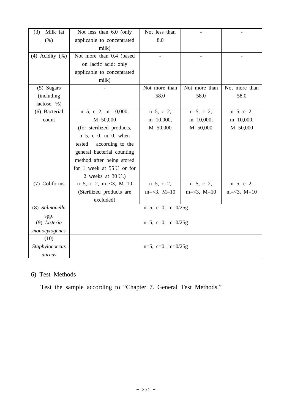| Milk fat<br>(3)       | Not less than 6.0 (only             | Not less than   |                     |                     |
|-----------------------|-------------------------------------|-----------------|---------------------|---------------------|
| $(\% )$               | applicable to concentrated          | 8.0             |                     |                     |
|                       | milk)                               |                 |                     |                     |
| $(4)$ Acidity $(\% )$ | Not more than 0.4 (based            |                 |                     |                     |
|                       | on lactic acid; only                |                 |                     |                     |
|                       | applicable to concentrated          |                 |                     |                     |
|                       | milk)                               |                 |                     |                     |
| $(5)$ Sugars          |                                     | Not more than   | Not more than       | Not more than       |
| (including            |                                     | 58.0            | 58.0                | 58.0                |
| lactose, %)           |                                     |                 |                     |                     |
| (6) Bacterial         | $n=5$ , $c=2$ , $m=10,000$ ,        | $n=5, c=2,$     | $n=5, c=2,$         | $n=5, c=2,$         |
| count                 | $M = 50,000$                        | $m=10,000,$     | $m=10,000,$         | $m=10,000,$         |
|                       | (for sterilized products,           | $M = 50,000$    | $M = 50,000$        | $M = 50,000$        |
|                       | $n=5$ , $c=0$ , $m=0$ , when        |                 |                     |                     |
|                       | according to the<br>tested          |                 |                     |                     |
|                       | general bacterial counting          |                 |                     |                     |
|                       | method after being stored           |                 |                     |                     |
|                       | for 1 week at 55 $\degree$ C or for |                 |                     |                     |
|                       | 2 weeks at $30^{\circ}$ C.)         |                 |                     |                     |
| (7) Coliforms         | $n=5$ , $c=2$ , $m=<3$ , $M=10$     | $n=5$ , $c=2$ , | $n=5$ , $c=2$ ,     | $n=5$ , $c=2$ ,     |
|                       | (Sterilized products are            | $m=<3, M=10$    | $m = <3$ , $M = 10$ | $m = <3$ , $M = 10$ |
|                       | excluded)                           |                 |                     |                     |
| (8) Salmonella        | $n=5$ , $c=0$ , $m=0/25g$           |                 |                     |                     |
| spp.                  |                                     |                 |                     |                     |
| (9) Listeria          | $n=5$ , $c=0$ , $m=0/25g$           |                 |                     |                     |
| monocytogenes         |                                     |                 |                     |                     |
| (10)                  |                                     |                 |                     |                     |
| Staphylococcus        | $n=5$ , c=0, m=0/25g                |                 |                     |                     |
| aureus                |                                     |                 |                     |                     |

# 6) Test Methods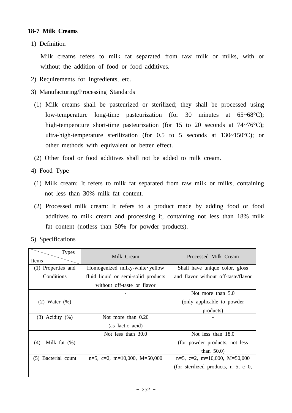# **18-7 Milk Creams**

1) Definition

 Milk creams refers to milk fat separated from raw milk or milks, with or without the addition of food or food additives.

- 2) Requirements for Ingredients, etc.
- 3) Manufacturing/Processing Standards
- (1) Milk creams shall be pasteurized or sterilized; they shall be processed using low-temperature long-time pasteurization (for 30 minutes at 65~68°C); high-temperature short-time pasteurization (for 15 to 20 seconds at 74~76°C); ultra-high-temperature sterilization (for  $0.5$  to 5 seconds at  $130~150^{\circ}$ C); or other methods with equivalent or better effect.
- (2) Other food or food additives shall not be added to milk cream.
- 4) Food Type
	- (1) Milk cream: It refers to milk fat separated from raw milk or milks, containing not less than 30% milk fat content.
	- (2) Processed milk cream: It refers to a product made by adding food or food additives to milk cream and processing it, containing not less than 18% milk fat content (notless than 50% for powder products).
- 5) Specifications

| <b>Types</b><br>Items  | Milk Cream                          | Processed Milk Cream                      |
|------------------------|-------------------------------------|-------------------------------------------|
| (1) Properties and     | Homogenized milky-white~yellow      | Shall have unique color, gloss            |
| Conditions             | fluid liquid or semi-solid products | and flavor without off-taste/flavor       |
|                        | without off-taste or flavor         |                                           |
|                        |                                     | Not more than 5.0                         |
| $(2)$ Water $(\%)$     |                                     | (only applicable to powder                |
|                        |                                     | products)                                 |
| $(3)$ Acidity $(\%)$   | Not more than 0.20                  |                                           |
|                        | (as lactic acid)                    |                                           |
|                        | Not less than 30.0                  | Not less than 18.0                        |
| Milk fat $(\%)$<br>(4) |                                     | (for powder products, not less            |
|                        |                                     | than $50.0$ )                             |
| (5) Bacterial count    | $n=5$ , c=2, m=10,000, M=50,000     | $n=5$ , c=2, m=10,000, M=50,000           |
|                        |                                     | (for sterilized products, $n=5$ , $c=0$ , |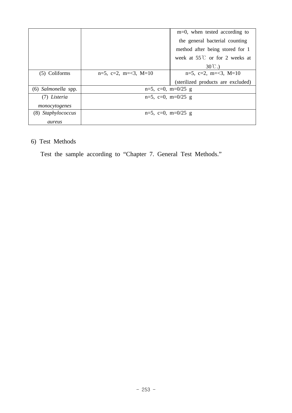|                     |                                 | $m=0$ , when tested according to       |
|---------------------|---------------------------------|----------------------------------------|
|                     |                                 | the general bacterial counting         |
|                     |                                 | method after being stored for 1        |
|                     |                                 | week at $55^{\circ}$ or for 2 weeks at |
|                     |                                 | $30^{\circ}$ C.)                       |
| (5) Coliforms       | $n=5$ , $c=2$ , $m=<3$ , $M=10$ | $n=5$ , c=2, m=<3, M=10                |
|                     |                                 | (sterilized products are excluded)     |
| (6) Salmonella spp. | $n=5$ , $c=0$ , $m=0/25$ g      |                                        |
| (7) Listeria        | $n=5$ , $c=0$ , $m=0/25$ g      |                                        |
| monocytogenes       |                                 |                                        |
| (8) Staphylococcus  | $n=5$ , $c=0$ , $m=0/25$ g      |                                        |
| aureus              |                                 |                                        |

# 6) Test Methods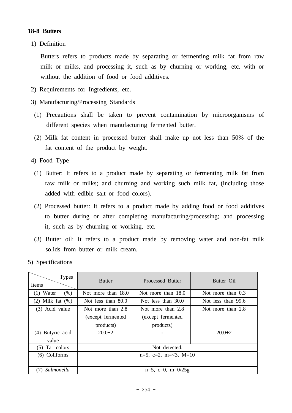# **18-8 Butters**

1) Definition

 Butters refers to products made by separating or fermenting milk fat from raw milk or milks, and processing it, such as by churning or working, etc. with or without the addition of food or food additives.

- 2) Requirements for Ingredients, etc.
- 3) Manufacturing/Processing Standards
- (1) Precautions shall be taken to prevent contamination by microorganisms of different species when manufacturing fermented butter.
- (2) Milk fat content in processed butter shall make up not less than 50% of the fat content of the product by weight.
- 4) Food Type
	- (1) Butter: It refers to a product made by separating or fermenting milk fat from raw milk or milks; and churning and working such milk fat, (including those added with edible salt or food colors).
	- (2) Processed butter: It refers to a product made by adding food or food additives to butter during or after completing manufacturing/processing; and processing it, such as by churning or working, etc.
	- (3) Butter oil: It refers to a product made by removing water and non-fat milk solids from butter or milk cream.
- 5) Specifications

| <b>Types</b><br>Items  | <b>Butter</b>                   | Processed Butter     | Butter Oil         |
|------------------------|---------------------------------|----------------------|--------------------|
| Water<br>(% )<br>(1)   | Not more than 18.0              | Not more than 18.0   | Not more than 0.3  |
| Milk fat $(\%)$<br>(2) | Not less than 80.0              | Not less than 30.0   | Not less than 99.6 |
| (3) Acid value         | Not more than 2.8               | Not more than 2.8    | Not more than 2.8  |
|                        | (except fermented               | (except fermented    |                    |
|                        | products)                       | products)            |                    |
| Butyric acid<br>(4)    | $20.0 + 2$                      |                      | $20.0 \pm 2$       |
| value                  |                                 |                      |                    |
| $(5)$ Tar colors       | Not detected.                   |                      |                    |
| (6) Coliforms          | $n=5$ , $c=2$ , $m=<3$ , $M=10$ |                      |                    |
|                        |                                 |                      |                    |
| Salmonella             |                                 | $n=5$ , c=0, m=0/25g |                    |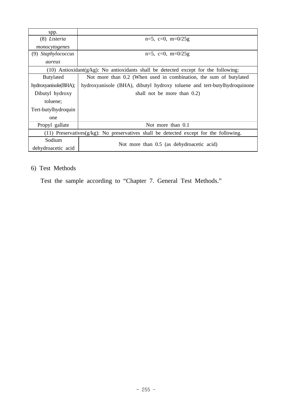| spp.                                                                                         |                                                                                           |  |  |
|----------------------------------------------------------------------------------------------|-------------------------------------------------------------------------------------------|--|--|
| (8) Listeria                                                                                 | $n=5$ , $c=0$ , $m=0/25g$                                                                 |  |  |
| monocytogenes                                                                                |                                                                                           |  |  |
| (9) Staphylococcus                                                                           | $n=5$ , $c=0$ , $m=0/25g$                                                                 |  |  |
| aureus                                                                                       |                                                                                           |  |  |
|                                                                                              | $(10)$ Antioxidant( $g/kg$ ): No antioxidants shall be detected except for the following: |  |  |
| <b>Butylated</b>                                                                             | Not more than 0.2 (When used in combination, the sum of butylated                         |  |  |
| hydroxyanisole(BHA);                                                                         | hydroxyanisole (BHA), dibutyl hydroxy toluene and tert-butylhydroquinone                  |  |  |
| Dibutyl hydroxy                                                                              | shall not be more than $0.2$ )                                                            |  |  |
| toluene;                                                                                     |                                                                                           |  |  |
| Tert-butylhydroquin                                                                          |                                                                                           |  |  |
| one                                                                                          |                                                                                           |  |  |
| Propyl gallate                                                                               | Not more than $0.1$                                                                       |  |  |
| $(11)$ Preservatives( $g/kg$ ): No preservatives shall be detected except for the following. |                                                                                           |  |  |
| Sodium                                                                                       |                                                                                           |  |  |
| dehydroacetic acid                                                                           | Not more than 0.5 (as dehydroacetic acid)                                                 |  |  |

# 6) Test Methods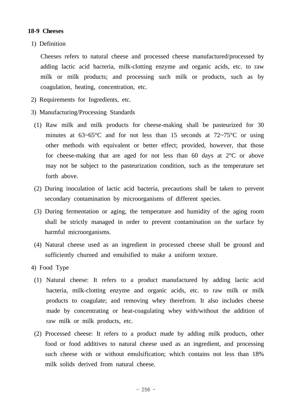## **18-9 Cheeses**

1) Definition

 Cheeses refers to natural cheese and processed cheese manufactured/processed by adding lactic acid bacteria, milk-clotting enzyme and organic acids, etc. to raw milk or milk products; and processing such milk or products, such as by coagulation, heating, concentration, etc.

- 2) Requirements for Ingredients, etc.
- 3) Manufacturing/Processing Standards
- (1) Raw milk and milk products for cheese-making shall be pasteurized for 30 minutes at  $63~65^{\circ}$ C and for not less than 15 seconds at  $72~75^{\circ}$ C or using other methods with equivalent or better effect; provided, however, that those for cheese-making that are aged for not less than 60 days at 2°C or above may not be subject to the pasteurization condition, such as the temperature set forth above.
- (2) During inoculation of lactic acid bacteria, precautions shall be taken to prevent secondary contamination by microorganisms of different species.
- (3) During fermentation or aging, the temperature and humidity of the aging room shall be strictly managed in order to prevent contamination on the surface by harmful microorganisms.
- (4) Natural cheese used as an ingredient in processed cheese shall be ground and sufficiently churned and emulsified to make a uniform texture.
- 4) Food Type
	- (1) Natural cheese: It refers to a product manufactured by adding lactic acid bacteria, milk-clotting enzyme and organic acids, etc. to raw milk or milk products to coagulate; and removing whey therefrom. It also includes cheese made by concentrating or heat-coagulating whey with/without the addition of raw milk or milk products, etc.
	- (2) Processed cheese: It refers to a product made by adding milk products, other food or food additives to natural cheese used as an ingredient, and processing such cheese with or without emulsification; which contains not less than 18% milk solids derived from natural cheese.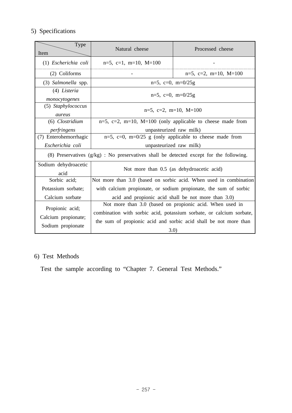# 5) Specifications

| Type<br>Item                                                                              | Natural cheese                                                                                                                                                                                               | Processed cheese                                                  |  |
|-------------------------------------------------------------------------------------------|--------------------------------------------------------------------------------------------------------------------------------------------------------------------------------------------------------------|-------------------------------------------------------------------|--|
| (1) Escherichia coli                                                                      | $n=5$ , c=1, m=10, M=100                                                                                                                                                                                     |                                                                   |  |
| (2) Coliforms                                                                             |                                                                                                                                                                                                              | $n=5$ , c=2, m=10, M=100                                          |  |
| (3) Salmonella spp.                                                                       | $n=5$ , $c=0$ , $m=0/25g$                                                                                                                                                                                    |                                                                   |  |
| (4) Listeria<br>monocytogenes                                                             | $n=5$ , $c=0$ , $m=0/25g$                                                                                                                                                                                    |                                                                   |  |
| (5) Staphylococcus<br>aureus                                                              | $n=5$ , c=2, m=10, M=100                                                                                                                                                                                     |                                                                   |  |
| (6) Clostridium                                                                           | $n=5$ , $c=2$ , $m=10$ , $M=100$ (only applicable to cheese made from                                                                                                                                        |                                                                   |  |
| perfringens                                                                               | unpasteurized raw milk)                                                                                                                                                                                      |                                                                   |  |
| (7) Enterohemorrhagic                                                                     | $n=5$ , $c=0$ , $m=0/25$ g (only applicable to cheese made from                                                                                                                                              |                                                                   |  |
| Escherichia coli                                                                          | unpasteurized raw milk)                                                                                                                                                                                      |                                                                   |  |
| (8) Preservatives $(g/kg)$ : No preservatives shall be detected except for the following. |                                                                                                                                                                                                              |                                                                   |  |
| Sodium dehydroacetic<br>acid                                                              | Not more than 0.5 (as dehydroacetic acid)                                                                                                                                                                    |                                                                   |  |
| Sorbic acid;                                                                              |                                                                                                                                                                                                              | Not more than 3.0 (based on sorbic acid. When used in combination |  |
| Potassium sorbate;                                                                        | with calcium propionate, or sodium propionate, the sum of sorbic                                                                                                                                             |                                                                   |  |
| Calcium sorbate                                                                           | acid and propionic acid shall be not more than 3.0)                                                                                                                                                          |                                                                   |  |
| Propionic acid;<br>Calcium propionate;<br>Sodium propionate                               | Not more than 3.0 (based on propionic acid. When used in<br>combination with sorbic acid, potassium sorbate, or calcium sorbate,<br>the sum of propionic acid and sorbic acid shall be not more than<br>3.0) |                                                                   |  |

# 6) Test Methods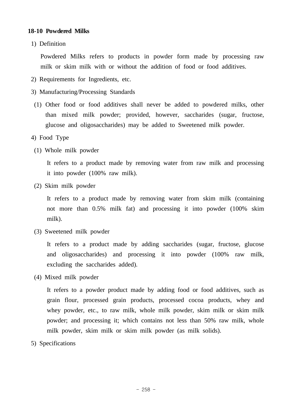# **18-10 Powdered Milks**

1) Definition

 Powdered Milks refers to products in powder form made by processing raw milk or skim milk with or without the addition of food or food additives.

- 2) Requirements for Ingredients, etc.
- 3) Manufacturing/Processing Standards
- (1) Other food or food additives shall never be added to powdered milks, other than mixed milk powder; provided, however, saccharides (sugar, fructose, glucose and oligosaccharides) may be added to Sweetened milk powder.
- 4) Food Type
	- (1) Whole milk powder

 It refers to a product made by removing water from raw milk and processing it into powder (100% raw milk).

(2) Skim milk powder

 It refers to a product made by removing water from skim milk (containing not more than 0.5% milk fat) and processing it into powder (100% skim milk).

(3) Sweetened milk powder

 It refers to a product made by adding saccharides (sugar, fructose, glucose and oligosaccharides) and processing it into powder (100% raw milk, excluding the saccharides added).

(4) Mixed milk powder

 It refers to a powder product made by adding food or food additives, such as grain flour, processed grain products, processed cocoa products, whey and whey powder, etc., to raw milk, whole milk powder, skim milk or skim milk powder; and processing it; which contains not less than 50% raw milk, whole milk powder, skim milk or skim milk powder (as milk solids).

5) Specifications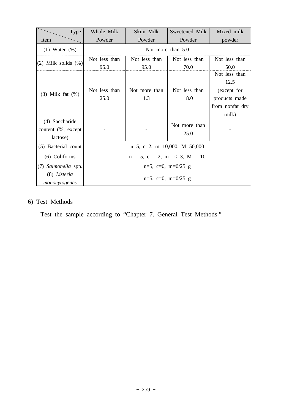| Type                                             | Whole Milk                             | Skim Milk            | Sweetened Milk        | Mixed milk                                            |
|--------------------------------------------------|----------------------------------------|----------------------|-----------------------|-------------------------------------------------------|
| Item                                             | Powder                                 | Powder               | Powder                | powder                                                |
| $(1)$ Water $(\%)$                               |                                        |                      | Not more than $5.0$   |                                                       |
| $(2)$ Milk solids $(%)$                          | Not less than                          | Not less than        | Not less than         | Not less than                                         |
|                                                  | 95.0                                   | 95.0                 | 70.0                  | 50.0                                                  |
| $(3)$ Milk fat $(\%)$                            | Not less than<br>25.0                  | Not more than<br>1.3 | Not less than<br>18.0 | Not less than<br>12.5<br>(except for<br>products made |
|                                                  |                                        |                      |                       | from nonfat dry<br>milk)                              |
| (4) Saccharide<br>content (%, except<br>lactose) |                                        |                      | Not more than<br>25.0 |                                                       |
| (5) Bacterial count                              | $n=5$ , c=2, m=10,000, M=50,000        |                      |                       |                                                       |
| (6) Coliforms                                    | $n = 5$ , $c = 2$ , $m = 3$ , $M = 10$ |                      |                       |                                                       |
| (7) Salmonella spp.                              | $n=5$ , c=0, m=0/25 g                  |                      |                       |                                                       |
| (8) Listeria<br>monocytogenes                    | $n=5$ , $c=0$ , $m=0/25$ g             |                      |                       |                                                       |

# 6) Test Methods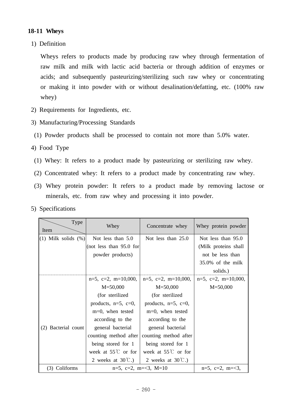# **18-11 Wheys**

1) Definition

Wheys refers to products made by producing raw whey through fermentation of raw milk and milk with lactic acid bacteria or through addition of enzymes or acids; and subsequently pasteurizing/sterilizing such raw whey or concentrating or making it into powder with or without desalination/defatting, etc. (100% raw whey)

- 2) Requirements for Ingredients, etc.
- 3) Manufacturing/Processing Standards
- (1) Powder products shall be processed to contain not more than 5.0% water.
- 4) Food Type
	- (1) Whey: It refers to a product made by pasteurizing or sterilizing raw whey.
	- (2) Concentrated whey: It refers to a product made by concentrating raw whey.
	- (3) Whey protein powder: It refers to a product made by removing lactose or minerals, etc. from raw whey and processing it into powder.
- 5) Specifications

| Type<br>Item             | Whey                         | Concentrate whey             | Whey protein powder          |
|--------------------------|------------------------------|------------------------------|------------------------------|
| $(1)$ Milk solids $(\%)$ | Not less than 5.0            | Not less than $25.0$         | Not less than 95.0           |
|                          | (not less than $95.0$ for    |                              | (Milk proteins shall         |
|                          | powder products)             |                              | not be less than             |
|                          |                              |                              | 35.0% of the milk            |
|                          |                              |                              | solids.)                     |
|                          | $n=5$ , $c=2$ , $m=10,000$ , | $n=5$ , $c=2$ , $m=10,000$ , | $n=5$ , $c=2$ , $m=10,000$ , |
|                          | $M = 50,000$                 | $M = 50,000$                 | $M = 50,000$                 |
|                          | (for sterilized              | (for sterilized)             |                              |
|                          | products, $n=5$ , $c=0$ ,    | products, $n=5$ , $c=0$ ,    |                              |
|                          | m=0, when tested             | m=0, when tested             |                              |
|                          | according to the             | according to the             |                              |
| (2) Bacterial count      | general bacterial            | general bacterial            |                              |
|                          | counting method after        | counting method after        |                              |
|                          | being stored for 1           | being stored for 1           |                              |
|                          | week at $55^{\circ}$ or for  | week at $55^{\circ}$ or for  |                              |
|                          | 2 weeks at $30^{\circ}$ C.)  | 2 weeks at $30^{\circ}$ C.)  |                              |
| (3) Coliforms            | $n=5$ , c=2, m=<3, M=10      |                              | $n=5$ , $c=2$ , $m=<3$ ,     |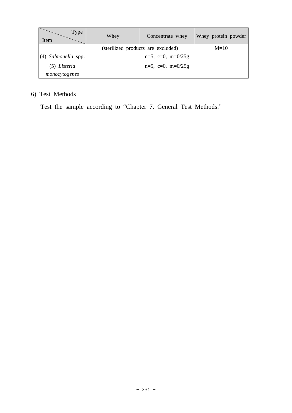| Type<br>Item          | Whey                               | Concentrate whey | Whey protein powder |
|-----------------------|------------------------------------|------------------|---------------------|
|                       | (sterilized products are excluded) |                  | $M=10$              |
| $(4)$ Salmonella spp. | $n=5$ , $c=0$ , $m=0/25g$          |                  |                     |
| (5) Listeria          | $n=5$ , $c=0$ , $m=0/25g$          |                  |                     |
| monocytogenes         |                                    |                  |                     |

# 6) Test Methods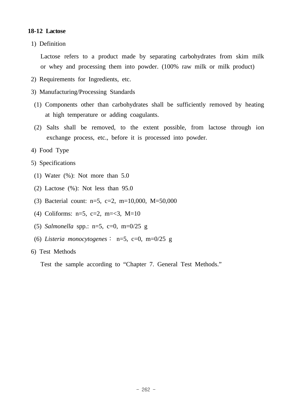## **18-12 Lactose**

1) Definition

 Lactose refers to a product made by separating carbohydrates from skim milk or whey and processing them into powder. (100% raw milk or milk product)

- 2) Requirements for Ingredients, etc.
- 3) Manufacturing/Processing Standards
- (1) Components other than carbohydrates shall be sufficiently removed by heating at high temperature or adding coagulants.
- (2) Salts shall be removed, to the extent possible, from lactose through ion exchange process, etc., before it is processed into powder.
- 4) Food Type
- 5) Specifications
- (1) Water  $(\%):$  Not more than 5.0
- (2) Lactose (%): Not less than 95.0
- (3) Bacterial count: n=5, c=2, m=10,000, M=50,000
- (4) Coliforms:  $n=5$ ,  $c=2$ ,  $m=<3$ ,  $M=10$
- (5) *Salmonella* spp.: n=5, c=0, m=0/25 g
- (6) *Listeria monocytogenes*∶ n=5, c=0, m=0/25 g
- 6) Test Methods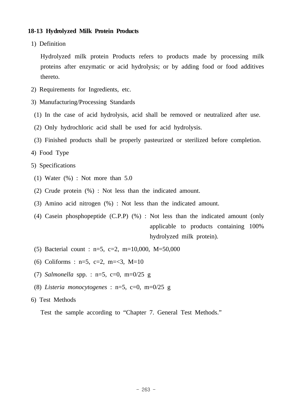# **18-13 Hydrolyzed Milk Protein Products**

1) Definition

 Hydrolyzed milk protein Products refers to products made by processing milk proteins after enzymatic or acid hydrolysis; or by adding food or food additives thereto.

- 2) Requirements for Ingredients, etc.
- 3) Manufacturing/Processing Standards
- (1) In the case of acid hydrolysis, acid shall be removed or neutralized after use.
- (2) Only hydrochloric acid shall be used for acid hydrolysis.
- (3) Finished products shall be properly pasteurized or sterilized before completion.
- 4) Food Type
- 5) Specifications
	- (1) Water  $(\%)$  : Not more than 5.0
	- (2) Crude protein (%) : Not less than the indicated amount.
	- (3) Amino acid nitrogen (%) : Not less than the indicated amount.
	- (4) Casein phosphopeptide (C.P.P) (%) : Not less than the indicated amount (only applicable to products containing 100% hydrolyzed milk protein).
	- (5) Bacterial count : n=5, c=2, m=10,000, M=50,000
	- (6) Coliforms :  $n=5$ ,  $c=2$ ,  $m=<3$ ,  $M=10$
	- (7) *Salmonella* spp. : n=5, c=0, m=0/25 g
	- (8) *Listeria monocytogenes* : n=5, c=0, m=0/25 g
- 6) Test Methods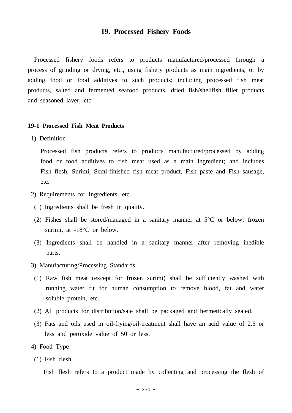### **19. Processed Fishery Foods**

 Processed fishery foods refers to products manufactured/processed through a process of grinding or drying, etc., using fishery products as main ingredients, or by adding food or food additives to such products; including processed fish meat products, salted and fermented seafood products, dried fish/shellfish fillet products and seasoned laver, etc.

#### **19-1 Processed Fish Meat Products**

1) Definition

 Processed fish products refers to products manufactured/processed by adding food or food additives to fish meat used as a main ingredient; and includes Fish flesh, Surimi, Semi-finished fish meat product, Fish paste and Fish sausage, etc.

- 2) Requirements for Ingredients, etc.
- (1) Ingredients shall be fresh in quality.
- (2) Fishes shall be stored/managed in a sanitary manner at 5°C or below; frozen surimi, at -18°C or below.
- (3) Ingredients shall be handled in a sanitary manner after removing inedible parts.
- 3) Manufacturing/Processing Standards
	- (1) Raw fish meat (except for frozen surimi) shall be sufficiently washed with running water fit for human consumption to remove blood, fat and water soluble protein, etc.
- (2) All products for distribution/sale shall be packaged and hermetically sealed.
- (3) Fats and oils used in oil-frying/oil-treatment shall have an acid value of 2.5 or less and peroxide value of 50 or less.
- 4) Food Type
- (1) Fish flesh

Fish flesh refers to a product made by collecting and processing the flesh of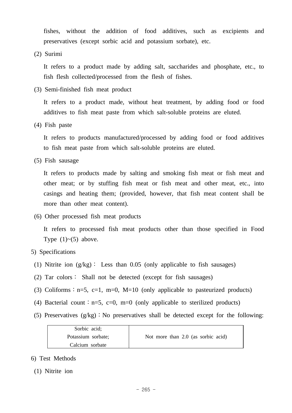fishes, without the addition of food additives, such as excipients and preservatives (except sorbic acid and potassium sorbate), etc.

(2) Surimi

 It refers to a product made by adding salt, saccharides and phosphate, etc., to fish flesh collected/processed from the flesh of fishes.

(3) Semi-finished fish meat product

 It refers to a product made, without heat treatment, by adding food or food additives to fish meat paste from which salt-soluble proteins are eluted.

(4) Fish paste

 It refers to products manufactured/processed by adding food or food additives to fish meat paste from which salt-soluble proteins are eluted.

(5) Fish sausage

 It refers to products made by salting and smoking fish meat or fish meat and other meat; or by stuffing fish meat or fish meat and other meat, etc., into casings and heating them; (provided, however, that fish meat content shall be more than other meat content).

(6) Other processed fish meat products

 It refers to processed fish meat products other than those specified in Food Type  $(1)$   $\sim$   $(5)$  above.

### 5) Specifications

- (1) Nitrite ion (g/kg)∶ Less than 0.05 (only applicable to fish sausages)
- (2) Tar colors∶ Shall not be detected (except for fish sausages)
- (3) Coliforms :  $n=5$ ,  $c=1$ ,  $m=0$ ,  $M=10$  (only applicable to pasteurized products)
- (4) Bacterial count : n=5, c=0, m=0 (only applicable to sterilized products)
- (5) Preservatives (g/kg)∶No preservatives shall be detected except for the following:

| Sorbic acid;       |                                    |
|--------------------|------------------------------------|
| Potassium sorbate; | Not more than 2.0 (as sorbic acid) |
| Calcium sorbate    |                                    |

- 6) Test Methods
- (1) Nitrite ion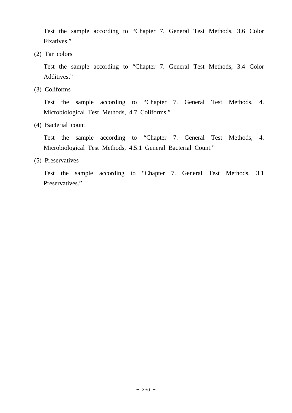Test the sample according to "Chapter 7. General Test Methods, 3.6 Color Fixatives."

(2) Tar colors

 Test the sample according to "Chapter 7. General Test Methods, 3.4 Color Additives."

(3) Coliforms

 Test the sample according to "Chapter 7. General Test Methods, 4. Microbiological Test Methods, 4.7 Coliforms."

(4) Bacterial count

 Test the sample according to "Chapter 7. General Test Methods, 4. Microbiological Test Methods, 4.5.1 General Bacterial Count."

(5) Preservatives

 Test the sample according to "Chapter 7. General Test Methods, 3.1 Preservatives."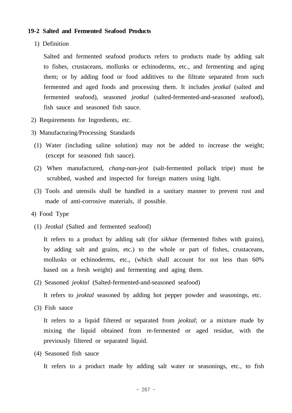### **19-2 Salted and Fermented Seafood Products**

1) Definition

 Salted and fermented seafood products refers to products made by adding salt to fishes, crustaceans, mollusks or echinoderms, etc., and fermenting and aging them; or by adding food or food additives to the filtrate separated from such fermented and aged foods and processing them. It includes *jeotkal* (salted and fermented seafood), seasoned *jeotkal* (salted-fermented-and-seasoned seafood), fish sauce and seasoned fish sauce.

- 2) Requirements for Ingredients, etc.
- 3) Manufacturing/Processing Standards
- (1) Water (including saline solution) may not be added to increase the weight; (except for seasoned fish sauce).
- (2) When manufactured, *chang-nan-jeot* (salt-fermented pollack tripe) must be scrubbed, washed and inspected for foreign matters using light.
- (3) Tools and utensils shall be handled in a sanitary manner to prevent rust and made of anti-corrosive materials, if possible.
- 4) Food Type
	- (1) *Jeotkal* (Salted and fermented seafood)

 It refers to a product by adding salt (for *sikhae* (fermented fishes with grains), by adding salt and grains, etc.) to the whole or part of fishes, crustaceans, mollusks or echinoderms, etc., (which shall account for not less than 60% based on a fresh weight) and fermenting and aging them.

(2) Seasoned *jeoktal* (Salted-fermented-and-seasoned seafood)

It refers to *jeoktal* seasoned by adding hot pepper powder and seasonings, etc.

(3) Fish sauce

 It refers to a liquid filtered or separated from *jeoktal*; or a mixture made by mixing the liquid obtained from re-fermented or aged residue, with the previously filtered or separated liquid.

(4) Seasoned fish sauce

It refers to a product made by adding salt water or seasonings, etc., to fish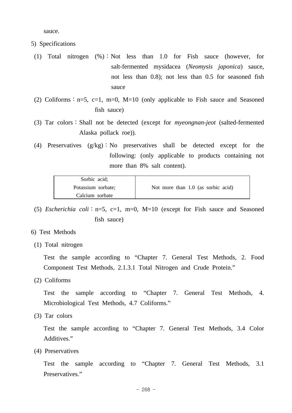sauce.

- 5) Specifications
- (1) Total nitrogen (%)∶Not less than 1.0 for Fish sauce (however, for salt-fermented mysidacea (*Neomysis japonica*) sauce, not less than 0.8); not less than 0.5 for seasoned fish sauce
- (2) Coliforms :  $n=5$ , c=1, m=0, M=10 (only applicable to Fish sauce and Seasoned fish sauce)
- (3) Tar colors∶Shall not be detected (except for *myeongnan-jeot* (salted-fermented Alaska pollack roe)).
- (4) Preservatives (g/kg)∶No preservatives shall be detected except for the following: (only applicable to products containing not more than 8% salt content).

| Sorbic acid;       |                                    |
|--------------------|------------------------------------|
| Potassium sorbate; | Not more than 1.0 (as sorbic acid) |
| Calcium sorbate    |                                    |

- (5) *Escherichia coli*∶n=5, c=1, m=0, M=10 (except for Fish sauce and Seasoned fish sauce)
- 6) Test Methods
- (1) Total nitrogen

 Test the sample according to "Chapter 7. General Test Methods, 2. Food Component Test Methods, 2.1.3.1 Total Nitrogen and Crude Protein."

(2) Coliforms

 Test the sample according to "Chapter 7. General Test Methods, 4. Microbiological Test Methods, 4.7 Coliforms."

(3) Tar colors

 Test the sample according to "Chapter 7. General Test Methods, 3.4 Color Additives."

(4) Preservatives

 Test the sample according to "Chapter 7. General Test Methods, 3.1 Preservatives."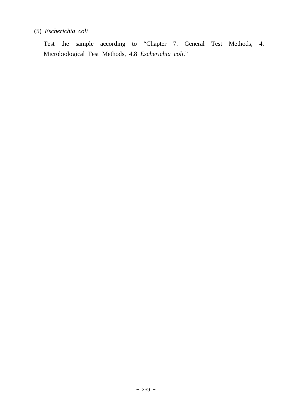# (5) *Escherichia coli*

 Test the sample according to "Chapter 7. General Test Methods, 4. Microbiological Test Methods, 4.8 *Escherichia coli*."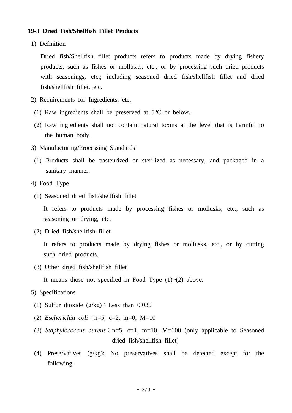# **19-3 Dried Fish/Shellfish Fillet Products**

1) Definition

 Dried fish/Shellfish fillet products refers to products made by drying fishery products, such as fishes or mollusks, etc., or by processing such dried products with seasonings, etc.; including seasoned dried fish/shellfish fillet and dried fish/shellfish fillet, etc.

- 2) Requirements for Ingredients, etc.
- (1) Raw ingredients shall be preserved at 5°C or below.
- (2) Raw ingredients shall not contain natural toxins at the level that is harmful to the human body.
- 3) Manufacturing/Processing Standards
- (1) Products shall be pasteurized or sterilized as necessary, and packaged in a sanitary manner.
- 4) Food Type
- (1) Seasoned dried fish/shellfish fillet

 It refers to products made by processing fishes or mollusks, etc., such as seasoning or drying, etc.

(2) Dried fish/shellfish fillet

 It refers to products made by drying fishes or mollusks, etc., or by cutting such dried products.

(3) Other dried fish/shellfish fillet

It means those not specified in Food Type  $(1)~(2)$  above.

- 5) Specifications
- (1) Sulfur dioxide (g/kg)∶Less than 0.030
- (2) *Escherichia coli*∶n=5, c=2, m=0, M=10
- (3) *Staphylococcus aureus*∶n=5, c=1, m=10, M=100 (only applicable to Seasoned dried fish/shellfish fillet)
- (4) Preservatives (g/kg): No preservatives shall be detected except for the following: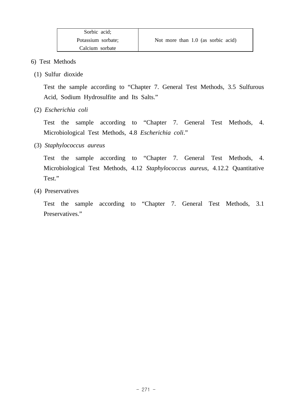- 6) Test Methods
	- (1) Sulfur dioxide

 Test the sample according to "Chapter 7. General Test Methods, 3.5 Sulfurous Acid, Sodium Hydrosulfite and Its Salts."

(2) *Escherichia coli*

 Test the sample according to "Chapter 7. General Test Methods, 4. Microbiological Test Methods, 4.8 *Escherichia coli*."

(3) *Staphylococcus aureus* 

 Test the sample according to "Chapter 7. General Test Methods, 4. Microbiological Test Methods, 4.12 *Staphylococcus aureus*, 4.12.2 Quantitative Test."

(4) Preservatives

 Test the sample according to "Chapter 7. General Test Methods, 3.1 Preservatives."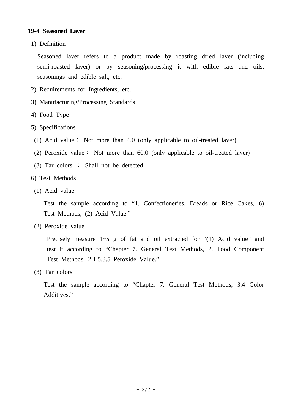# **19-4 Seasoned Laver**

1) Definition

 Seasoned laver refers to a product made by roasting dried laver (including semi-roasted laver) or by seasoning/processing it with edible fats and oils, seasonings and edible salt, etc.

- 2) Requirements for Ingredients, etc.
- 3) Manufacturing/Processing Standards
- 4) Food Type
- 5) Specifications
	- (1) Acid value∶ Not more than 4.0 (only applicable to oil-treated laver)
- (2) Peroxide value∶ Not more than 60.0 (only applicable to oil-treated laver)
- (3) Tar colors ∶ Shall not be detected.
- 6) Test Methods
- (1) Acid value

 Test the sample according to "1. Confectioneries, Breads or Rice Cakes, 6) Test Methods, (2) Acid Value."

(2) Peroxide value

Precisely measure  $1~5$  g of fat and oil extracted for "(1) Acid value" and test it according to "Chapter 7. General Test Methods, 2. Food Component Test Methods, 2.1.5.3.5 Peroxide Value."

(3) Tar colors

 Test the sample according to "Chapter 7. General Test Methods, 3.4 Color Additives."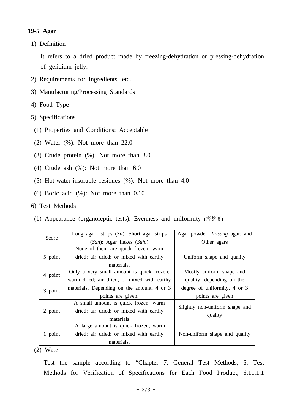# **19-5 Agar**

1) Definition

 It refers to a dried product made by freezing-dehydration or pressing-dehydration of gelidium jelly.

- 2) Requirements for Ingredients, etc.
- 3) Manufacturing/Processing Standards
- 4) Food Type
- 5) Specifications
- (1) Properties and Conditions: Acceptable
- (2) Water (%): Not more than 22.0
- (3) Crude protein (%): Not more than 3.0
- (4) Crude ash (%): Not more than 6.0
- (5) Hot-water-insoluble residues (%): Not more than 4.0
- (6) Boric acid (%): Not more than 0.10
- 6) Test Methods
- (1) Appearance (organoleptic tests): Evenness and uniformity 齊整度

| Score   | Long agar strips (Sil); Short agar strips   | Agar powder; <i>In-sang</i> agar; and |  |
|---------|---------------------------------------------|---------------------------------------|--|
|         | (San); Agar flakes (Suhl)                   | Other agars                           |  |
|         | None of them are quick frozen; warm         |                                       |  |
| 5 point | dried; air dried; or mixed with earthy      | Uniform shape and quality             |  |
|         | materials.                                  |                                       |  |
| 4 point | Only a very small amount is quick frozen;   | Mostly uniform shape and              |  |
|         | warm dried; air dried; or mixed with earthy | quality; depending on the             |  |
| 3 point | materials. Depending on the amount, 4 or 3  | degree of uniformity, 4 or 3          |  |
|         | points are given.                           | points are given                      |  |
|         | A small amount is quick frozen; warm        | Slightly non-uniform shape and        |  |
| 2 point | dried; air dried; or mixed with earthy      |                                       |  |
|         | materials                                   | quality                               |  |
|         | A large amount is quick frozen; warm        |                                       |  |
| 1 point | dried; air dried; or mixed with earthy      | Non-uniform shape and quality         |  |
|         | materials.                                  |                                       |  |

(2) Water

 Test the sample according to "Chapter 7. General Test Methods, 6. Test Methods for Verification of Specifications for Each Food Product, 6.11.1.1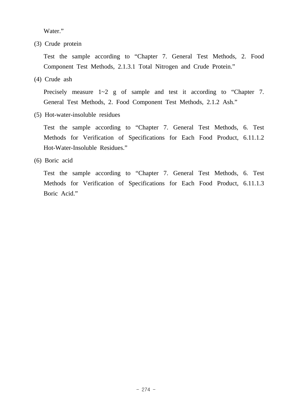Water."

(3) Crude protein

 Test the sample according to "Chapter 7. General Test Methods, 2. Food Component Test Methods, 2.1.3.1 Total Nitrogen and Crude Protein."

(4) Crude ash

Precisely measure  $1-2$  g of sample and test it according to "Chapter 7. General Test Methods, 2. Food Component Test Methods, 2.1.2 Ash."

(5) Hot-water-insoluble residues

 Test the sample according to "Chapter 7. General Test Methods, 6. Test Methods for Verification of Specifications for Each Food Product, 6.11.1.2 Hot-Water-Insoluble Residues."

(6) Boric acid

 Test the sample according to "Chapter 7. General Test Methods, 6. Test Methods for Verification of Specifications for Each Food Product, 6.11.1.3 Boric Acid."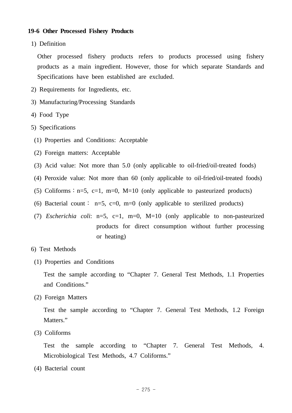### **19-6 Other Processed Fishery Products**

1) Definition

 Other processed fishery products refers to products processed using fishery products as a main ingredient. However, those for which separate Standards and Specifications have been established are excluded.

- 2) Requirements for Ingredients, etc.
- 3) Manufacturing/Processing Standards
- 4) Food Type
- 5) Specifications
- (1) Properties and Conditions: Acceptable
- (2) Foreign matters: Acceptable
- (3) Acid value: Not more than 5.0 (only applicable to oil-fried/oil-treated foods)
- (4) Peroxide value: Not more than 60 (only applicable to oil-fried/oil-treated foods)
- (5) Coliforms :  $n=5$ , c=1, m=0, M=10 (only applicable to pasteurized products)
- (6) Bacterial count: n=5, c=0, m=0 (only applicable to sterilized products)
- (7) *Escherichia coli*: n=5, c=1, m=0, M=10 (only applicable to non-pasteurized products for direct consumption without further processing or heating)
- 6) Test Methods
- (1) Properties and Conditions

 Test the sample according to "Chapter 7. General Test Methods, 1.1 Properties and Conditions."

(2) Foreign Matters

 Test the sample according to "Chapter 7. General Test Methods, 1.2 Foreign Matters."

(3) Coliforms

 Test the sample according to "Chapter 7. General Test Methods, 4. Microbiological Test Methods, 4.7 Coliforms."

(4) Bacterial count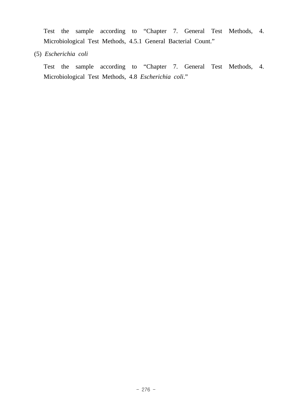Test the sample according to "Chapter 7. General Test Methods, 4. Microbiological Test Methods, 4.5.1 General Bacterial Count."

(5) *Escherichia coli*

 Test the sample according to "Chapter 7. General Test Methods, 4. Microbiological Test Methods, 4.8 *Escherichia coli*."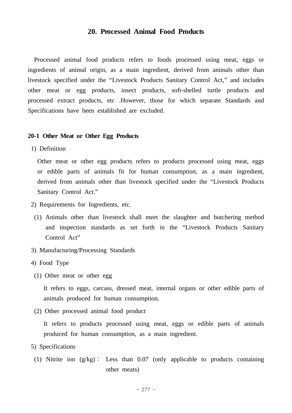# **20. Processed Animal Food Products**

 Processed animal food products refers to foods processed using meat, eggs or ingredients of animal origin, as a main ingredient, derived from animals other than livestock specified under the "Livestock Products Sanitary Control Act," and includes other meat or egg products, insect products, soft-shelled turtle products and processed extract products, etc .However, those for which separate Standards and Specifications have been established are excluded.

#### **20-1 Other Meat or Other Egg Products**

1) Definition

 Other meat or other egg products refers to products processed using meat, eggs or edible parts of animals fit for human consumption, as a main ingredient, derived from animals other than livestock specified under the "Livestock Products Sanitary Control Act."

- 2) Requirements for Ingredients, etc.
- (1) Animals other than livestock shall meet the slaughter and butchering method and inspection standards as set forth in the "Livestock Products Sanitary Control Act"
- 3) Manufacturing/Processing Standards
- 4) Food Type
- (1) Other meat or other egg

 It refers to eggs, carcass, dressed meat, internal organs or other edible parts of animals produced for human consumption.

(2) Other processed animal food product

 It refers to products processed using meat, eggs or edible parts of animals produced for human consumption, as a main ingredient.

- 5) Specifications
- (1) Nitrite ion (g/kg)∶ Less than 0.07 (only applicable to products containing other meats)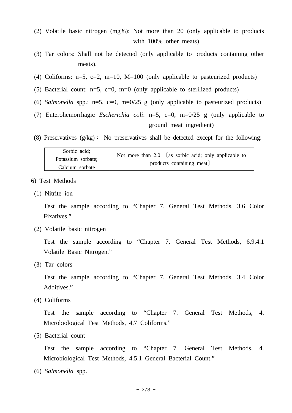- (2) Volatile basic nitrogen (mg%): Not more than 20 (only applicable to products with 100% other meats)
- (3) Tar colors: Shall not be detected (only applicable to products containing other meats).
- (4) Coliforms:  $n=5$ ,  $c=2$ ,  $m=10$ ,  $M=100$  (only applicable to pasteurized products)
- (5) Bacterial count:  $n=5$ ,  $c=0$ ,  $m=0$  (only applicable to sterilized products)
- (6) *Salmonella* spp.: n=5, c=0, m=0/25 g (only applicable to pasteurized products)
- (7) Enterohemorrhagic *Escherichia coli*: n=5, c=0, m=0/25 g (only applicable to ground meat ingredient)
- (8) Preservatives (g/kg)∶ No preservatives shall be detected except for the following:

| Sorbic acid;       | Not more than $2.0$ [as sorbic acid; only applicable to |
|--------------------|---------------------------------------------------------|
| Potassium sorbate; | products containing meat                                |
| Calcium sorbate    |                                                         |

- 6) Test Methods
- (1) Nitrite ion

 Test the sample according to "Chapter 7. General Test Methods, 3.6 Color Fixatives."

(2) Volatile basic nitrogen

 Test the sample according to "Chapter 7. General Test Methods, 6.9.4.1 Volatile Basic Nitrogen."

(3) Tar colors

 Test the sample according to "Chapter 7. General Test Methods, 3.4 Color Additives."

(4) Coliforms

 Test the sample according to "Chapter 7. General Test Methods, 4. Microbiological Test Methods, 4.7 Coliforms."

(5) Bacterial count

 Test the sample according to "Chapter 7. General Test Methods, 4. Microbiological Test Methods, 4.5.1 General Bacterial Count."

(6) *Salmonella* spp.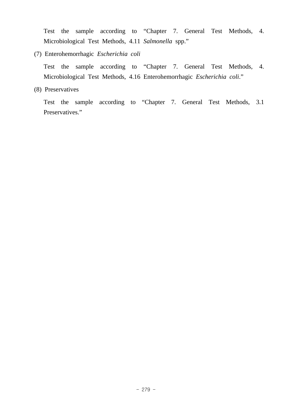Test the sample according to "Chapter 7. General Test Methods, 4. Microbiological Test Methods, 4.11 *Salmonella* spp."

(7) Enterohemorrhagic *Escherichia coli*

 Test the sample according to "Chapter 7. General Test Methods, 4. Microbiological Test Methods, 4.16 Enterohemorrhagic *Escherichia coli*."

(8) Preservatives

 Test the sample according to "Chapter 7. General Test Methods, 3.1 Preservatives."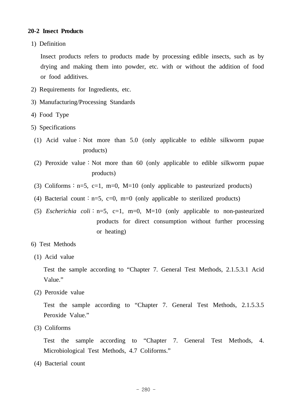## **20-2 Insect Products**

1) Definition

 Insect products refers to products made by processing edible insects, such as by drying and making them into powder, etc. with or without the addition of food or food additives.

- 2) Requirements for Ingredients, etc.
- 3) Manufacturing/Processing Standards
- 4) Food Type
- 5) Specifications
	- (1) Acid value∶Not more than 5.0 (only applicable to edible silkworm pupae products)
	- (2) Peroxide value∶Not more than 60 (only applicable to edible silkworm pupae products)
	- (3) Coliforms :  $n=5$ ,  $c=1$ ,  $m=0$ ,  $M=10$  (only applicable to pasteurized products)
	- (4) Bacterial count : n=5, c=0, m=0 (only applicable to sterilized products)
	- (5) *Escherichia coli*∶n=5, c=1, m=0, M=10 (only applicable to non-pasteurized products for direct consumption without further processing or heating)
- 6) Test Methods
- (1) Acid value

 Test the sample according to "Chapter 7. General Test Methods, 2.1.5.3.1 Acid Value."

(2) Peroxide value

 Test the sample according to "Chapter 7. General Test Methods, 2.1.5.3.5 Peroxide Value."

(3) Coliforms

 Test the sample according to "Chapter 7. General Test Methods, 4. Microbiological Test Methods, 4.7 Coliforms."

(4) Bacterial count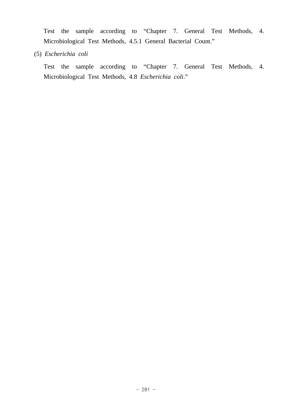Test the sample according to "Chapter 7. General Test Methods, 4. Microbiological Test Methods, 4.5.1 General Bacterial Count."

(5) *Escherichia coli* 

 Test the sample according to "Chapter 7. General Test Methods, 4. Microbiological Test Methods, 4.8 *Escherichia coli*."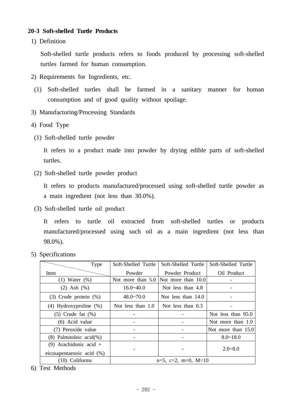# **20-3 Soft-shelled Turtle Products**

1) Definition

 Soft-shelled turtle products refers to foods produced by processing soft-shelled turtles farmed for human consumption.

- 2) Requirements for Ingredients, etc.
	- (1) Soft-shelled turtles shall be farmed in a sanitary manner for human consumption and of good quality without spoilage.
- 3) Manufacturing/Processing Standards
- 4) Food Type
- (1) Soft-shelled turtle powder

 It refers to a product made into powder by drying edible parts of soft-shelled turtles.

(2) Soft-shelled turtle powder product

 It refers to products manufactured/processed using soft-shelled turtle powder as a main ingredient (not less than 30.0%).

(3) Soft-shelled turtle oil product

 It refers to turtle oil extracted from soft-shelled turtles or products manufactured/processed using such oil as a main ingredient (not less than 98.0%).

5) Specifications

| Type                          | Soft-Shelled Turtle | Soft-Shelled Turtle            | Soft-Shelled Turtle |
|-------------------------------|---------------------|--------------------------------|---------------------|
| <b>Item</b>                   | Powder              | Powder Product                 | Oil Product         |
| $(1)$ Water $(\%)$            | Not more than $5.0$ | Not more than $10.0$           |                     |
| $(2)$ Ash $(%$                | $16.0 - 40.0$       | Not less than 4.8              |                     |
| $(3)$ Crude protein $(\%)$    | $48.0 - 70.0$       | Not less than $14.0$           |                     |
| $(4)$ Hydroxyproline $(\%)$   | Not less than 1.0   | Not less than $0.3$            |                     |
| $(5)$ Crude fat $(\%)$        |                     |                                | Not less than 95.0  |
| (6) Acid value                |                     |                                | Not more than 1.0   |
| (7) Peroxide value            |                     |                                | Not more than 15.0  |
| $(8)$ Palmitoleic acid $(\%)$ |                     |                                | $8.0 - 18.0$        |
| (9) Arachidonic acid $+$      |                     |                                |                     |
| eicosapentaenoic acid $(\%)$  |                     |                                | $2.0 - 8.0$         |
| $(10)$ Coliforms              |                     | $n=5$ , $c=2$ , $m=0$ , $M=10$ |                     |

6) Test Methods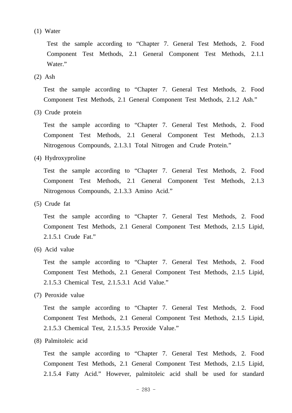(1) Water

 Test the sample according to "Chapter 7. General Test Methods, 2. Food Component Test Methods, 2.1 General Component Test Methods, 2.1.1 Water."

(2) Ash

 Test the sample according to "Chapter 7. General Test Methods, 2. Food Component Test Methods, 2.1 General Component Test Methods, 2.1.2 Ash."

(3) Crude protein

 Test the sample according to "Chapter 7. General Test Methods, 2. Food Component Test Methods, 2.1 General Component Test Methods, 2.1.3 Nitrogenous Compounds, 2.1.3.1 Total Nitrogen and Crude Protein."

(4) Hydroxyproline

 Test the sample according to "Chapter 7. General Test Methods, 2. Food Component Test Methods, 2.1 General Component Test Methods, 2.1.3 Nitrogenous Compounds, 2.1.3.3 Amino Acid."

(5) Crude fat

 Test the sample according to "Chapter 7. General Test Methods, 2. Food Component Test Methods, 2.1 General Component Test Methods, 2.1.5 Lipid, 2.1.5.1 Crude Fat."

(6) Acid value

 Test the sample according to "Chapter 7. General Test Methods, 2. Food Component Test Methods, 2.1 General Component Test Methods, 2.1.5 Lipid, 2.1.5.3 Chemical Test, 2.1.5.3.1 Acid Value."

(7) Peroxide value

 Test the sample according to "Chapter 7. General Test Methods, 2. Food Component Test Methods, 2.1 General Component Test Methods, 2.1.5 Lipid, 2.1.5.3 Chemical Test, 2.1.5.3.5 Peroxide Value."

(8) Palmitoleic acid

 Test the sample according to "Chapter 7. General Test Methods, 2. Food Component Test Methods, 2.1 General Component Test Methods, 2.1.5 Lipid, 2.1.5.4 Fatty Acid." However, palmitoleic acid shall be used for standard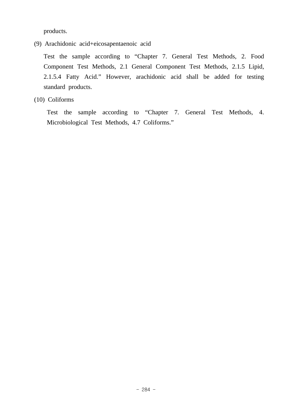products.

(9) Arachidonic acid+eicosapentaenoic acid

 Test the sample according to "Chapter 7. General Test Methods, 2. Food Component Test Methods, 2.1 General Component Test Methods, 2.1.5 Lipid, 2.1.5.4 Fatty Acid." However, arachidonic acid shall be added for testing standard products.

(10) Coliforms

 Test the sample according to "Chapter 7. General Test Methods, 4. Microbiological Test Methods, 4.7 Coliforms."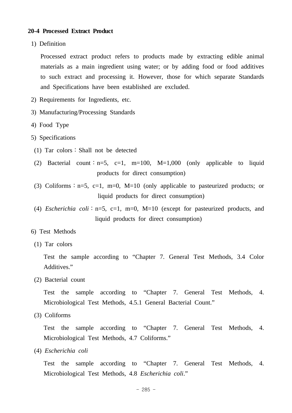### **20-4 Processed Extract Product**

1) Definition

 Processed extract product refers to products made by extracting edible animal materials as a main ingredient using water; or by adding food or food additives to such extract and processing it. However, those for which separate Standards and Specifications have been established are excluded.

- 2) Requirements for Ingredients, etc.
- 3) Manufacturing/Processing Standards
- 4) Food Type
- 5) Specifications
- (1) Tar colors∶Shall not be detected
- (2) Bacterial count: n=5, c=1, m=100, M=1,000 (only applicable to liquid products for direct consumption)
- (3) Coliforms :  $n=5$ , c=1, m=0, M=10 (only applicable to pasteurized products; or liquid products for direct consumption)
- (4) *Escherichia coli*∶n=5, c=1, m=0, M=10 (except for pasteurized products, and liquid products for direct consumption)

#### 6) Test Methods

(1) Tar colors

 Test the sample according to "Chapter 7. General Test Methods, 3.4 Color Additives."

(2) Bacterial count

 Test the sample according to "Chapter 7. General Test Methods, 4. Microbiological Test Methods, 4.5.1 General Bacterial Count."

(3) Coliforms

 Test the sample according to "Chapter 7. General Test Methods, 4. Microbiological Test Methods, 4.7 Coliforms."

(4) *Escherichia coli* 

 Test the sample according to "Chapter 7. General Test Methods, 4. Microbiological Test Methods, 4.8 *Escherichia coli*."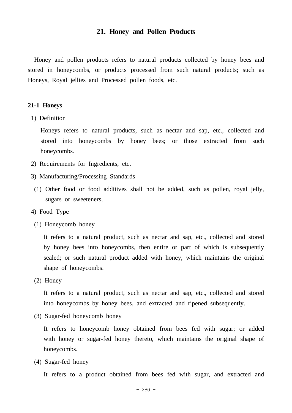## **21. Honey and Pollen Products**

 Honey and pollen products refers to natural products collected by honey bees and stored in honeycombs, or products processed from such natural products; such as Honeys, Royal jellies and Processed pollen foods, etc.

#### **21-1 Honeys**

1) Definition

 Honeys refers to natural products, such as nectar and sap, etc., collected and stored into honeycombs by honey bees; or those extracted from such honeycombs.

- 2) Requirements for Ingredients, etc.
- 3) Manufacturing/Processing Standards
- (1) Other food or food additives shall not be added, such as pollen, royal jelly, sugars or sweeteners,
- 4) Food Type
	- (1) Honeycomb honey

 It refers to a natural product, such as nectar and sap, etc., collected and stored by honey bees into honeycombs, then entire or part of which is subsequently sealed; or such natural product added with honey, which maintains the original shape of honeycombs.

(2) Honey

 It refers to a natural product, such as nectar and sap, etc., collected and stored into honeycombs by honey bees, and extracted and ripened subsequently.

(3) Sugar-fed honeycomb honey

 It refers to honeycomb honey obtained from bees fed with sugar; or added with honey or sugar-fed honey thereto, which maintains the original shape of honeycombs.

(4) Sugar-fed honey

It refers to a product obtained from bees fed with sugar, and extracted and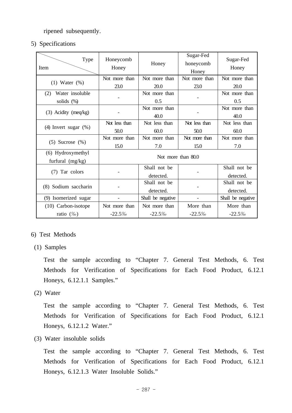ripened subsequently.

5) Specifications

| Type<br>Item                            | Honeycomb<br>Honey | Honey             | Sugar-Fed<br>honeycomb<br>Honey | Sugar-Fed<br>Honey |
|-----------------------------------------|--------------------|-------------------|---------------------------------|--------------------|
| $(1)$ Water $(\%)$                      | Not more than      | Not more than     | Not more than                   | Not more than      |
|                                         | 23.0               | 20.0              | 23.0                            | 20.0               |
| Water insoluble<br>(2)                  |                    | Not more than     |                                 | Not more than      |
| solids (%)                              |                    | 0.5               |                                 | 0.5                |
| $(3)$ Acidity (meq/kg)                  |                    | Not more than     |                                 | Not more than      |
|                                         |                    | 40.0              |                                 | 40.0               |
| $(4)$ Invert sugar $(%)$                | Not less than      | Not less than     | Not less than                   | Not less than      |
|                                         | 50.0               | 60.0              | 50.0                            | 60.0               |
| $(5)$ Sucrose $(\%)$                    | Not more than      | Not more than     | Not more than                   | Not more than      |
|                                         | 15.0               | 7.0               | 15.0                            | 7.0                |
| (6) Hydroxymethyl<br>furfural $(mg/kg)$ | Not more than 80.0 |                   |                                 |                    |
| Tar colors<br>(7)                       |                    | Shall not be      |                                 | Shall not be       |
|                                         |                    | detected.         |                                 | detected.          |
| (8) Sodium saccharin                    |                    | Shall not be      |                                 | Shall not be       |
|                                         |                    | detected.         |                                 | detected.          |
| (9) Isomerized sugar                    |                    | Shall be negative |                                 | Shall be negative  |
| $(10)$ Carbon-isotope                   | Not more than      | Not more than     | More than                       | More than          |
| ratio $(\%$                             | $-22.5%$           | $-22.5%$          | $-22.5%$                        | $-22.5%$           |

# 6) Test Methods

(1) Samples

 Test the sample according to "Chapter 7. General Test Methods, 6. Test Methods for Verification of Specifications for Each Food Product, 6.12.1 Honeys, 6.12.1.1 Samples."

(2) Water

 Test the sample according to "Chapter 7. General Test Methods, 6. Test Methods for Verification of Specifications for Each Food Product, 6.12.1 Honeys, 6.12.1.2 Water."

(3) Water insoluble solids

 Test the sample according to "Chapter 7. General Test Methods, 6. Test Methods for Verification of Specifications for Each Food Product, 6.12.1 Honeys, 6.12.1.3 Water Insoluble Solids."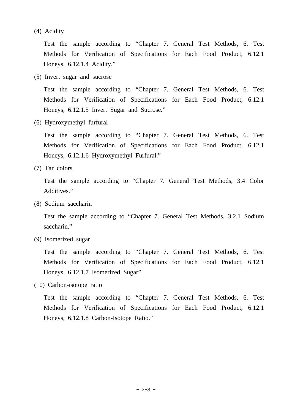(4) Acidity

 Test the sample according to "Chapter 7. General Test Methods, 6. Test Methods for Verification of Specifications for Each Food Product, 6.12.1 Honeys, 6.12.1.4 Acidity."

(5) Invert sugar and sucrose

 Test the sample according to "Chapter 7. General Test Methods, 6. Test Methods for Verification of Specifications for Each Food Product, 6.12.1 Honeys, 6.12.1.5 Invert Sugar and Sucrose."

(6) Hydroxymethyl furfural

 Test the sample according to "Chapter 7. General Test Methods, 6. Test Methods for Verification of Specifications for Each Food Product, 6.12.1 Honeys, 6.12.1.6 Hydroxymethyl Furfural."

(7) Tar colors

 Test the sample according to "Chapter 7. General Test Methods, 3.4 Color Additives."

(8) Sodium saccharin

 Test the sample according to "Chapter 7. General Test Methods, 3.2.1 Sodium saccharin."

(9) Isomerized sugar

 Test the sample according to "Chapter 7. General Test Methods, 6. Test Methods for Verification of Specifications for Each Food Product, 6.12.1 Honeys, 6.12.1.7 Isomerized Sugar"

(10) Carbon-isotope ratio

 Test the sample according to "Chapter 7. General Test Methods, 6. Test Methods for Verification of Specifications for Each Food Product, 6.12.1 Honeys, 6.12.1.8 Carbon-Isotope Ratio."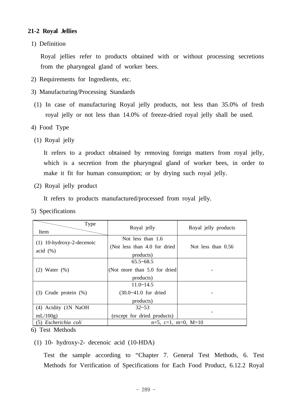# **21-2 Royal Jellies**

1) Definition

 Royal jellies refer to products obtained with or without processing secretions from the pharyngeal gland of worker bees.

- 2) Requirements for Ingredients, etc.
- 3) Manufacturing/Processing Standards
- (1) In case of manufacturing Royal jelly products, not less than 35.0% of fresh royal jelly or not less than 14.0% of freeze-dried royal jelly shall be used.
- 4) Food Type
	- (1) Royal jelly

 It refers to a product obtained by removing foreign matters from royal jelly, which is a secretion from the pharyngeal gland of worker bees, in order to make it fit for human consumption; or by drying such royal jelly.

(2) Royal jelly product

It refers to products manufactured/processed from royal jelly.

5) Specifications

| Type<br><b>Item</b>         | Royal jelly                   | Royal jelly products |  |  |
|-----------------------------|-------------------------------|----------------------|--|--|
|                             | Not less than 1.6             |                      |  |  |
| $(1)$ 10-hydroxy-2-decenoic | (Not less than 4.0 for dried) | Not less than $0.56$ |  |  |
| acid $(\%)$                 | products)                     |                      |  |  |
|                             | $65.5 - 68.5$                 |                      |  |  |
| $(2)$ Water $(\% )$         | (Not more than 5.0 for dried) |                      |  |  |
|                             | products)                     |                      |  |  |
|                             | $11.0 \times 14.5$            |                      |  |  |
| $(3)$ Crude protein $(\%)$  | $(30.0 - 41.0)$ for dried     |                      |  |  |
|                             | products)                     |                      |  |  |
| (4) Acidity (1N NaOH        | $32 - 53$                     |                      |  |  |
| mL/100g                     | (except for dried products)   |                      |  |  |
| (5) Escherichia coli        | $n=5$ , c=1, m=0, M=10        |                      |  |  |

6) Test Methods

(1) 10- hydroxy-2- decenoic acid (10-HDA)

 Test the sample according to "Chapter 7. General Test Methods, 6. Test Methods for Verification of Specifications for Each Food Product, 6.12.2 Royal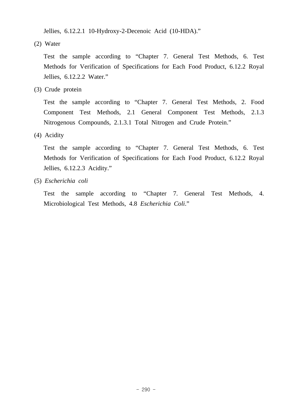Jellies, 6.12.2.1 10-Hydroxy-2-Decenoic Acid (10-HDA)."

(2) Water

 Test the sample according to "Chapter 7. General Test Methods, 6. Test Methods for Verification of Specifications for Each Food Product, 6.12.2 Royal Jellies, 6.12.2.2 Water."

(3) Crude protein

 Test the sample according to "Chapter 7. General Test Methods, 2. Food Component Test Methods, 2.1 General Component Test Methods, 2.1.3 Nitrogenous Compounds, 2.1.3.1 Total Nitrogen and Crude Protein."

(4) Acidity

 Test the sample according to "Chapter 7. General Test Methods, 6. Test Methods for Verification of Specifications for Each Food Product, 6.12.2 Royal Jellies, 6.12.2.3 Acidity."

(5) *Escherichia coli*

 Test the sample according to "Chapter 7. General Test Methods, 4. Microbiological Test Methods, 4.8 *Escherichia Coli*."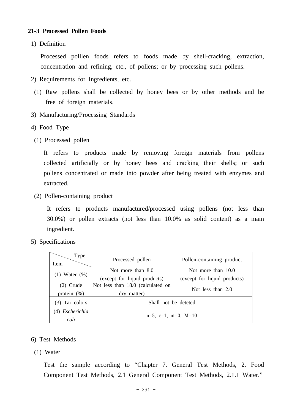## **21-3 Processed Pollen Foods**

1) Definition

 Processed polllen foods refers to foods made by shell-cracking, extraction, concentration and refining, etc., of pollens; or by processing such pollens.

- 2) Requirements for Ingredients, etc.
	- (1) Raw pollens shall be collected by honey bees or by other methods and be free of foreign materials.
- 3) Manufacturing/Processing Standards
- 4) Food Type
	- (1) Processed pollen

 It refers to products made by removing foreign materials from pollens collected artificially or by honey bees and cracking their shells; or such pollens concentrated or made into powder after being treated with enzymes and extracted.

(2) Pollen-containing product

 It refers to products manufactured/processed using pollens (not less than 30.0%) or pollen extracts (not less than 10.0% as solid content) as a main ingredient.

5) Specifications

| Type<br>Item       | Processed pollen                  | Pollen-containing product    |  |  |
|--------------------|-----------------------------------|------------------------------|--|--|
|                    | Not more than 8.0                 | Not more than 10.0           |  |  |
| $(1)$ Water $(\%)$ | (except for liquid products)      | (except for liquid products) |  |  |
| $(2)$ Crude        | Not less than 18.0 (calculated on | Not less than 2.0            |  |  |
| protein $(\%)$     | dry matter)                       |                              |  |  |
| $(3)$ Tar colors   | Shall not be deteted              |                              |  |  |
| (4) Escherichia    |                                   |                              |  |  |
| coli               | $n=5$ , c=1, m=0, M=10            |                              |  |  |

- 6) Test Methods
- (1) Water

 Test the sample according to "Chapter 7. General Test Methods, 2. Food Component Test Methods, 2.1 General Component Test Methods, 2.1.1 Water."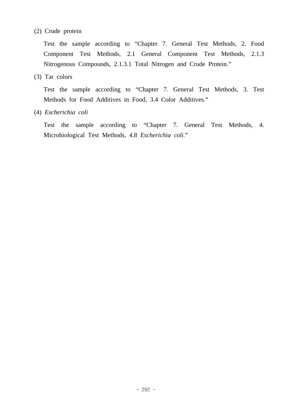# (2) Crude protein

 Test the sample according to "Chapter 7. General Test Methods, 2. Food Component Test Methods, 2.1 General Component Test Methods, 2.1.3 Nitrogenous Compounds, 2.1.3.1 Total Nitrogen and Crude Protein."

(3) Tar colors

 Test the sample according to "Chapter 7. General Test Methods, 3. Test Methods for Food Additives in Food, 3.4 Color Additives."

(4) *Escherichia coli*

 Test the sample according to "Chapter 7. General Test Methods, 4. Microbiological Test Methods, 4.8 *Escherichia coli.*"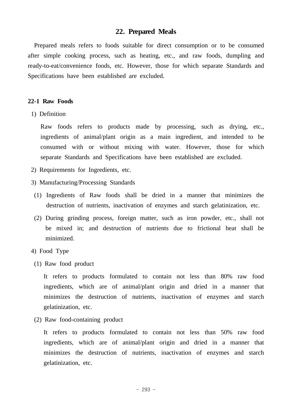# **22. Prepared Meals**

 Prepared meals refers to foods suitable for direct consumption or to be consumed after simple cooking process, such as heating, etc., and raw foods, dumpling and ready-to-eat/convenience foods, etc. However, those for which separate Standards and Specifications have been established are excluded.

#### **22-1 Raw Foods**

1) Definition

 Raw foods refers to products made by processing, such as drying, etc., ingredients of animal/plant origin as a main ingredient, and intended to be consumed with or without mixing with water. However, those for which separate Standards and Specifications have been established are excluded.

- 2) Requirements for Ingredients, etc.
- 3) Manufacturing/Processing Standards
- (1) Ingredients of Raw foods shall be dried in a manner that minimizes the destruction of nutrients, inactivation of enzymes and starch gelatinization, etc.
- (2) During grinding process, foreign matter, such as iron powder, etc., shall not be mixed in; and destruction of nutrients due to frictional heat shall be minimized.
- 4) Food Type
- (1) Raw food product

 It refers to products formulated to contain not less than 80% raw food ingredients, which are of animal/plant origin and dried in a manner that minimizes the destruction of nutrients, inactivation of enzymes and starch gelatinization, etc.

(2) Raw food-containing product

 It refers to products formulated to contain not less than 50% raw food ingredients, which are of animal/plant origin and dried in a manner that minimizes the destruction of nutrients, inactivation of enzymes and starch gelatinization, etc.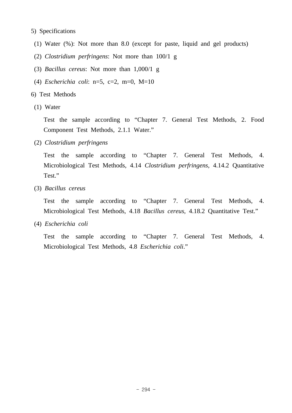## 5) Specifications

- (1) Water (%): Not more than 8.0 (except for paste, liquid and gel products)
- (2) *Clostridium perfringens*: Not more than 100/1 g
- (3) *Bacillus cereus*: Not more than 1,000/1 g
- (4) *Escherichia coli*: n=5, c=2, m=0, M=10
- 6) Test Methods
- (1) Water

 Test the sample according to "Chapter 7. General Test Methods, 2. Food Component Test Methods, 2.1.1 Water."

(2) *Clostridium perfringens*

 Test the sample according to "Chapter 7. General Test Methods, 4. Microbiological Test Methods, 4.14 *Clostridium perfringens*, 4.14.2 Quantitative Test."

(3) *Bacillus cereus*

 Test the sample according to "Chapter 7. General Test Methods, 4. Microbiological Test Methods, 4.18 *Bacillus cereus*, 4.18.2 Quantitative Test."

(4) *Escherichia coli*

 Test the sample according to "Chapter 7. General Test Methods, 4. Microbiological Test Methods, 4.8 *Escherichia coli*."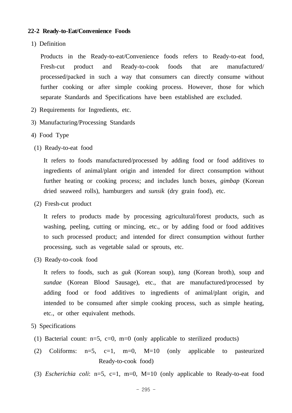## **22-2 Ready-to-Eat/Convenience Foods**

1) Definition

 Products in the Ready-to-eat/Convenience foods refers to Ready-to-eat food, Fresh-cut product and Ready-to-cook foods that are manufactured/ processed/packed in such a way that consumers can directly consume without further cooking or after simple cooking process. However, those for which separate Standards and Specifications have been established are excluded.

- 2) Requirements for Ingredients, etc.
- 3) Manufacturing/Processing Standards
- 4) Food Type
- (1) Ready-to-eat food

 It refers to foods manufactured/processed by adding food or food additives to ingredients of animal/plant origin and intended for direct consumption without further heating or cooking process; and includes lunch boxes, *gimbap* (Korean dried seaweed rolls), hamburgers and *sunsik* (dry grain food), etc.

(2) Fresh-cut product

 It refers to products made by processing agricultural/forest products, such as washing, peeling, cutting or mincing, etc., or by adding food or food additives to such processed product; and intended for direct consumption without further processing, such as vegetable salad or sprouts, etc.

(3) Ready-to-cook food

 It refers to foods, such as *guk* (Korean soup), *tang* (Korean broth), soup and *sundae* (Korean Blood Sausage), etc., that are manufactured/processed by adding food or food additives to ingredients of animal/plant origin, and intended to be consumed after simple cooking process, such as simple heating, etc., or other equivalent methods.

- 5) Specifications
- (1) Bacterial count:  $n=5$ ,  $c=0$ ,  $m=0$  (only applicable to sterilized products)
- (2) Coliforms:  $n=5$ ,  $c=1$ ,  $m=0$ ,  $M=10$  (only applicable to pasteurized Ready-to-cook food)
- (3) *Escherichia coli*: n=5, c=1, m=0, M=10 (only applicable to Ready-to-eat food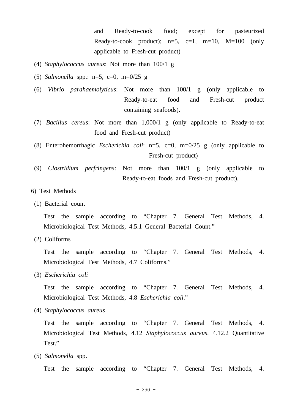and Ready-to-cook food; except for pasteurized Ready-to-cook product);  $n=5$ ,  $c=1$ ,  $m=10$ ,  $M=100$  (only applicable to Fresh-cut product)

- (4) *Staphylococcus aureus*: Not more than 100/1 g
- (5) *Salmonella* spp.: n=5, c=0, m=0/25 g
- (6) *Vibrio parahaemolyticus*: Not more than 100/1 g (only applicable to Ready-to-eat food and Fresh-cut product containing seafoods).
- (7) *Bacillus cereus*: Not more than 1,000/1 g (only applicable to Ready-to-eat food and Fresh-cut product)
- (8) Enterohemorrhagic *Escherichia coli*: n=5, c=0, m=0/25 g (only applicable to Fresh-cut product)
- (9) *Clostridium perfringens*: Not more than 100/1 g (only applicable to Ready-to-eat foods and Fresh-cut product).

## 6) Test Methods

(1) Bacterial count

 Test the sample according to "Chapter 7. General Test Methods, 4. Microbiological Test Methods, 4.5.1 General Bacterial Count."

(2) Coliforms

 Test the sample according to "Chapter 7. General Test Methods, 4. Microbiological Test Methods, 4.7 Coliforms."

(3) *Escherichia coli*

 Test the sample according to "Chapter 7. General Test Methods, 4. Microbiological Test Methods, 4.8 *Escherichia coli*."

(4) *Staphylococcus aureus* 

 Test the sample according to "Chapter 7. General Test Methods, 4. Microbiological Test Methods, 4.12 *Staphylococcus aureus*, 4.12.2 Quantitative Test."

(5) *Salmonella* spp.

Test the sample according to "Chapter 7. General Test Methods, 4.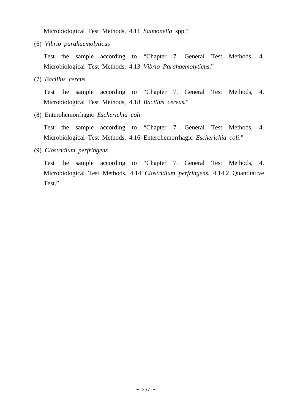Microbiological Test Methods, 4.11 *Salmonella* spp."

(6) *Vibrio parahaemolyticus*

 Test the sample according to "Chapter 7. General Test Methods, 4. Microbiological Test Methods, 4.13 *Vibrio Parahaemolyticus*."

(7) *Bacillus cereus*

 Test the sample according to "Chapter 7. General Test Methods, 4. Microbiological Test Methods, 4.18 *Bacillus cereus.*"

(8) Enterohemorrhagic *Escherichia coli*

 Test the sample according to "Chapter 7. General Test Methods, 4. Microbiological Test Methods, 4.16 Enterohemorrhagic *Escherichia coli*."

(9) *Clostridium perfringens*

 Test the sample according to "Chapter 7. General Test Methods, 4. Microbiological Test Methods, 4.14 *Clostridium perfringens*, 4.14.2 Quantitative Test."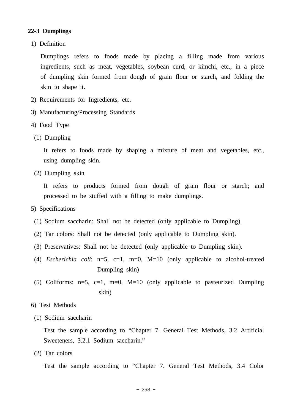#### **22-3 Dumplings**

1) Definition

 Dumplings refers to foods made by placing a filling made from various ingredients, such as meat, vegetables, soybean curd, or kimchi, etc., in a piece of dumpling skin formed from dough of grain flour or starch, and folding the skin to shape it.

- 2) Requirements for Ingredients, etc.
- 3) Manufacturing/Processing Standards
- 4) Food Type
- (1) Dumpling

 It refers to foods made by shaping a mixture of meat and vegetables, etc., using dumpling skin.

(2) Dumpling skin

 It refers to products formed from dough of grain flour or starch; and processed to be stuffed with a filling to make dumplings.

- 5) Specifications
	- (1) Sodium saccharin: Shall not be detected (only applicable to Dumpling).
	- (2) Tar colors: Shall not be detected (only applicable to Dumpling skin).
	- (3) Preservatives: Shall not be detected (only applicable to Dumpling skin).
	- (4) *Escherichia coli*: n=5, c=1, m=0, M=10 (only applicable to alcohol-treated Dumpling skin)
	- (5) Coliforms:  $n=5$ ,  $c=1$ ,  $m=0$ ,  $M=10$  (only applicable to pasteurized Dumpling skin)
- 6) Test Methods
- (1) Sodium saccharin

 Test the sample according to "Chapter 7. General Test Methods, 3.2 Artificial Sweeteners, 3.2.1 Sodium saccharin."

(2) Tar colors

Test the sample according to "Chapter 7. General Test Methods, 3.4 Color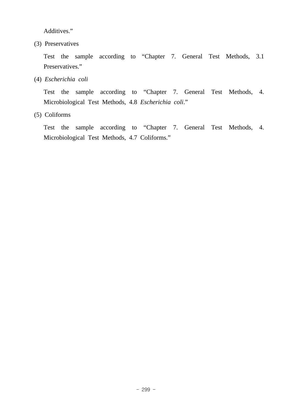Additives."

(3) Preservatives

 Test the sample according to "Chapter 7. General Test Methods, 3.1 Preservatives."

(4) *Escherichia coli*

 Test the sample according to "Chapter 7. General Test Methods, 4. Microbiological Test Methods, 4.8 *Escherichia coli*."

(5) Coliforms

 Test the sample according to "Chapter 7. General Test Methods, 4. Microbiological Test Methods, 4.7 Coliforms."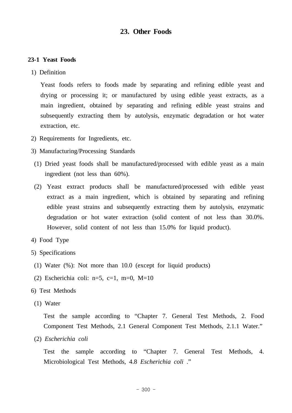# **23. Other Foods**

#### **23-1 Yeast Foods**

1) Definition

 Yeast foods refers to foods made by separating and refining edible yeast and drying or processing it; or manufactured by using edible yeast extracts, as a main ingredient, obtained by separating and refining edible yeast strains and subsequently extracting them by autolysis, enzymatic degradation or hot water extraction, etc.

- 2) Requirements for Ingredients, etc.
- 3) Manufacturing/Processing Standards
- (1) Dried yeast foods shall be manufactured/processed with edible yeast as a main ingredient (not less than 60%).
- (2) Yeast extract products shall be manufactured/processed with edible yeast extract as a main ingredient, which is obtained by separating and refining edible yeast strains and subsequently extracting them by autolysis, enzymatic degradation or hot water extraction (solid content of not less than 30.0%. However, solid content of not less than 15.0% for liquid product).
- 4) Food Type
- 5) Specifications
	- (1) Water (%): Not more than 10.0 (except for liquid products)
	- (2) Escherichia coli:  $n=5$ ,  $c=1$ ,  $m=0$ ,  $M=10$
- 6) Test Methods
- (1) Water

 Test the sample according to "Chapter 7. General Test Methods, 2. Food Component Test Methods, 2.1 General Component Test Methods, 2.1.1 Water."

(2) *Escherichia coli* 

 Test the sample according to "Chapter 7. General Test Methods, 4. Microbiological Test Methods, 4.8 *Escherichia coli* ."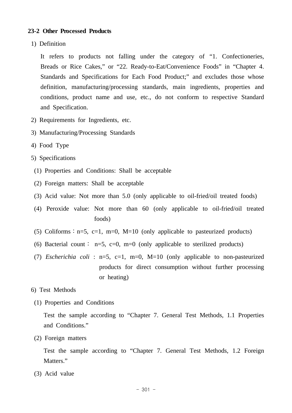## **23-2 Other Processed Products**

1) Definition

 It refers to products not falling under the category of "1. Confectioneries, Breads or Rice Cakes," or "22. Ready-to-Eat/Convenience Foods" in "Chapter 4. Standards and Specifications for Each Food Product;" and excludes those whose definition, manufacturing/processing standards, main ingredients, properties and conditions, product name and use, etc., do not conform to respective Standard and Specification.

- 2) Requirements for Ingredients, etc.
- 3) Manufacturing/Processing Standards
- 4) Food Type
- 5) Specifications
- (1) Properties and Conditions: Shall be acceptable
- (2) Foreign matters: Shall be acceptable
- (3) Acid value: Not more than 5.0 (only applicable to oil-fried/oil treated foods)
- (4) Peroxide value: Not more than 60 (only applicable to oil-fried/oil treated foods)
- (5) Coliforms :  $n=5$ ,  $c=1$ ,  $m=0$ ,  $M=10$  (only applicable to pasteurized products)
- (6) Bacterial count: n=5, c=0, m=0 (only applicable to sterilized products)
- (7) *Escherichia coli* : n=5, c=1, m=0, M=10 (only applicable to non-pasteurized products for direct consumption without further processing or heating)
- 6) Test Methods
	- (1) Properties and Conditions

 Test the sample according to "Chapter 7. General Test Methods, 1.1 Properties and Conditions."

(2) Foreign matters

 Test the sample according to "Chapter 7. General Test Methods, 1.2 Foreign Matters."

(3) Acid value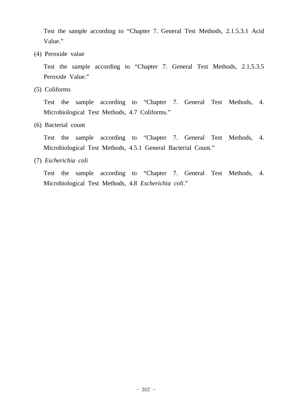Test the sample according to "Chapter 7. General Test Methods, 2.1.5.3.1 Acid Value."

(4) Peroxide value

 Test the sample according to "Chapter 7. General Test Methods, 2.1.5.3.5 Peroxide Value."

(5) Coliforms

 Test the sample according to "Chapter 7. General Test Methods, 4. Microbiological Test Methods, 4.7 Coliforms."

(6) Bacterial count

 Test the sample according to "Chapter 7. General Test Methods, 4. Microbiological Test Methods, 4.5.1 General Bacterial Count."

(7) *Escherichia coli* 

 Test the sample according to "Chapter 7. General Test Methods, 4. Microbiological Test Methods, 4.8 *Escherichia coli*."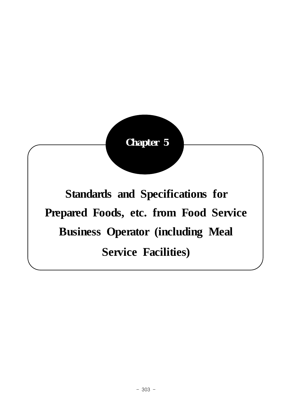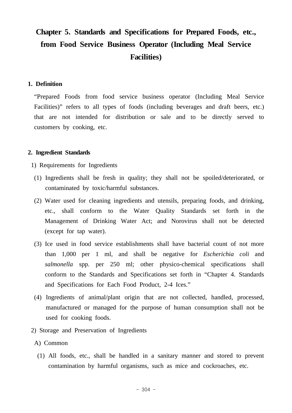# **Chapter 5. Standards and Specifications for Prepared Foods, etc., from Food Service Business Operator (Including Meal Service Facilities)**

## **1. Definition**

 "Prepared Foods from food service business operator (Including Meal Service Facilities)" refers to all types of foods (including beverages and draft beers, etc.) that are not intended for distribution or sale and to be directly served to customers by cooking, etc.

#### **2. Ingredient Standards**

- 1) Requirements for Ingredients
- (1) Ingredients shall be fresh in quality; they shall not be spoiled/deteriorated, or contaminated by toxic/harmful substances.
- (2) Water used for cleaning ingredients and utensils, preparing foods, and drinking, etc., shall conform to the Water Quality Standards set forth in the Management of Drinking Water Act; and Norovirus shall not be detected (except for tap water).
- (3) Ice used in food service establishments shall have bacterial count of not more than 1,000 per 1 ml, and shall be negative for *Escherichia coli* and *salmonella* spp. per 250 ml; other physico-chemical specifications shall conform to the Standards and Specifications set forth in "Chapter 4. Standards and Specifications for Each Food Product, 2-4 Ices."
- (4) Ingredients of animal/plant origin that are not collected, handled, processed, manufactured or managed for the purpose of human consumption shall not be used for cooking foods.
- 2) Storage and Preservation of Ingredients
- A) Common
	- (1) All foods, etc., shall be handled in a sanitary manner and stored to prevent contamination by harmful organisms, such as mice and cockroaches, etc.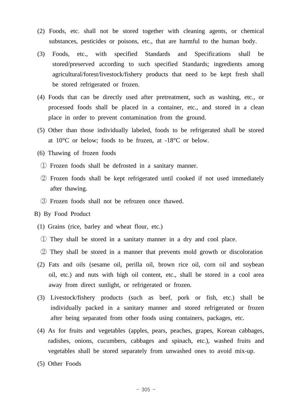- (2) Foods, etc. shall not be stored together with cleaning agents, or chemical substances, pesticides or poisons, etc., that are harmful to the human body.
- (3) Foods, etc., with specified Standards and Specifications shall be stored/preserved according to such specified Standards; ingredients among agricultural/forest/livestock/fishery products that need to be kept fresh shall be stored refrigerated or frozen.
- (4) Foods that can be directly used after pretreatment, such as washing, etc., or processed foods shall be placed in a container, etc., and stored in a clean place in order to prevent contamination from the ground.
- (5) Other than those individually labeled, foods to be refrigerated shall be stored at  $10^{\circ}$ C or below; foods to be frozen, at  $-18^{\circ}$ C or below.
- (6) Thawing of frozen foods
	- ① Frozen foods shall be defrosted in a sanitary manner.
	- ② Frozen foods shall be kept refrigerated until cooked if not used immediately after thawing.
	- ③ Frozen foods shall not be refrozen once thawed.
- B) By Food Product
	- (1) Grains (rice, barley and wheat flour, etc.)
		- ① They shall be stored in a sanitary manner in a dry and cool place.
	- ② They shall be stored in a manner that prevents mold growth or discoloration
	- (2) Fats and oils (sesame oil, perilla oil, brown rice oil, corn oil and soybean oil, etc.) and nuts with high oil content, etc., shall be stored in a cool area away from direct sunlight, or refrigerated or frozen.
	- (3) Livestock/fishery products (such as beef, pork or fish, etc.) shall be individually packed in a sanitary manner and stored refrigerated or frozen after being separated from other foods using containers, packages, etc.
	- (4) As for fruits and vegetables (apples, pears, peaches, grapes, Korean cabbages, radishes, onions, cucumbers, cabbages and spinach, etc.), washed fruits and vegetables shall be stored separately from unwashed ones to avoid mix-up.
	- (5) Other Foods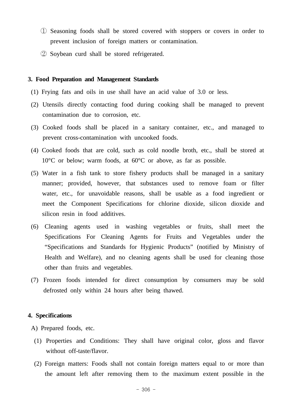- ① Seasoning foods shall be stored covered with stoppers or covers in order to prevent inclusion of foreign matters or contamination.
- ② Soybean curd shall be stored refrigerated.

## **3. Food Preparation and Management Standards**

- (1) Frying fats and oils in use shall have an acid value of 3.0 or less.
- (2) Utensils directly contacting food during cooking shall be managed to prevent contamination due to corrosion, etc.
- (3) Cooked foods shall be placed in a sanitary container, etc., and managed to prevent cross-contamination with uncooked foods.
- (4) Cooked foods that are cold, such as cold noodle broth, etc., shall be stored at 10°C or below; warm foods, at 60°C or above, as far as possible.
- (5) Water in a fish tank to store fishery products shall be managed in a sanitary manner; provided, however, that substances used to remove foam or filter water, etc., for unavoidable reasons, shall be usable as a food ingredient or meet the Component Specifications for chlorine dioxide, silicon dioxide and silicon resin in food additives.
- (6) Cleaning agents used in washing vegetables or fruits, shall meet the Specifications For Cleaning Agents for Fruits and Vegetables under the "Specifications and Standards for Hygienic Products" (notified by Ministry of Health and Welfare), and no cleaning agents shall be used for cleaning those other than fruits and vegetables.
- (7) Frozen foods intended for direct consumption by consumers may be sold defrosted only within 24 hours after being thawed.

#### **4. Specifications**

A) Prepared foods, etc.

- (1) Properties and Conditions: They shall have original color, gloss and flavor without off-taste/flavor.
- (2) Foreign matters: Foods shall not contain foreign matters equal to or more than the amount left after removing them to the maximum extent possible in the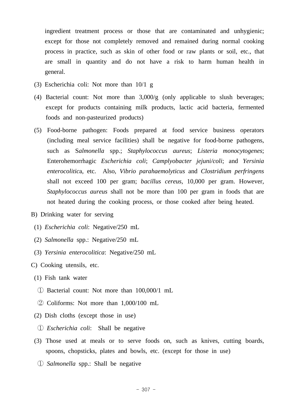ingredient treatment process or those that are contaminated and unhygienic; except for those not completely removed and remained during normal cooking process in practice, such as skin of other food or raw plants or soil, etc., that are small in quantity and do not have a risk to harm human health in general.

- (3) Escherichia coli: Not more than 10/1 g
- (4) Bacterial count: Not more than 3,000/g (only applicable to slush beverages; except for products containing milk products, lactic acid bacteria, fermented foods and non-pasteurized products)
- (5) Food-borne pathogen: Foods prepared at food service business operators (including meal service facilities) shall be negative for food-borne pathogens, such as S*almonella* spp.; *Staphylococcus aureus*; *Listeria monocytogenes*; Enterohemorrhagic *Escherichia coli*; *Camplyobacter jejuni/coli*; and *Yersinia enterocolitic*a, etc. Also, *Vibrio parahaemolyticus* and *Clostridium perfringens*  shall not exceed 100 per gram; *bacillus cereus*, 10,000 per gram. However, *Staphylococcus aureus* shall not be more than 100 per gram in foods that are not heated during the cooking process, or those cooked after being heated.
- B) Drinking water for serving
	- (1) *Escherichia coli*: Negative/250 mL
	- (2) *Salmonella* spp.: Negative/250 mL
	- (3) *Yersinia enterocolitica*: Negative/250 mL
- C) Cooking utensils, etc.
	- (1) Fish tank water
	- ① Bacterial count: Not more than 100,000/1 mL
	- ② Coliforms: Not more than 1,000/100 mL
	- (2) Dish cloths (except those in use)
	- ① *Escherichia coli*: Shall be negative
	- (3) Those used at meals or to serve foods on, such as knives, cutting boards, spoons, chopsticks, plates and bowls, etc. (except for those in use)
		- ① *Salmonella* spp.: Shall be negative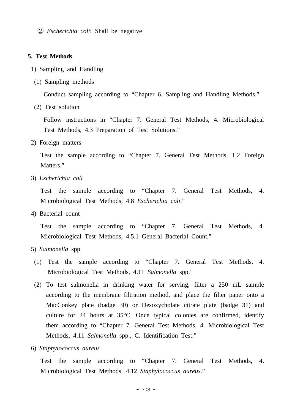② *Escherichia coli*: Shall be negative

#### **5. Test Methods**

- 1) Sampling and Handling
- (1) Sampling methods

Conduct sampling according to "Chapter 6. Sampling and Handling Methods."

(2) Test solution

 Follow instructions in "Chapter 7. General Test Methods, 4. Microbiological Test Methods, 4.3 Preparation of Test Solutions."

2) Foreign matters

 Test the sample according to "Chapter 7. General Test Methods, 1.2 Foreign Matters."

3) *Escherichia coli*

 Test the sample according to "Chapter 7. General Test Methods, 4. Microbiological Test Methods, 4.8 *Escherichia coli*."

4) Bacterial count

 Test the sample according to "Chapter 7. General Test Methods, 4. Microbiological Test Methods, 4.5.1 General Bacterial Count."

- 5) *Salmonella* spp.
- (1) Test the sample according to "Chapter 7. General Test Methods, 4. Microbiological Test Methods, 4.11 *Salmonella* spp."
- (2) To test salmonella in drinking water for serving, filter a 250 mL sample according to the membrane filtration method, and place the filter paper onto a MacConkey plate (badge 30) or Desoxycholate citrate plate (badge 31) and culture for 24 hours at 35°C. Once typical colonies are confirmed, identify them according to "Chapter 7. General Test Methods, 4. Microbiological Test Methods, 4.11 *Salmonella* spp., C. Identification Test."
- 6) *Staphylococcus aureus*

 Test the sample according to "Chapter 7. General Test Methods, 4. Microbiological Test Methods, 4.12 *Staphylococcus aureus*."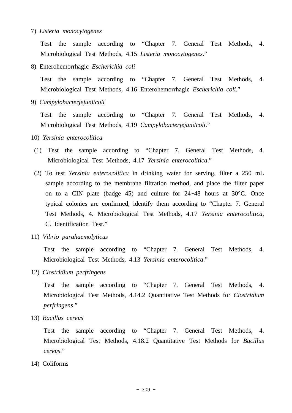#### 7) *Listeria monocytogenes*

 Test the sample according to "Chapter 7. General Test Methods, 4. Microbiological Test Methods, 4.15 *Listeria monocytogenes*."

8) Enterohemorrhagic *Escherichia coli*

 Test the sample according to "Chapter 7. General Test Methods, 4. Microbiological Test Methods, 4.16 Enterohemorrhagic *Escherichia coli*."

9) *Campylobacterjejun*i/*coli*

 Test the sample according to "Chapter 7. General Test Methods, 4. Microbiological Test Methods, 4.19 *Campylobacterjejun*i/*coli*."

- 10) *Yersinia enterocolitica*
- (1) Test the sample according to "Chapter 7. General Test Methods, 4. Microbiological Test Methods, 4.17 *Yersinia enterocolitica*."
- (2) To test *Yersinia enterocolitica* in drinking water for serving, filter a 250 mL sample according to the membrane filtration method, and place the filter paper on to a CIN plate (badge 45) and culture for 24~48 hours at 30°C. Once typical colonies are confirmed, identify them according to "Chapter 7. General Test Methods, 4. Microbiological Test Methods, 4.17 *Yersinia enterocolitica*, C. Identification Test."
- 11) *Vibrio parahaemolyticus*

 Test the sample according to "Chapter 7. General Test Methods, 4. Microbiological Test Methods, 4.13 *Yersinia enterocolitica*."

12) *Clostridium perfringens*

 Test the sample according to "Chapter 7. General Test Methods, 4. Microbiological Test Methods, 4.14.2 Quantitative Test Methods for *Clostridium perfringens*."

13) *Bacillus cereus*

 Test the sample according to "Chapter 7. General Test Methods, 4. Microbiological Test Methods, 4.18.2 Quantitative Test Methods for *Bacillus cereus*."

14) Coliforms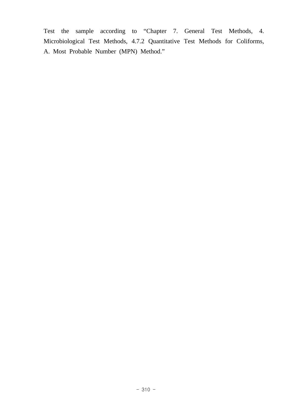Test the sample according to "Chapter 7. General Test Methods, 4. Microbiological Test Methods, 4.7.2 Quantitative Test Methods for Coliforms, A. Most Probable Number (MPN) Method."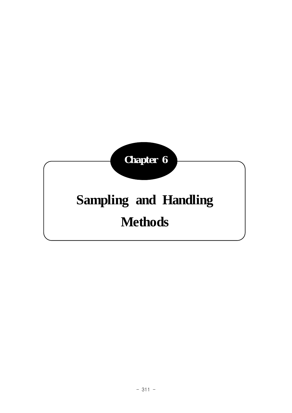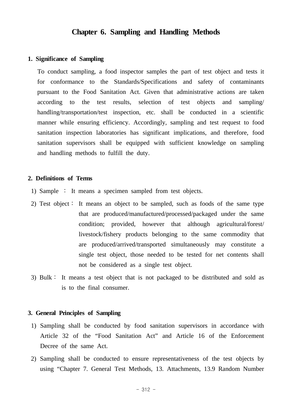# **Chapter 6. Sampling and Handling Methods**

#### **1. Significance of Sampling**

 To conduct sampling, a food inspector samples the part of test object and tests it for conformance to the Standards/Specifications and safety of contaminants pursuant to the Food Sanitation Act. Given that administrative actions are taken according to the test results, selection of test objects and sampling/ handling/transportation/test inspection, etc. shall be conducted in a scientific manner while ensuring efficiency. Accordingly, sampling and test request to food sanitation inspection laboratories has significant implications, and therefore, food sanitation supervisors shall be equipped with sufficient knowledge on sampling and handling methods to fulfill the duty.

#### **2. Definitions of Terms**

- 1) Sample ∶ It means a specimen sampled from test objects.
- 2) Test object∶ It means an object to be sampled, such as foods of the same type that are produced/manufactured/processed/packaged under the same condition; provided, however that although agricultural/forest/ livestock/fishery products belonging to the same commodity that are produced/arrived/transported simultaneously may constitute a single test object, those needed to be tested for net contents shall not be considered as a single test object.
- 3) Bulk∶ It means a test object that is not packaged to be distributed and sold as is to the final consumer.

#### **3. General Principles of Sampling**

- 1) Sampling shall be conducted by food sanitation supervisors in accordance with Article 32 of the "Food Sanitation Act" and Article 16 of the Enforcement Decree of the same Act.
- 2) Sampling shall be conducted to ensure representativeness of the test objects by using "Chapter 7. General Test Methods, 13. Attachments, 13.9 Random Number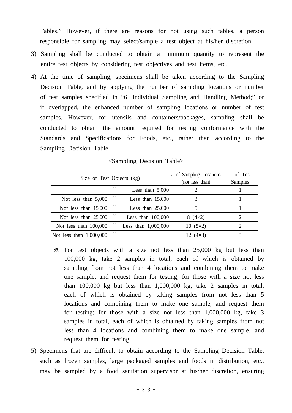Tables." However, if there are reasons for not using such tables, a person responsible for sampling may select/sample a test object at his/her discretion.

- 3) Sampling shall be conducted to obtain a minimum quantity to represent the entire test objects by considering test objectives and test items, etc.
- 4) At the time of sampling, specimens shall be taken according to the Sampling Decision Table, and by applying the number of sampling locations or number of test samples specified in "6. Individual Sampling and Handling Method;" or if overlapped, the enhanced number of sampling locations or number of test samples. However, for utensils and containers/packages, sampling shall be conducted to obtain the amount required for testing conformance with the Standards and Specifications for Foods, etc., rather than according to the Sampling Decision Table.

|                           |  |                       | # of Sampling Locations | # of Test |
|---------------------------|--|-----------------------|-------------------------|-----------|
| Size of Test Objects (kg) |  |                       | (not less than)         | Samples   |
|                           |  | Less than $5,000$     |                         |           |
| Not less than $5,000$     |  | Less than $15,000$    | 3                       |           |
| Not less than $15,000$    |  | Less than $25,000$    |                         |           |
| Not less than $25,000$    |  | Less than $100,000$   | $8(4\times2)$           |           |
| Not less than $100,000$   |  | Less than $1,000,000$ | $10(5\times2)$          |           |
| Not less than $1,000,000$ |  |                       | 12 $(4\times3)$         |           |

## <Sampling Decision Table>

- ※ For test objects with a size not less than 25,000 kg but less than 100,000 kg, take 2 samples in total, each of which is obtained by sampling from not less than 4 locations and combining them to make one sample, and request them for testing; for those with a size not less than 100,000 kg but less than 1,000,000 kg, take 2 samples in total, each of which is obtained by taking samples from not less than 5 locations and combining them to make one sample, and request them for testing; for those with a size not less than 1,000,000 kg, take 3 samples in total, each of which is obtained by taking samples from not less than 4 locations and combining them to make one sample, and request them for testing.
- 5) Specimens that are difficult to obtain according to the Sampling Decision Table, such as frozen samples, large packaged samples and foods in distribution, etc., may be sampled by a food sanitation supervisor at his/her discretion, ensuring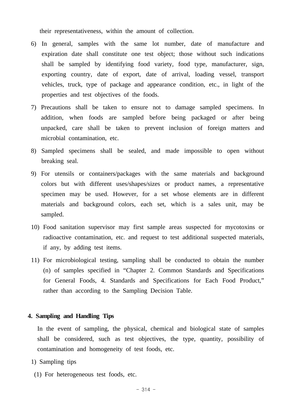their representativeness, within the amount of collection.

- 6) In general, samples with the same lot number, date of manufacture and expiration date shall constitute one test object; those without such indications shall be sampled by identifying food variety, food type, manufacturer, sign, exporting country, date of export, date of arrival, loading vessel, transport vehicles, truck, type of package and appearance condition, etc., in light of the properties and test objectives of the foods.
- 7) Precautions shall be taken to ensure not to damage sampled specimens. In addition, when foods are sampled before being packaged or after being unpacked, care shall be taken to prevent inclusion of foreign matters and microbial contamination, etc.
- 8) Sampled specimens shall be sealed, and made impossible to open without breaking seal.
- 9) For utensils or containers/packages with the same materials and background colors but with different uses/shapes/sizes or product names, a representative specimen may be used. However, for a set whose elements are in different materials and background colors, each set, which is a sales unit, may be sampled.
- 10) Food sanitation supervisor may first sample areas suspected for mycotoxins or radioactive contamination, etc. and request to test additional suspected materials, if any, by adding test items.
- 11) For microbiological testing, sampling shall be conducted to obtain the number (n) of samples specified in "Chapter 2. Common Standards and Specifications for General Foods, 4. Standards and Specifications for Each Food Product," rather than according to the Sampling Decision Table.

#### **4. Sampling and Handling Tips**

 In the event of sampling, the physical, chemical and biological state of samples shall be considered, such as test objectives, the type, quantity, possibility of contamination and homogeneity of test foods, etc.

- 1) Sampling tips
- (1) For heterogeneous test foods, etc.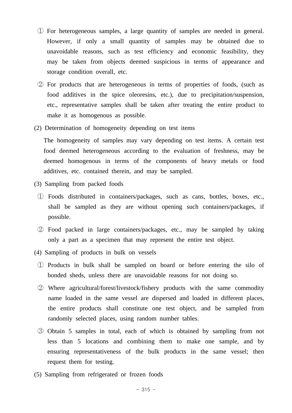- ① For heterogeneous samples, a large quantity of samples are needed in general. However, if only a small quantity of samples may be obtained due to unavoidable reasons, such as test efficiency and economic feasibility, they may be taken from objects deemed suspicious in terms of appearance and storage condition overall, etc.
- ② For products that are heterogeneous in terms of properties of foods, (such as food additives in the spice oleoresins, etc.), due to precipitation/suspension, etc., representative samples shall be taken after treating the entire product to make it as homogenous as possible.
- (2) Determination of homogeneity depending on test items

 The homogeneity of samples may vary depending on test items. A certain test food deemed heterogeneous according to the evaluation of freshness, may be deemed homogenous in terms of the components of heavy metals or food additives, etc. contained therein, and may be sampled.

- (3) Sampling from packed foods
	- ① Foods distributed in containers/packages, such as cans, bottles, boxes, etc., shall be sampled as they are without opening such containers/packages, if possible.
	- ② Food packed in large containers/packages, etc., may be sampled by taking only a part as a specimen that may represent the entire test object.
- (4) Sampling of products in bulk on vessels
	- ① Products in bulk shall be sampled on board or before entering the silo of bonded sheds, unless there are unavoidable reasons for not doing so.
	- ② Where agricultural/forest/livestock/fishery products with the same commodity name loaded in the same vessel are dispersed and loaded in different places, the entire products shall constitute one test object, and be sampled from randomly selected places, using random number tables.
	- ③ Obtain 5 samples in total, each of which is obtained by sampling from not less than 5 locations and combining them to make one sample, and by ensuring representativeness of the bulk products in the same vessel; then request them for testing.
- (5) Sampling from refrigerated or frozen foods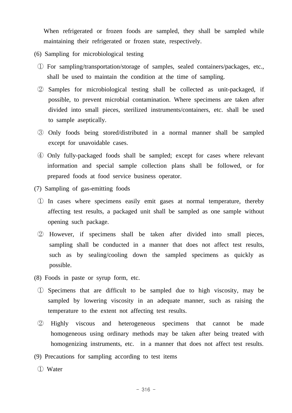When refrigerated or frozen foods are sampled, they shall be sampled while maintaining their refrigerated or frozen state, respectively.

- (6) Sampling for microbiological testing
- ① For sampling/transportation/storage of samples, sealed containers/packages, etc., shall be used to maintain the condition at the time of sampling.
- ② Samples for microbiological testing shall be collected as unit-packaged, if possible, to prevent microbial contamination. Where specimens are taken after divided into small pieces, sterilized instruments/containers, etc. shall be used to sample aseptically.
- ③ Only foods being stored/distributed in a normal manner shall be sampled except for unavoidable cases.
- ④ Only fully-packaged foods shall be sampled; except for cases where relevant information and special sample collection plans shall be followed, or for prepared foods at food service business operator.
- (7) Sampling of gas-emitting foods
	- ① In cases where specimens easily emit gases at normal temperature, thereby affecting test results, a packaged unit shall be sampled as one sample without opening such package.
	- ② However, if specimens shall be taken after divided into small pieces, sampling shall be conducted in a manner that does not affect test results, such as by sealing/cooling down the sampled specimens as quickly as possible.
- (8) Foods in paste or syrup form, etc.
- ① Specimens that are difficult to be sampled due to high viscosity, may be sampled by lowering viscosity in an adequate manner, such as raising the temperature to the extent not affecting test results.
- ② Highly viscous and heterogeneous specimens that cannot be made homogeneous using ordinary methods may be taken after being treated with homogenizing instruments, etc. in a manner that does not affect test results.
- (9) Precautions for sampling according to test items
	- ① Water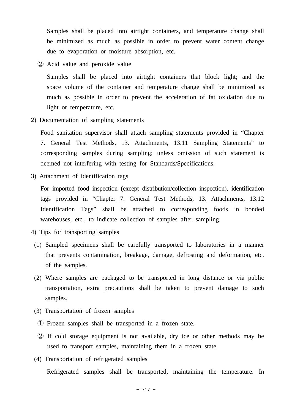Samples shall be placed into airtight containers, and temperature change shall be minimized as much as possible in order to prevent water content change due to evaporation or moisture absorption, etc.

② Acid value and peroxide value

 Samples shall be placed into airtight containers that block light; and the space volume of the container and temperature change shall be minimized as much as possible in order to prevent the acceleration of fat oxidation due to light or temperature, etc.

2) Documentation of sampling statements

 Food sanitation supervisor shall attach sampling statements provided in "Chapter 7. General Test Methods, 13. Attachments, 13.11 Sampling Statements" to corresponding samples during sampling; unless omission of such statement is deemed not interfering with testing for Standards/Specifications.

3) Attachment of identification tags

 For imported food inspection (except distribution/collection inspection), identification tags provided in "Chapter 7. General Test Methods, 13. Attachments, 13.12 Identification Tags" shall be attached to corresponding foods in bonded warehouses, etc., to indicate collection of samples after sampling.

- 4) Tips for transporting samples
	- (1) Sampled specimens shall be carefully transported to laboratories in a manner that prevents contamination, breakage, damage, defrosting and deformation, etc. of the samples.
	- (2) Where samples are packaged to be transported in long distance or via public transportation, extra precautions shall be taken to prevent damage to such samples.
	- (3) Transportation of frozen samples
	- ① Frozen samples shall be transported in a frozen state.
	- ② If cold storage equipment is not available, dry ice or other methods may be used to transport samples, maintaining them in a frozen state.
	- (4) Transportation of refrigerated samples

Refrigerated samples shall be transported, maintaining the temperature. In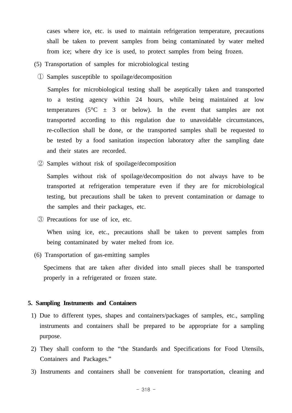cases where ice, etc. is used to maintain refrigeration temperature, precautions shall be taken to prevent samples from being contaminated by water melted from ice; where dry ice is used, to protect samples from being frozen.

- (5) Transportation of samples for microbiological testing
	- ① Samples susceptible to spoilage/decomposition

 Samples for microbiological testing shall be aseptically taken and transported to a testing agency within 24 hours, while being maintained at low temperatures ( $5^{\circ}$ C  $\pm$  3 or below). In the event that samples are not transported according to this regulation due to unavoidable circumstances, re-collection shall be done, or the transported samples shall be requested to be tested by a food sanitation inspection laboratory after the sampling date and their states are recorded.

② Samples without risk of spoilage/decomposition

 Samples without risk of spoilage/decomposition do not always have to be transported at refrigeration temperature even if they are for microbiological testing, but precautions shall be taken to prevent contamination or damage to the samples and their packages, etc.

③ Precautions for use of ice, etc.

 When using ice, etc., precautions shall be taken to prevent samples from being contaminated by water melted from ice.

(6) Transportation of gas-emitting samples

 Specimens that are taken after divided into small pieces shall be transported properly in a refrigerated or frozen state.

#### **5. Sampling Instruments and Containers**

- 1) Due to different types, shapes and containers/packages of samples, etc., sampling instruments and containers shall be prepared to be appropriate for a sampling purpose.
- 2) They shall conform to the "the Standards and Specifications for Food Utensils, Containers and Packages."
- 3) Instruments and containers shall be convenient for transportation, cleaning and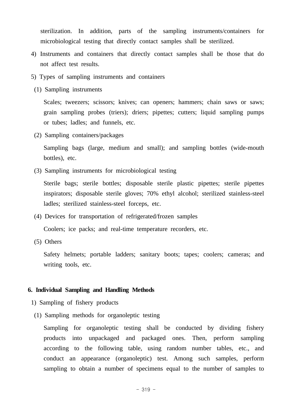sterilization. In addition, parts of the sampling instruments/containers for microbiological testing that directly contact samples shall be sterilized.

- 4) Instruments and containers that directly contact samples shall be those that do not affect test results.
- 5) Types of sampling instruments and containers
- (1) Sampling instruments

Scales; tweezers; scissors; knives; can openers; hammers; chain saws or saws; grain sampling probes (triers); driers; pipettes; cutters; liquid sampling pumps or tubes; ladles; and funnels, etc.

(2) Sampling containers/packages

 Sampling bags (large, medium and small); and sampling bottles (wide-mouth bottles), etc.

(3) Sampling instruments for microbiological testing

 Sterile bags; sterile bottles; disposable sterile plastic pipettes; sterile pipettes inspirators; disposable sterile gloves; 70% ethyl alcohol; sterilized stainless-steel ladles; sterilized stainless-steel forceps, etc.

- (4) Devices for transportation of refrigerated/frozen samples Coolers; ice packs; and real-time temperature recorders, etc.
- (5) Others

 Safety helmets; portable ladders; sanitary boots; tapes; coolers; cameras; and writing tools, etc.

## **6. Individual Sampling and Handling Methods**

- 1) Sampling of fishery products
- (1) Sampling methods for organoleptic testing

 Sampling for organoleptic testing shall be conducted by dividing fishery products into unpackaged and packaged ones. Then, perform sampling according to the following table, using random number tables, etc., and conduct an appearance (organoleptic) test. Among such samples, perform sampling to obtain a number of specimens equal to the number of samples to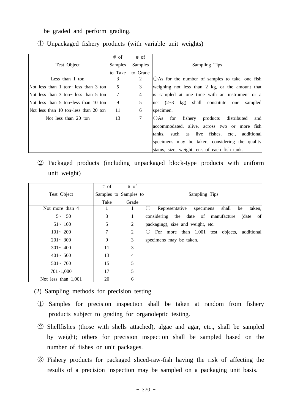be graded and perform grading.

|                                       | $#$ of         | $#$ of         |                                                           |
|---------------------------------------|----------------|----------------|-----------------------------------------------------------|
| Test Object                           | <b>Samples</b> | Samples        | Sampling Tips                                             |
|                                       | to Take        | to Grade       |                                                           |
| Less than 1 ton                       | 3              | 2              | $\bigcirc$ As for the number of samples to take, one fish |
| Not less than 1 ton~ less than 3 ton  | 5              | 3              | weighing not less than 2 kg, or the amount that           |
| Not less than 3 ton~ less than 5 ton  | $\tau$         | $\overline{4}$ | is sampled at one time with an instrument or a            |
| Not less than 5 ton~less than 10 ton  | 9              | 5              | net $(2-3$ kg) shall constitute one<br>sampled            |
| Not less than 10 ton~less than 20 ton | 11             | 6              | specimen.                                                 |
| Not less than 20 ton                  | 13             | $\tau$         | $\bigcirc$ As for fishery<br>products distributed<br>and  |
|                                       |                |                | accommodated, alive, across two or more fish              |
|                                       |                |                | tanks, such as live fishes, etc., additional              |
|                                       |                |                | specimens may be taken, considering the quality           |
|                                       |                |                | status, size, weight, etc. of each fish tank.             |

① Unpackaged fishery products (with variable unit weights)

 ② Packaged products (including unpackaged block-type products with uniform unit weight)

|                     | $#$ of | $#$ of                |                                                            |
|---------------------|--------|-----------------------|------------------------------------------------------------|
| Test Object         |        | Samples to Samples to | Sampling Tips                                              |
|                     | Take   | Grade                 |                                                            |
| Not more than 4     |        |                       | shall<br>taken,<br>Representative<br>be<br>specimens<br>() |
| $5 - 50$            | 3      | 1                     | of<br>considering the date of manufacture<br>(date)        |
| $51 - 100$          | 5      | 2                     | packaging), size and weight, etc.                          |
| $101 - 200$         | 7      | 2                     | For more than 1,001 test objects,<br>additional            |
| $201 - 300$         | 9      | 3                     | specimens may be taken.                                    |
| $301 - 400$         | 11     | 3                     |                                                            |
| $401 - 500$         | 13     | 4                     |                                                            |
| $501 - 700$         | 15     | 5                     |                                                            |
| $701 - 1,000$       | 17     | 5                     |                                                            |
| Not less than 1,001 | 20     | 6                     |                                                            |

(2) Sampling methods for precision testing

- ① Samples for precision inspection shall be taken at random from fishery products subject to grading for organoleptic testing.
- ② Shellfishes (those with shells attached), algae and agar, etc., shall be sampled by weight; others for precision inspection shall be sampled based on the number of fishes or unit packages.
- ③ Fishery products for packaged sliced-raw-fish having the risk of affecting the results of a precision inspection may be sampled on a packaging unit basis.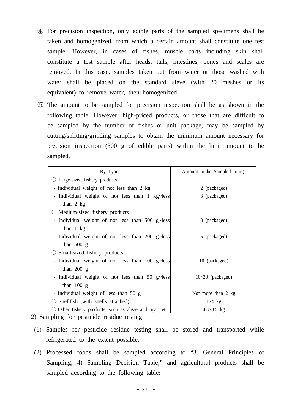- ④ For precision inspection, only edible parts of the sampled specimens shall be taken and homogenized, from which a certain amount shall constitute one test sample. However, in cases of fishes, muscle parts including skin shall constitute a test sample after heads, tails, intestines, bones and scales are removed. In this case, samples taken out from water or those washed with water shall be placed on the standard sieve (with 20 meshes or its equivalent) to remove water, then homogenized.
- ⑤ The amount to be sampled for precision inspection shall be as shown in the following table. However, high-priced products, or those that are difficult to be sampled by the number of fishes or unit package, may be sampled by cutting/splitting/grinding samples to obtain the minimum amount necessary for precision inspection (300 g of edible parts) within the limit amount to be sampled.

| By Type                                              | Amount to be Sampled (unit) |
|------------------------------------------------------|-----------------------------|
| $\bigcirc$ Large-sized fishery products              |                             |
| - Individual weight of not less than 2 kg            | 2 (packaged)                |
| Individual weight of not less than 1 kg~less<br>-    | 3 (packaged)                |
| than $2$ kg                                          |                             |
| Medium-sized fishery products                        |                             |
| - Individual weight of not less than 500 g~less      | 3 (packaged)                |
| than $1 \text{ kg}$                                  |                             |
| - Individual weight of not less than 200 g~less      | 5 (packaged)                |
| than $500 \text{ g}$                                 |                             |
| Small-sized fishery products                         |                             |
| - Individual weight of not less than 100 g~less      | 10 (packaged)               |
| than $200\text{ g}$                                  |                             |
| - Individual weight of not less than 50 g~less       | $10-20$ (packaged)          |
| than $100 \text{ g}$                                 |                             |
| - Individual weight of less than 50 g                | Not more than 2 kg          |
| Shellfish (with shells attached)                     | $1 - 4$ kg                  |
| Other fishery products, such as algae and agar, etc. | $0.3 - 0.5$ kg              |

- 2) Sampling for pesticide residue testing
- (1) Samples for pesticide residue testing shall be stored and transported while refrigerated to the extent possible.
- (2) Processed foods shall be sampled according to "3. General Principles of Sampling, 4) Sampling Decision Table;" and agricultural products shall be sampled according to the following table: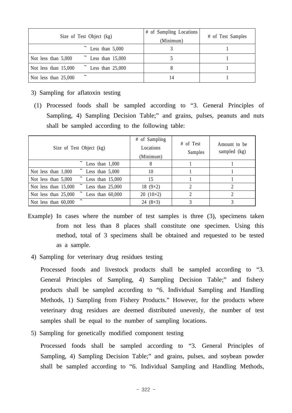| Size of Test Object (kg)                        | # of Sampling Locations<br>(Minimum) | # of Test Samples |
|-------------------------------------------------|--------------------------------------|-------------------|
| Less than $5,000$                               |                                      |                   |
| Less than $15,000$<br>Not less than $5,000$     |                                      |                   |
| Less than $25,000$<br>Not less than $15,000$    |                                      |                   |
| $\tilde{\phantom{a}}$<br>Not less than $25,000$ | 14                                   |                   |

- 3) Sampling for aflatoxin testing
- (1) Processed foods shall be sampled according to "3. General Principles of Sampling, 4) Sampling Decision Table;" and grains, pulses, peanuts and nuts shall be sampled according to the following table:

| Size of Test Object (kg)                   | # of Sampling<br>Locations<br>(Minimum) | # of Test<br>Samples | Amount to be<br>sampled (kg) |
|--------------------------------------------|-----------------------------------------|----------------------|------------------------------|
| Less than $1,000$                          | 8                                       |                      |                              |
| Less than $5,000$<br>Not less than $1,000$ | 10                                      |                      |                              |
| Less than $15,000$<br>Not less than 5,000  | 15                                      |                      |                              |
| Less than $25,000$<br>Not less than 15,000 | 18 $(9\times2)$                         | ↑                    |                              |
| Not less than 25,000<br>Less than $60,000$ | $20(10\times2)$                         |                      |                              |
| Not less than 60,000                       | 24 $(8\times3)$                         |                      |                              |

- Example) In cases where the number of test samples is three (3), specimens taken from not less than 8 places shall constitute one specimen. Using this method, total of 3 specimens shall be obtained and requested to be tested as a sample.
	- 4) Sampling for veterinary drug residues testing

 Processed foods and livestock products shall be sampled according to "3. General Principles of Sampling, 4) Sampling Decision Table;" and fishery products shall be sampled according to "6. Individual Sampling and Handling Methods, 1) Sampling from Fishery Products." However, for the products where veterinary drug residues are deemed distributed unevenly, the number of test samples shall be equal to the number of sampling locations.

5) Sampling for genetically modified component testing

 Processed foods shall be sampled according to "3. General Principles of Sampling, 4) Sampling Decision Table;" and grains, pulses, and soybean powder shall be sampled according to "6. Individual Sampling and Handling Methods,